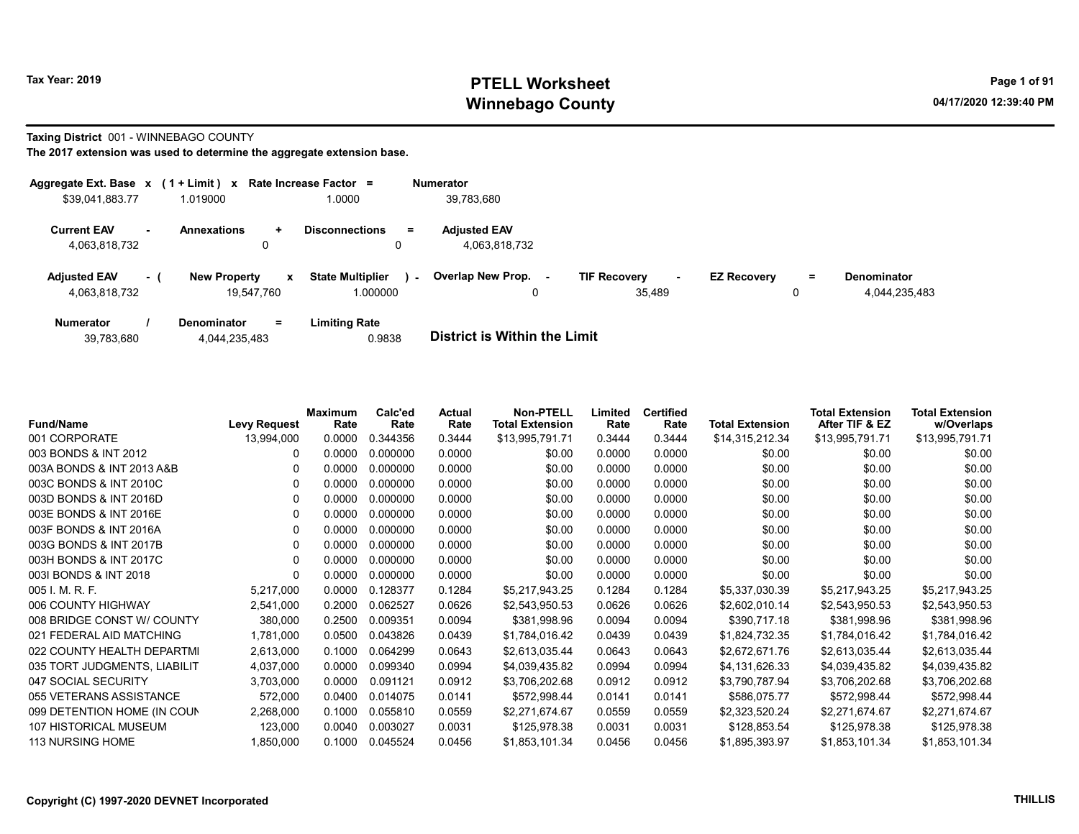# Tax Year: 2019 **PTELL Worksheet** Page 1 of 91 Winnebago County and the County of the County of the County of the County of the County of the County of the County of the County of the County of the County of the County of the County of the County of the County of the C

Taxing District 001 - WINNEBAGO COUNTY

| Aggregate Ext. Base $x$ (1 + Limit) $x$ |                          |                                   |              | Rate Increase Factor =                        | <b>Numerator</b>                     |                                         |                    |          |                                     |
|-----------------------------------------|--------------------------|-----------------------------------|--------------|-----------------------------------------------|--------------------------------------|-----------------------------------------|--------------------|----------|-------------------------------------|
| \$39,041,883.77                         |                          | 1.019000                          |              | 1.0000                                        | 39,783,680                           |                                         |                    |          |                                     |
| <b>Current EAV</b><br>4,063,818,732     | $\overline{\phantom{a}}$ | <b>Annexations</b><br>÷<br>0      |              | <b>Disconnections</b><br>$\equiv$             | <b>Adjusted EAV</b><br>4,063,818,732 |                                         |                    |          |                                     |
| <b>Adjusted EAV</b><br>4,063,818,732    | - 1                      | <b>New Property</b><br>19.547.760 | $\mathbf{x}$ | <b>State Multiplier</b><br>$\sim$<br>1.000000 | <b>Overlap New Prop.</b>             | <b>TIF Recovery</b><br>$\sim$<br>35.489 | <b>EZ Recovery</b> | $\equiv$ | <b>Denominator</b><br>4,044,235,483 |
| <b>Numerator</b>                        |                          | <b>Denominator</b><br>$\equiv$    |              | <b>Limiting Rate</b>                          |                                      |                                         |                    |          |                                     |

| 39,783,680 | 4,044,235,483 | 0.9838 | <b>District is Within the Limit</b> |
|------------|---------------|--------|-------------------------------------|

| <b>Fund/Name</b>             | <b>Levy Request</b> | <b>Maximum</b><br>Rate | Calc'ed<br>Rate | Actual<br>Rate | <b>Non-PTELL</b><br><b>Total Extension</b> | Limited<br>Rate | <b>Certified</b><br>Rate | <b>Total Extension</b> | <b>Total Extension</b><br>After TIF & EZ | <b>Total Extension</b><br>w/Overlaps |
|------------------------------|---------------------|------------------------|-----------------|----------------|--------------------------------------------|-----------------|--------------------------|------------------------|------------------------------------------|--------------------------------------|
| 001 CORPORATE                | 13,994,000          | 0.0000                 | 0.344356        | 0.3444         | \$13,995,791.71                            | 0.3444          | 0.3444                   | \$14,315,212.34        | \$13,995,791.71                          | \$13,995,791.71                      |
| 003 BONDS & INT 2012         | 0                   | 0.0000                 | 0.000000        | 0.0000         | \$0.00                                     | 0.0000          | 0.0000                   | \$0.00                 | \$0.00                                   | \$0.00                               |
| 003A BONDS & INT 2013 A&B    |                     | 0.0000                 | 0.000000        | 0.0000         | \$0.00                                     | 0.0000          | 0.0000                   | \$0.00                 | \$0.00                                   | \$0.00                               |
| 003C BONDS & INT 2010C       |                     | 0.0000                 | 0.000000        | 0.0000         | \$0.00                                     | 0.0000          | 0.0000                   | \$0.00                 | \$0.00                                   | \$0.00                               |
| 003D BONDS & INT 2016D       |                     | 0.0000                 | 0.000000        | 0.0000         | \$0.00                                     | 0.0000          | 0.0000                   | \$0.00                 | \$0.00                                   | \$0.00                               |
| 003E BONDS & INT 2016E       | 0                   | 0.0000                 | 0.000000        | 0.0000         | \$0.00                                     | 0.0000          | 0.0000                   | \$0.00                 | \$0.00                                   | \$0.00                               |
| 003F BONDS & INT 2016A       |                     | 0.0000                 | 0.000000        | 0.0000         | \$0.00                                     | 0.0000          | 0.0000                   | \$0.00                 | \$0.00                                   | \$0.00                               |
| 003G BONDS & INT 2017B       |                     | 0.0000                 | 0.000000        | 0.0000         | \$0.00                                     | 0.0000          | 0.0000                   | \$0.00                 | \$0.00                                   | \$0.00                               |
| 003H BONDS & INT 2017C       | $\Omega$            | 0.0000                 | 0.000000        | 0.0000         | \$0.00                                     | 0.0000          | 0.0000                   | \$0.00                 | \$0.00                                   | \$0.00                               |
| 003I BONDS & INT 2018        |                     | 0.0000                 | 0.000000        | 0.0000         | \$0.00                                     | 0.0000          | 0.0000                   | \$0.00                 | \$0.00                                   | \$0.00                               |
| 005 I. M. R. F.              | 5,217,000           | 0.0000                 | 0.128377        | 0.1284         | \$5,217,943.25                             | 0.1284          | 0.1284                   | \$5,337,030.39         | \$5,217,943.25                           | \$5,217,943.25                       |
| 006 COUNTY HIGHWAY           | 2,541,000           | 0.2000                 | 0.062527        | 0.0626         | \$2,543,950.53                             | 0.0626          | 0.0626                   | \$2,602,010.14         | \$2,543,950.53                           | \$2,543,950.53                       |
| 008 BRIDGE CONST W/ COUNTY   | 380,000             | 0.2500                 | 0.009351        | 0.0094         | \$381,998.96                               | 0.0094          | 0.0094                   | \$390,717.18           | \$381,998.96                             | \$381,998.96                         |
| 021 FEDERAL AID MATCHING     | 1,781,000           | 0.0500                 | 0.043826        | 0.0439         | \$1,784,016.42                             | 0.0439          | 0.0439                   | \$1,824,732.35         | \$1,784,016.42                           | \$1,784,016.42                       |
| 022 COUNTY HEALTH DEPARTMI   | 2,613,000           | 0.1000                 | 0.064299        | 0.0643         | \$2,613,035.44                             | 0.0643          | 0.0643                   | \$2,672,671.76         | \$2,613,035.44                           | \$2,613,035.44                       |
| 035 TORT JUDGMENTS, LIABILIT | 4,037,000           | 0.0000                 | 0.099340        | 0.0994         | \$4,039,435.82                             | 0.0994          | 0.0994                   | \$4,131,626.33         | \$4,039,435.82                           | \$4,039,435.82                       |
| 047 SOCIAL SECURITY          | 3,703,000           | 0.0000                 | 0.091121        | 0.0912         | \$3,706,202.68                             | 0.0912          | 0.0912                   | \$3,790,787.94         | \$3,706,202.68                           | \$3,706,202.68                       |
| 055 VETERANS ASSISTANCE      | 572,000             | 0.0400                 | 0.014075        | 0.0141         | \$572,998.44                               | 0.0141          | 0.0141                   | \$586,075.77           | \$572,998.44                             | \$572,998.44                         |
| 099 DETENTION HOME (IN COUN  | 2,268,000           | 0.1000                 | 0.055810        | 0.0559         | \$2,271,674.67                             | 0.0559          | 0.0559                   | \$2,323,520.24         | \$2,271,674.67                           | \$2,271,674.67                       |
| 107 HISTORICAL MUSEUM        | 123,000             | 0.0040                 | 0.003027        | 0.0031         | \$125,978.38                               | 0.0031          | 0.0031                   | \$128,853.54           | \$125,978.38                             | \$125,978.38                         |
| 113 NURSING HOME             | 1,850,000           | 0.1000                 | 0.045524        | 0.0456         | \$1,853,101.34                             | 0.0456          | 0.0456                   | \$1,895,393.97         | \$1,853,101.34                           | \$1,853,101.34                       |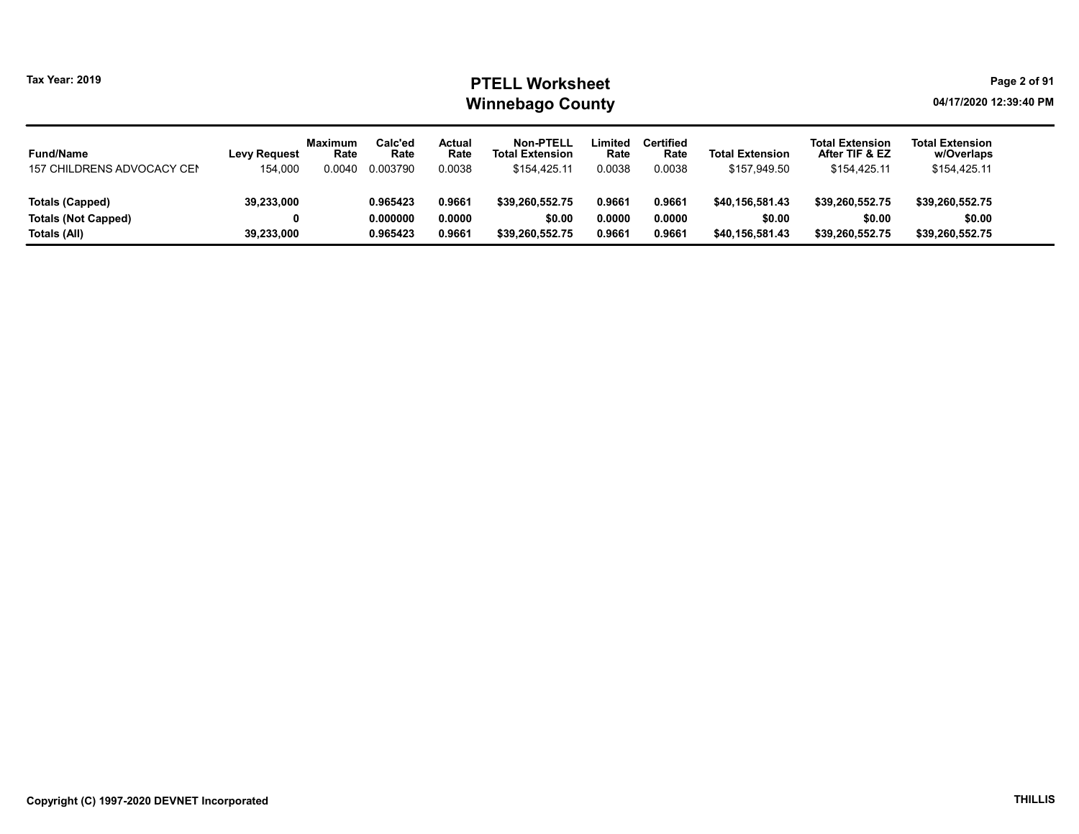#### Tax Year: 2019 **PTELL Worksheet** Page 2 of 91 Winnebago County and the County of the County of the County of the County of the County of the County of the County of the County of the County of the County of the County of the County of the County of the County of the C

| <b>Fund/Name</b>           | <b>Levy Request</b> | <b>Maximum</b><br>Rate | Calc'ed<br>Rate | Actual<br>Rate | <b>Non-PTELL</b><br><b>Total Extension</b> | ∟imited<br>Rate | <b>Certified</b><br>Rate | <b>Total Extension</b> | <b>Total Extension</b><br>After TIF & EZ | <b>Total Extension</b><br>w/Overlaps |
|----------------------------|---------------------|------------------------|-----------------|----------------|--------------------------------------------|-----------------|--------------------------|------------------------|------------------------------------------|--------------------------------------|
| 157 CHILDRENS ADVOCACY CEN | 154.000             | 0.0040                 | 0.003790        | 0.0038         | \$154.425.11                               | 0.0038          | 0.0038                   | \$157,949.50           | \$154.425.11                             | \$154,425.11                         |
| Totals (Capped)            | 39,233,000          |                        | 0.965423        | 0.9661         | \$39.260.552.75                            | 0.9661          | 0.9661                   | \$40.156.581.43        | \$39.260.552.75                          | \$39,260,552.75                      |
|                            |                     |                        |                 |                |                                            |                 |                          |                        |                                          |                                      |
| <b>Totals (Not Capped)</b> |                     |                        | 0.000000        | 0.0000         | \$0.00                                     | 0.0000          | 0.0000                   | \$0.00                 | \$0.00                                   | \$0.00                               |
| Totals (All)               | 39,233,000          |                        | 0.965423        | 0.9661         | \$39.260.552.75                            | 0.9661          | 0.9661                   | \$40.156.581.43        | \$39,260,552.75                          | \$39,260,552.75                      |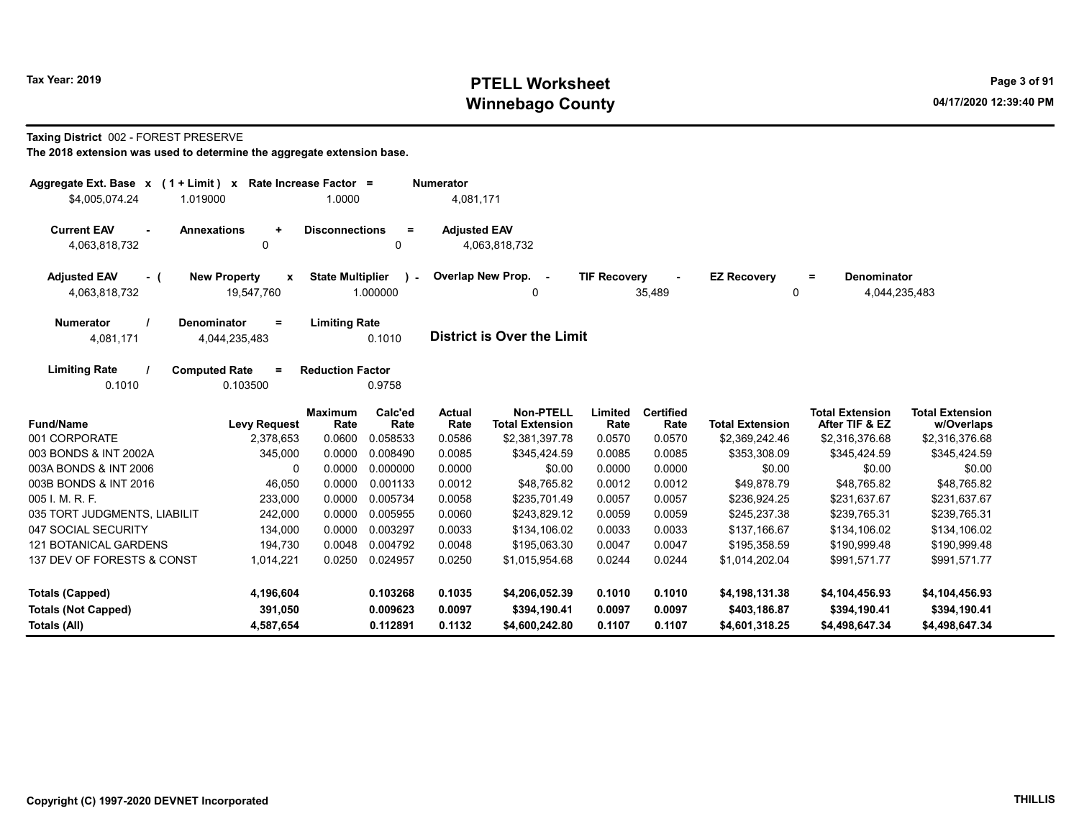# Tax Year: 2019 **PTELL Worksheet** Page 3 of 91 Winnebago County and the County of the County of the County of the County of the County of the County of the County of the County of the County of the County of the County of the County of the County of the County of the C

#### Taxing District 002 - FOREST PRESERVE

| Aggregate Ext. Base $x$ (1 + Limit) $x$<br>\$4,005,074.24 | 1.019000                                        | Rate Increase Factor =<br>1.0000 |                           | <b>Numerator</b><br>4,081,171 |                                            |                     |                          |                         |                                            |                                      |
|-----------------------------------------------------------|-------------------------------------------------|----------------------------------|---------------------------|-------------------------------|--------------------------------------------|---------------------|--------------------------|-------------------------|--------------------------------------------|--------------------------------------|
| <b>Current EAV</b><br>$\blacksquare$<br>4,063,818,732     | <b>Annexations</b><br>٠<br>0                    | <b>Disconnections</b>            | $=$<br>0                  | <b>Adjusted EAV</b>           | 4,063,818,732                              |                     |                          |                         |                                            |                                      |
| <b>Adjusted EAV</b><br>- (<br>4,063,818,732               | <b>New Property</b><br>X<br>19,547,760          | <b>State Multiplier</b>          | $\rightarrow$<br>1.000000 |                               | Overlap New Prop. -<br>0                   | <b>TIF Recovery</b> | 35,489                   | <b>EZ Recovery</b><br>0 | <b>Denominator</b><br>$=$<br>4,044,235,483 |                                      |
| <b>Numerator</b><br>4,081,171                             | <b>Denominator</b><br>$\equiv$<br>4,044,235,483 | <b>Limiting Rate</b>             | 0.1010                    |                               | <b>District is Over the Limit</b>          |                     |                          |                         |                                            |                                      |
| <b>Limiting Rate</b><br>0.1010                            | <b>Computed Rate</b><br>$=$<br>0.103500         | <b>Reduction Factor</b>          | 0.9758                    |                               |                                            |                     |                          |                         |                                            |                                      |
| <b>Fund/Name</b>                                          | <b>Levy Request</b>                             | <b>Maximum</b><br>Rate           | Calc'ed<br>Rate           | <b>Actual</b><br>Rate         | <b>Non-PTELL</b><br><b>Total Extension</b> | Limited<br>Rate     | <b>Certified</b><br>Rate | <b>Total Extension</b>  | <b>Total Extension</b><br>After TIF & EZ   | <b>Total Extension</b><br>w/Overlaps |
| 001 CORPORATE                                             | 2,378,653                                       | 0.0600                           | 0.058533                  | 0.0586                        | \$2,381,397.78                             | 0.0570              | 0.0570                   | \$2,369,242.46          | \$2,316,376.68                             | \$2,316,376.68                       |
| 003 BONDS & INT 2002A                                     | 345,000                                         | 0.0000                           | 0.008490                  | 0.0085                        | \$345,424.59                               | 0.0085              | 0.0085                   | \$353,308.09            | \$345,424.59                               | \$345,424.59                         |
| 003A BONDS & INT 2006                                     | 0                                               | 0.0000                           | 0.000000                  | 0.0000                        | \$0.00                                     | 0.0000              | 0.0000                   | \$0.00                  | \$0.00                                     | \$0.00                               |
| 003B BONDS & INT 2016                                     | 46,050                                          | 0.0000                           | 0.001133                  | 0.0012                        | \$48,765.82                                | 0.0012              | 0.0012                   | \$49,878.79             | \$48,765.82                                | \$48,765.82                          |
| 005 I. M. R. F.                                           | 233,000                                         | 0.0000                           | 0.005734                  | 0.0058                        | \$235,701.49                               | 0.0057              | 0.0057                   | \$236,924.25            | \$231,637.67                               | \$231,637.67                         |
| 035 TORT JUDGMENTS, LIABILIT                              | 242,000                                         | 0.0000                           | 0.005955                  | 0.0060                        | \$243,829.12                               | 0.0059              | 0.0059                   | \$245,237.38            | \$239,765.31                               | \$239,765.31                         |
| 047 SOCIAL SECURITY                                       | 134,000                                         | 0.0000                           | 0.003297                  | 0.0033                        | \$134,106.02                               | 0.0033              | 0.0033                   | \$137,166.67            | \$134,106.02                               | \$134,106.02                         |
| <b>121 BOTANICAL GARDENS</b>                              | 194,730                                         | 0.0048                           | 0.004792                  | 0.0048                        | \$195,063.30                               | 0.0047              | 0.0047                   | \$195,358.59            | \$190,999.48                               | \$190,999.48                         |
| 137 DEV OF FORESTS & CONST                                | 1,014,221                                       | 0.0250                           | 0.024957                  | 0.0250                        | \$1,015,954.68                             | 0.0244              | 0.0244                   | \$1,014,202.04          | \$991,571.77                               | \$991,571.77                         |
| <b>Totals (Capped)</b>                                    | 4,196,604                                       |                                  | 0.103268                  | 0.1035                        | \$4,206,052.39                             | 0.1010              | 0.1010                   | \$4,198,131.38          | \$4,104,456.93                             | \$4,104,456.93                       |
| <b>Totals (Not Capped)</b>                                | 391,050                                         |                                  | 0.009623                  | 0.0097                        | \$394,190.41                               | 0.0097              | 0.0097                   | \$403,186.87            | \$394,190.41                               | \$394,190.41                         |
| Totals (All)                                              | 4,587,654                                       |                                  | 0.112891                  | 0.1132                        | \$4,600,242.80                             | 0.1107              | 0.1107                   | \$4,601,318.25          | \$4,498,647.34                             | \$4,498,647.34                       |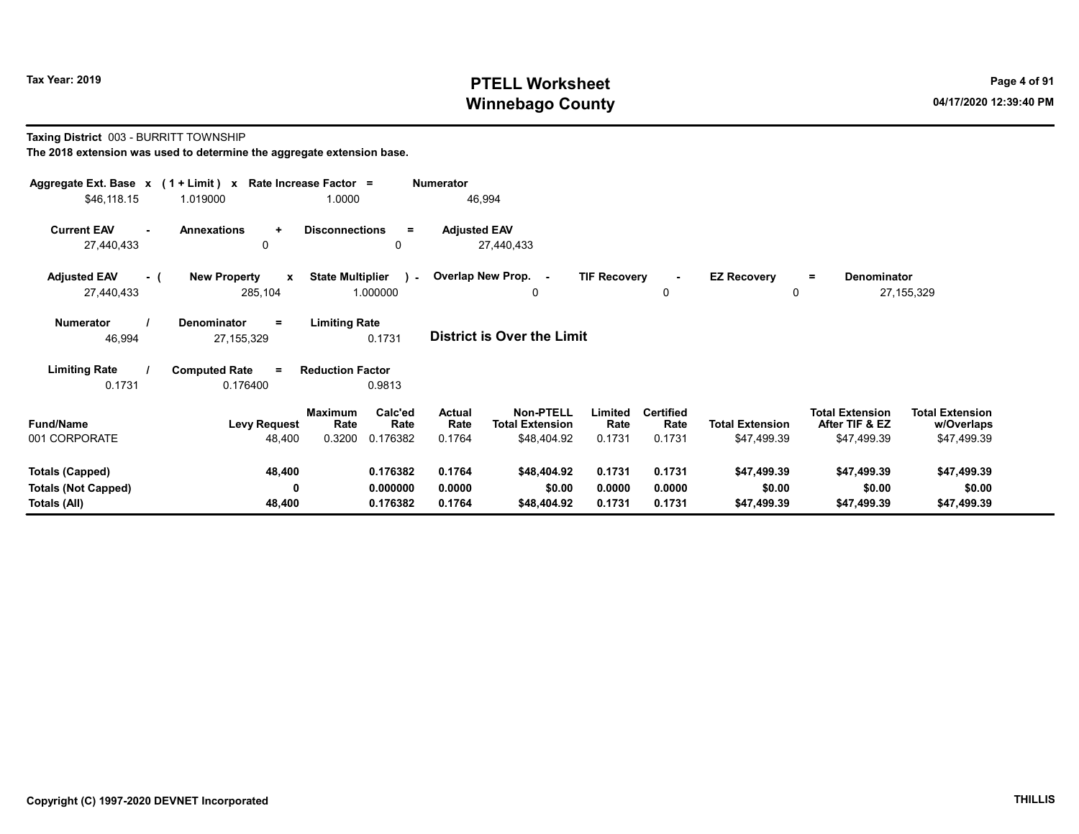# Tax Year: 2019 **PTELL Worksheet** Page 4 of 91 Winnebago County and the County of the County of the County of the County of the County of the County of the County of the County of the County of the County of the County of the County of the County of the County of the C

#### Taxing District 003 - BURRITT TOWNSHIP

| Aggregate Ext. Base $x$ (1 + Limit) $x$ Rate Increase Factor =<br>\$46,118.15 | 1.019000                                       | 1.0000                                                   | <b>Numerator</b><br>46,994        |                                                           |                            |                                    |                                       |                                                         |                                                     |
|-------------------------------------------------------------------------------|------------------------------------------------|----------------------------------------------------------|-----------------------------------|-----------------------------------------------------------|----------------------------|------------------------------------|---------------------------------------|---------------------------------------------------------|-----------------------------------------------------|
| <b>Current EAV</b><br>27,440,433                                              | <b>Annexations</b><br>$\ddot{}$<br>0           | <b>Disconnections</b><br>$=$<br>0                        | <b>Adjusted EAV</b><br>27,440,433 |                                                           |                            |                                    |                                       |                                                         |                                                     |
| <b>Adjusted EAV</b><br>- (<br>27,440,433                                      | <b>New Property</b><br>$\mathbf{x}$<br>285,104 | <b>State Multiplier</b><br>$\mathcal{L}$<br>1.000000     | Overlap New Prop. -               | 0                                                         | <b>TIF Recovery</b>        | 0                                  | <b>EZ Recovery</b><br>0               | Denominator<br>$\equiv$                                 | 27, 155, 329                                        |
| <b>Numerator</b><br>46,994                                                    | <b>Denominator</b><br>$=$<br>27, 155, 329      | <b>Limiting Rate</b><br>0.1731                           | <b>District is Over the Limit</b> |                                                           |                            |                                    |                                       |                                                         |                                                     |
| <b>Limiting Rate</b><br>0.1731                                                | <b>Computed Rate</b><br>$\equiv$<br>0.176400   | <b>Reduction Factor</b><br>0.9813                        |                                   |                                                           |                            |                                    |                                       |                                                         |                                                     |
| <b>Fund/Name</b><br>001 CORPORATE                                             | <b>Levy Request</b><br>48,400                  | Calc'ed<br>Maximum<br>Rate<br>Rate<br>0.3200<br>0.176382 | <b>Actual</b><br>Rate<br>0.1764   | <b>Non-PTELL</b><br><b>Total Extension</b><br>\$48,404.92 | Limited<br>Rate<br>0.1731  | <b>Certified</b><br>Rate<br>0.1731 | <b>Total Extension</b><br>\$47,499.39 | <b>Total Extension</b><br>After TIF & EZ<br>\$47,499.39 | <b>Total Extension</b><br>w/Overlaps<br>\$47,499.39 |
| <b>Totals (Capped)</b><br><b>Totals (Not Capped)</b><br>Totals (All)          | 48,400<br>0<br>48,400                          | 0.176382<br>0.000000<br>0.176382                         | 0.1764<br>0.0000<br>0.1764        | \$48,404.92<br>\$0.00<br>\$48,404.92                      | 0.1731<br>0.0000<br>0.1731 | 0.1731<br>0.0000<br>0.1731         | \$47,499.39<br>\$0.00<br>\$47,499.39  | \$47,499.39<br>\$0.00<br>\$47,499.39                    | \$47,499.39<br>\$0.00<br>\$47,499.39                |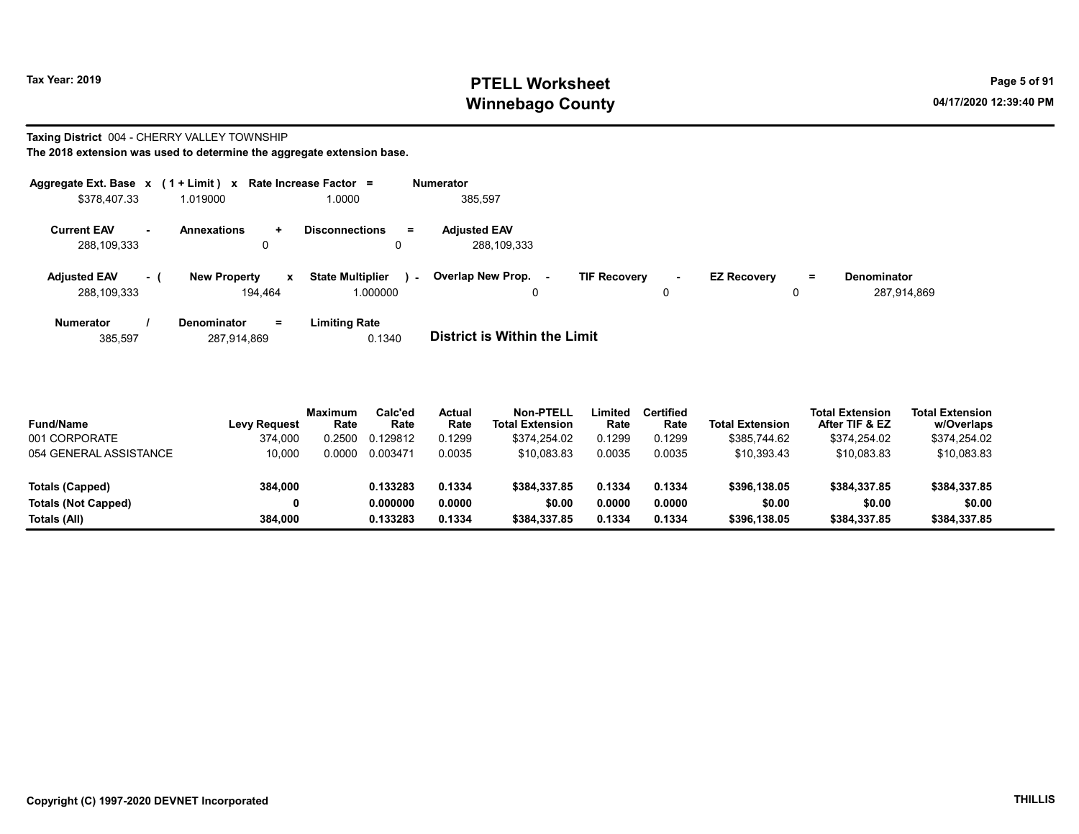# Tax Year: 2019 **PTELL Worksheet** Page 5 of 91 Winnebago County and the County of the County of the County of the County of the County of the County of the County of the County of the County of the County of the County of the County of the County of the County of the C

#### Taxing District 004 - CHERRY VALLEY TOWNSHIP The 2018 extension was used to determine the aggregate extension base.

| Aggregate Ext. Base $x$ (1 + Limit) $x$<br>\$378.407.33 |      | 1.019000                                       | Rate Increase Factor =<br>1.0000              | <b>Numerator</b><br>385.597        |                                    |                    |    |                            |
|---------------------------------------------------------|------|------------------------------------------------|-----------------------------------------------|------------------------------------|------------------------------------|--------------------|----|----------------------------|
| <b>Current EAV</b><br>288,109,333                       |      | <b>Annexations</b><br>÷.<br>0                  | <b>Disconnections</b><br>$=$                  | <b>Adjusted EAV</b><br>288,109,333 |                                    |                    |    |                            |
| <b>Adiusted EAV</b><br>288,109,333                      | $-1$ | <b>New Property</b><br>$\mathbf{x}$<br>194,464 | <b>State Multiplier</b><br>$\sim$<br>1.000000 | Overlap New Prop.<br>$\sim$<br>0   | <b>TIF Recovery</b><br>$\sim$<br>0 | <b>EZ Recovery</b> | Ξ. | Denominator<br>287,914,869 |
| <b>Numerator</b>                                        |      | <b>Denominator</b><br>$=$                      | <b>Limiting Rate</b>                          |                                    |                                    |                    |    |                            |

| 287,914,869<br>385.597 | 0.1340 | <b>District is Within the Limit</b> |
|------------------------|--------|-------------------------------------|

| <b>Fund/Name</b>           | <b>Levy Request</b> | <b>Maximum</b><br>Rate | Calc'ed<br>Rate | Actual<br>Rate | Non-PTELL<br><b>Total Extension</b> | Limited<br>Rate | <b>Certified</b><br>Rate | <b>Total Extension</b> | <b>Total Extension</b><br>After TIF & EZ | <b>Total Extension</b><br>w/Overlaps |  |
|----------------------------|---------------------|------------------------|-----------------|----------------|-------------------------------------|-----------------|--------------------------|------------------------|------------------------------------------|--------------------------------------|--|
| 001 CORPORATE              | 374.000             | .2500                  | 0.129812        | 0.1299         | \$374.254.02                        | 0.1299          | 0.1299                   | \$385.744.62           | \$374.254.02                             | \$374,254.02                         |  |
| 054 GENERAL ASSISTANCE     | 10.000              | .0000                  | 0.003471        | 0.0035         | \$10.083.83                         | 0.0035          | 0.0035                   | \$10.393.43            | \$10.083.83                              | \$10,083.83                          |  |
| Totals (Capped)            | 384,000             |                        | 0.133283        | 0.1334         | \$384.337.85                        | 0.1334          | 0.1334                   | \$396,138.05           | \$384.337.85                             | \$384,337.85                         |  |
| <b>Totals (Not Capped)</b> | 0                   |                        | 0.000000        | 0.0000         | \$0.00                              | 0.0000          | 0.0000                   | \$0.00                 | \$0.00                                   | \$0.00                               |  |
| Totals (All)               | 384,000             |                        | 0.133283        | 0.1334         | \$384,337.85                        | 0.1334          | 0.1334                   | \$396,138.05           | \$384.337.85                             | \$384,337.85                         |  |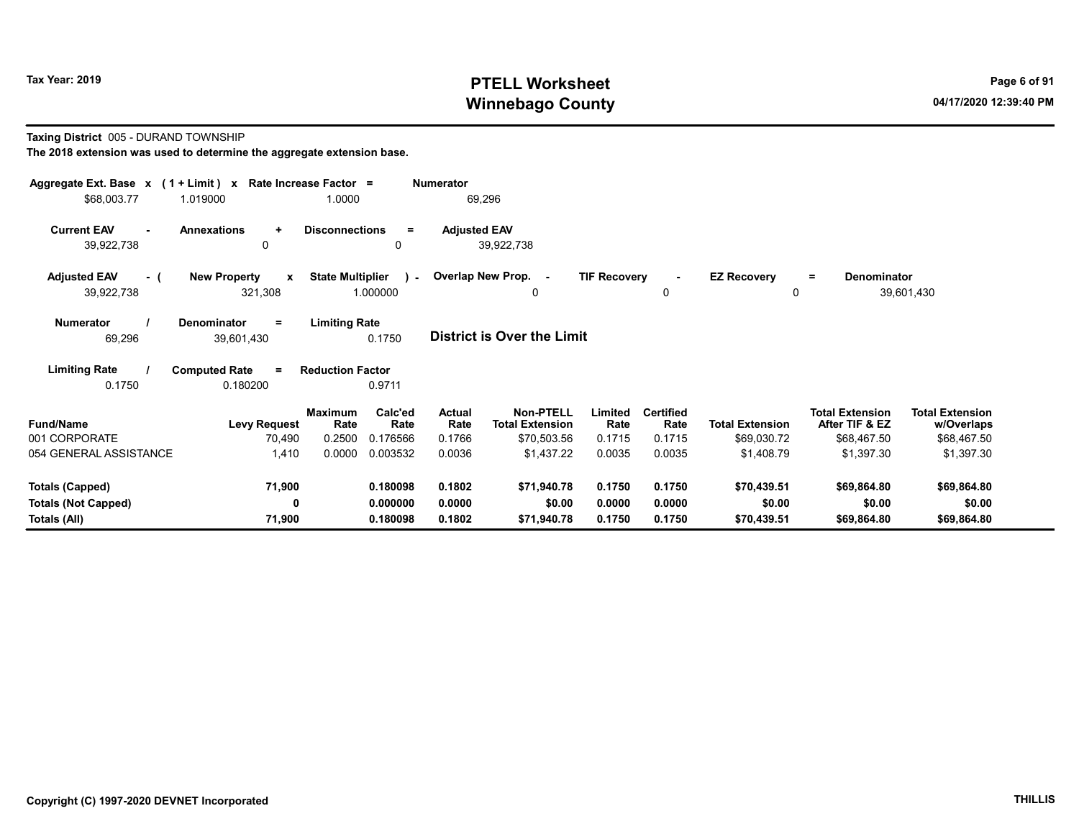# Tax Year: 2019 **PTELL Worksheet** Page 6 of 91 Winnebago County and the County of the County of the County of the County of the County of the County of the County of the County of the County of the County of the County of the County of the County of the County of the C

#### Taxing District 005 - DURAND TOWNSHIP

| Aggregate Ext. Base $x$ (1 + Limit) $x$<br>\$68,003.77                                                                                     | 1.019000                                       | Rate Increase Factor =<br>1.0000 |                      | <b>Numerator</b>    | 69,296                                     |                     |                          |                                    |                                          |                                      |  |  |
|--------------------------------------------------------------------------------------------------------------------------------------------|------------------------------------------------|----------------------------------|----------------------|---------------------|--------------------------------------------|---------------------|--------------------------|------------------------------------|------------------------------------------|--------------------------------------|--|--|
| <b>Current EAV</b><br>39,922,738                                                                                                           | <b>Annexations</b><br>$\ddot{}$<br>0           | <b>Disconnections</b>            | Ξ<br>0               | <b>Adjusted EAV</b> | 39,922,738                                 |                     |                          |                                    |                                          |                                      |  |  |
| <b>Adjusted EAV</b><br>- (<br>39,922,738                                                                                                   | <b>New Property</b><br>$\mathbf{x}$<br>321,308 | <b>State Multiplier</b>          | 1.000000             |                     | ) - Overlap New Prop. -<br>$\Omega$        | <b>TIF Recovery</b> | $\blacksquare$<br>0      | <b>EZ Recovery</b><br>$\mathbf{0}$ | Denominator<br>$\equiv$                  | 39,601,430                           |  |  |
| <b>Denominator</b><br><b>Limiting Rate</b><br><b>Numerator</b><br>$\equiv$<br>District is Over the Limit<br>69,296<br>0.1750<br>39,601,430 |                                                |                                  |                      |                     |                                            |                     |                          |                                    |                                          |                                      |  |  |
| <b>Limiting Rate</b><br>0.1750                                                                                                             | <b>Computed Rate</b><br>$\equiv$<br>0.180200   | <b>Reduction Factor</b>          | 0.9711               |                     |                                            |                     |                          |                                    |                                          |                                      |  |  |
| <b>Fund/Name</b>                                                                                                                           | <b>Levy Request</b>                            | <b>Maximum</b><br>Rate           | Calc'ed<br>Rate      | Actual<br>Rate      | <b>Non-PTELL</b><br><b>Total Extension</b> | Limited<br>Rate     | <b>Certified</b><br>Rate | <b>Total Extension</b>             | <b>Total Extension</b><br>After TIF & EZ | <b>Total Extension</b><br>w/Overlaps |  |  |
| 001 CORPORATE<br>054 GENERAL ASSISTANCE                                                                                                    | 70,490<br>1,410                                | 0.2500<br>0.0000                 | 0.176566<br>0.003532 | 0.1766<br>0.0036    | \$70,503.56<br>\$1,437.22                  | 0.1715<br>0.0035    | 0.1715<br>0.0035         | \$69,030.72<br>\$1,408.79          | \$68,467.50<br>\$1,397.30                | \$68,467.50<br>\$1,397.30            |  |  |
| Totals (Capped)                                                                                                                            | 71,900                                         |                                  | 0.180098             | 0.1802              | \$71,940.78                                | 0.1750              | 0.1750                   | \$70,439.51                        | \$69,864.80                              | \$69,864.80                          |  |  |
| <b>Totals (Not Capped)</b><br>Totals (All)                                                                                                 | 0<br>71,900                                    |                                  | 0.000000<br>0.180098 | 0.0000<br>0.1802    | \$0.00<br>\$71,940.78                      | 0.0000<br>0.1750    | 0.0000<br>0.1750         | \$0.00<br>\$70,439.51              | \$0.00<br>\$69,864.80                    | \$0.00<br>\$69,864.80                |  |  |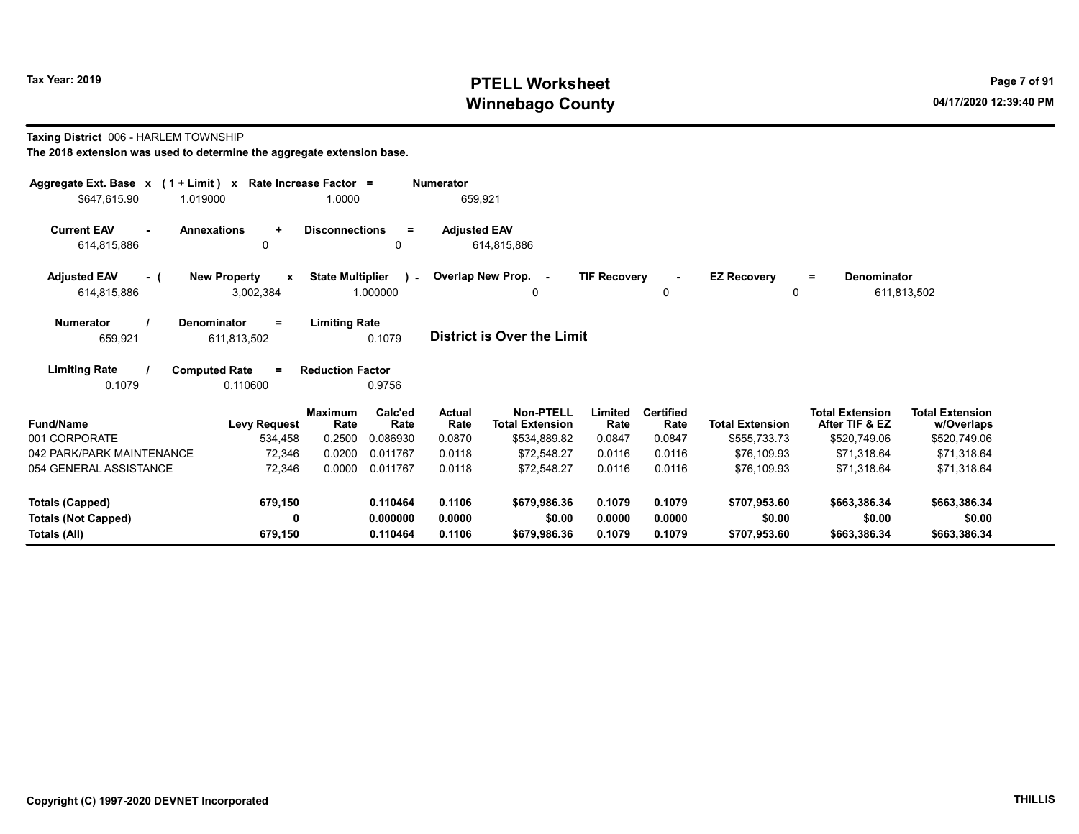# Tax Year: 2019 **PTELL Worksheet** Page 7 of 91 Winnebago County and the County of the County of the County of the County of the County of the County of the County of the County of the County of the County of the County of the County of the County of the County of the C

#### Taxing District 006 - HARLEM TOWNSHIP

| Aggregate Ext. Base $x$ (1 + Limit) $x$<br>\$647,615.90<br>1.019000 | Rate Increase Factor =                | 1.0000                           |                             | <b>Numerator</b><br>659,921     |                                                            |                           |                                    |                                        |                                                          |                                                      |
|---------------------------------------------------------------------|---------------------------------------|----------------------------------|-----------------------------|---------------------------------|------------------------------------------------------------|---------------------------|------------------------------------|----------------------------------------|----------------------------------------------------------|------------------------------------------------------|
| <b>Current EAV</b><br><b>Annexations</b><br>$\sim$<br>614,815,886   | $\ddot{}$<br>$\mathbf{0}$             | <b>Disconnections</b>            | Ξ<br>0                      | <b>Adjusted EAV</b>             | 614,815,886                                                |                           |                                    |                                        |                                                          |                                                      |
| <b>Adjusted EAV</b><br>- (<br>614,815,886                           | <b>New Property</b><br>X<br>3,002,384 | <b>State Multiplier</b>          | $\mathbf{1}$<br>1.000000    |                                 | Overlap New Prop. -<br>0                                   | <b>TIF Recovery</b>       | 0                                  | <b>EZ Recovery</b><br>0                | Denominator<br>Ξ.                                        | 611,813,502                                          |
| <b>Numerator</b><br><b>Denominator</b><br>659,921                   | $\equiv$<br>611,813,502               | <b>Limiting Rate</b>             | 0.1079                      |                                 | <b>District is Over the Limit</b>                          |                           |                                    |                                        |                                                          |                                                      |
| <b>Limiting Rate</b><br><b>Computed Rate</b><br>0.1079              | $\equiv$<br>0.110600                  | <b>Reduction Factor</b>          | 0.9756                      |                                 |                                                            |                           |                                    |                                        |                                                          |                                                      |
| <b>Fund/Name</b><br>001 CORPORATE                                   | <b>Levy Request</b><br>534,458        | <b>Maximum</b><br>Rate<br>0.2500 | Calc'ed<br>Rate<br>0.086930 | <b>Actual</b><br>Rate<br>0.0870 | <b>Non-PTELL</b><br><b>Total Extension</b><br>\$534,889.82 | Limited<br>Rate<br>0.0847 | <b>Certified</b><br>Rate<br>0.0847 | <b>Total Extension</b><br>\$555,733.73 | <b>Total Extension</b><br>After TIF & EZ<br>\$520,749.06 | <b>Total Extension</b><br>w/Overlaps<br>\$520,749.06 |
| 042 PARK/PARK MAINTENANCE<br>054 GENERAL ASSISTANCE                 | 72,346<br>72,346                      | 0.0200<br>0.0000                 | 0.011767<br>0.011767        | 0.0118<br>0.0118                | \$72.548.27<br>\$72,548.27                                 | 0.0116<br>0.0116          | 0.0116<br>0.0116                   | \$76.109.93<br>\$76,109.93             | \$71.318.64<br>\$71,318.64                               | \$71,318.64<br>\$71,318.64                           |
| <b>Totals (Capped)</b>                                              | 679,150                               |                                  | 0.110464                    | 0.1106<br>0.0000                | \$679.986.36                                               | 0.1079                    | 0.1079                             | \$707.953.60                           | \$663,386.34                                             | \$663,386.34                                         |
| <b>Totals (Not Capped)</b><br>Totals (All)                          | 0<br>679,150                          |                                  | 0.000000<br>0.110464        | 0.1106                          | \$0.00<br>\$679.986.36                                     | 0.0000<br>0.1079          | 0.0000<br>0.1079                   | \$0.00<br>\$707.953.60                 | \$0.00<br>\$663,386.34                                   | \$0.00<br>\$663,386.34                               |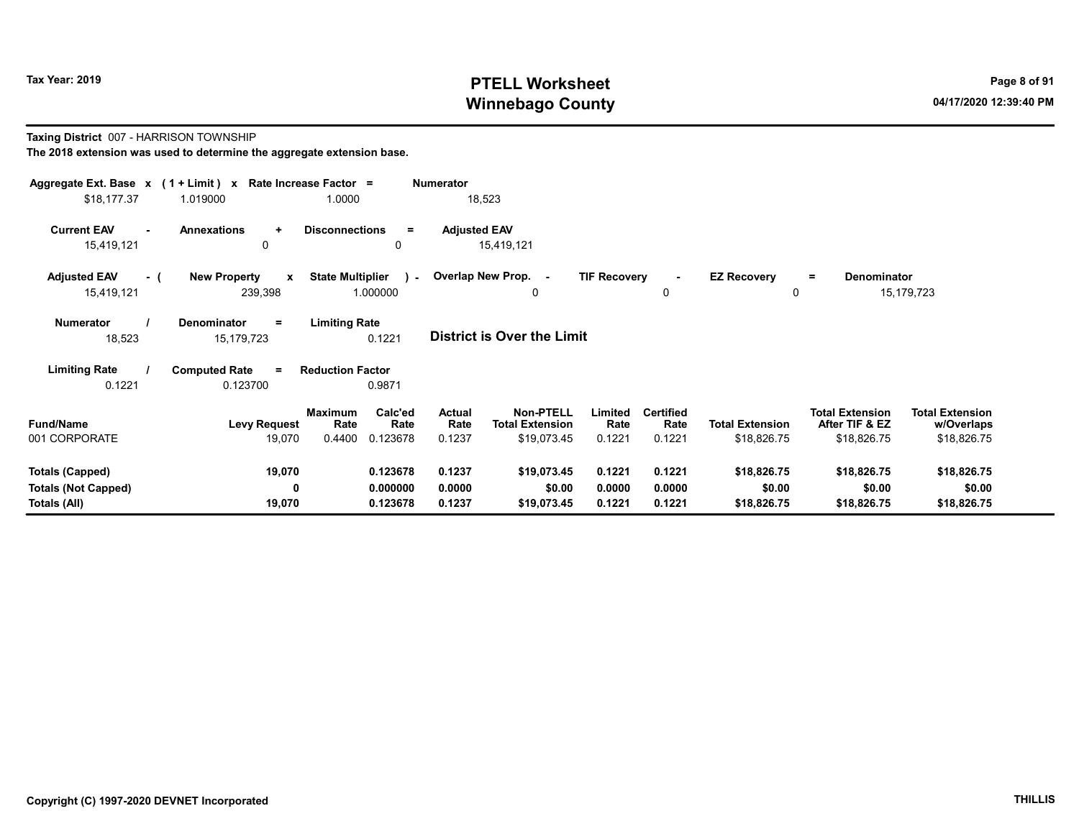# Tax Year: 2019 **PTELL Worksheet** Page 8 of 91 Winnebago County and the County of the County of the County of the County of the County of the County of the County of the County of the County of the County of the County of the County of the County of the County of the C

Taxing District 007 - HARRISON TOWNSHIP

| Aggregate Ext. Base x (1 + Limit) x Rate Increase Factor = |                                     |                         | <b>Numerator</b>           |                            |                     |                  |                        |                         |                        |  |
|------------------------------------------------------------|-------------------------------------|-------------------------|----------------------------|----------------------------|---------------------|------------------|------------------------|-------------------------|------------------------|--|
| \$18,177.37                                                | 1.019000                            | 1.0000                  |                            | 18,523                     |                     |                  |                        |                         |                        |  |
| <b>Current EAV</b>                                         | <b>Annexations</b><br>$\ddotmark$   | <b>Disconnections</b>   | <b>Adjusted EAV</b><br>$=$ |                            |                     |                  |                        |                         |                        |  |
| 15,419,121                                                 | 0                                   |                         | 0                          | 15,419,121                 |                     |                  |                        |                         |                        |  |
| <b>Adjusted EAV</b><br>- (                                 | <b>New Property</b><br>$\mathbf{x}$ | <b>State Multiplier</b> | ) - Overlap New Prop. -    |                            | <b>TIF Recovery</b> | $\sim$           | <b>EZ Recovery</b>     | Denominator<br>$\equiv$ |                        |  |
| 15,419,121                                                 | 239,398                             | 1.000000                |                            | 0                          |                     | 0                | 0                      |                         | 15,179,723             |  |
| <b>Numerator</b>                                           | Denominator<br>$=$                  | <b>Limiting Rate</b>    |                            |                            |                     |                  |                        |                         |                        |  |
| 18,523                                                     | 15, 179, 723                        | 0.1221                  |                            | District is Over the Limit |                     |                  |                        |                         |                        |  |
| <b>Limiting Rate</b>                                       | <b>Computed Rate</b><br>$\equiv$    | <b>Reduction Factor</b> |                            |                            |                     |                  |                        |                         |                        |  |
| 0.1221                                                     | 0.123700                            | 0.9871                  |                            |                            |                     |                  |                        |                         |                        |  |
|                                                            |                                     | <b>Maximum</b>          | Calc'ed<br>Actual          | <b>Non-PTELL</b>           | Limited             | <b>Certified</b> |                        | <b>Total Extension</b>  | <b>Total Extension</b> |  |
| <b>Fund/Name</b>                                           | <b>Levy Request</b>                 | Rate                    | Rate<br>Rate               | <b>Total Extension</b>     | Rate                | Rate             | <b>Total Extension</b> | After TIF & EZ          | w/Overlaps             |  |
| 001 CORPORATE                                              | 19,070                              | 0.4400<br>0.123678      | 0.1237                     | \$19,073.45                | 0.1221              | 0.1221           | \$18,826.75            | \$18,826.75             | \$18,826.75            |  |
| <b>Totals (Capped)</b>                                     | 19,070                              | 0.123678                | 0.1237                     | \$19,073.45                | 0.1221              | 0.1221           | \$18,826.75            | \$18,826.75             | \$18,826.75            |  |
| <b>Totals (Not Capped)</b>                                 | 0                                   | 0.000000                | 0.0000                     | \$0.00                     | 0.0000              | 0.0000           | \$0.00                 | \$0.00                  | \$0.00                 |  |
| Totals (All)                                               | 19,070                              | 0.123678                | 0.1237                     | \$19,073.45                | 0.1221              | 0.1221           | \$18,826.75            | \$18,826.75             | \$18,826.75            |  |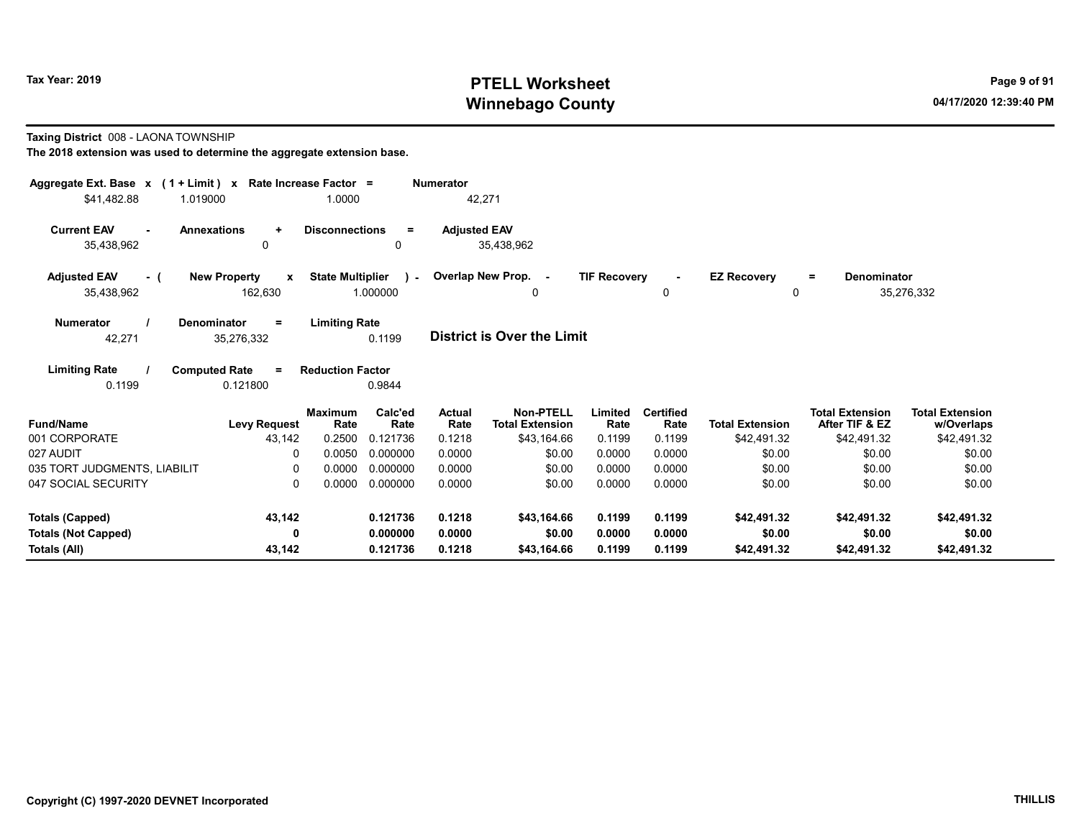# Tax Year: 2019 **PTELL Worksheet** Page 9 of 91 Winnebago County and the County of the County of the County of the County of the County of the County of the County of the County of the County of the County of the County of the County of the County of the County of the C

Taxing District 008 - LAONA TOWNSHIP

| Aggregate Ext. Base $x$ (1 + Limit) x Rate Increase Factor = |                                                |                         |                         | <b>Numerator</b>      |                                            |                     |                          |                                |                                          |                                      |
|--------------------------------------------------------------|------------------------------------------------|-------------------------|-------------------------|-----------------------|--------------------------------------------|---------------------|--------------------------|--------------------------------|------------------------------------------|--------------------------------------|
| \$41,482.88                                                  | 1.019000                                       | 1.0000                  |                         | 42,271                |                                            |                     |                          |                                |                                          |                                      |
| <b>Current EAV</b><br>35,438,962                             | <b>Annexations</b><br>$\ddot{}$<br>0           | <b>Disconnections</b>   | $=$<br>0                | <b>Adjusted EAV</b>   | 35,438,962                                 |                     |                          |                                |                                          |                                      |
| <b>Adjusted EAV</b><br>$-$ (<br>35,438,962                   | <b>New Property</b><br>$\mathbf{x}$<br>162,630 | <b>State Multiplier</b> | $\lambda$ -<br>1.000000 |                       | Overlap New Prop. -<br>0                   | <b>TIF Recovery</b> | $\sim$<br>0              | <b>EZ Recovery</b><br>$\Omega$ | <b>Denominator</b><br>$=$                | 35,276,332                           |
| <b>Numerator</b><br>42,271                                   | Denominator<br>$=$<br>35,276,332               | <b>Limiting Rate</b>    | 0.1199                  |                       | District is Over the Limit                 |                     |                          |                                |                                          |                                      |
| <b>Limiting Rate</b><br>0.1199                               | <b>Computed Rate</b><br>$\equiv$<br>0.121800   | <b>Reduction Factor</b> | 0.9844                  |                       |                                            |                     |                          |                                |                                          |                                      |
| <b>Fund/Name</b>                                             | <b>Levy Request</b>                            | <b>Maximum</b><br>Rate  | Calc'ed<br>Rate         | <b>Actual</b><br>Rate | <b>Non-PTELL</b><br><b>Total Extension</b> | Limited<br>Rate     | <b>Certified</b><br>Rate | <b>Total Extension</b>         | <b>Total Extension</b><br>After TIF & EZ | <b>Total Extension</b><br>w/Overlaps |
| 001 CORPORATE                                                | 43,142                                         | 0.2500                  | 0.121736                | 0.1218                | \$43,164.66                                | 0.1199              | 0.1199                   | \$42,491.32                    | \$42,491.32                              | \$42,491.32                          |
| 027 AUDIT                                                    | $\Omega$                                       | 0.0050                  | 0.000000                | 0.0000                | \$0.00                                     | 0.0000              | 0.0000                   | \$0.00                         | \$0.00                                   | \$0.00                               |
| 035 TORT JUDGMENTS, LIABILIT                                 | 0                                              | 0.0000                  | 0.000000                | 0.0000                | \$0.00                                     | 0.0000              | 0.0000                   | \$0.00                         | \$0.00                                   | \$0.00                               |
| 047 SOCIAL SECURITY                                          | $\Omega$                                       | 0.0000                  | 0.000000                | 0.0000                | \$0.00                                     | 0.0000              | 0.0000                   | \$0.00                         | \$0.00                                   | \$0.00                               |
| <b>Totals (Capped)</b>                                       | 43,142                                         |                         | 0.121736                | 0.1218                | \$43,164.66                                | 0.1199              | 0.1199                   | \$42,491.32                    | \$42,491.32                              | \$42,491.32                          |
| <b>Totals (Not Capped)</b>                                   | 0                                              |                         | 0.000000                | 0.0000                | \$0.00                                     | 0.0000              | 0.0000                   | \$0.00                         | \$0.00                                   | \$0.00                               |
| Totals (All)                                                 | 43,142                                         |                         | 0.121736                | 0.1218                | \$43,164.66                                | 0.1199              | 0.1199                   | \$42,491.32                    | \$42,491.32                              | \$42,491.32                          |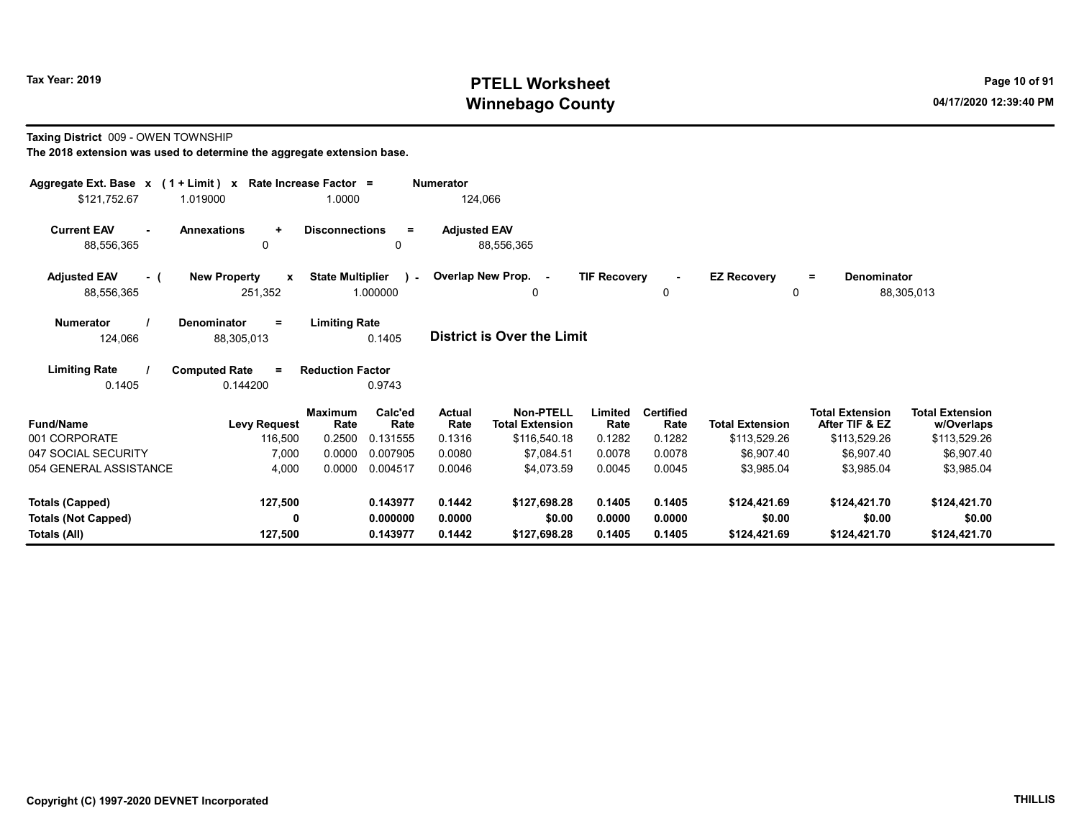# Tax Year: 2019 **PTELL Worksheet** Page 10 of 91 Winnebago County and the County of the County of the County of the County of the County of the County of the County of the County of the County of the County of the County of the County of the County of the County of the C

#### Taxing District 009 - OWEN TOWNSHIP

| Aggregate Ext. Base $x$ (1 + Limit) $x$<br>\$121,752.67 | 1.019000                                       | Rate Increase Factor =<br>1.0000 |                           | <b>Numerator</b><br>124,066 |                                            |                     |                          |                            |                                          |                                      |
|---------------------------------------------------------|------------------------------------------------|----------------------------------|---------------------------|-----------------------------|--------------------------------------------|---------------------|--------------------------|----------------------------|------------------------------------------|--------------------------------------|
| <b>Current EAV</b><br>$\sim$<br>88,556,365              | <b>Annexations</b><br>$\ddot{}$<br>0           | <b>Disconnections</b>            | $=$<br>$\Omega$           | <b>Adjusted EAV</b>         | 88,556,365                                 |                     |                          |                            |                                          |                                      |
| <b>Adjusted EAV</b><br>- (<br>88,556,365                | <b>New Property</b><br>$\mathbf{x}$<br>251,352 | <b>State Multiplier</b>          | $\mathcal{L}$<br>1.000000 |                             | Overlap New Prop. -<br>0                   | <b>TIF Recovery</b> | 0                        | <b>EZ Recovery</b><br>0    | <b>Denominator</b><br>$=$                | 88,305,013                           |
| <b>Numerator</b><br>124,066                             | Denominator<br>$=$<br>88,305,013               | <b>Limiting Rate</b>             | 0.1405                    |                             | <b>District is Over the Limit</b>          |                     |                          |                            |                                          |                                      |
| <b>Limiting Rate</b><br>0.1405                          | <b>Computed Rate</b><br>$\equiv$<br>0.144200   | <b>Reduction Factor</b>          | 0.9743                    |                             |                                            |                     |                          |                            |                                          |                                      |
| <b>Fund/Name</b>                                        | <b>Levy Request</b>                            | <b>Maximum</b><br>Rate           | Calc'ed<br>Rate           | <b>Actual</b><br>Rate       | <b>Non-PTELL</b><br><b>Total Extension</b> | Limited<br>Rate     | <b>Certified</b><br>Rate | <b>Total Extension</b>     | <b>Total Extension</b><br>After TIF & EZ | <b>Total Extension</b><br>w/Overlaps |
| 001 CORPORATE<br>047 SOCIAL SECURITY                    | 116,500                                        | 0.2500<br>0.0000                 | 0.131555<br>0.007905      | 0.1316<br>0.0080            | \$116,540.18<br>\$7,084.51                 | 0.1282<br>0.0078    | 0.1282<br>0.0078         | \$113,529.26<br>\$6,907.40 | \$113,529.26<br>\$6,907.40               | \$113,529.26                         |
| 054 GENERAL ASSISTANCE                                  | 7,000<br>4,000                                 | 0.0000                           | 0.004517                  | 0.0046                      | \$4,073.59                                 | 0.0045              | 0.0045                   | \$3,985.04                 | \$3,985.04                               | \$6,907.40<br>\$3,985.04             |
| <b>Totals (Capped)</b>                                  | 127,500                                        |                                  | 0.143977                  | 0.1442                      | \$127,698.28                               | 0.1405              | 0.1405                   | \$124,421.69               | \$124,421.70                             | \$124,421.70                         |
| <b>Totals (Not Capped)</b>                              | 0                                              |                                  | 0.000000                  | 0.0000                      | \$0.00                                     | 0.0000              | 0.0000                   | \$0.00                     | \$0.00                                   | \$0.00                               |
| Totals (All)                                            | 127,500                                        |                                  | 0.143977                  | 0.1442                      | \$127,698.28                               | 0.1405              | 0.1405                   | \$124,421.69               | \$124,421.70                             | \$124,421.70                         |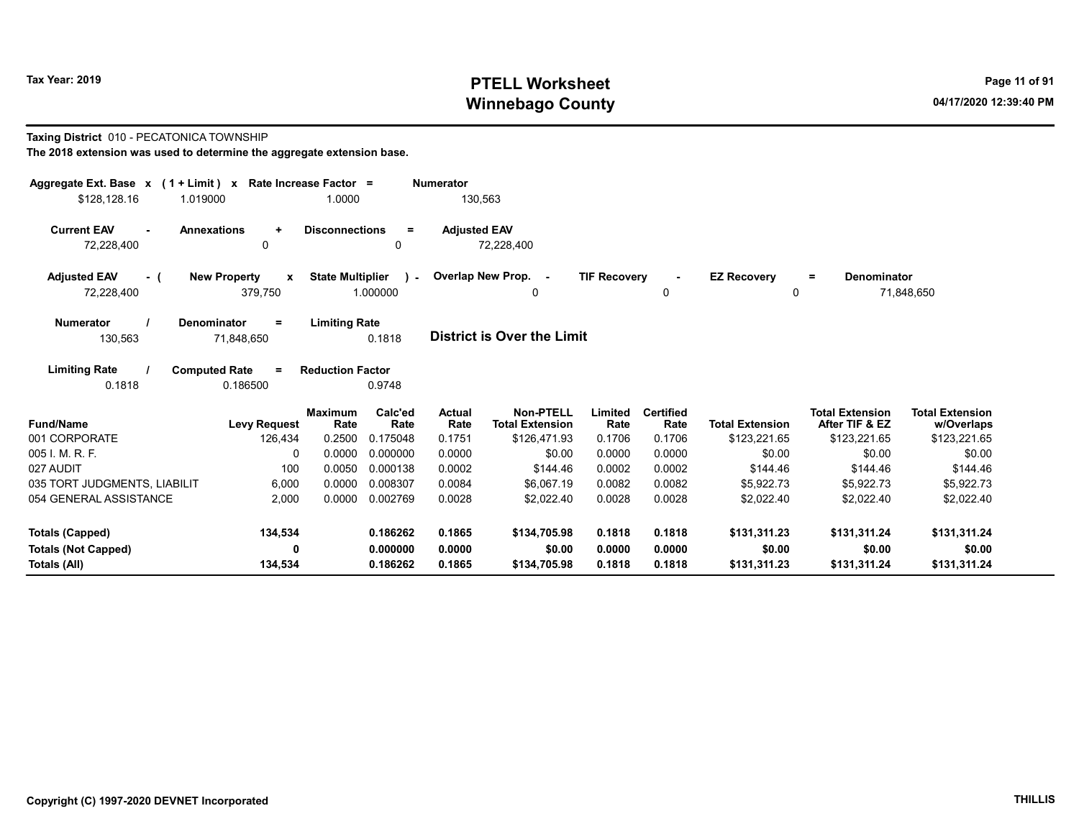# Tax Year: 2019 **PTELL Worksheet** Page 11 of 91 Winnebago County and the County of the County of the County of the County of the County of the County of the County of the County of the County of the County of the County of the County of the County of the County of the C

#### Taxing District 010 - PECATONICA TOWNSHIP

| Aggregate Ext. Base $x$ (1 + Limit) $x$    |                                              | Rate Increase Factor =           |                             | <b>Numerator</b>         |                                                            |                           |                                    |                                        |                                                          |                                                      |
|--------------------------------------------|----------------------------------------------|----------------------------------|-----------------------------|--------------------------|------------------------------------------------------------|---------------------------|------------------------------------|----------------------------------------|----------------------------------------------------------|------------------------------------------------------|
| \$128,128.16<br>1.019000                   |                                              | 1.0000                           |                             | 130,563                  |                                                            |                           |                                    |                                        |                                                          |                                                      |
| <b>Current EAV</b><br>$\sim$<br>72,228,400 | <b>Annexations</b><br>$\ddot{}$<br>$\Omega$  | <b>Disconnections</b>            | $\equiv$<br>0               | <b>Adjusted EAV</b>      | 72,228,400                                                 |                           |                                    |                                        |                                                          |                                                      |
| <b>Adjusted EAV</b><br>- (<br>72,228,400   | <b>New Property</b><br>x<br>379,750          | <b>State Multiplier</b>          | $\sim$<br>1.000000          |                          | Overlap New Prop. -<br>0                                   | <b>TIF Recovery</b>       | $\blacksquare$<br>0                | <b>EZ Recovery</b><br>0                | Denominator<br>Ξ.                                        | 71,848,650                                           |
| <b>Numerator</b><br>130,563                | <b>Denominator</b><br>$\equiv$<br>71,848,650 | <b>Limiting Rate</b>             | 0.1818                      |                          | <b>District is Over the Limit</b>                          |                           |                                    |                                        |                                                          |                                                      |
| <b>Limiting Rate</b><br>0.1818             | <b>Computed Rate</b><br>$\equiv$<br>0.186500 | <b>Reduction Factor</b>          | 0.9748                      |                          |                                                            |                           |                                    |                                        |                                                          |                                                      |
| <b>Fund/Name</b><br>001 CORPORATE          | <b>Levy Request</b><br>126,434               | <b>Maximum</b><br>Rate<br>0.2500 | Calc'ed<br>Rate<br>0.175048 | Actual<br>Rate<br>0.1751 | <b>Non-PTELL</b><br><b>Total Extension</b><br>\$126,471.93 | Limited<br>Rate<br>0.1706 | <b>Certified</b><br>Rate<br>0.1706 | <b>Total Extension</b><br>\$123,221.65 | <b>Total Extension</b><br>After TIF & EZ<br>\$123,221.65 | <b>Total Extension</b><br>w/Overlaps<br>\$123,221.65 |
| 005 I. M. R. F.                            | $\Omega$                                     | 0.0000                           | 0.000000                    | 0.0000                   | \$0.00                                                     | 0.0000                    | 0.0000                             | \$0.00                                 | \$0.00                                                   | \$0.00                                               |
| 027 AUDIT                                  | 100                                          | 0.0050                           | 0.000138                    | 0.0002                   | \$144.46                                                   | 0.0002                    | 0.0002                             | \$144.46                               | \$144.46                                                 | \$144.46                                             |
| 035 TORT JUDGMENTS, LIABILIT               | 6,000                                        | 0.0000                           | 0.008307                    | 0.0084                   | \$6,067.19                                                 | 0.0082                    | 0.0082                             | \$5,922.73                             | \$5,922.73                                               | \$5,922.73                                           |
| 054 GENERAL ASSISTANCE                     | 2.000                                        | 0.0000                           | 0.002769                    | 0.0028                   | \$2.022.40                                                 | 0.0028                    | 0.0028                             | \$2.022.40                             | \$2.022.40                                               | \$2,022.40                                           |
| <b>Totals (Capped)</b>                     | 134,534                                      |                                  | 0.186262                    | 0.1865                   | \$134,705.98                                               | 0.1818                    | 0.1818                             | \$131,311.23                           | \$131,311.24                                             | \$131,311.24                                         |
| <b>Totals (Not Capped)</b>                 | $\mathbf{0}$                                 |                                  | 0.000000                    | 0.0000                   | \$0.00                                                     | 0.0000                    | 0.0000                             | \$0.00                                 | \$0.00                                                   | \$0.00                                               |
| Totals (All)                               | 134,534                                      |                                  | 0.186262                    | 0.1865                   | \$134,705.98                                               | 0.1818                    | 0.1818                             | \$131,311.23                           | \$131,311.24                                             | \$131,311.24                                         |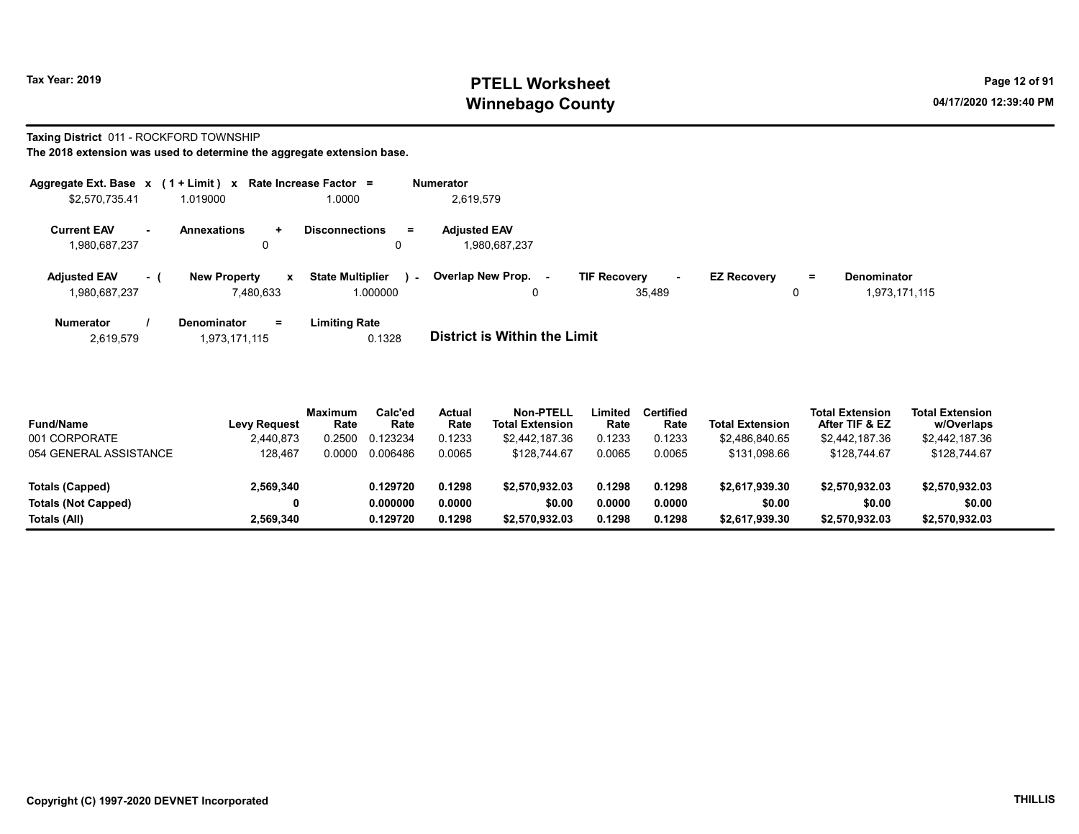# Tax Year: 2019 **PTELL Worksheet** Page 12 of 91 Winnebago County and the County of the County of the County of the County of the County of the County of the County of the County of the County of the County of the County of the County of the County of the County of the C

#### Taxing District 011 - ROCKFORD TOWNSHIP

|                                                | Aggregate Ext. Base $x$ (1 + Limit) $x$ Rate Increase Factor = |                                                   | <b>Numerator</b>                    |                               |                          |                    |
|------------------------------------------------|----------------------------------------------------------------|---------------------------------------------------|-------------------------------------|-------------------------------|--------------------------|--------------------|
| \$2,570,735.41                                 | 1.019000                                                       | 1.0000                                            | 2,619,579                           |                               |                          |                    |
| <b>Current EAV</b><br>$\overline{\phantom{a}}$ | <b>Annexations</b><br>$\ddot{\phantom{1}}$                     | $\equiv$<br><b>Disconnections</b>                 | <b>Adjusted EAV</b>                 |                               |                          |                    |
| 1,980,687,237                                  | 0                                                              | U                                                 | 1.980.687.237                       |                               |                          |                    |
| <b>Adjusted EAV</b><br>- (                     | <b>New Property</b>                                            | <b>State Multiplier</b><br>$\mathbf{x}$<br>$\sim$ | Overlap New Prop.<br>$\sim$         | <b>TIF Recovery</b><br>$\sim$ | <b>EZ Recovery</b><br>Ξ. | <b>Denominator</b> |
| 1,980,687,237                                  | 7.480.633                                                      | 1.000000                                          | 0                                   | 35.489                        | 0                        | 1,973,171,115      |
| <b>Numerator</b>                               | <b>Denominator</b><br>Ξ.                                       | <b>Limiting Rate</b>                              |                                     |                               |                          |                    |
| 2.619.579                                      | 1.973.171.115                                                  | 0.1328                                            | <b>District is Within the Limit</b> |                               |                          |                    |

| <b>Fund/Name</b>           | Levy Reguest | Maximum<br>Rate | Calc'ed<br>Rate | Actual<br>Rate | <b>Non-PTELL</b><br>Total Extension | .imited<br>Rate | <b>Certified</b><br>Rate | <b>Total Extension</b> | <b>Total Extension</b><br>After TIF & EZ | <b>Total Extension</b><br>w/Overlaps |
|----------------------------|--------------|-----------------|-----------------|----------------|-------------------------------------|-----------------|--------------------------|------------------------|------------------------------------------|--------------------------------------|
| 001 CORPORATE              | 2.440.873    | 0.2500          | 0.123234        | 0.1233         | \$2.442.187.36                      | 0.1233          | 0.1233                   | \$2.486.840.65         | \$2,442,187.36                           | \$2,442,187.36                       |
| 054 GENERAL ASSISTANCE     | 128.467      | 0.0000          | 0.006486        | 0.0065         | \$128,744.67                        | 0.0065          | 0.0065                   | \$131.098.66           | \$128,744.67                             | \$128,744.67                         |
| Totals (Capped)            | 2,569,340    |                 | 0.129720        | 0.1298         | \$2,570,932.03                      | 0.1298          | 0.1298                   | \$2.617.939.30         | \$2,570,932.03                           | \$2,570,932.03                       |
| <b>Totals (Not Capped)</b> | 0            |                 | 0.000000        | 0.0000         | \$0.00                              | 0.0000          | 0.0000                   | \$0.00                 | \$0.00                                   | \$0.00                               |
| Totals (All)               | 2.569.340    |                 | 0.129720        | 0.1298         | \$2,570,932.03                      | 0.1298          | 0.1298                   | \$2.617.939.30         | \$2,570,932.03                           | \$2,570,932.03                       |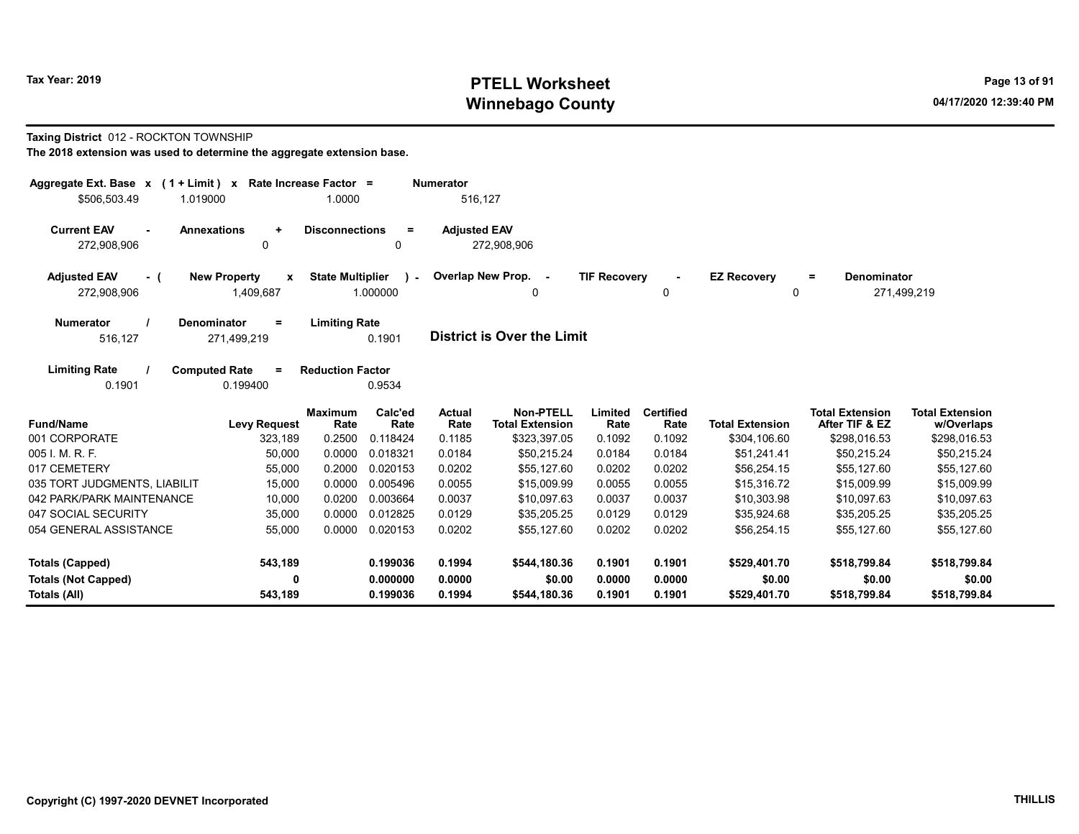# Tax Year: 2019 **PTELL Worksheet** Page 13 of 91 Winnebago County and the County of the County of the County of the County of the County of the County of the County of the County of the County of the County of the County of the County of the County of the County of the C

#### Taxing District 012 - ROCKTON TOWNSHIP

| Aggregate Ext. Base $x$ (1 + Limit) x Rate Increase Factor =      |                                                               |                                                     | <b>Numerator</b>      |                                            |                     |                               |                         |                                          |                                      |
|-------------------------------------------------------------------|---------------------------------------------------------------|-----------------------------------------------------|-----------------------|--------------------------------------------|---------------------|-------------------------------|-------------------------|------------------------------------------|--------------------------------------|
| \$506,503.49<br>1.019000                                          |                                                               | 1.0000                                              | 516,127               |                                            |                     |                               |                         |                                          |                                      |
| <b>Current EAV</b><br><b>Annexations</b><br>$\sim$<br>272,908,906 | $\ddot{}$<br>0                                                | <b>Disconnections</b><br>$\equiv$<br>0              | <b>Adjusted EAV</b>   | 272,908,906                                |                     |                               |                         |                                          |                                      |
| <b>Adjusted EAV</b><br>- (<br>272,908,906                         | <b>New Property</b><br>$\boldsymbol{\mathsf{x}}$<br>1,409,687 | <b>State Multiplier</b><br>$\mathbf{r}$<br>1.000000 | Overlap New Prop. -   | $\Omega$                                   | <b>TIF Recovery</b> | $\overline{\phantom{a}}$<br>0 | <b>EZ Recovery</b><br>0 | Denominator<br>$\equiv$                  | 271,499,219                          |
| Denominator<br><b>Numerator</b><br>516,127                        | $\equiv$<br>271,499,219                                       | <b>Limiting Rate</b><br>0.1901                      |                       | <b>District is Over the Limit</b>          |                     |                               |                         |                                          |                                      |
| <b>Limiting Rate</b><br><b>Computed Rate</b><br>0.1901            | $\equiv$<br>0.199400                                          | <b>Reduction Factor</b><br>0.9534                   |                       |                                            |                     |                               |                         |                                          |                                      |
| <b>Fund/Name</b>                                                  | <b>Levy Request</b>                                           | Calc'ed<br><b>Maximum</b><br>Rate<br>Rate           | <b>Actual</b><br>Rate | <b>Non-PTELL</b><br><b>Total Extension</b> | Limited<br>Rate     | <b>Certified</b><br>Rate      | <b>Total Extension</b>  | <b>Total Extension</b><br>After TIF & EZ | <b>Total Extension</b><br>w/Overlaps |
| 001 CORPORATE                                                     | 323,189                                                       | 0.2500<br>0.118424                                  | 0.1185                | \$323,397.05                               | 0.1092              | 0.1092                        | \$304,106.60            | \$298,016.53                             | \$298,016.53                         |
| 005 I. M. R. F.                                                   | 50,000                                                        | 0.0000<br>0.018321                                  | 0.0184                | \$50.215.24                                | 0.0184              | 0.0184                        | \$51,241.41             | \$50,215.24                              | \$50,215.24                          |
| 017 CEMETERY                                                      | 55,000                                                        | 0.2000<br>0.020153                                  | 0.0202                | \$55,127.60                                | 0.0202              | 0.0202                        | \$56,254.15             | \$55,127.60                              | \$55,127.60                          |
| 035 TORT JUDGMENTS, LIABILIT                                      | 15,000                                                        | 0.0000<br>0.005496                                  | 0.0055                | \$15,009.99                                | 0.0055              | 0.0055                        | \$15,316.72             | \$15,009.99                              | \$15,009.99                          |
| 042 PARK/PARK MAINTENANCE                                         | 10,000                                                        | 0.0200<br>0.003664                                  | 0.0037                | \$10,097.63                                | 0.0037              | 0.0037                        | \$10,303.98             | \$10,097.63                              | \$10,097.63                          |
| 047 SOCIAL SECURITY                                               | 35,000                                                        | 0.0000<br>0.012825                                  | 0.0129                | \$35,205.25                                | 0.0129              | 0.0129                        | \$35,924.68             | \$35,205.25                              | \$35,205.25                          |
| 054 GENERAL ASSISTANCE                                            | 55,000                                                        | 0.0000<br>0.020153                                  | 0.0202                | \$55,127.60                                | 0.0202              | 0.0202                        | \$56,254.15             | \$55,127.60                              | \$55,127.60                          |
| <b>Totals (Capped)</b>                                            | 543,189                                                       | 0.199036                                            | 0.1994                | \$544,180.36                               | 0.1901              | 0.1901                        | \$529,401.70            | \$518,799.84                             | \$518,799.84                         |
| <b>Totals (Not Capped)</b>                                        | $\mathbf{0}$                                                  | 0.000000                                            | 0.0000                | \$0.00                                     | 0.0000              | 0.0000                        | \$0.00                  | \$0.00                                   | \$0.00                               |
| Totals (All)                                                      | 543,189                                                       | 0.199036                                            | 0.1994                | \$544,180.36                               | 0.1901              | 0.1901                        | \$529,401.70            | \$518,799.84                             | \$518,799.84                         |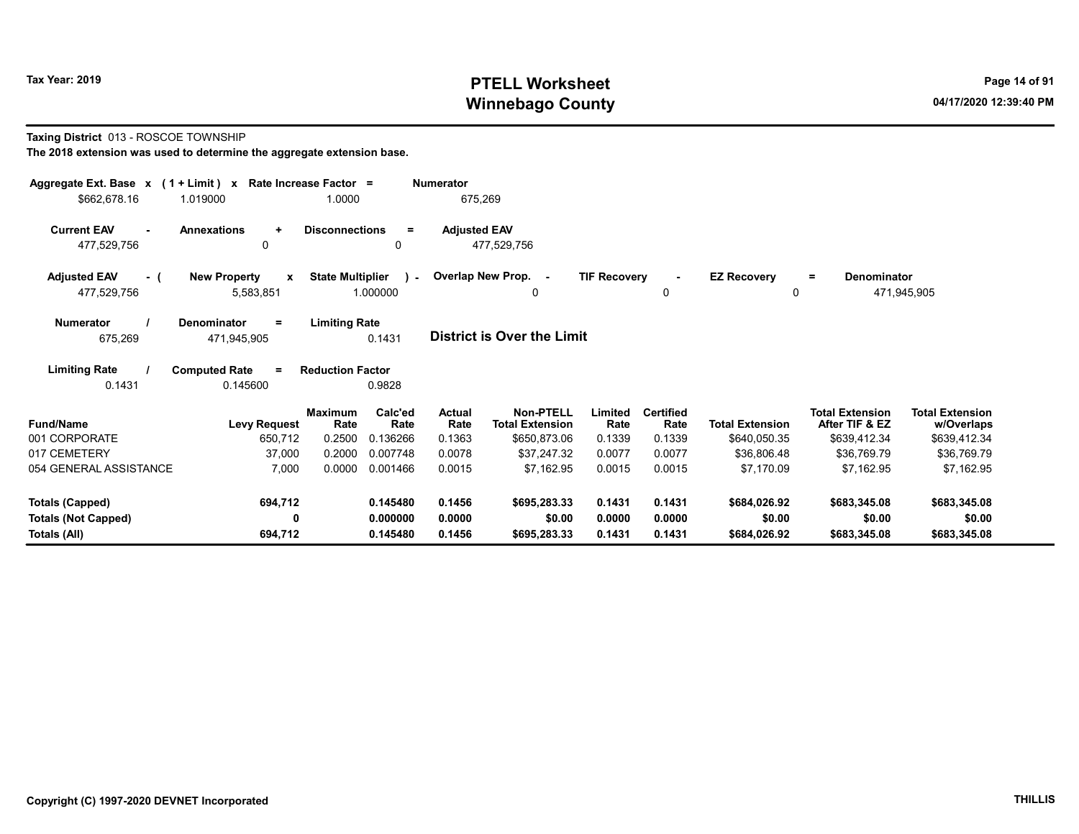# Tax Year: 2019 **PTELL Worksheet** Page 14 of 91 Winnebago County and the County of the County of the County of the County of the County of the County of the County of the County of the County of the County of the County of the County of the County of the County of the C

#### Taxing District 013 - ROSCOE TOWNSHIP

| Aggregate Ext. Base x (1 + Limit) x |                                                 | Rate Increase Factor =  |                 | <b>Numerator</b>    |                                            |                     |                          |                        |                                          |                                      |
|-------------------------------------|-------------------------------------------------|-------------------------|-----------------|---------------------|--------------------------------------------|---------------------|--------------------------|------------------------|------------------------------------------|--------------------------------------|
| \$662,678.16                        | 1.019000                                        | 1.0000                  |                 | 675,269             |                                            |                     |                          |                        |                                          |                                      |
| <b>Current EAV</b><br>477,529,756   | <b>Annexations</b><br>$\ddot{}$<br>$\mathbf{0}$ | <b>Disconnections</b>   | $\equiv$<br>0   | <b>Adjusted EAV</b> | 477,529,756                                |                     |                          |                        |                                          |                                      |
|                                     |                                                 |                         |                 |                     |                                            |                     |                          |                        |                                          |                                      |
| <b>Adjusted EAV</b><br>- (          | <b>New Property</b><br>$\mathbf{x}$             | <b>State Multiplier</b> | $\mathcal{L}$   |                     | Overlap New Prop. -                        | <b>TIF Recovery</b> |                          | <b>EZ Recovery</b>     | Denominator<br>$=$                       |                                      |
| 477,529,756                         | 5,583,851                                       |                         | 1.000000        |                     | 0                                          |                     | $\mathbf 0$              |                        | 0                                        | 471,945,905                          |
| <b>Numerator</b>                    | <b>Denominator</b><br>Ξ                         | <b>Limiting Rate</b>    |                 |                     |                                            |                     |                          |                        |                                          |                                      |
| 675,269                             | 471,945,905                                     |                         | 0.1431          |                     | <b>District is Over the Limit</b>          |                     |                          |                        |                                          |                                      |
| <b>Limiting Rate</b>                | <b>Computed Rate</b><br>$=$                     | <b>Reduction Factor</b> |                 |                     |                                            |                     |                          |                        |                                          |                                      |
| 0.1431                              | 0.145600                                        |                         | 0.9828          |                     |                                            |                     |                          |                        |                                          |                                      |
| <b>Fund/Name</b>                    | <b>Levy Request</b>                             | <b>Maximum</b><br>Rate  | Calc'ed<br>Rate | Actual<br>Rate      | <b>Non-PTELL</b><br><b>Total Extension</b> | Limited<br>Rate     | <b>Certified</b><br>Rate | <b>Total Extension</b> | <b>Total Extension</b><br>After TIF & EZ | <b>Total Extension</b><br>w/Overlaps |
| 001 CORPORATE                       | 650,712                                         | 0.2500                  | 0.136266        | 0.1363              | \$650,873.06                               | 0.1339              | 0.1339                   | \$640,050.35           | \$639,412.34                             | \$639,412.34                         |
| 017 CEMETERY                        | 37,000                                          | 0.2000                  | 0.007748        | 0.0078              | \$37.247.32                                | 0.0077              | 0.0077                   | \$36.806.48            | \$36,769.79                              | \$36,769.79                          |
| 054 GENERAL ASSISTANCE              | 7,000                                           | 0.0000                  | 0.001466        | 0.0015              | \$7,162.95                                 | 0.0015              | 0.0015                   | \$7,170.09             | \$7,162.95                               | \$7,162.95                           |
| <b>Totals (Capped)</b>              | 694,712                                         |                         | 0.145480        | 0.1456              | \$695,283.33                               | 0.1431              | 0.1431                   | \$684,026.92           | \$683,345.08                             | \$683,345.08                         |
| <b>Totals (Not Capped)</b>          | 0                                               |                         | 0.000000        | 0.0000              | \$0.00                                     | 0.0000              | 0.0000                   | \$0.00                 | \$0.00                                   | \$0.00                               |
| Totals (All)                        | 694,712                                         |                         | 0.145480        | 0.1456              | \$695,283.33                               | 0.1431              | 0.1431                   | \$684,026.92           | \$683,345.08                             | \$683,345.08                         |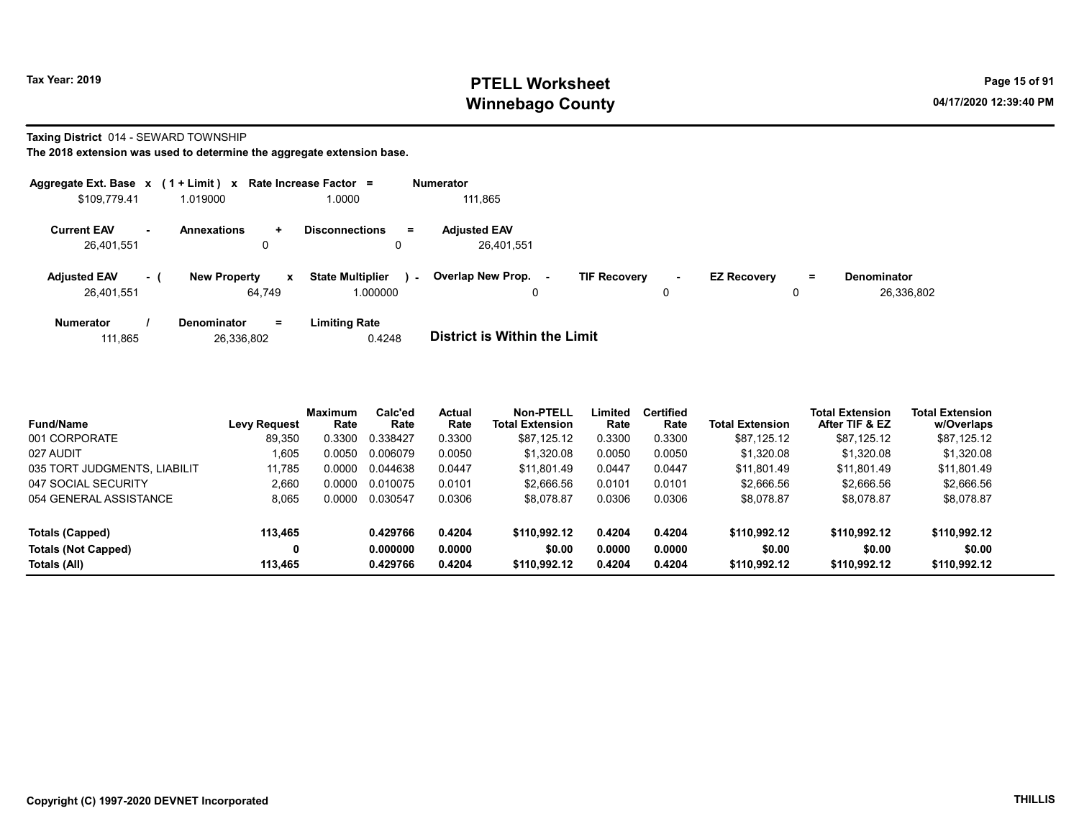# Tax Year: 2019 **PTELL Worksheet** Page 15 of 91 Winnebago County and the County of the County of the County of the County of the County of the County of the County of the County of the County of the County of the County of the County of the County of the County of the C

Taxing District 014 - SEWARD TOWNSHIP

The 2018 extension was used to determine the aggregate extension base.

| Aggregate Ext. Base x (1 + Limit) x Rate Increase Factor = |      |                               |                  |                                     |        | <b>Numerator</b>                    |                     |             |                    |    |                                  |
|------------------------------------------------------------|------|-------------------------------|------------------|-------------------------------------|--------|-------------------------------------|---------------------|-------------|--------------------|----|----------------------------------|
| \$109.779.41                                               |      | 1.019000                      |                  | 1.0000                              |        | 111,865                             |                     |             |                    |    |                                  |
| <b>Current EAV</b><br>26,401,551                           | . —  | <b>Annexations</b>            | $\ddotmark$<br>0 | <b>Disconnections</b><br>0          | $=$    | <b>Adjusted EAV</b><br>26,401,551   |                     |             |                    |    |                                  |
| <b>Adjusted EAV</b><br>26.401.551                          | $-1$ | <b>New Property</b><br>64.749 | $\mathbf{x}$     | <b>State Multiplier</b><br>1.000000 | $\sim$ | <b>Overlap New Prop.</b><br>۰.<br>0 | <b>TIF Recovery</b> | $\sim$<br>0 | <b>EZ Recovery</b> | Ξ. | <b>Denominator</b><br>26,336,802 |
| <b>Numerator</b>                                           |      | <b>Denominator</b>            | $=$              | <b>Limiting Rate</b>                |        | _ _ _ _ _ _ _ _ _ _ _ _ _ _ _ _     |                     |             |                    |    |                                  |

111,865 26,336,802 0.4248 District is Within the Limit

| <b>Fund/Name</b>             | <b>Levy Request</b> | <b>Maximum</b><br>Rate | Calc'ed<br>Rate | Actual<br>Rate | <b>Non-PTELL</b><br><b>Total Extension</b> | Limited<br>Rate | <b>Certified</b><br>Rate | Total Extension | <b>Total Extension</b><br>After TIF & EZ | <b>Total Extension</b><br>w/Overlaps |
|------------------------------|---------------------|------------------------|-----------------|----------------|--------------------------------------------|-----------------|--------------------------|-----------------|------------------------------------------|--------------------------------------|
| 001 CORPORATE                | 89,350              | 0.3300                 | 0.338427        | 0.3300         | \$87,125.12                                | 0.3300          | 0.3300                   | \$87,125.12     | \$87,125.12                              | \$87,125.12                          |
| 027 AUDIT                    | 1.605               | 0.0050                 | 0.006079        | 0.0050         | \$1.320.08                                 | 0.0050          | 0.0050                   | \$1.320.08      | \$1,320.08                               | \$1.320.08                           |
| 035 TORT JUDGMENTS, LIABILIT | 11.785              | 0.0000                 | 0.044638        | 0.0447         | \$11.801.49                                | 0.0447          | 0.0447                   | \$11.801.49     | \$11.801.49                              | \$11,801.49                          |
| 047 SOCIAL SECURITY          | 2.660               | 0.0000                 | 0.010075        | 0.0101         | \$2.666.56                                 | 0.0101          | 0.0101                   | \$2,666.56      | \$2,666.56                               | \$2,666.56                           |
| 054 GENERAL ASSISTANCE       | 8,065               | 0.0000                 | 0.030547        | 0.0306         | \$8,078.87                                 | 0.0306          | 0.0306                   | \$8,078.87      | \$8.078.87                               | \$8,078.87                           |
| Totals (Capped)              | 113,465             |                        | 0.429766        | 0.4204         | \$110.992.12                               | 0.4204          | 0.4204                   | \$110.992.12    | \$110,992.12                             | \$110.992.12                         |
| Totals (Not Capped)          | 0                   |                        | 0.000000        | 0.0000         | \$0.00                                     | 0.0000          | 0.0000                   | \$0.00          | \$0.00                                   | \$0.00                               |
| Totals (All)                 | 113,465             |                        | 0.429766        | 0.4204         | \$110.992.12                               | 0.4204          | 0.4204                   | \$110.992.12    | \$110,992.12                             | \$110,992.12                         |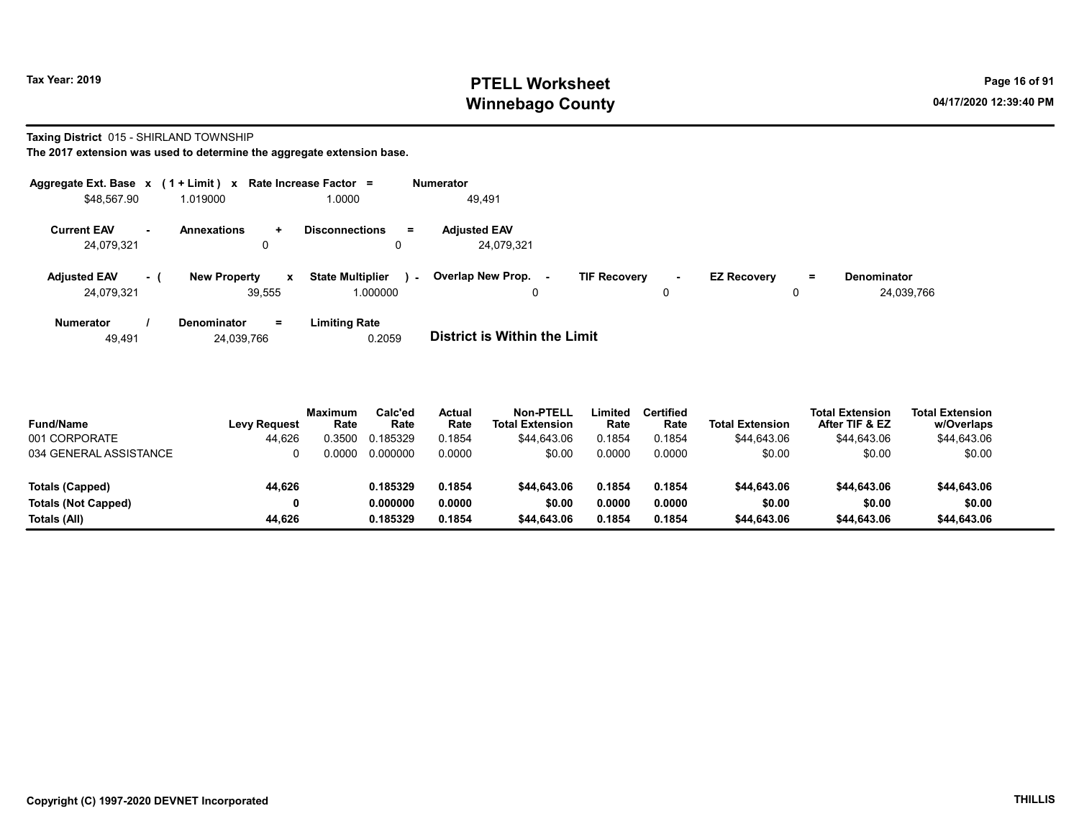# Tax Year: 2019 **PTELL Worksheet** Page 16 of 91 Winnebago County and the County of the County of the County of the County of the County of the County of the County of the County of the County of the County of the County of the County of the County of the County of the C

Taxing District 015 - SHIRLAND TOWNSHIP

| Aggregate Ext. Base $x$ (1 + Limit) $x$<br>Rate Increase Factor $=$ |      |                                        |   | Numerator                           |         |                                   |                     |         |                    |          |                                  |
|---------------------------------------------------------------------|------|----------------------------------------|---|-------------------------------------|---------|-----------------------------------|---------------------|---------|--------------------|----------|----------------------------------|
| \$48,567.90                                                         |      | 1.019000                               |   | 1.0000                              |         | 49,491                            |                     |         |                    |          |                                  |
| <b>Current EAV</b><br>24,079,321                                    | . .  | <b>Annexations</b><br>$\ddotmark$<br>u |   | <b>Disconnections</b>               | Ξ.<br>0 | <b>Adiusted EAV</b><br>24.079.321 |                     |         |                    |          |                                  |
| <b>Adjusted EAV</b><br>24.079.321                                   | $-1$ | <b>New Property</b><br>39.555          | x | <b>State Multiplier</b><br>1.000000 | $\sim$  | <b>Overlap New Prop. -</b>        | <b>TIF Recovery</b> | ۰.<br>0 | <b>EZ Recovery</b> | $=$<br>C | <b>Denominator</b><br>24,039,766 |
| <b>Numerator</b>                                                    |      | <b>Denominator</b><br>$=$              |   | <b>Limiting Rate</b>                |         |                                   |                     |         |                    |          |                                  |

| 24,039,766<br>49.491 | 0.2059 | <b>District is Within the Limit</b> |
|----------------------|--------|-------------------------------------|

| <b>Fund/Name</b><br>001 CORPORATE | <b>Levy Request</b><br>44,626 | Maximum<br>Rate<br>0.3500 | Calc'ed<br>Rate<br>0.185329 | Actual<br>Rate<br>0.1854 | <b>Non-PTELL</b><br><b>Total Extension</b><br>\$44.643.06 | Limited<br>Rate<br>0.1854 | <b>Certified</b><br>Rate<br>0.1854 | <b>Total Extension</b><br>\$44,643.06 | <b>Total Extension</b><br>After TIF & EZ<br>\$44,643.06 | <b>Total Extension</b><br>w/Overlaps<br>\$44,643.06 |  |
|-----------------------------------|-------------------------------|---------------------------|-----------------------------|--------------------------|-----------------------------------------------------------|---------------------------|------------------------------------|---------------------------------------|---------------------------------------------------------|-----------------------------------------------------|--|
| 034 GENERAL ASSISTANCE            |                               | ი იიიი                    | 0.000000                    | 0.0000                   | \$0.00                                                    | 0.0000                    | 0.0000                             | \$0.00                                | \$0.00                                                  | \$0.00                                              |  |
|                                   |                               |                           |                             |                          |                                                           |                           |                                    |                                       |                                                         |                                                     |  |
| Totals (Capped)                   | 44,626                        |                           | 0.185329                    | 0.1854                   | \$44,643.06                                               | 0.1854                    | 0.1854                             | \$44,643.06                           | \$44,643.06                                             | \$44,643.06                                         |  |
| <b>Totals (Not Capped)</b>        |                               |                           | 0.000000                    | 0.0000                   | \$0.00                                                    | 0.0000                    | 0.0000                             | \$0.00                                | \$0.00                                                  | \$0.00                                              |  |
| Totals (All)                      | 44.626                        |                           | 0.185329                    | 0.1854                   | \$44,643.06                                               | 0.1854                    | 0.1854                             | \$44,643.06                           | \$44,643.06                                             | \$44,643.06                                         |  |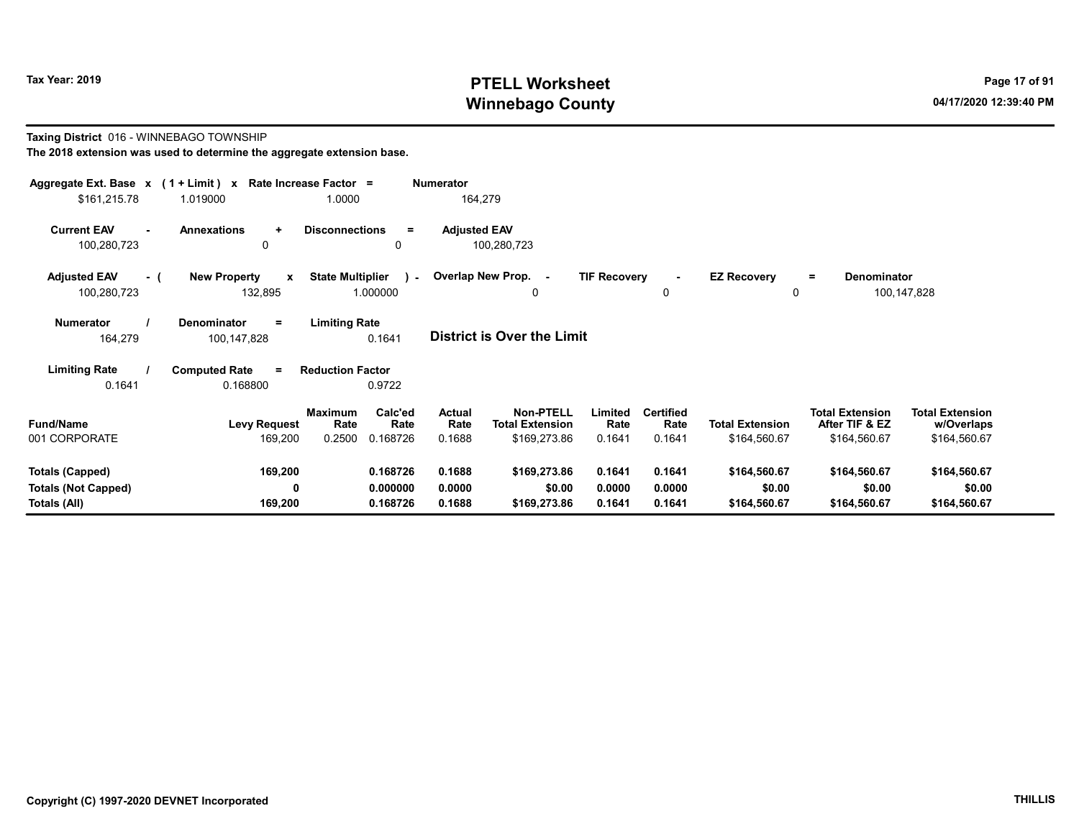# Tax Year: 2019 **PTELL Worksheet** Page 17 of 91 Winnebago County and the County of the County of the County of the County of the County of the County of the County of the County of the County of the County of the County of the County of the County of the County of the C

#### Taxing District 016 - WINNEBAGO TOWNSHIP The 2018 extension was used to determine the aggregate extension base.

| Aggregate Ext. Base $x$ (1 + Limit) $x$<br>\$161,215.78              | 1.019000                                        | Rate Increase Factor =<br>1.0000                                | <b>Numerator</b><br>164,279        |                                                            |                            |                                    |                                        |                                                          |                                                      |
|----------------------------------------------------------------------|-------------------------------------------------|-----------------------------------------------------------------|------------------------------------|------------------------------------------------------------|----------------------------|------------------------------------|----------------------------------------|----------------------------------------------------------|------------------------------------------------------|
| <b>Current EAV</b><br>100,280,723                                    | <b>Annexations</b><br>$\ddot{}$<br>$\mathbf{0}$ | <b>Disconnections</b><br>$\equiv$<br>$\Omega$                   | <b>Adjusted EAV</b><br>100,280,723 |                                                            |                            |                                    |                                        |                                                          |                                                      |
| <b>Adjusted EAV</b><br>- (<br>100,280,723                            | <b>New Property</b><br>$\mathbf{x}$<br>132,895  | <b>State Multiplier</b><br>$\lambda$ -<br>1.000000              | Overlap New Prop.                  | $\sim$<br>0                                                | <b>TIF Recovery</b>        | 0                                  | <b>EZ Recovery</b><br>0                | <b>Denominator</b><br>$=$                                | 100,147,828                                          |
| <b>Numerator</b><br>164,279                                          | Denominator<br>$\equiv$<br>100,147,828          | <b>Limiting Rate</b><br>0.1641                                  | District is Over the Limit         |                                                            |                            |                                    |                                        |                                                          |                                                      |
| <b>Limiting Rate</b><br>0.1641                                       | <b>Computed Rate</b><br>$=$<br>0.168800         | <b>Reduction Factor</b><br>0.9722                               |                                    |                                                            |                            |                                    |                                        |                                                          |                                                      |
| <b>Fund/Name</b><br>001 CORPORATE                                    | <b>Levy Request</b><br>169,200                  | Calc'ed<br><b>Maximum</b><br>Rate<br>Rate<br>0.2500<br>0.168726 | <b>Actual</b><br>Rate<br>0.1688    | <b>Non-PTELL</b><br><b>Total Extension</b><br>\$169,273.86 | Limited<br>Rate<br>0.1641  | <b>Certified</b><br>Rate<br>0.1641 | <b>Total Extension</b><br>\$164,560.67 | <b>Total Extension</b><br>After TIF & EZ<br>\$164,560.67 | <b>Total Extension</b><br>w/Overlaps<br>\$164,560.67 |
| <b>Totals (Capped)</b><br><b>Totals (Not Capped)</b><br>Totals (All) | 169,200<br>$\mathbf{0}$<br>169,200              | 0.168726<br>0.000000<br>0.168726                                | 0.1688<br>0.0000<br>0.1688         | \$169,273.86<br>\$0.00<br>\$169,273.86                     | 0.1641<br>0.0000<br>0.1641 | 0.1641<br>0.0000<br>0.1641         | \$164,560.67<br>\$0.00<br>\$164,560.67 | \$164,560.67<br>\$0.00<br>\$164,560.67                   | \$164,560.67<br>\$0.00<br>\$164,560.67               |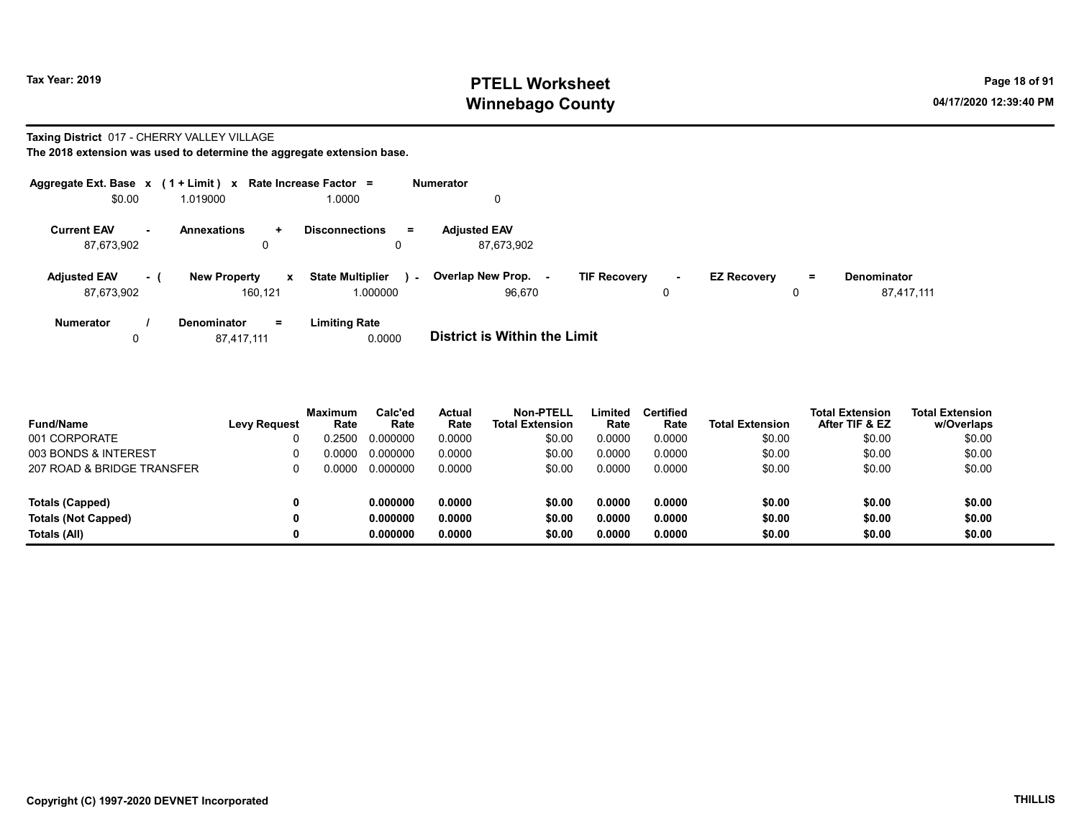# Tax Year: 2019 **PTELL Worksheet** Page 18 of 91 Winnebago County and the County of the County of the County of the County of the County of the County of the County of the County of the County of the County of the County of the County of the County of the County of the C

Taxing District 017 - CHERRY VALLEY VILLAGE

| Aggregate Ext. Base $x$ (1 + Limit) $x$ Rate Increase Factor = |     |                     |              |                             |        | <b>Numerator</b>                    |                     |        |                    |    |                    |
|----------------------------------------------------------------|-----|---------------------|--------------|-----------------------------|--------|-------------------------------------|---------------------|--------|--------------------|----|--------------------|
| \$0.00                                                         |     | 1.019000            |              | 1.0000                      |        | 0                                   |                     |        |                    |    |                    |
| <b>Current EAV</b><br>н.                                       |     | <b>Annexations</b>  | ÷            | <b>Disconnections</b><br>Ξ. |        | <b>Adjusted EAV</b>                 |                     |        |                    |    |                    |
| 87,673,902                                                     |     |                     | 0            | 0                           |        | 87.673.902                          |                     |        |                    |    |                    |
| <b>Adjusted EAV</b>                                            | - ( | <b>New Property</b> | $\mathbf{x}$ | <b>State Multiplier</b>     | $\sim$ | <b>Overlap New Prop.</b>            | <b>TIF Recovery</b> | $\sim$ | <b>EZ Recovery</b> | Ξ. | <b>Denominator</b> |
| 87,673,902                                                     |     |                     | 160.121      | 1.000000                    |        | 96.670                              |                     | 0      |                    | 0  | 87,417,111         |
| <b>Numerator</b>                                               |     | <b>Denominator</b>  | $=$          | <b>Limiting Rate</b>        |        |                                     |                     |        |                    |    |                    |
| 0                                                              |     | 87,417,111          |              | 0.0000                      |        | <b>District is Within the Limit</b> |                     |        |                    |    |                    |

| <b>Fund/Name</b>           | <b>Levy Request</b> | <b>Maximum</b><br>Rate | Calc'ed<br>Rate | Actual<br>Rate | Non-PTELL<br><b>Total Extension</b> | Limited<br>Rate | <b>Certified</b><br>Rate | <b>Total Extension</b> | <b>Total Extension</b><br>After TIF & EZ | <b>Total Extension</b><br>w/Overlaps |
|----------------------------|---------------------|------------------------|-----------------|----------------|-------------------------------------|-----------------|--------------------------|------------------------|------------------------------------------|--------------------------------------|
| 001 CORPORATE              |                     | 0.2500                 | 0.000000        | 0.0000         | \$0.00                              | 0.0000          | 0.0000                   | \$0.00                 | \$0.00                                   | \$0.00                               |
| 003 BONDS & INTEREST       |                     | 0.0000                 | 0.000000        | 0.0000         | \$0.00                              | 0.0000          | 0.0000                   | \$0.00                 | \$0.00                                   | \$0.00                               |
| 207 ROAD & BRIDGE TRANSFER |                     | 0.0000                 | 0.000000        | 0.0000         | \$0.00                              | 0.0000          | 0.0000                   | \$0.00                 | \$0.00                                   | \$0.00                               |
| <b>Totals (Capped)</b>     |                     |                        | 0.000000        | 0.0000         | \$0.00                              | 0.0000          | 0.0000                   | \$0.00                 | \$0.00                                   | \$0.00                               |
| <b>Totals (Not Capped)</b> |                     |                        | 0.000000        | 0.0000         | \$0.00                              | 0.0000          | 0.0000                   | \$0.00                 | \$0.00                                   | \$0.00                               |
| Totals (All)               |                     |                        | 0.000000        | 0.0000         | \$0.00                              | 0.0000          | 0.0000                   | \$0.00                 | \$0.00                                   | \$0.00                               |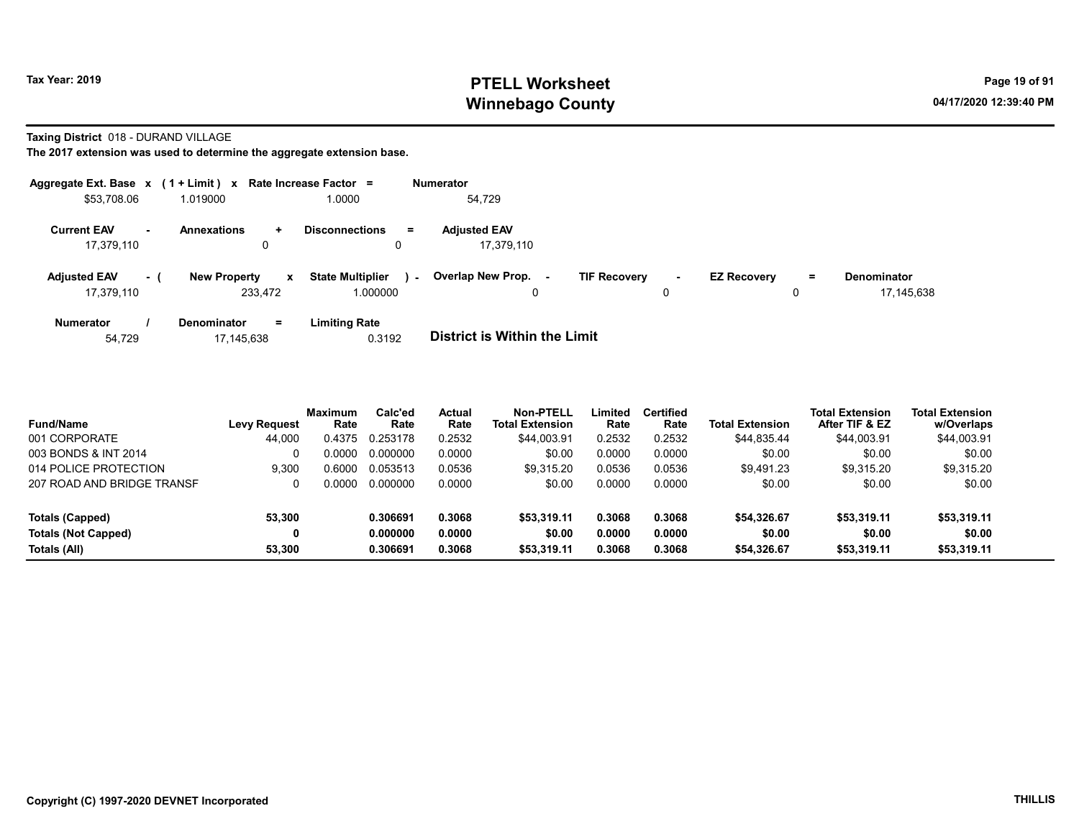# Tax Year: 2019 **PTELL Worksheet** Page 19 of 91 Winnebago County and the County of the County of the County of the County of the County of the County of the County of the County of the County of the County of the County of the County of the County of the County of the C

Taxing District 018 - DURAND VILLAGE

The 2017 extension was used to determine the aggregate extension base.

| Aggregate Ext. Base $x$ (1 + Limit) x Rate Increase Factor = |                                     |                                   | <b>Numerator</b>                                                                                               |
|--------------------------------------------------------------|-------------------------------------|-----------------------------------|----------------------------------------------------------------------------------------------------------------|
| \$53,708.06                                                  | 1.019000                            | 0000.1                            | 54.729                                                                                                         |
| <b>Current EAV</b>                                           | <b>Annexations</b><br>÷.            | <b>Disconnections</b><br>$=$      | <b>Adiusted EAV</b>                                                                                            |
| 17,379,110                                                   | 0                                   | 0                                 | 17.379.110                                                                                                     |
| <b>Adjusted EAV</b><br>- 1                                   | <b>New Property</b><br>$\mathbf{x}$ | <b>State Multiplier</b><br>$\sim$ | Overlap New Prop.<br><b>TIF Recovery</b><br><b>EZ Recovery</b><br><b>Denominator</b><br>Ξ.<br>$\sim$<br>$\sim$ |
| 17,379,110                                                   | 233,472                             | 1.000000                          | 17.145.638<br>0                                                                                                |
| <b>Numerator</b>                                             | $=$<br><b>Denominator</b>           | <b>Limiting Rate</b>              |                                                                                                                |
| 54.729                                                       | 17.145.638                          | 0.3192                            | <b>District is Within the Limit</b>                                                                            |

| <b>Fund/Name</b>           | <b>Levy Request</b> | <b>Maximum</b><br>Rate | Calc'ed<br>Rate | Actual<br>Rate | Non-PTELL<br><b>Total Extension</b> | Limited<br>Rate | <b>Certified</b><br>Rate | <b>Total Extension</b> | <b>Total Extension</b><br>After TIF & EZ | <b>Total Extension</b><br>w/Overlaps |
|----------------------------|---------------------|------------------------|-----------------|----------------|-------------------------------------|-----------------|--------------------------|------------------------|------------------------------------------|--------------------------------------|
| 001 CORPORATE              | 44.000              | 0.4375                 | 0.253178        | 0.2532         | \$44,003.91                         | 0.2532          | 0.2532                   | \$44.835.44            | \$44,003.91                              | \$44,003.91                          |
| 003 BONDS & INT 2014       |                     | 0.0000                 | 0.000000        | 0.0000         | \$0.00                              | 0.0000          | 0.0000                   | \$0.00                 | \$0.00                                   | \$0.00                               |
| 014 POLICE PROTECTION      | 9.300               | 0.6000                 | 0.053513        | 0.0536         | \$9.315.20                          | 0.0536          | 0.0536                   | \$9.491.23             | \$9.315.20                               | \$9,315.20                           |
| 207 ROAD AND BRIDGE TRANSF |                     | 0.0000                 | 0.000000        | 0.0000         | \$0.00                              | 0.0000          | 0.0000                   | \$0.00                 | \$0.00                                   | \$0.00                               |
| Totals (Capped)            | 53.300              |                        | 0.306691        | 0.3068         | \$53,319.11                         | 0.3068          | 0.3068                   | \$54,326.67            | \$53,319.11                              | \$53,319.11                          |

Totals (Not Capped) 0 0.000000 0.0000 \$0.00 0.0000 0.0000 \$0.00 \$0.00 \$0.00 Totals (All) 53,300 0.306691 0.3068 \$53,319.11 0.3068 0.3068 \$54,326.67 \$53,319.11 \$53,319.11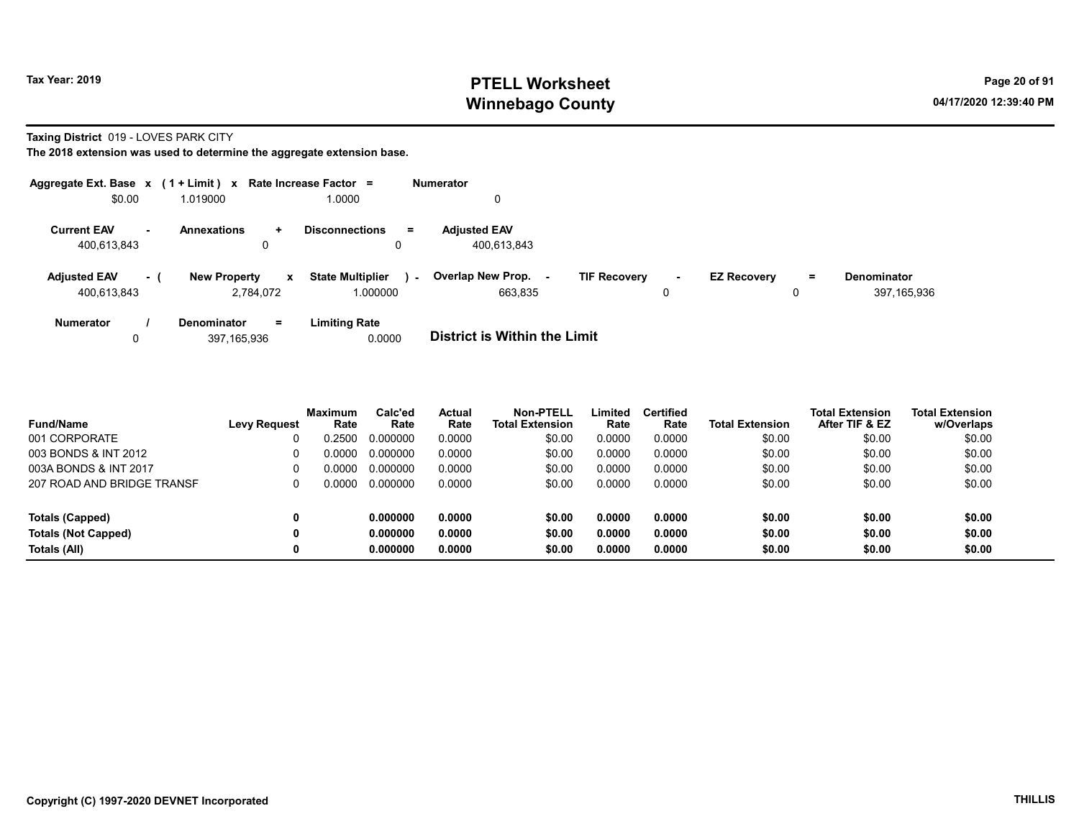# Tax Year: 2019 **PTELL Worksheet** Page 20 of 91 Winnebago County and the County of the County of the County of the County of the County of the County of the County of the County of the County of the County of the County of the County of the County of the County of the C

Taxing District 019 - LOVES PARK CITY

| Aggregate Ext. Base $x$ (1 + Limit) x Rate Increase Factor = |     |                     |              |                                   | <b>Numerator</b>                    |                     |        |                    |          |                    |
|--------------------------------------------------------------|-----|---------------------|--------------|-----------------------------------|-------------------------------------|---------------------|--------|--------------------|----------|--------------------|
| \$0.00                                                       |     | 1.019000            |              | 0000.1                            |                                     |                     |        |                    |          |                    |
| <b>Current EAV</b>                                           | ۰.  | <b>Annexations</b>  | $\ddot{}$    | <b>Disconnections</b><br>$=$      | <b>Adiusted EAV</b>                 |                     |        |                    |          |                    |
| 400.613.843                                                  |     | 0                   |              |                                   | 400.613.843                         |                     |        |                    |          |                    |
| <b>Adjusted EAV</b>                                          | - ( | <b>New Property</b> | $\mathbf{x}$ | <b>State Multiplier</b><br>$\sim$ | Overlap New Prop.                   | <b>TIF Recovery</b> | $\sim$ | <b>EZ Recovery</b> | $\equiv$ | <b>Denominator</b> |
| 400.613.843                                                  |     | 2.784.072           |              | 1.000000                          | 663.835                             |                     | 0      |                    | 0        | 397,165,936        |
| <b>Numerator</b>                                             |     | Denominator         | $=$          | <b>Limiting Rate</b>              |                                     |                     |        |                    |          |                    |
| 0                                                            |     | 397.165.936         |              | 0.0000                            | <b>District is Within the Limit</b> |                     |        |                    |          |                    |

| <b>Fund/Name</b>           | <b>Levy Request</b> | <b>Maximum</b><br>Rate | Calc'ed<br>Rate | <b>Actual</b><br>Rate | Non-PTELL<br><b>Total Extension</b> | ∟imited<br>Rate | <b>Certified</b><br>Rate | <b>Total Extension</b> | <b>Total Extension</b><br>After TIF & EZ | <b>Total Extension</b><br>w/Overlaps |
|----------------------------|---------------------|------------------------|-----------------|-----------------------|-------------------------------------|-----------------|--------------------------|------------------------|------------------------------------------|--------------------------------------|
| 001 CORPORATE              |                     | 0.2500                 | 0.000000        | 0.0000                | \$0.00                              | 0.0000          | 0.0000                   | \$0.00                 | \$0.00                                   | \$0.00                               |
| 003 BONDS & INT 2012       | 0                   | ი იიიი                 | 0.000000        | 0.0000                | \$0.00                              | 0.0000          | 0.0000                   | \$0.00                 | \$0.00                                   | \$0.00                               |
| 003A BONDS & INT 2017      | 0                   | ი იიიი                 | 0.000000        | 0.0000                | \$0.00                              | 0.0000          | 0.0000                   | \$0.00                 | \$0.00                                   | \$0.00                               |
| 207 ROAD AND BRIDGE TRANSF |                     | 0.0000                 | 0.000000        | 0.0000                | \$0.00                              | 0.0000          | 0.0000                   | \$0.00                 | \$0.00                                   | \$0.00                               |
| Totals (Capped)            | 0                   |                        | 0.000000        | 0.0000                | \$0.00                              | 0.0000          | 0.0000                   | \$0.00                 | \$0.00                                   | \$0.00                               |
| <b>Totals (Not Capped)</b> | 0                   |                        | 0.000000        | 0.0000                | \$0.00                              | 0.0000          | 0.0000                   | \$0.00                 | \$0.00                                   | \$0.00                               |
| Totals (All)               | 0                   |                        | 0.000000        | 0.0000                | \$0.00                              | 0.0000          | 0.0000                   | \$0.00                 | \$0.00                                   | \$0.00                               |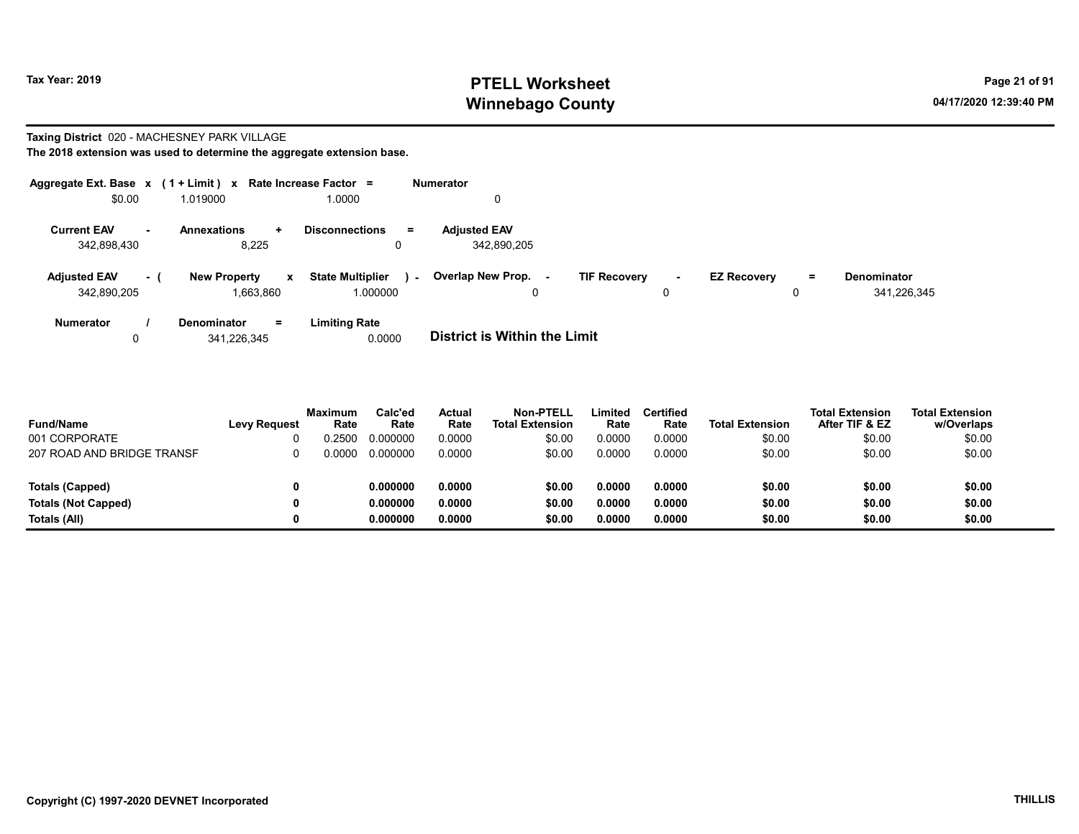# Tax Year: 2019 **PTELL Worksheet** Page 21 of 91 Winnebago County and the County of the County of the County of the County of the County of the County of the County of the County of the County of the County of the County of the County of the County of the County of the C

#### Taxing District 020 - MACHESNEY PARK VILLAGE

| Aggregate Ext. Base $x$ (1 + Limit) x Rate Increase Factor = |        |                                                  |                                               | <b>Numerator</b>                                                                                                      |             |
|--------------------------------------------------------------|--------|--------------------------------------------------|-----------------------------------------------|-----------------------------------------------------------------------------------------------------------------------|-------------|
| \$0.00                                                       |        | 1.019000                                         | 1.0000                                        | 0                                                                                                                     |             |
| <b>Current EAV</b><br>342,898,430                            | $\sim$ | <b>Annexations</b><br>÷.<br>8.225                | <b>Disconnections</b><br>$\equiv$             | <b>Adjusted EAV</b><br>342.890.205                                                                                    |             |
| <b>Adjusted EAV</b><br>342,890,205                           | - 1    | <b>New Property</b><br>$\mathbf{x}$<br>1.663.860 | <b>State Multiplier</b><br>$\sim$<br>1.000000 | Overlap New Prop. -<br><b>TIF Recovery</b><br><b>EZ Recovery</b><br><b>Denominator</b><br>Ξ.<br>$\sim$<br>0<br>0<br>0 | 341,226,345 |
| <b>Numerator</b><br>0                                        |        | Denominator<br>$=$<br>341.226.345                | <b>Limiting Rate</b><br>0.0000                | <b>District is Within the Limit</b>                                                                                   |             |

| <b>Fund/Name</b>           | <b>Levy Request</b> | <b>Maximum</b><br>Rate | Calc'ed<br>Rate | Actual<br>Rate | Non-PTELL<br><b>Total Extension</b> | ∟imited<br>Rate | Certified<br>Rate | <b>Total Extension</b> | <b>Total Extension</b><br>After TIF & EZ | <b>Total Extension</b><br>w/Overlaps |
|----------------------------|---------------------|------------------------|-----------------|----------------|-------------------------------------|-----------------|-------------------|------------------------|------------------------------------------|--------------------------------------|
| 001 CORPORATE              |                     | .2500                  | 0.000000        | 0.0000         | \$0.00                              | 0.0000          | 0.0000            | \$0.00                 | \$0.00                                   | \$0.00                               |
| 207 ROAD AND BRIDGE TRANSF |                     | ገ 0000                 | 0.000000        | 0.0000         | \$0.00                              | 0.0000          | 0.0000            | \$0.00                 | \$0.00                                   | \$0.00                               |
| Totals (Capped)            |                     |                        | 0.000000        | 0.0000         | \$0.00                              | 0.0000          | 0.0000            | \$0.00                 | \$0.00                                   | \$0.00                               |
| <b>Totals (Not Capped)</b> |                     |                        | 0.000000        | 0.0000         | \$0.00                              | 0.0000          | 0.0000            | \$0.00                 | \$0.00                                   | \$0.00                               |
| Totals (All)               |                     |                        | 0.000000        | 0.0000         | \$0.00                              | 0.0000          | 0.0000            | \$0.00                 | \$0.00                                   | \$0.00                               |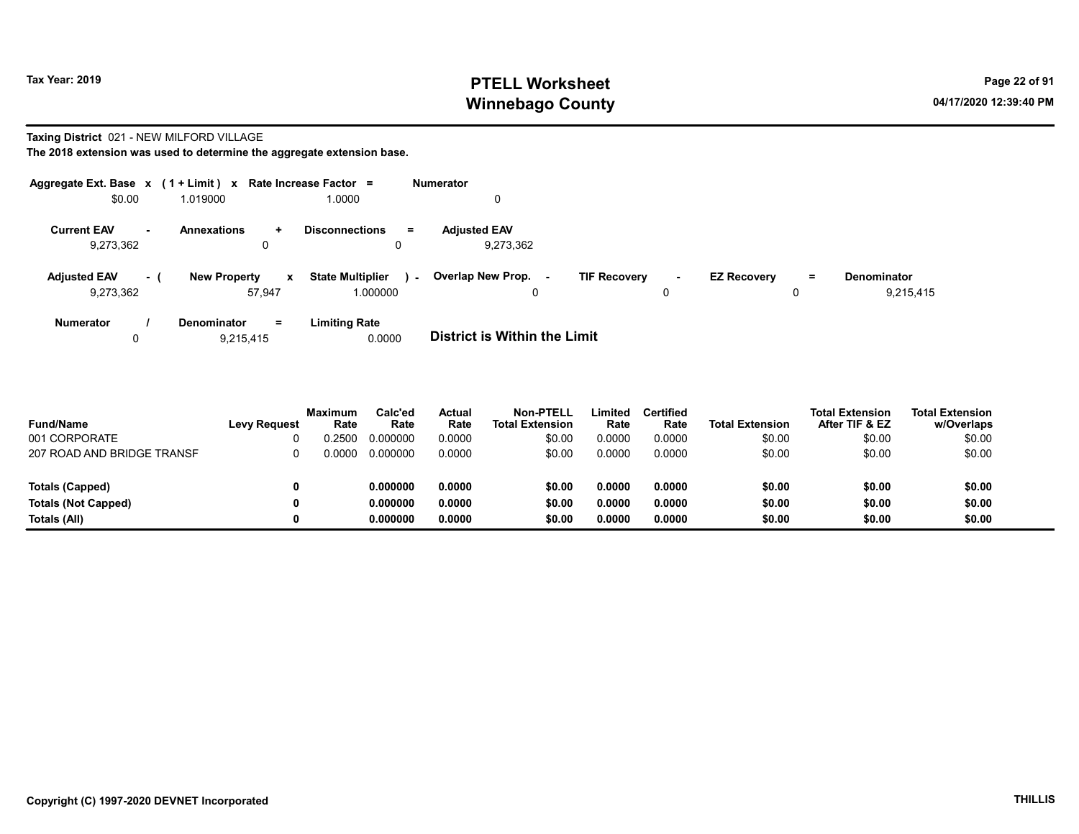# Tax Year: 2019 **PTELL Worksheet** Page 22 of 91 Winnebago County and the County of the County of the County of the County of the County of the County of the County of the County of the County of the County of the County of the County of the County of the County of the C

#### Taxing District 021 - NEW MILFORD VILLAGE

|                                                   | Aggregate Ext. Base $x$ (1 + Limit) $x$ Rate Increase Factor = |                                               | <b>Numerator</b>                                   |             |                         |   |                                 |
|---------------------------------------------------|----------------------------------------------------------------|-----------------------------------------------|----------------------------------------------------|-------------|-------------------------|---|---------------------------------|
| \$0.00                                            | 1.019000                                                       | 1.0000                                        | 0                                                  |             |                         |   |                                 |
| <b>Current EAV</b><br>$\blacksquare$<br>9,273,362 | <b>Annexations</b><br>÷.<br>0                                  | <b>Disconnections</b><br>$\equiv$             | <b>Adjusted EAV</b><br>9,273,362                   |             |                         |   |                                 |
| <b>Adjusted EAV</b><br>- (<br>9,273,362           | <b>New Property</b><br>$\mathbf{x}$<br>57.947                  | <b>State Multiplier</b><br>$\sim$<br>1.000000 | Overlap New Prop.<br><b>TIF Recovery</b><br>$\sim$ | $\sim$<br>0 | <b>EZ Recovery</b><br>0 | = | <b>Denominator</b><br>9,215,415 |
| <b>Numerator</b><br>0                             | <b>Denominator</b><br>$=$<br>9.215.415                         | <b>Limiting Rate</b><br>0.0000                | <b>District is Within the Limit</b>                |             |                         |   |                                 |

| <b>Fund/Name</b>           | <b>Levy Request</b> | <b>Maximum</b><br>Rate | Calc'ed<br>Rate | Actual<br>Rate | <b>Non-PTELL</b><br><b>Total Extension</b> | Limited<br>Rate | <b>Certified</b><br>Rate | <b>Total Extension</b> | <b>Total Extension</b><br>After TIF & EZ | <b>Total Extension</b><br>w/Overlaps |
|----------------------------|---------------------|------------------------|-----------------|----------------|--------------------------------------------|-----------------|--------------------------|------------------------|------------------------------------------|--------------------------------------|
| 001 CORPORATE              |                     | 0.2500                 | 0.000000        | 0.0000         | \$0.00                                     | 0.0000          | 0.0000                   | \$0.00                 | \$0.00                                   | \$0.00                               |
| 207 ROAD AND BRIDGE TRANSF |                     | ი იიიი                 | 0.000000        | 0.0000         | \$0.00                                     | 0.0000          | 0.0000                   | \$0.00                 | \$0.00                                   | \$0.00                               |
| Totals (Capped)            |                     |                        | 0.000000        | 0.0000         | \$0.00                                     | 0.0000          | 0.0000                   | \$0.00                 | \$0.00                                   | \$0.00                               |
| <b>Totals (Not Capped)</b> |                     |                        | 0.000000        | 0.0000         | \$0.00                                     | 0.0000          | 0.0000                   | \$0.00                 | \$0.00                                   | \$0.00                               |
| Totals (All)               |                     |                        | 0.000000        | 0.0000         | \$0.00                                     | 0.0000          | 0.0000                   | \$0.00                 | \$0.00                                   | \$0.00                               |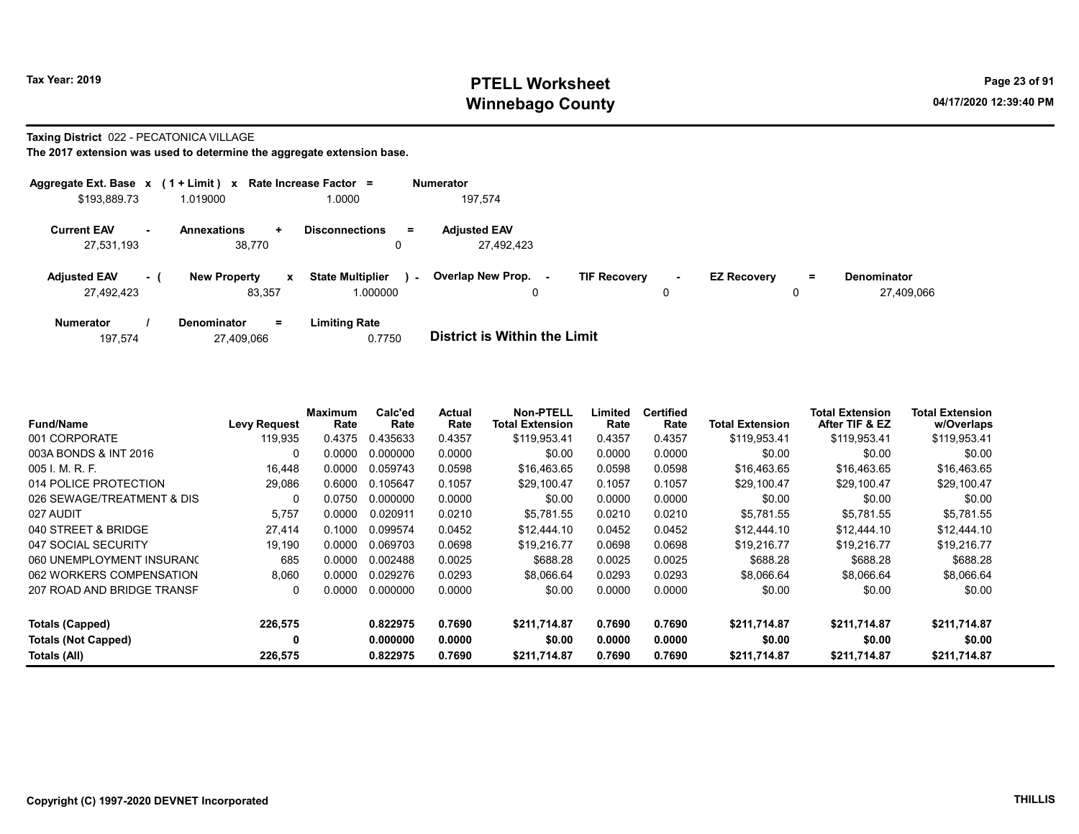# Tax Year: 2019 **PTELL Worksheet** Page 23 of 91 Winnebago County and the County of the County of the County of the County of the County of the County of the County of the County of the County of the County of the County of the County of the County of the County of the C

#### Taxing District 022 - PECATONICA VILLAGE

| Aggregate Ext. Base $x$ (1 + Limit) $x$ Rate Increase Factor = |      |                                    |                                     | <b>Numerator</b> |                                   |                     |        |                    |         |                                  |
|----------------------------------------------------------------|------|------------------------------------|-------------------------------------|------------------|-----------------------------------|---------------------|--------|--------------------|---------|----------------------------------|
| \$193,889.73                                                   |      | 1.019000                           | 1.0000                              |                  | 197,574                           |                     |        |                    |         |                                  |
| <b>Current EAV</b><br>27,531,193                               | н.   | <b>Annexations</b><br>÷.<br>38,770 | <b>Disconnections</b>               | Ξ.               | <b>Adjusted EAV</b><br>27.492.423 |                     |        |                    |         |                                  |
| <b>Adjusted EAV</b><br>27,492,423                              | $-1$ | <b>New Property</b><br>x<br>83.357 | <b>State Multiplier</b><br>1.000000 | $\sim$           | Overlap New Prop.<br>۰.<br>0      | <b>TIF Recovery</b> | $\sim$ | <b>EZ Recovery</b> | Ξ.<br>0 | <b>Denominator</b><br>27.409.066 |
| <b>Numerator</b>                                               |      | <b>Denominator</b><br>$=$          | <b>Limiting Rate</b>                |                  |                                   |                     |        |                    |         |                                  |

| 27,409,066<br>197.574 | 0.7750 | District is Within the Limit |
|-----------------------|--------|------------------------------|
|-----------------------|--------|------------------------------|

| <b>Fund/Name</b>           | <b>Levy Request</b> | Maximum<br>Rate | Calc'ed<br>Rate | Actual<br>Rate | <b>Non-PTELL</b><br><b>Total Extension</b> | Limited<br>Rate | <b>Certified</b><br>Rate | <b>Total Extension</b> | Total Extension<br>After TIF & EZ | <b>Total Extension</b><br>w/Overlaps |  |
|----------------------------|---------------------|-----------------|-----------------|----------------|--------------------------------------------|-----------------|--------------------------|------------------------|-----------------------------------|--------------------------------------|--|
| 001 CORPORATE              | 119.935             | 0.4375          | 0.435633        | 0.4357         | \$119.953.41                               | 0.4357          | 0.4357                   | \$119,953.41           | \$119,953.41                      | \$119,953.41                         |  |
| 003A BONDS & INT 2016      | 0                   | 0.0000          | 0.000000        | 0.0000         | \$0.00                                     | 0.0000          | 0.0000                   | \$0.00                 | \$0.00                            | \$0.00                               |  |
| 005 I. M. R. F.            | 16,448              | 0.0000          | 0.059743        | 0.0598         | \$16.463.65                                | 0.0598          | 0.0598                   | \$16,463.65            | \$16,463.65                       | \$16,463.65                          |  |
| 014 POLICE PROTECTION      | 29,086              | 0.6000          | 0.105647        | 0.1057         | \$29,100.47                                | 0.1057          | 0.1057                   | \$29,100.47            | \$29,100.47                       | \$29,100.47                          |  |
| 026 SEWAGE/TREATMENT & DIS | 0                   | 0.0750          | 0.000000        | 0.0000         | \$0.00                                     | 0.0000          | 0.0000                   | \$0.00                 | \$0.00                            | \$0.00                               |  |
| 027 AUDIT                  | 5,757               | 0.0000          | 0.020911        | 0.0210         | \$5,781.55                                 | 0.0210          | 0.0210                   | \$5,781.55             | \$5.781.55                        | \$5,781.55                           |  |
| 040 STREET & BRIDGE        | 27,414              | 0.1000          | 0.099574        | 0.0452         | \$12,444.10                                | 0.0452          | 0.0452                   | \$12,444.10            | \$12,444.10                       | \$12,444.10                          |  |
| 047 SOCIAL SECURITY        | 19.190              | 0.0000          | 0.069703        | 0.0698         | \$19.216.77                                | 0.0698          | 0.0698                   | \$19.216.77            | \$19.216.77                       | \$19,216.77                          |  |
| 060 UNEMPLOYMENT INSURANC  | 685                 | 0.0000          | 0.002488        | 0.0025         | \$688.28                                   | 0.0025          | 0.0025                   | \$688.28               | \$688.28                          | \$688.28                             |  |
| 062 WORKERS COMPENSATION   | 8,060               | 0.0000          | 0.029276        | 0.0293         | \$8.066.64                                 | 0.0293          | 0.0293                   | \$8.066.64             | \$8.066.64                        | \$8,066.64                           |  |
| 207 ROAD AND BRIDGE TRANSF | 0                   | 0.0000          | 0.000000        | 0.0000         | \$0.00                                     | 0.0000          | 0.0000                   | \$0.00                 | \$0.00                            | \$0.00                               |  |
| Totals (Capped)            | 226,575             |                 | 0.822975        | 0.7690         | \$211,714.87                               | 0.7690          | 0.7690                   | \$211,714.87           | \$211,714.87                      | \$211,714.87                         |  |
| <b>Totals (Not Capped)</b> | 0                   |                 | 0.000000        | 0.0000         | \$0.00                                     | 0.0000          | 0.0000                   | \$0.00                 | \$0.00                            | \$0.00                               |  |
| Totals (All)               | 226,575             |                 | 0.822975        | 0.7690         | \$211,714.87                               | 0.7690          | 0.7690                   | \$211,714.87           | \$211,714.87                      | \$211,714.87                         |  |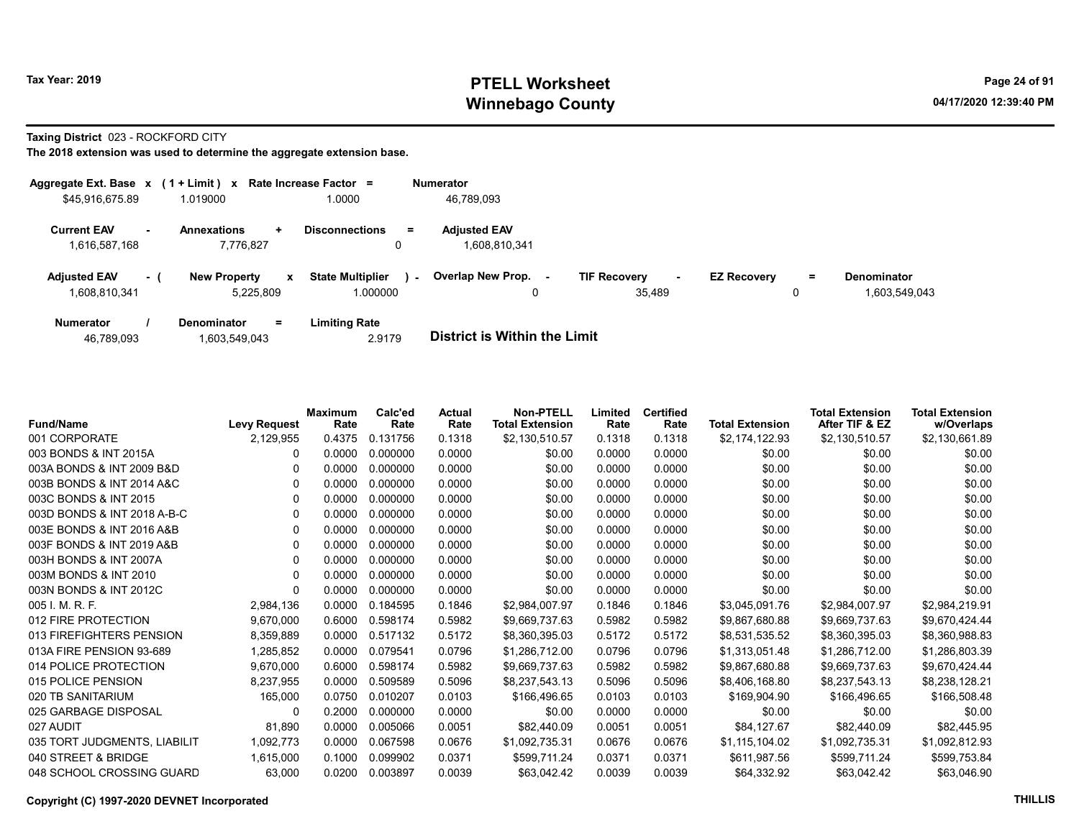# Tax Year: 2019 **PTELL Worksheet** Page 24 of 91 Winnebago County and the County of the County of the County of the County of the County of the County of the County of the County of the County of the County of the County of the County of the County of the County of the C

Taxing District 023 - ROCKFORD CITY

| Aggregate Ext. Base $x$ (1 + Limit) $x$ |     |                                                  | Rate Increase Factor =                        | <b>Numerator</b>                     |                                         |                    |    |                                     |
|-----------------------------------------|-----|--------------------------------------------------|-----------------------------------------------|--------------------------------------|-----------------------------------------|--------------------|----|-------------------------------------|
| \$45,916,675.89                         |     | 1.019000                                         | 1.0000                                        | 46,789,093                           |                                         |                    |    |                                     |
| <b>Current EAV</b><br>1,616,587,168     |     | <b>Annexations</b><br>÷<br>7.776.827             | <b>Disconnections</b><br>$\equiv$             | <b>Adjusted EAV</b><br>1,608,810,341 |                                         |                    |    |                                     |
| <b>Adjusted EAV</b><br>1,608,810,341    | - 1 | <b>New Property</b><br>$\mathbf{x}$<br>5,225,809 | <b>State Multiplier</b><br>$\sim$<br>1.000000 | <b>Overlap New Prop.</b>             | <b>TIF Recovery</b><br>$\sim$<br>35.489 | <b>EZ Recovery</b> | Ξ. | <b>Denominator</b><br>1,603,549,043 |
| <b>Numerator</b>                        |     | <b>Denominator</b><br>Ξ.                         | <b>Limiting Rate</b>                          |                                      |                                         |                    |    |                                     |

| 1,603,549,043<br>46,789,093 | 2.9179 | <b>District is Within the Limit</b> |
|-----------------------------|--------|-------------------------------------|

| <b>Fund/Name</b>             | <b>Levy Request</b> | <b>Maximum</b><br>Rate | Calc'ed<br>Rate | Actual<br>Rate | <b>Non-PTELL</b><br><b>Total Extension</b> | Limited<br>Rate | <b>Certified</b><br>Rate | <b>Total Extension</b> | <b>Total Extension</b><br>After TIF & EZ | <b>Total Extension</b><br>w/Overlaps |
|------------------------------|---------------------|------------------------|-----------------|----------------|--------------------------------------------|-----------------|--------------------------|------------------------|------------------------------------------|--------------------------------------|
| 001 CORPORATE                | 2,129,955           | 0.4375                 | 0.131756        | 0.1318         | \$2,130,510.57                             | 0.1318          | 0.1318                   | \$2,174,122.93         | \$2,130,510.57                           | \$2,130,661.89                       |
| 003 BONDS & INT 2015A        | 0                   | 0.0000                 | 0.000000        | 0.0000         | \$0.00                                     | 0.0000          | 0.0000                   | \$0.00                 | \$0.00                                   | \$0.00                               |
| 003A BONDS & INT 2009 B&D    | $\Omega$            | 0.0000                 | 0.000000        | 0.0000         | \$0.00                                     | 0.0000          | 0.0000                   | \$0.00                 | \$0.00                                   | \$0.00                               |
| 003B BONDS & INT 2014 A&C    | 0                   | 0.0000                 | 0.000000        | 0.0000         | \$0.00                                     | 0.0000          | 0.0000                   | \$0.00                 | \$0.00                                   | \$0.00                               |
| 003C BONDS & INT 2015        | 0                   | 0.0000                 | 0.000000        | 0.0000         | \$0.00                                     | 0.0000          | 0.0000                   | \$0.00                 | \$0.00                                   | \$0.00                               |
| 003D BONDS & INT 2018 A-B-C  | 0                   | 0.0000                 | 0.000000        | 0.0000         | \$0.00                                     | 0.0000          | 0.0000                   | \$0.00                 | \$0.00                                   | \$0.00                               |
| 003E BONDS & INT 2016 A&B    | 0                   | 0.0000                 | 0.000000        | 0.0000         | \$0.00                                     | 0.0000          | 0.0000                   | \$0.00                 | \$0.00                                   | \$0.00                               |
| 003F BONDS & INT 2019 A&B    | 0                   | 0.0000                 | 0.000000        | 0.0000         | \$0.00                                     | 0.0000          | 0.0000                   | \$0.00                 | \$0.00                                   | \$0.00                               |
| 003H BONDS & INT 2007A       | 0                   | 0.0000                 | 0.000000        | 0.0000         | \$0.00                                     | 0.0000          | 0.0000                   | \$0.00                 | \$0.00                                   | \$0.00                               |
| 003M BONDS & INT 2010        | 0                   | 0.0000                 | 0.000000        | 0.0000         | \$0.00                                     | 0.0000          | 0.0000                   | \$0.00                 | \$0.00                                   | \$0.00                               |
| 003N BONDS & INT 2012C       | 0                   | 0.0000                 | 0.000000        | 0.0000         | \$0.00                                     | 0.0000          | 0.0000                   | \$0.00                 | \$0.00                                   | \$0.00                               |
| 005 I. M. R. F.              | 2,984,136           | 0.0000                 | 0.184595        | 0.1846         | \$2,984,007.97                             | 0.1846          | 0.1846                   | \$3,045,091.76         | \$2,984,007.97                           | \$2,984,219.91                       |
| 012 FIRE PROTECTION          | 9,670,000           | 0.6000                 | 0.598174        | 0.5982         | \$9,669,737.63                             | 0.5982          | 0.5982                   | \$9,867,680.88         | \$9,669,737.63                           | \$9,670,424.44                       |
| 013 FIREFIGHTERS PENSION     | 8,359,889           | 0.0000                 | 0.517132        | 0.5172         | \$8,360,395.03                             | 0.5172          | 0.5172                   | \$8,531,535.52         | \$8,360,395.03                           | \$8,360,988.83                       |
| 013A FIRE PENSION 93-689     | 1,285,852           | 0.0000                 | 0.079541        | 0.0796         | \$1,286,712.00                             | 0.0796          | 0.0796                   | \$1,313,051.48         | \$1,286,712.00                           | \$1,286,803.39                       |
| 014 POLICE PROTECTION        | 9,670,000           | 0.6000                 | 0.598174        | 0.5982         | \$9,669,737.63                             | 0.5982          | 0.5982                   | \$9,867,680.88         | \$9,669,737.63                           | \$9,670,424.44                       |
| 015 POLICE PENSION           | 8,237,955           | 0.0000                 | 0.509589        | 0.5096         | \$8,237,543.13                             | 0.5096          | 0.5096                   | \$8,406,168.80         | \$8,237,543.13                           | \$8,238,128.21                       |
| 020 TB SANITARIUM            | 165,000             | 0.0750                 | 0.010207        | 0.0103         | \$166,496.65                               | 0.0103          | 0.0103                   | \$169,904.90           | \$166,496.65                             | \$166,508.48                         |
| 025 GARBAGE DISPOSAL         | 0                   | 0.2000                 | 0.000000        | 0.0000         | \$0.00                                     | 0.0000          | 0.0000                   | \$0.00                 | \$0.00                                   | \$0.00                               |
| 027 AUDIT                    | 81,890              | 0.0000                 | 0.005066        | 0.0051         | \$82,440.09                                | 0.0051          | 0.0051                   | \$84,127.67            | \$82,440.09                              | \$82,445.95                          |
| 035 TORT JUDGMENTS, LIABILIT | 1,092,773           | 0.0000                 | 0.067598        | 0.0676         | \$1,092,735.31                             | 0.0676          | 0.0676                   | \$1,115,104.02         | \$1,092,735.31                           | \$1,092,812.93                       |
| 040 STREET & BRIDGE          | 1,615,000           | 0.1000                 | 0.099902        | 0.0371         | \$599,711.24                               | 0.0371          | 0.0371                   | \$611,987.56           | \$599,711.24                             | \$599,753.84                         |
| 048 SCHOOL CROSSING GUARD    | 63,000              | 0.0200                 | 0.003897        | 0.0039         | \$63,042.42                                | 0.0039          | 0.0039                   | \$64,332.92            | \$63,042.42                              | \$63,046.90                          |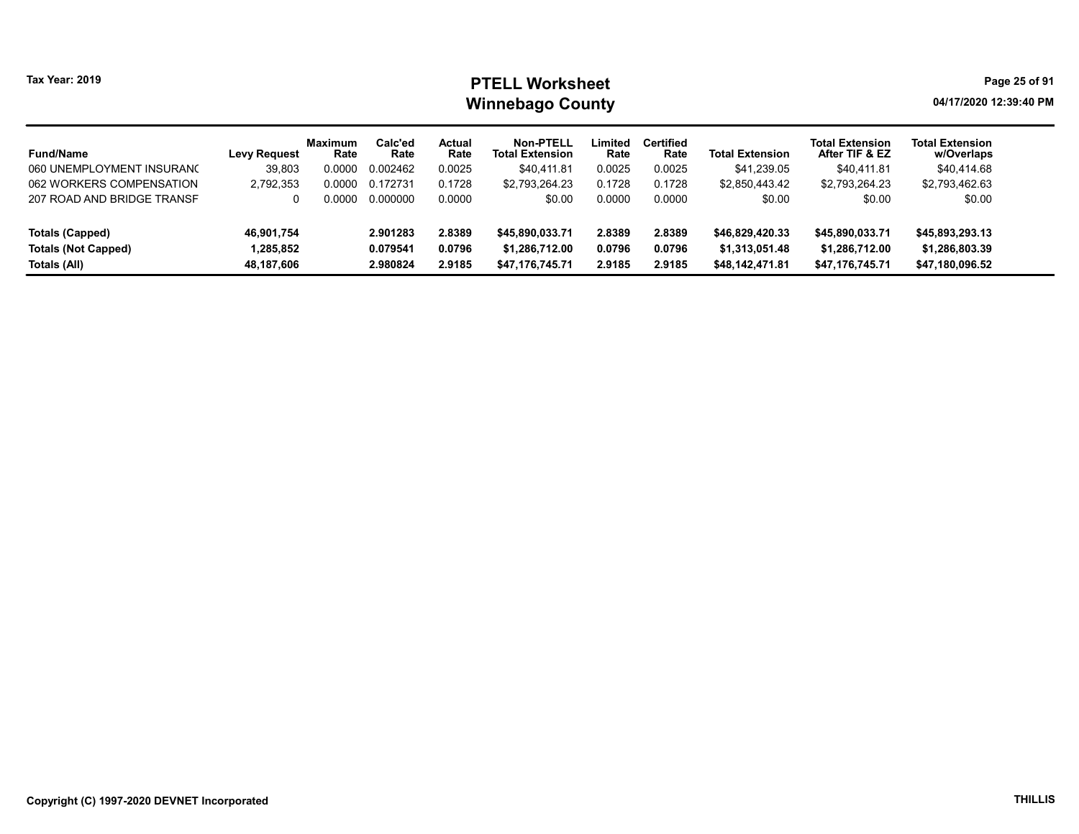# Tax Year: 2019 **PTELL Worksheet** Page 25 of 91 Winnebago County and the County of the County of the County of the County of the County of the County of the County of the County of the County of the County of the County of the County of the County of the County of the C

| <b>Fund/Name</b>           | <b>Levy Request</b> | <b>Maximum</b><br>Rate | Calc'ed<br>Rate | Actual<br>Rate | <b>Non-PTELL</b><br><b>Total Extension</b> | Limited<br>Rate | Certified<br>Rate | <b>Total Extension</b> | <b>Total Extension</b><br>After TIF & EZ | <b>Total Extension</b><br>w/Overlaps |
|----------------------------|---------------------|------------------------|-----------------|----------------|--------------------------------------------|-----------------|-------------------|------------------------|------------------------------------------|--------------------------------------|
| 060 UNEMPLOYMENT INSURANO  | 39,803              | 0.0000                 | 0.002462        | 0.0025         | \$40,411.81                                | 0.0025          | 0.0025            | \$41,239.05            | \$40,411.81                              | \$40,414.68                          |
| 062 WORKERS COMPENSATION   | 2,792,353           | 0.0000                 | 0.172731        | 0.1728         | \$2,793,264.23                             | 0.1728          | 0.1728            | \$2,850,443.42         | \$2,793,264.23                           | \$2,793,462.63                       |
| 207 ROAD AND BRIDGE TRANSF | 0                   | 0.0000 O               | 0.000000        | 0.0000         | \$0.00                                     | 0.0000          | 0.0000            | \$0.00                 | \$0.00                                   | \$0.00                               |
| Totals (Capped)            | 46,901,754          |                        | 2.901283        | 2.8389         | \$45,890,033.71                            | 2.8389          | 2.8389            | \$46,829,420.33        | \$45,890,033.71                          | \$45,893,293.13                      |
| <b>Totals (Not Capped)</b> | 1,285,852           |                        | 0.079541        | 0.0796         | \$1,286,712.00                             | 0.0796          | 0.0796            | \$1,313,051.48         | \$1,286,712.00                           | \$1,286,803.39                       |
| Totals (All)               | 48,187,606          |                        | 2.980824        | 2.9185         | \$47.176.745.71                            | 2.9185          | 2.9185            | \$48.142.471.81        | \$47,176,745.71                          | \$47,180,096.52                      |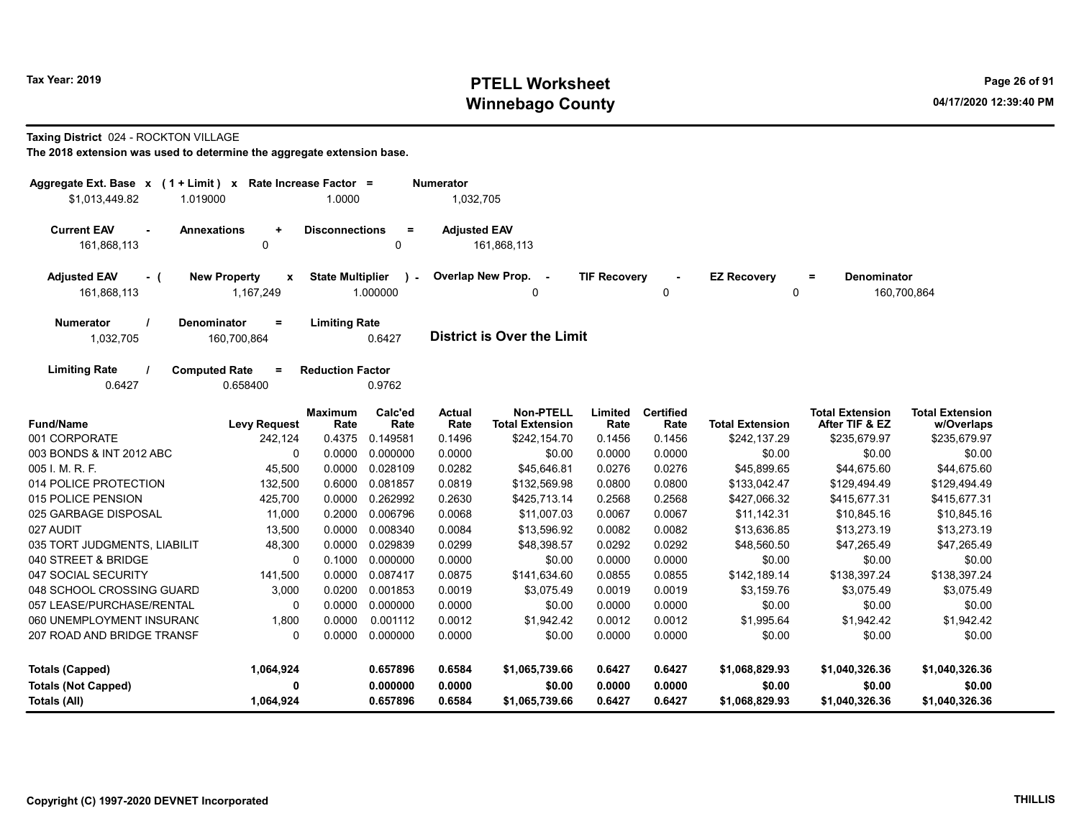# Tax Year: 2019 **PTELL Worksheet** Page 26 of 91 Winnebago County and the County of the County of the County of the County of the County of the County of the County of the County of the County of the County of the County of the County of the County of the County of the C

#### Taxing District 024 - ROCKTON VILLAGE

| Aggregate Ext. Base x (1 + Limit) x Rate Increase Factor =<br>\$1,013,449.82 | 1.019000                         | 1.0000                  |                 | <b>Numerator</b><br>1,032,705 |                                     |                     |                          |                        |                                          |                                      |
|------------------------------------------------------------------------------|----------------------------------|-------------------------|-----------------|-------------------------------|-------------------------------------|---------------------|--------------------------|------------------------|------------------------------------------|--------------------------------------|
|                                                                              |                                  |                         |                 |                               |                                     |                     |                          |                        |                                          |                                      |
| <b>Current EAV</b><br>$\sim$                                                 | <b>Annexations</b><br>$\ddot{}$  | <b>Disconnections</b>   | $\equiv$        | <b>Adjusted EAV</b>           |                                     |                     |                          |                        |                                          |                                      |
| 161,868,113                                                                  | 0                                |                         | 0               |                               | 161,868,113                         |                     |                          |                        |                                          |                                      |
| <b>Adjusted EAV</b><br>- (                                                   | <b>New Property</b><br>x         | <b>State Multiplier</b> | $\mathcal{L}$   |                               | Overlap New Prop. -                 | <b>TIF Recovery</b> |                          | <b>EZ Recovery</b>     | <b>Denominator</b><br>Ξ                  |                                      |
| 161,868,113                                                                  | 1,167,249                        |                         | 1.000000        |                               | 0                                   |                     | 0                        | $\Omega$               |                                          | 160,700,864                          |
| <b>Numerator</b>                                                             | <b>Denominator</b><br>$\equiv$   | <b>Limiting Rate</b>    |                 |                               |                                     |                     |                          |                        |                                          |                                      |
| 1,032,705                                                                    | 160,700,864                      |                         | 0.6427          |                               | <b>District is Over the Limit</b>   |                     |                          |                        |                                          |                                      |
| <b>Limiting Rate</b>                                                         | <b>Computed Rate</b><br>$\equiv$ | <b>Reduction Factor</b> |                 |                               |                                     |                     |                          |                        |                                          |                                      |
| 0.6427                                                                       | 0.658400                         |                         | 0.9762          |                               |                                     |                     |                          |                        |                                          |                                      |
| <b>Fund/Name</b>                                                             | <b>Levy Request</b>              | Maximum<br>Rate         | Calc'ed<br>Rate | <b>Actual</b><br>Rate         | Non-PTELL<br><b>Total Extension</b> | Limited<br>Rate     | <b>Certified</b><br>Rate | <b>Total Extension</b> | <b>Total Extension</b><br>After TIF & EZ | <b>Total Extension</b><br>w/Overlaps |
| 001 CORPORATE                                                                | 242,124                          | 0.4375                  | 0.149581        | 0.1496                        | \$242,154.70                        | 0.1456              | 0.1456                   | \$242,137.29           | \$235,679.97                             | \$235,679.97                         |
| 003 BONDS & INT 2012 ABC                                                     | $\Omega$                         | 0.0000                  | 0.000000        | 0.0000                        | \$0.00                              | 0.0000              | 0.0000                   | \$0.00                 | \$0.00                                   | \$0.00                               |
| 005 I. M. R. F.                                                              | 45,500                           | 0.0000                  | 0.028109        | 0.0282                        | \$45,646.81                         | 0.0276              | 0.0276                   | \$45,899.65            | \$44,675.60                              | \$44,675.60                          |
| 014 POLICE PROTECTION                                                        | 132,500                          | 0.6000                  | 0.081857        | 0.0819                        | \$132,569.98                        | 0.0800              | 0.0800                   | \$133,042.47           | \$129,494.49                             | \$129,494.49                         |
| 015 POLICE PENSION                                                           | 425,700                          | 0.0000                  | 0.262992        | 0.2630                        | \$425,713.14                        | 0.2568              | 0.2568                   | \$427,066.32           | \$415,677.31                             | \$415,677.31                         |
| 025 GARBAGE DISPOSAL                                                         | 11,000                           | 0.2000                  | 0.006796        | 0.0068                        | \$11,007.03                         | 0.0067              | 0.0067                   | \$11,142.31            | \$10,845.16                              | \$10,845.16                          |
| 027 AUDIT                                                                    | 13,500                           | 0.0000                  | 0.008340        | 0.0084                        | \$13,596.92                         | 0.0082              | 0.0082                   | \$13,636.85            | \$13,273.19                              | \$13,273.19                          |
| 035 TORT JUDGMENTS, LIABILIT                                                 | 48.300                           | 0.0000                  | 0.029839        | 0.0299                        | \$48,398.57                         | 0.0292              | 0.0292                   | \$48,560.50            | \$47.265.49                              | \$47,265.49                          |
| 040 STREET & BRIDGE                                                          | $\Omega$                         | 0.1000                  | 0.000000        | 0.0000                        | \$0.00                              | 0.0000              | 0.0000                   | \$0.00                 | \$0.00                                   | \$0.00                               |
| 047 SOCIAL SECURITY                                                          | 141,500                          | 0.0000                  | 0.087417        | 0.0875                        | \$141,634.60                        | 0.0855              | 0.0855                   | \$142,189.14           | \$138,397.24                             | \$138,397.24                         |
| 048 SCHOOL CROSSING GUARD                                                    | 3,000                            | 0.0200                  | 0.001853        | 0.0019                        | \$3,075.49                          | 0.0019              | 0.0019                   | \$3,159.76             | \$3,075.49                               | \$3,075.49                           |
| 057 LEASE/PURCHASE/RENTAL                                                    | 0                                | 0.0000                  | 0.000000        | 0.0000                        | \$0.00                              | 0.0000              | 0.0000                   | \$0.00                 | \$0.00                                   | \$0.00                               |
| 060 UNEMPLOYMENT INSURAN(                                                    | 1,800                            | 0.0000                  | 0.001112        | 0.0012                        | \$1,942.42                          | 0.0012              | 0.0012                   | \$1,995.64             | \$1,942.42                               | \$1,942.42                           |
| 207 ROAD AND BRIDGE TRANSF                                                   | $\mathbf{0}$                     | 0.0000                  | 0.000000        | 0.0000                        | \$0.00                              | 0.0000              | 0.0000                   | \$0.00                 | \$0.00                                   | \$0.00                               |
| <b>Totals (Capped)</b>                                                       | 1,064,924                        |                         | 0.657896        | 0.6584                        | \$1,065,739.66                      | 0.6427              | 0.6427                   | \$1,068,829.93         | \$1,040,326.36                           | \$1,040,326.36                       |
| <b>Totals (Not Capped)</b>                                                   | 0                                |                         | 0.000000        | 0.0000                        | \$0.00                              | 0.0000              | 0.0000                   | \$0.00                 | \$0.00                                   | \$0.00                               |
| Totals (All)                                                                 | 1,064,924                        |                         | 0.657896        | 0.6584                        | \$1,065,739.66                      | 0.6427              | 0.6427                   | \$1,068,829.93         | \$1,040,326.36                           | \$1,040,326.36                       |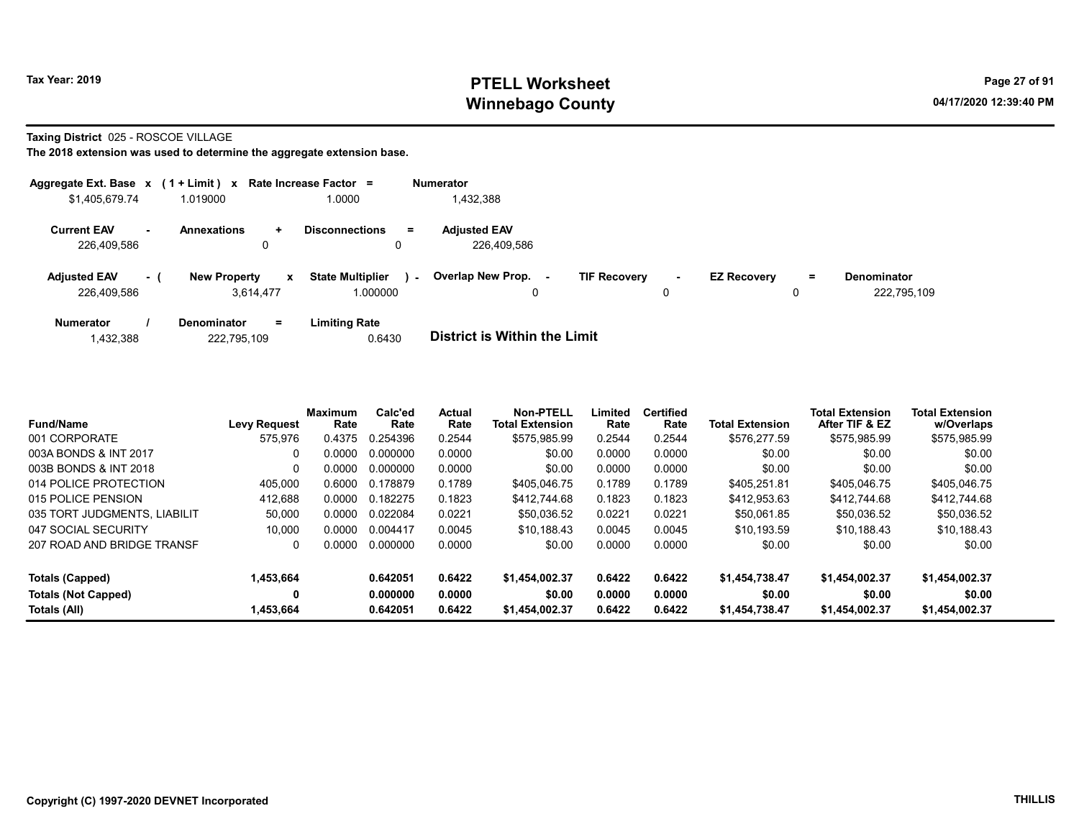# Tax Year: 2019 **PTELL Worksheet** Page 27 of 91 Winnebago County and the County of the County of the County of the County of the County of the County of the County of the County of the County of the County of the County of the County of the County of the County of the C

Taxing District 025 - ROSCOE VILLAGE

| Aggregate Ext. Base $x$ (1 + Limit) $x$ Rate Increase Factor = |     |                                  |              |                                     |        | <b>Numerator</b>                   |                     |                     |                    |    |                                   |
|----------------------------------------------------------------|-----|----------------------------------|--------------|-------------------------------------|--------|------------------------------------|---------------------|---------------------|--------------------|----|-----------------------------------|
| \$1,405,679.74                                                 |     | 1.019000                         |              | 1.0000                              |        | 1,432,388                          |                     |                     |                    |    |                                   |
| <b>Current EAV</b><br>226.409.586                              | . — | <b>Annexations</b><br>÷<br>0     |              | <b>Disconnections</b><br>$=$        |        | <b>Adjusted EAV</b><br>226.409.586 |                     |                     |                    |    |                                   |
| <b>Adjusted EAV</b><br>226.409.586                             | - 1 | <b>New Property</b><br>3.614.477 | $\mathbf{x}$ | <b>State Multiplier</b><br>1.000000 | $\sim$ | Overlap New Prop.<br>0             | <b>TIF Recovery</b> | $\blacksquare$<br>0 | <b>EZ Recovery</b> | Ξ. | <b>Denominator</b><br>222.795.109 |
| <b>Numerator</b>                                               |     | <b>Denominator</b>               | $=$          | <b>Limiting Rate</b>                |        |                                    |                     |                     |                    |    |                                   |

| 1,432,388 | 222,795,109 | 0.6430 | <b>District is Within the Limit</b> |
|-----------|-------------|--------|-------------------------------------|

| <b>Fund/Name</b>             | <b>Levy Request</b> | <b>Maximum</b><br>Rate | Calc'ed<br>Rate | <b>Actual</b><br>Rate | <b>Non-PTELL</b><br><b>Total Extension</b> | Limited<br>Rate | <b>Certified</b><br>Rate | <b>Total Extension</b> | <b>Total Extension</b><br>After TIF & EZ | <b>Total Extension</b><br>w/Overlaps |
|------------------------------|---------------------|------------------------|-----------------|-----------------------|--------------------------------------------|-----------------|--------------------------|------------------------|------------------------------------------|--------------------------------------|
| 001 CORPORATE                | 575.976             | 0.4375                 | 0.254396        | 0.2544                | \$575.985.99                               | 0.2544          | 0.2544                   | \$576.277.59           | \$575.985.99                             | \$575,985.99                         |
| 003A BONDS & INT 2017        | 0                   | 0.0000                 | 0.000000        | 0.0000                | \$0.00                                     | 0.0000          | 0.0000                   | \$0.00                 | \$0.00                                   | \$0.00                               |
| 003B BONDS & INT 2018        | 0                   | 0.0000                 | 0.000000        | 0.0000                | \$0.00                                     | 0.0000          | 0.0000                   | \$0.00                 | \$0.00                                   | \$0.00                               |
| 014 POLICE PROTECTION        | 405.000             | 0.6000                 | 0.178879        | 0.1789                | \$405.046.75                               | 0.1789          | 0.1789                   | \$405.251.81           | \$405.046.75                             | \$405.046.75                         |
| 015 POLICE PENSION           | 412,688             | 0.0000                 | 0.182275        | 0.1823                | \$412,744.68                               | 0.1823          | 0.1823                   | \$412.953.63           | \$412,744.68                             | \$412,744.68                         |
| 035 TORT JUDGMENTS, LIABILIT | 50,000              | 0.0000                 | 0.022084        | 0.0221                | \$50.036.52                                | 0.0221          | 0.0221                   | \$50.061.85            | \$50.036.52                              | \$50,036.52                          |
| 047 SOCIAL SECURITY          | 10.000              | 0.0000                 | 0.004417        | 0.0045                | \$10.188.43                                | 0.0045          | 0.0045                   | \$10.193.59            | \$10.188.43                              | \$10,188.43                          |
| 207 ROAD AND BRIDGE TRANSF   | 0                   | 0.0000                 | 0.000000        | 0.0000                | \$0.00                                     | 0.0000          | 0.0000                   | \$0.00                 | \$0.00                                   | \$0.00                               |
| Totals (Capped)              | 1,453,664           |                        | 0.642051        | 0.6422                | \$1,454,002.37                             | 0.6422          | 0.6422                   | \$1,454,738.47         | \$1,454,002.37                           | \$1,454,002.37                       |
| <b>Totals (Not Capped)</b>   | 0                   |                        | 0.000000        | 0.0000                | \$0.00                                     | 0.0000          | 0.0000                   | \$0.00                 | \$0.00                                   | \$0.00                               |
| Totals (All)                 | 1,453,664           |                        | 0.642051        | 0.6422                | \$1,454,002.37                             | 0.6422          | 0.6422                   | \$1,454,738.47         | \$1,454,002.37                           | \$1,454,002.37                       |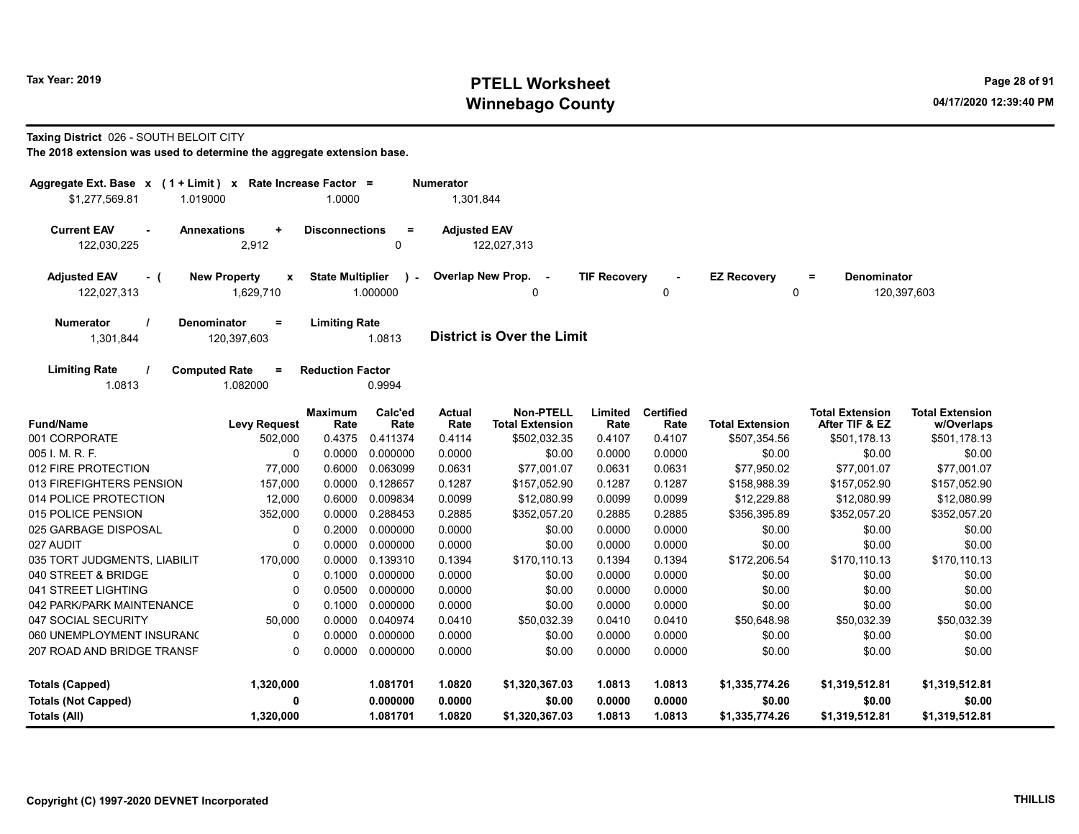# Tax Year: 2019 **PTELL Worksheet** Page 28 of 91 Winnebago County and the County of the County of the County of the County of the County of the County of the County of the County of the County of the County of the County of the County of the County of the County of the C

#### Taxing District 026 - SOUTH BELOIT CITY

| Aggregate Ext. Base x (1 + Limit) x Rate Increase Factor =<br>\$1,277,569.81<br>1.019000 |                                                  | 1.0000                  |                       | <b>Numerator</b><br>1,301,844 |                                            |                     |                          |                         |                                          |                                      |
|------------------------------------------------------------------------------------------|--------------------------------------------------|-------------------------|-----------------------|-------------------------------|--------------------------------------------|---------------------|--------------------------|-------------------------|------------------------------------------|--------------------------------------|
| <b>Current EAV</b><br>$\blacksquare$<br>122,030,225                                      | <b>Annexations</b><br>٠<br>2,912                 | <b>Disconnections</b>   | $\equiv$<br>0         | <b>Adjusted EAV</b>           | 122,027,313                                |                     |                          |                         |                                          |                                      |
| <b>Adjusted EAV</b><br>- (<br>122,027,313                                                | <b>New Property</b><br>$\pmb{\chi}$<br>1,629,710 | <b>State Multiplier</b> | $\lambda$<br>1.000000 |                               | Overlap New Prop.<br>$\sim$<br>0           | <b>TIF Recovery</b> | 0                        | <b>EZ Recovery</b><br>0 | <b>Denominator</b><br>$=$                | 120,397,603                          |
| <b>Numerator</b><br>1,301,844                                                            | <b>Denominator</b><br>$\equiv$<br>120,397,603    | <b>Limiting Rate</b>    | 1.0813                |                               | <b>District is Over the Limit</b>          |                     |                          |                         |                                          |                                      |
| <b>Limiting Rate</b><br>1.0813                                                           | <b>Computed Rate</b><br>$=$<br>1.082000          | <b>Reduction Factor</b> | 0.9994                |                               |                                            |                     |                          |                         |                                          |                                      |
| <b>Fund/Name</b>                                                                         | <b>Levy Request</b>                              | Maximum<br>Rate         | Calc'ed<br>Rate       | Actual<br>Rate                | <b>Non-PTELL</b><br><b>Total Extension</b> | Limited<br>Rate     | <b>Certified</b><br>Rate | <b>Total Extension</b>  | <b>Total Extension</b><br>After TIF & EZ | <b>Total Extension</b><br>w/Overlaps |
| 001 CORPORATE                                                                            | 502,000                                          | 0.4375                  | 0.411374              | 0.4114                        | \$502,032.35                               | 0.4107              | 0.4107                   | \$507,354.56            | \$501,178.13                             | \$501,178.13                         |
| 005 I. M. R. F.                                                                          | 0                                                | 0.0000                  | 0.000000              | 0.0000                        | \$0.00                                     | 0.0000              | 0.0000                   | \$0.00                  | \$0.00                                   | \$0.00                               |
| 012 FIRE PROTECTION                                                                      | 77,000                                           | 0.6000                  | 0.063099              | 0.0631                        | \$77,001.07                                | 0.0631              | 0.0631                   | \$77,950.02             | \$77,001.07                              | \$77,001.07                          |
| 013 FIREFIGHTERS PENSION                                                                 | 157,000                                          | 0.0000                  | 0.128657              | 0.1287                        | \$157,052.90                               | 0.1287              | 0.1287                   | \$158,988.39            | \$157,052.90                             | \$157,052.90                         |
| 014 POLICE PROTECTION                                                                    | 12,000                                           | 0.6000                  | 0.009834              | 0.0099                        | \$12,080.99                                | 0.0099              | 0.0099                   | \$12,229.88             | \$12,080.99                              | \$12,080.99                          |
| 015 POLICE PENSION                                                                       | 352,000                                          | 0.0000                  | 0.288453              | 0.2885                        | \$352,057.20                               | 0.2885              | 0.2885                   | \$356,395.89            | \$352,057.20                             | \$352,057.20                         |
| 025 GARBAGE DISPOSAL                                                                     | 0                                                | 0.2000                  | 0.000000              | 0.0000                        | \$0.00                                     | 0.0000              | 0.0000                   | \$0.00                  | \$0.00                                   | \$0.00                               |
| 027 AUDIT                                                                                | 0                                                | 0.0000                  | 0.000000              | 0.0000                        | \$0.00                                     | 0.0000              | 0.0000                   | \$0.00                  | \$0.00                                   | \$0.00                               |
| 035 TORT JUDGMENTS, LIABILIT                                                             | 170,000                                          | 0.0000                  | 0.139310              | 0.1394                        | \$170,110.13                               | 0.1394              | 0.1394                   | \$172,206.54            | \$170,110.13                             | \$170,110.13                         |
| 040 STREET & BRIDGE                                                                      | 0                                                | 0.1000                  | 0.000000              | 0.0000                        | \$0.00                                     | 0.0000              | 0.0000                   | \$0.00                  | \$0.00                                   | \$0.00                               |
| 041 STREET LIGHTING                                                                      | $\mathbf 0$                                      | 0.0500                  | 0.000000              | 0.0000                        | \$0.00                                     | 0.0000              | 0.0000                   | \$0.00                  | \$0.00                                   | \$0.00                               |
| 042 PARK/PARK MAINTENANCE                                                                | $\Omega$                                         | 0.1000                  | 0.000000              | 0.0000                        | \$0.00                                     | 0.0000              | 0.0000                   | \$0.00                  | \$0.00                                   | \$0.00                               |
| 047 SOCIAL SECURITY                                                                      | 50,000                                           | 0.0000                  | 0.040974              | 0.0410                        | \$50,032.39                                | 0.0410              | 0.0410                   | \$50,648.98             | \$50,032.39                              | \$50,032.39                          |
| 060 UNEMPLOYMENT INSURANC                                                                | 0                                                | 0.0000                  | 0.000000              | 0.0000                        | \$0.00                                     | 0.0000              | 0.0000                   | \$0.00                  | \$0.00                                   | \$0.00                               |
| 207 ROAD AND BRIDGE TRANSF                                                               | $\Omega$                                         | 0.0000                  | 0.000000              | 0.0000                        | \$0.00                                     | 0.0000              | 0.0000                   | \$0.00                  | \$0.00                                   | \$0.00                               |
| <b>Totals (Capped)</b>                                                                   | 1,320,000                                        |                         | 1.081701              | 1.0820                        | \$1,320,367.03                             | 1.0813              | 1.0813                   | \$1,335,774.26          | \$1,319,512.81                           | \$1,319,512.81                       |
| <b>Totals (Not Capped)</b>                                                               | 0                                                |                         | 0.000000              | 0.0000                        | \$0.00                                     | 0.0000              | 0.0000                   | \$0.00                  | \$0.00                                   | \$0.00                               |
| <b>Totals (All)</b>                                                                      | 1,320,000                                        |                         | 1.081701              | 1.0820                        | \$1,320,367.03                             | 1.0813              | 1.0813                   | \$1,335,774.26          | \$1,319,512.81                           | \$1,319,512.81                       |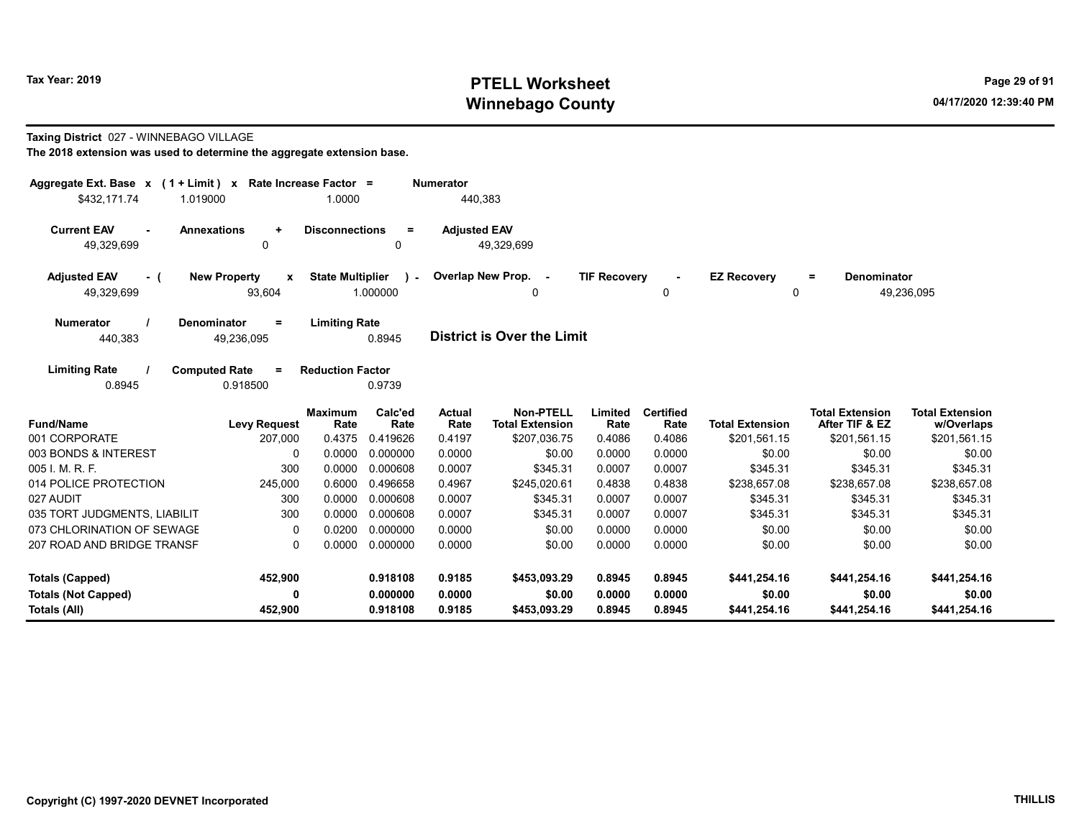# Tax Year: 2019 **PTELL Worksheet** Page 29 of 91 Winnebago County and the County of the County of the County of the County of the County of the County of the County of the County of the County of the County of the County of the County of the County of the County of the C

#### Taxing District 027 - WINNEBAGO VILLAGE

| Aggregate Ext. Base $x$ (1 + Limit) x Rate Increase Factor = |                                               |                         |                    | Numerator           |                                            |                     |                          |                         |                                          |                                      |
|--------------------------------------------------------------|-----------------------------------------------|-------------------------|--------------------|---------------------|--------------------------------------------|---------------------|--------------------------|-------------------------|------------------------------------------|--------------------------------------|
| \$432,171.74                                                 | 1.019000                                      | 1.0000                  |                    | 440,383             |                                            |                     |                          |                         |                                          |                                      |
| <b>Current EAV</b><br>49,329,699                             | <b>Annexations</b><br>$\ddot{}$<br>0          | <b>Disconnections</b>   | $=$<br>0           | <b>Adjusted EAV</b> | 49,329,699                                 |                     |                          |                         |                                          |                                      |
| <b>Adjusted EAV</b><br>- (<br>49,329,699                     | <b>New Property</b><br>$\mathbf{x}$<br>93,604 | <b>State Multiplier</b> | $\sim$<br>1.000000 |                     | Overlap New Prop. -<br>0                   | <b>TIF Recovery</b> | 0                        | <b>EZ Recovery</b><br>0 | <b>Denominator</b><br>$=$                | 49,236,095                           |
| <b>Numerator</b><br>440,383                                  | <b>Denominator</b><br>$=$<br>49,236,095       | <b>Limiting Rate</b>    | 0.8945             |                     | <b>District is Over the Limit</b>          |                     |                          |                         |                                          |                                      |
| <b>Limiting Rate</b><br>0.8945                               | <b>Computed Rate</b><br>$\equiv$<br>0.918500  | <b>Reduction Factor</b> | 0.9739             |                     |                                            |                     |                          |                         |                                          |                                      |
| <b>Fund/Name</b>                                             | <b>Levy Request</b>                           | <b>Maximum</b><br>Rate  | Calc'ed<br>Rate    | Actual<br>Rate      | <b>Non-PTELL</b><br><b>Total Extension</b> | Limited<br>Rate     | <b>Certified</b><br>Rate | <b>Total Extension</b>  | <b>Total Extension</b><br>After TIF & EZ | <b>Total Extension</b><br>w/Overlaps |
| 001 CORPORATE                                                | 207,000                                       | 0.4375                  | 0.419626           | 0.4197              | \$207,036.75                               | 0.4086              | 0.4086                   | \$201,561.15            | \$201,561.15                             | \$201,561.15                         |
| 003 BONDS & INTEREST                                         | 0                                             | 0.0000                  | 0.000000           | 0.0000              | \$0.00                                     | 0.0000              | 0.0000                   | \$0.00                  | \$0.00                                   | \$0.00                               |
| 005 I. M. R. F.                                              | 300                                           | 0.0000                  | 0.000608           | 0.0007              | \$345.31                                   | 0.0007              | 0.0007                   | \$345.31                | \$345.31                                 | \$345.31                             |
| 014 POLICE PROTECTION                                        | 245,000                                       | 0.6000                  | 0.496658           | 0.4967              | \$245.020.61                               | 0.4838              | 0.4838                   | \$238,657.08            | \$238,657.08                             | \$238,657.08                         |
| 027 AUDIT                                                    | 300                                           | 0.0000                  | 0.000608           | 0.0007              | \$345.31                                   | 0.0007              | 0.0007                   | \$345.31                | \$345.31                                 | \$345.31                             |
| 035 TORT JUDGMENTS, LIABILIT                                 | 300                                           | 0.0000                  | 0.000608           | 0.0007              | \$345.31                                   | 0.0007              | 0.0007                   | \$345.31                | \$345.31                                 | \$345.31                             |
| 073 CHLORINATION OF SEWAGE                                   | 0                                             | 0.0200                  | 0.000000           | 0.0000              | \$0.00                                     | 0.0000              | 0.0000                   | \$0.00                  | \$0.00                                   | \$0.00                               |
| 207 ROAD AND BRIDGE TRANSF                                   | $\Omega$                                      | 0.0000                  | 0.000000           | 0.0000              | \$0.00                                     | 0.0000              | 0.0000                   | \$0.00                  | \$0.00                                   | \$0.00                               |
| <b>Totals (Capped)</b>                                       | 452,900                                       |                         | 0.918108           | 0.9185              | \$453,093.29                               | 0.8945              | 0.8945                   | \$441,254.16            | \$441,254.16                             | \$441,254.16                         |
| <b>Totals (Not Capped)</b>                                   | 0                                             |                         | 0.000000           | 0.0000              | \$0.00                                     | 0.0000              | 0.0000                   | \$0.00                  | \$0.00                                   | \$0.00                               |
| Totals (All)                                                 | 452,900                                       |                         | 0.918108           | 0.9185              | \$453,093.29                               | 0.8945              | 0.8945                   | \$441,254.16            | \$441,254.16                             | \$441,254.16                         |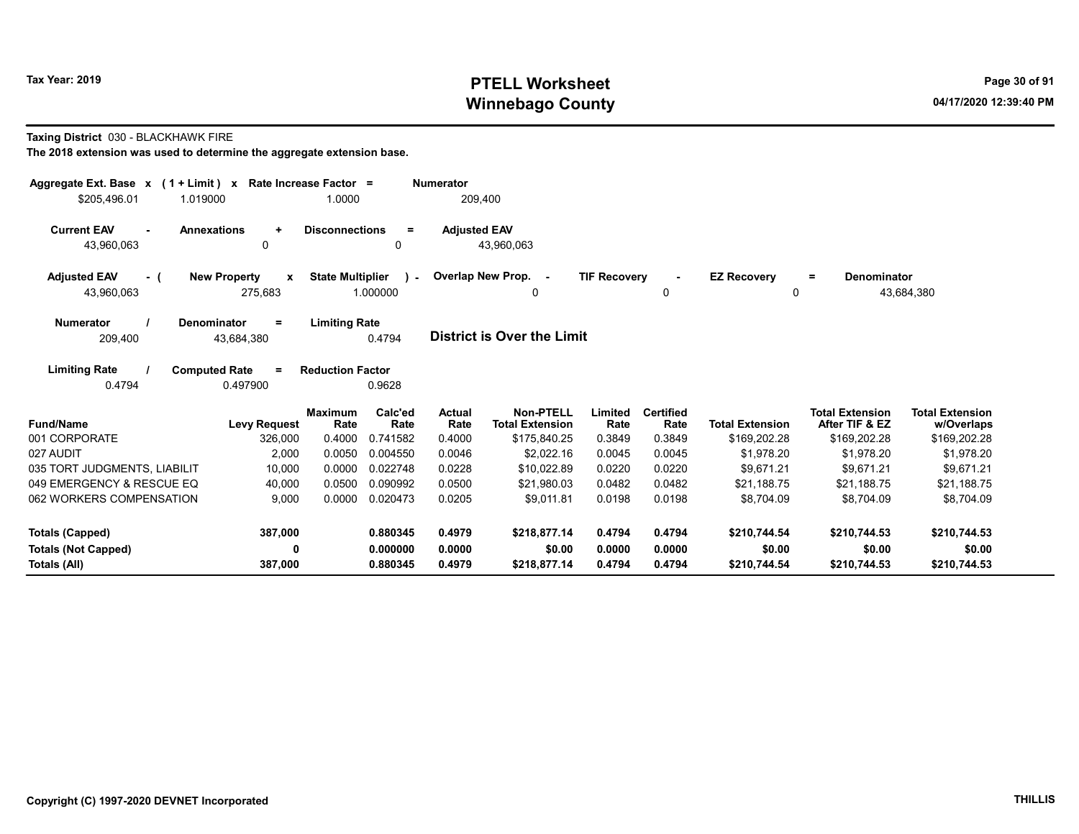# Tax Year: 2019 **PTELL Worksheet** Page 30 of 91 Winnebago County and the County of the County of the County of the County of the County of the County of the County of the County of the County of the County of the County of the County of the County of the County of the C

#### Taxing District 030 - BLACKHAWK FIRE

| Aggregate Ext. Base $x$ (1 + Limit) $x$<br>\$205.496.01<br>1.019000 |                                              | Rate Increase Factor =<br>1.0000 |                             | <b>Numerator</b><br>209,400 |                                                            |                           |                                    |                                        |                                                          |                                                      |
|---------------------------------------------------------------------|----------------------------------------------|----------------------------------|-----------------------------|-----------------------------|------------------------------------------------------------|---------------------------|------------------------------------|----------------------------------------|----------------------------------------------------------|------------------------------------------------------|
| <b>Current EAV</b><br>$\sim$<br>43,960,063                          | <b>Annexations</b><br>$\ddot{}$<br>0         | <b>Disconnections</b>            | $\equiv$<br>$\mathbf{0}$    | <b>Adjusted EAV</b>         | 43,960,063                                                 |                           |                                    |                                        |                                                          |                                                      |
| <b>Adjusted EAV</b><br>- (<br>43,960,063                            | <b>New Property</b><br>X<br>275,683          | <b>State Multiplier</b>          | in a<br>1.000000            |                             | Overlap New Prop. -<br>0                                   | <b>TIF Recovery</b>       | $\blacksquare$<br>0                | <b>EZ Recovery</b><br>$\Omega$         | Denominator<br>$\equiv$                                  | 43,684,380                                           |
| <b>Numerator</b><br>209.400                                         | Denominator<br>Ξ<br>43.684.380               | <b>Limiting Rate</b>             | 0.4794                      |                             | <b>District is Over the Limit</b>                          |                           |                                    |                                        |                                                          |                                                      |
| <b>Limiting Rate</b><br>0.4794                                      | <b>Computed Rate</b><br>$\equiv$<br>0.497900 | <b>Reduction Factor</b>          | 0.9628                      |                             |                                                            |                           |                                    |                                        |                                                          |                                                      |
| <b>Fund/Name</b><br>001 CORPORATE                                   | <b>Levy Request</b><br>326,000               | <b>Maximum</b><br>Rate<br>0.4000 | Calc'ed<br>Rate<br>0.741582 | Actual<br>Rate<br>0.4000    | <b>Non-PTELL</b><br><b>Total Extension</b><br>\$175,840.25 | Limited<br>Rate<br>0.3849 | <b>Certified</b><br>Rate<br>0.3849 | <b>Total Extension</b><br>\$169,202.28 | <b>Total Extension</b><br>After TIF & EZ<br>\$169,202.28 | <b>Total Extension</b><br>w/Overlaps<br>\$169,202.28 |
| 027 AUDIT                                                           | 2,000                                        | 0.0050                           | 0.004550                    | 0.0046                      | \$2.022.16                                                 | 0.0045                    | 0.0045                             | \$1,978.20                             | \$1,978.20                                               | \$1,978.20                                           |
| 035 TORT JUDGMENTS, LIABILIT                                        | 10,000                                       | 0.0000                           | 0.022748                    | 0.0228                      | \$10,022.89                                                | 0.0220                    | 0.0220                             | \$9.671.21                             | \$9,671.21                                               | \$9,671.21                                           |
| 049 EMERGENCY & RESCUE EQ                                           | 40,000                                       | 0.0500                           | 0.090992                    | 0.0500                      | \$21.980.03                                                | 0.0482                    | 0.0482                             | \$21.188.75                            | \$21.188.75                                              | \$21,188.75                                          |
| 062 WORKERS COMPENSATION                                            | 9.000                                        | 0.0000                           | 0.020473                    | 0.0205                      | \$9,011.81                                                 | 0.0198                    | 0.0198                             | \$8.704.09                             | \$8.704.09                                               | \$8.704.09                                           |
| <b>Totals (Capped)</b>                                              | 387,000                                      |                                  | 0.880345                    | 0.4979                      | \$218,877.14                                               | 0.4794                    | 0.4794                             | \$210,744.54                           | \$210,744.53                                             | \$210,744.53                                         |
| <b>Totals (Not Capped)</b>                                          | $\mathbf 0$                                  |                                  | 0.000000                    | 0.0000                      | \$0.00                                                     | 0.0000                    | 0.0000                             | \$0.00                                 | \$0.00                                                   | \$0.00                                               |
| Totals (All)                                                        | 387,000                                      |                                  | 0.880345                    | 0.4979                      | \$218,877.14                                               | 0.4794                    | 0.4794                             | \$210,744.54                           | \$210,744.53                                             | \$210,744.53                                         |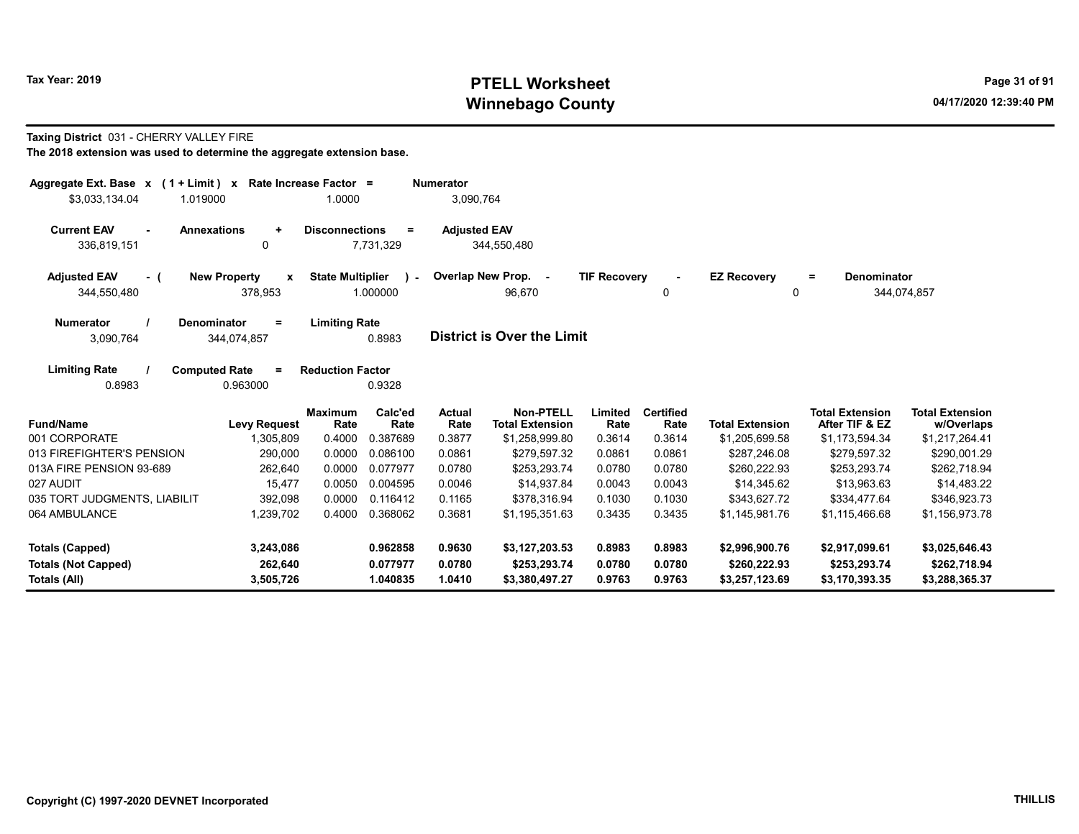# Tax Year: 2019 **PTELL Worksheet** Page 31 of 91 Winnebago County and the County of the County of the County of the County of the County of the County of the County of the County of the County of the County of the County of the County of the County of the County of the C

#### Taxing District 031 - CHERRY VALLEY FIRE

| Aggregate Ext. Base $x$ (1 + Limit) $x$<br>\$3,033,134.04<br>1.019000                       | Rate Increase Factor =<br>1.0000                    | <b>Numerator</b><br>3,090,764                                       |                                             |                                                                    |                                      |
|---------------------------------------------------------------------------------------------|-----------------------------------------------------|---------------------------------------------------------------------|---------------------------------------------|--------------------------------------------------------------------|--------------------------------------|
| <b>Current EAV</b><br><b>Annexations</b><br>$\ddot{}$<br>0<br>336,819,151                   | <b>Disconnections</b><br>Ξ.<br>7,731,329            | <b>Adjusted EAV</b><br>344,550,480                                  |                                             |                                                                    |                                      |
| <b>Adjusted EAV</b><br><b>New Property</b><br>$\mathbf{x}$<br>- (<br>378,953<br>344,550,480 | <b>State Multiplier</b><br>$\mathbf{r}$<br>1.000000 | Overlap New Prop. -<br>96,670                                       | <b>TIF Recovery</b><br>$\mathbf{0}$         | <b>EZ Recovery</b><br>$=$<br>0                                     | Denominator<br>344,074,857           |
| <b>Numerator</b><br><b>Denominator</b><br>Ξ.<br>3,090,764<br>344,074,857                    | <b>Limiting Rate</b><br>0.8983                      | <b>District is Over the Limit</b>                                   |                                             |                                                                    |                                      |
| <b>Limiting Rate</b><br><b>Computed Rate</b><br>$=$<br>0.8983<br>0.963000                   | <b>Reduction Factor</b><br>0.9328                   |                                                                     |                                             |                                                                    |                                      |
| <b>Fund/Name</b><br><b>Levy Request</b>                                                     | Calc'ed<br><b>Maximum</b><br>Rate<br>Rate           | <b>Non-PTELL</b><br><b>Actual</b><br><b>Total Extension</b><br>Rate | Limited<br><b>Certified</b><br>Rate<br>Rate | <b>Total Extension</b><br><b>Total Extension</b><br>After TIF & EZ | <b>Total Extension</b><br>w/Overlaps |
| 001 CORPORATE<br>1,305,809                                                                  | 0.4000<br>0.387689                                  | 0.3877<br>\$1,258,999.80                                            | 0.3614<br>0.3614                            | \$1,205,699.58<br>\$1,173,594.34                                   | \$1,217,264.41                       |
| 013 FIREFIGHTER'S PENSION<br>290.000                                                        | 0.0000<br>0.086100                                  | 0.0861<br>\$279.597.32                                              | 0.0861<br>0.0861                            | \$287.246.08<br>\$279.597.32                                       | \$290.001.29                         |
| 013A FIRE PENSION 93-689<br>262,640                                                         | 0.0000<br>0.077977                                  | 0.0780<br>\$253,293.74                                              | 0.0780<br>0.0780                            | \$260.222.93<br>\$253,293.74                                       | \$262,718.94                         |
| 027 AUDIT<br>15,477                                                                         | 0.0050<br>0.004595                                  | 0.0046<br>\$14,937.84                                               | 0.0043<br>0.0043                            | \$14,345.62<br>\$13,963.63                                         | \$14,483.22                          |
| 035 TORT JUDGMENTS, LIABILIT<br>392,098                                                     | 0.0000<br>0.116412                                  | 0.1165<br>\$378,316.94                                              | 0.1030<br>0.1030                            | \$343.627.72<br>\$334,477.64                                       | \$346,923.73                         |
| 064 AMBULANCE<br>1,239,702                                                                  | 0.4000<br>0.368062                                  | 0.3681<br>\$1,195,351.63                                            | 0.3435<br>0.3435                            | \$1,145,981.76<br>\$1,115,466.68                                   | \$1,156,973.78                       |
| 3,243,086<br>Totals (Capped)                                                                | 0.962858                                            | 0.9630<br>\$3,127,203.53                                            | 0.8983<br>0.8983                            | \$2,996,900.76<br>\$2,917,099.61                                   | \$3,025,646.43                       |
| 262,640<br><b>Totals (Not Capped)</b><br>Totals (All)<br>3,505,726                          | 0.077977<br>1.040835                                | 0.0780<br>\$253,293.74<br>1.0410<br>\$3,380,497.27                  | 0.0780<br>0.0780<br>0.9763<br>0.9763        | \$260,222.93<br>\$253,293.74<br>\$3,257,123.69<br>\$3,170,393.35   | \$262,718.94<br>\$3,288,365.37       |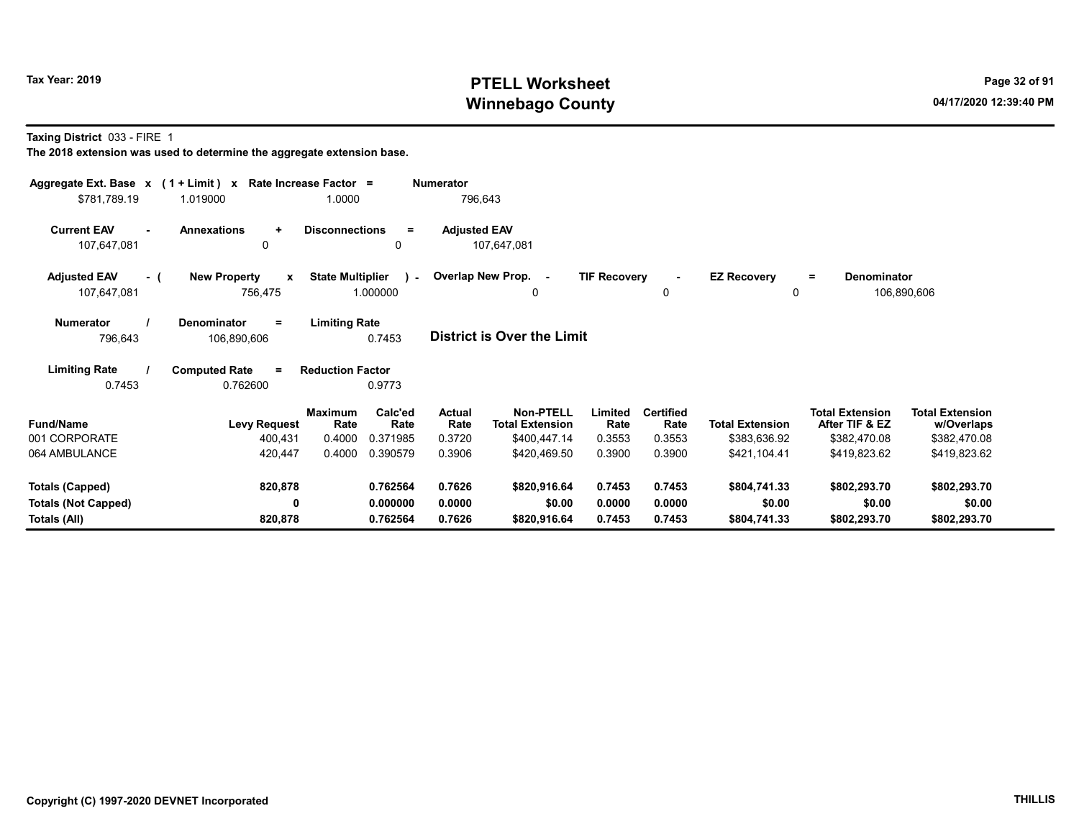# Tax Year: 2019 **PTELL Worksheet** Page 32 of 91 Winnebago County and the County of the County of the County of the County of the County of the County of the County of the County of the County of the County of the County of the County of the County of the County of the C

Taxing District 033 - FIRE 1

| Aggregate Ext. Base $x$ (1 + Limit) x Rate Increase Factor =<br>\$781,789.19 | 1.019000                                                       | 1.0000                                           | <b>Numerator</b><br>796,643 |                                            |                     |                          |                                |                                          |                                      |
|------------------------------------------------------------------------------|----------------------------------------------------------------|--------------------------------------------------|-----------------------------|--------------------------------------------|---------------------|--------------------------|--------------------------------|------------------------------------------|--------------------------------------|
| <b>Current EAV</b><br>$\blacksquare$<br>107,647,081                          | <b>Annexations</b><br>$\ddot{}$<br>0                           | <b>Disconnections</b><br>$\equiv$<br>0           | <b>Adjusted EAV</b>         | 107,647,081                                |                     |                          |                                |                                          |                                      |
| <b>Adjusted EAV</b><br>- (<br>107,647,081                                    | <b>New Property</b><br>$\mathbf{x}$<br>756,475                 | <b>State Multiplier</b><br>$\lambda$<br>1.000000 |                             | Overlap New Prop. -<br>$\Omega$            | <b>TIF Recovery</b> | $\sim$<br>0              | <b>EZ Recovery</b><br>$\Omega$ | <b>Denominator</b><br>$\equiv$           | 106,890,606                          |
| <b>Numerator</b><br>796,643                                                  | Denominator<br><b>Limiting Rate</b><br>$\equiv$<br>106,890,606 |                                                  | District is Over the Limit  |                                            |                     |                          |                                |                                          |                                      |
| <b>Limiting Rate</b><br>0.7453                                               | <b>Computed Rate</b><br>$\equiv$<br>0.762600                   | <b>Reduction Factor</b><br>0.9773                |                             |                                            |                     |                          |                                |                                          |                                      |
| <b>Fund/Name</b>                                                             | <b>Maximum</b><br><b>Levy Request</b>                          | Calc'ed<br>Rate<br>Rate                          | <b>Actual</b><br>Rate       | <b>Non-PTELL</b><br><b>Total Extension</b> | Limited<br>Rate     | <b>Certified</b><br>Rate | <b>Total Extension</b>         | <b>Total Extension</b><br>After TIF & EZ | <b>Total Extension</b><br>w/Overlaps |
| 001 CORPORATE                                                                | 400,431                                                        | 0.4000<br>0.371985                               | 0.3720                      | \$400,447.14                               | 0.3553              | 0.3553                   | \$383,636.92                   | \$382,470.08                             | \$382,470.08                         |
| 064 AMBULANCE                                                                | 420,447                                                        | 0.4000<br>0.390579                               | 0.3906                      | \$420.469.50                               | 0.3900              | 0.3900                   | \$421,104.41                   | \$419,823.62                             | \$419,823.62                         |
| <b>Totals (Capped)</b>                                                       | 820,878                                                        | 0.762564                                         | 0.7626                      | \$820,916.64                               | 0.7453              | 0.7453                   | \$804,741.33                   | \$802,293.70                             | \$802,293.70                         |
| <b>Totals (Not Capped)</b>                                                   | 0                                                              | 0.000000                                         | 0.0000                      | \$0.00                                     | 0.0000              | 0.0000                   | \$0.00                         | \$0.00                                   | \$0.00                               |
| Totals (All)                                                                 | 820,878                                                        | 0.762564                                         | 0.7626                      | \$820,916.64                               | 0.7453              | 0.7453                   | \$804,741.33                   | \$802,293.70                             | \$802,293.70                         |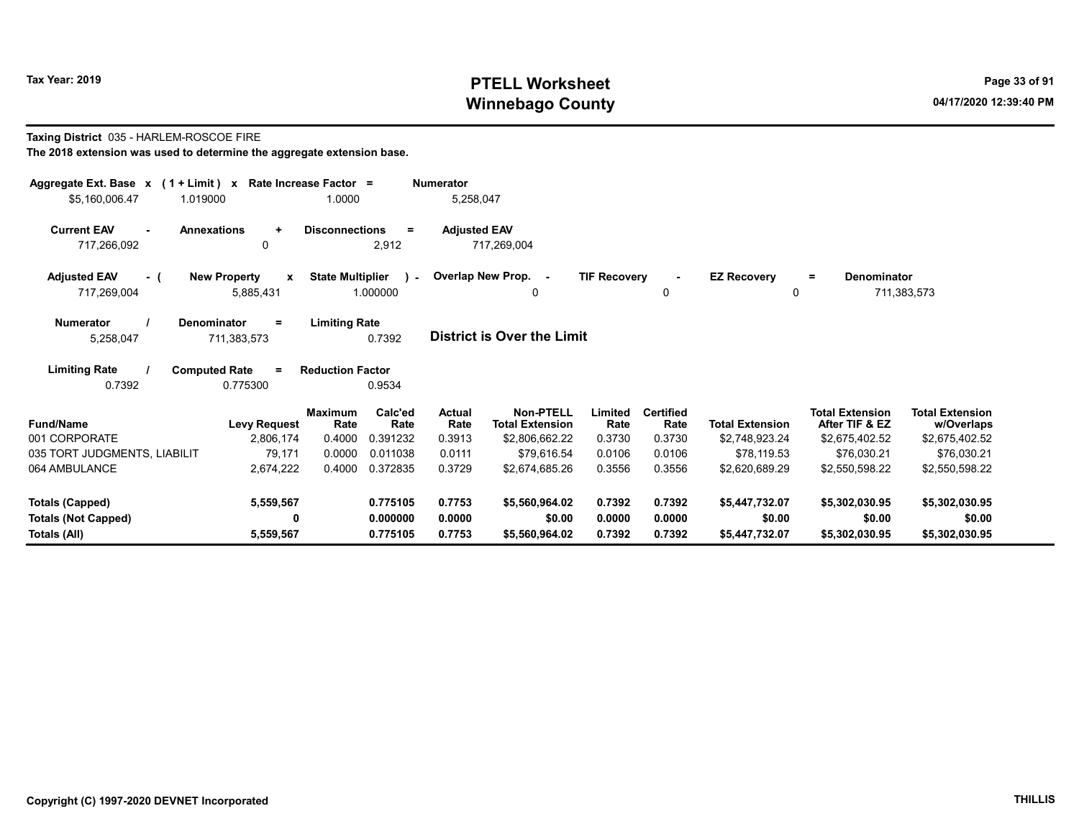# Tax Year: 2019 **PTELL Worksheet** Page 33 of 91 Winnebago County and the County of the County of the County of the County of the County of the County of the County of the County of the County of the County of the County of the County of the County of the County of the C

# Taxing District 035 - HARLEM-ROSCOE FIRE

| Aggregate Ext. Base $x$ (1 + Limit) $x$   | Rate Increase Factor =                           | <b>Numerator</b>        |                          |                       |                                     |                     |                          |                        |                                          |                                      |
|-------------------------------------------|--------------------------------------------------|-------------------------|--------------------------|-----------------------|-------------------------------------|---------------------|--------------------------|------------------------|------------------------------------------|--------------------------------------|
| \$5,160,006.47                            | 1.019000                                         | 1.0000                  |                          | 5,258,047             |                                     |                     |                          |                        |                                          |                                      |
| <b>Current EAV</b><br>717,266,092         | <b>Annexations</b><br>$\ddot{}$<br>0             | <b>Disconnections</b>   | $\equiv$<br>2,912        | <b>Adjusted EAV</b>   | 717,269,004                         |                     |                          |                        |                                          |                                      |
|                                           |                                                  |                         |                          |                       |                                     |                     |                          |                        |                                          |                                      |
| <b>Adjusted EAV</b><br>- (<br>717,269,004 | <b>New Property</b><br>$\mathbf{x}$<br>5,885,431 | <b>State Multiplier</b> | $\mathbf{L}$<br>1.000000 |                       | Overlap New Prop. -<br>0            | <b>TIF Recovery</b> | 0                        | <b>EZ Recovery</b>     | <b>Denominator</b><br>$=$<br>$\Omega$    | 711,383,573                          |
| <b>Numerator</b><br>5,258,047             | <b>Denominator</b><br>$=$<br>711,383,573         | <b>Limiting Rate</b>    | 0.7392                   |                       | <b>District is Over the Limit</b>   |                     |                          |                        |                                          |                                      |
| <b>Limiting Rate</b><br>0.7392            | <b>Computed Rate</b><br>$=$<br>0.775300          | <b>Reduction Factor</b> | 0.9534                   |                       |                                     |                     |                          |                        |                                          |                                      |
| <b>Fund/Name</b>                          | <b>Levy Request</b>                              | <b>Maximum</b><br>Rate  | Calc'ed<br>Rate          | <b>Actual</b><br>Rate | Non-PTELL<br><b>Total Extension</b> | Limited<br>Rate     | <b>Certified</b><br>Rate | <b>Total Extension</b> | <b>Total Extension</b><br>After TIF & EZ | <b>Total Extension</b><br>w/Overlaps |
| 001 CORPORATE                             | 2,806,174                                        | 0.4000                  | 0.391232                 | 0.3913                | \$2,806,662.22                      | 0.3730              | 0.3730                   | \$2,748,923.24         | \$2,675,402.52                           | \$2,675,402.52                       |
| 035 TORT JUDGMENTS, LIABILIT              | 79,171                                           | 0.0000                  | 0.011038                 | 0.0111                | \$79,616.54                         | 0.0106              | 0.0106                   | \$78,119.53            | \$76,030.21                              | \$76,030.21                          |
| 064 AMBULANCE                             | 2,674,222                                        | 0.4000                  | 0.372835                 | 0.3729                | \$2,674,685.26                      | 0.3556              | 0.3556                   | \$2,620,689.29         | \$2.550.598.22                           | \$2,550,598.22                       |
| <b>Totals (Capped)</b>                    | 5,559,567                                        |                         | 0.775105                 | 0.7753                | \$5,560,964.02                      | 0.7392              | 0.7392                   | \$5,447,732.07         | \$5,302,030.95                           | \$5,302,030.95                       |
| <b>Totals (Not Capped)</b>                | 0                                                |                         | 0.000000                 | 0.0000                | \$0.00                              | 0.0000              | 0.0000                   | \$0.00                 | \$0.00                                   | \$0.00                               |
| Totals (All)                              | 5,559,567                                        |                         | 0.775105                 | 0.7753                | \$5,560,964.02                      | 0.7392              | 0.7392                   | \$5,447,732.07         | \$5,302,030.95                           | \$5,302,030.95                       |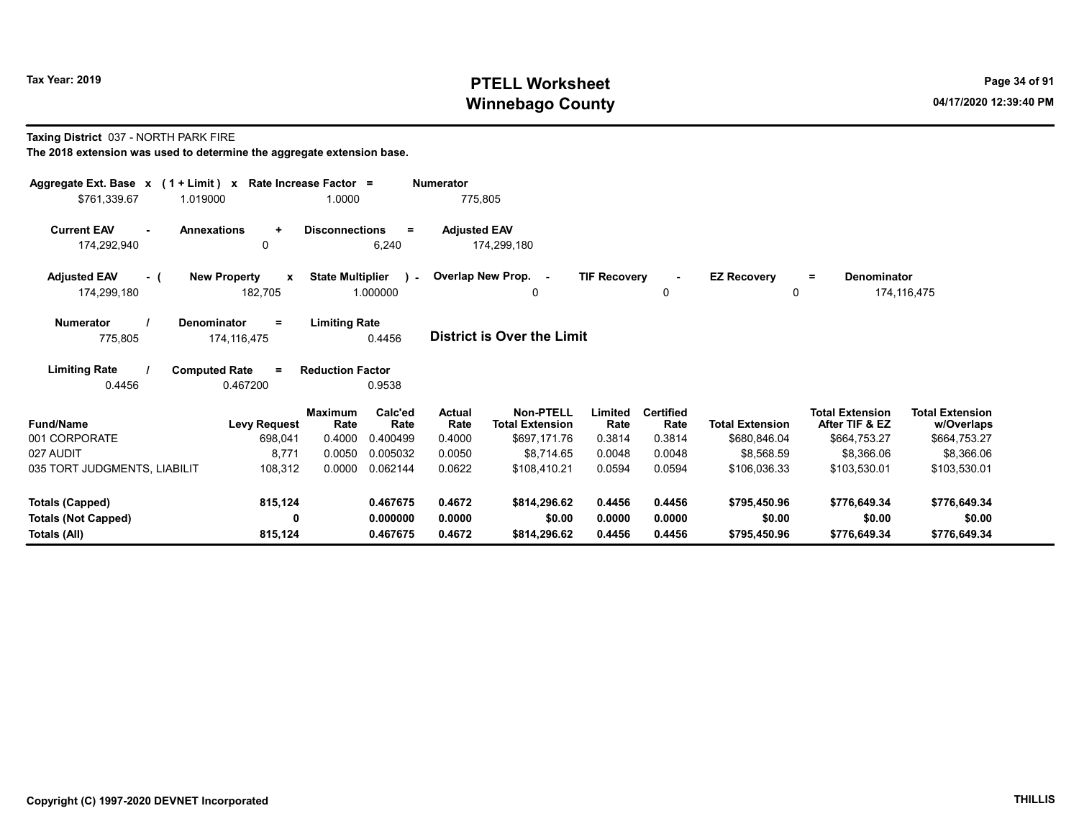# Tax Year: 2019 **PTELL Worksheet** Page 34 of 91 Winnebago County and the County of the County of the County of the County of the County of the County of the County of the County of the County of the County of the County of the County of the County of the County of the C

Taxing District 037 - NORTH PARK FIRE

| Aggregate Ext. Base $x$ (1 + Limit) $x$ Rate Increase Factor =<br>\$761,339.67 | 1.019000                                     | 1.0000                           |                             | <b>Numerator</b><br>775,805     |                                                            |                           |                                    |                                        |                                                          |                                                      |
|--------------------------------------------------------------------------------|----------------------------------------------|----------------------------------|-----------------------------|---------------------------------|------------------------------------------------------------|---------------------------|------------------------------------|----------------------------------------|----------------------------------------------------------|------------------------------------------------------|
| <b>Current EAV</b><br>$\sim$<br>174,292,940                                    | <b>Annexations</b><br>$\ddot{}$<br>0         | <b>Disconnections</b>            | $=$<br>6,240                | <b>Adjusted EAV</b>             | 174,299,180                                                |                           |                                    |                                        |                                                          |                                                      |
| <b>Adjusted EAV</b><br>- (<br>174,299,180                                      | <b>New Property</b><br>X<br>182,705          | <b>State Multiplier</b>          | $\mathbf{r}$<br>1.000000    |                                 | Overlap New Prop. -<br>0                                   | <b>TIF Recovery</b>       | 0                                  | <b>EZ Recovery</b><br>0                | <b>Denominator</b><br>$\equiv$                           | 174,116,475                                          |
| <b>Numerator</b><br>775,805                                                    | Denominator<br>$=$<br>174,116,475            | <b>Limiting Rate</b>             | 0.4456                      |                                 | <b>District is Over the Limit</b>                          |                           |                                    |                                        |                                                          |                                                      |
| <b>Limiting Rate</b><br>0.4456                                                 | <b>Computed Rate</b><br>$\equiv$<br>0.467200 | <b>Reduction Factor</b>          | 0.9538                      |                                 |                                                            |                           |                                    |                                        |                                                          |                                                      |
| <b>Fund/Name</b><br>001 CORPORATE                                              | <b>Levy Request</b><br>698,041               | <b>Maximum</b><br>Rate<br>0.4000 | Calc'ed<br>Rate<br>0.400499 | <b>Actual</b><br>Rate<br>0.4000 | <b>Non-PTELL</b><br><b>Total Extension</b><br>\$697,171.76 | Limited<br>Rate<br>0.3814 | <b>Certified</b><br>Rate<br>0.3814 | <b>Total Extension</b><br>\$680,846.04 | <b>Total Extension</b><br>After TIF & EZ<br>\$664,753.27 | <b>Total Extension</b><br>w/Overlaps<br>\$664,753.27 |
| 027 AUDIT                                                                      | 8,771                                        | 0.0050                           | 0.005032                    | 0.0050                          | \$8.714.65                                                 | 0.0048                    | 0.0048                             | \$8,568.59                             | \$8,366.06                                               | \$8,366.06                                           |
| 035 TORT JUDGMENTS, LIABILIT                                                   | 108,312                                      | 0.0000                           | 0.062144                    | 0.0622                          | \$108,410.21                                               | 0.0594                    | 0.0594                             | \$106.036.33                           | \$103.530.01                                             | \$103,530.01                                         |
| <b>Totals (Capped)</b>                                                         | 815,124                                      |                                  | 0.467675                    | 0.4672                          | \$814,296.62                                               | 0.4456                    | 0.4456                             | \$795,450.96                           | \$776,649.34                                             | \$776,649.34                                         |
| <b>Totals (Not Capped)</b><br>Totals (All)                                     | 0<br>815,124                                 |                                  | 0.000000<br>0.467675        | 0.0000<br>0.4672                | \$0.00<br>\$814,296.62                                     | 0.0000<br>0.4456          | 0.0000<br>0.4456                   | \$0.00<br>\$795,450.96                 | \$0.00<br>\$776,649.34                                   | \$0.00<br>\$776,649.34                               |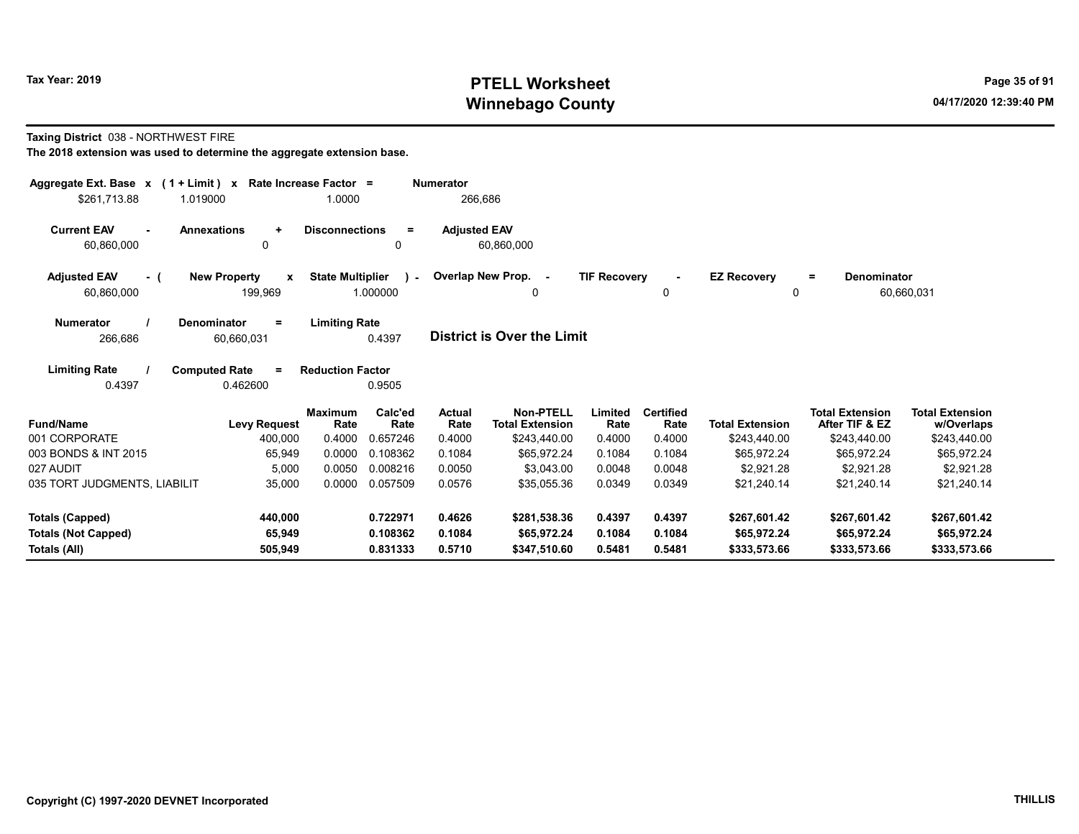# Tax Year: 2019 **PTELL Worksheet** Page 35 of 91 Winnebago County and the County of the County of the County of the County of the County of the County of the County of the County of the County of the County of the County of the County of the County of the County of the C

#### Taxing District 038 - NORTHWEST FIRE

| Aggregate Ext. Base x (1 + Limit) x<br>\$261,713.88<br>1.019000  | Rate Increase Factor =                         | 1.0000                                              | <b>Numerator</b><br>266,686 |                                            |                     |                          |                                |                                          |                                      |
|------------------------------------------------------------------|------------------------------------------------|-----------------------------------------------------|-----------------------------|--------------------------------------------|---------------------|--------------------------|--------------------------------|------------------------------------------|--------------------------------------|
| <b>Current EAV</b><br><b>Annexations</b><br>$\sim$<br>60,860,000 | $\ddot{}$<br>0                                 | <b>Disconnections</b><br>Ξ<br>0                     | <b>Adjusted EAV</b>         | 60,860,000                                 |                     |                          |                                |                                          |                                      |
| <b>Adjusted EAV</b><br>- (<br>60,860,000                         | <b>New Property</b><br>$\mathbf{x}$<br>199,969 | <b>State Multiplier</b><br>$\mathbf{L}$<br>1.000000 |                             | Overlap New Prop. -<br>0                   | <b>TIF Recovery</b> | 0                        | <b>EZ Recovery</b><br>$\Omega$ | <b>Denominator</b><br>$=$                | 60,660,031                           |
| Denominator<br><b>Numerator</b><br>266,686                       | $\equiv$<br>60,660,031                         | <b>Limiting Rate</b><br>0.4397                      |                             | District is Over the Limit                 |                     |                          |                                |                                          |                                      |
| <b>Limiting Rate</b><br>0.4397                                   | <b>Computed Rate</b><br>$=$<br>0.462600        | <b>Reduction Factor</b><br>0.9505                   |                             |                                            |                     |                          |                                |                                          |                                      |
| <b>Fund/Name</b>                                                 | <b>Maximum</b><br><b>Levy Request</b>          | Calc'ed<br>Rate<br>Rate                             | Actual<br>Rate              | <b>Non-PTELL</b><br><b>Total Extension</b> | Limited<br>Rate     | <b>Certified</b><br>Rate | <b>Total Extension</b>         | <b>Total Extension</b><br>After TIF & EZ | <b>Total Extension</b><br>w/Overlaps |
| 001 CORPORATE                                                    | 400,000                                        | 0.4000<br>0.657246                                  | 0.4000                      | \$243,440.00                               | 0.4000              | 0.4000                   | \$243,440.00                   | \$243,440.00                             | \$243,440.00                         |
| 003 BONDS & INT 2015                                             | 65,949                                         | 0.0000<br>0.108362                                  | 0.1084                      | \$65,972.24                                | 0.1084              | 0.1084                   | \$65,972.24                    | \$65,972.24                              | \$65,972.24                          |
| 027 AUDIT                                                        | 5,000                                          | 0.008216<br>0.0050                                  | 0.0050                      | \$3,043.00                                 | 0.0048              | 0.0048                   | \$2.921.28                     | \$2,921.28                               | \$2,921.28                           |
| 035 TORT JUDGMENTS, LIABILIT                                     | 35,000                                         | 0.0000<br>0.057509                                  | 0.0576                      | \$35,055.36                                | 0.0349              | 0.0349                   | \$21,240.14                    | \$21,240.14                              | \$21,240.14                          |
| Totals (Capped)                                                  | 440,000                                        | 0.722971                                            | 0.4626                      | \$281,538.36                               | 0.4397              | 0.4397                   | \$267,601.42                   | \$267,601.42                             | \$267,601.42                         |
| <b>Totals (Not Capped)</b><br>Totals (All)                       | 65,949<br>505,949                              | 0.108362<br>0.831333                                | 0.1084<br>0.5710            | \$65,972.24<br>\$347,510.60                | 0.1084<br>0.5481    | 0.1084<br>0.5481         | \$65,972.24<br>\$333,573.66    | \$65,972.24<br>\$333,573.66              | \$65,972.24<br>\$333,573.66          |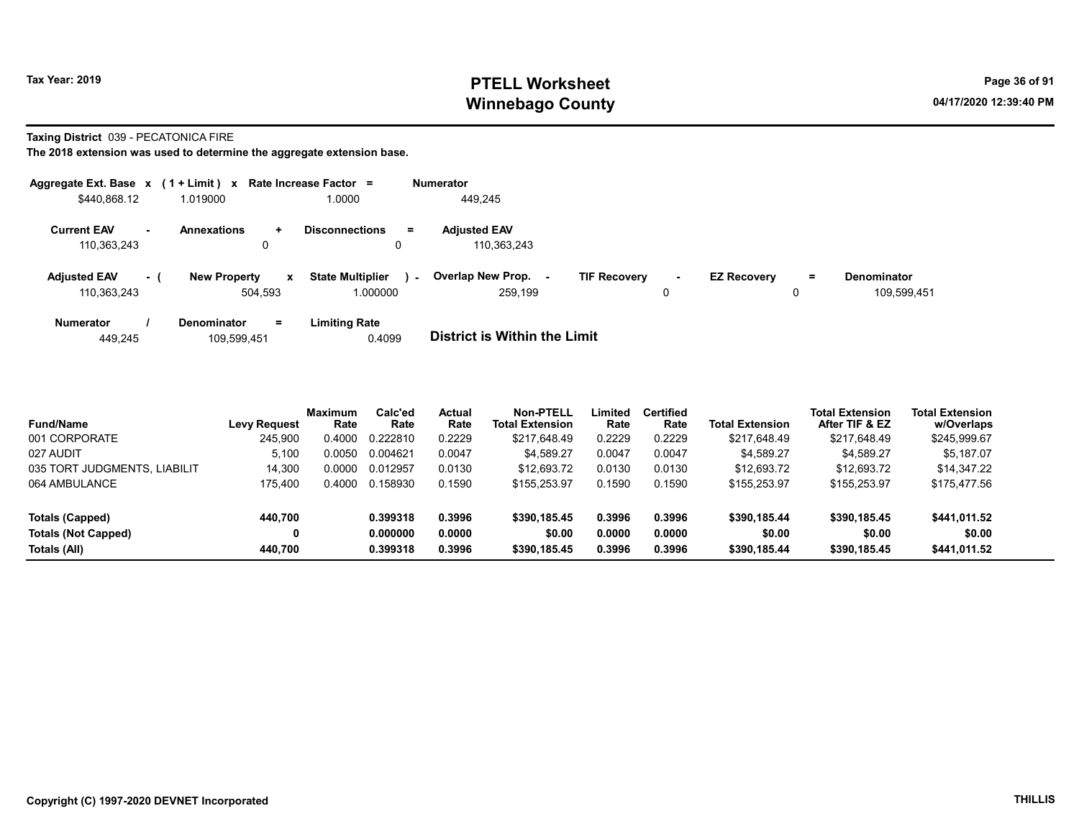# Tax Year: 2019 **PTELL Worksheet** Page 36 of 91 Winnebago County and the County of the County of the County of the County of the County of the County of the County of the County of the County of the County of the County of the County of the County of the County of the C

#### Taxing District 039 - PECATONICA FIRE

|                                    |           | Aggregate Ext. Base $x$ (1 + Limit) $x$ Rate Increase Factor = |                                                     |        | <b>Numerator</b>                    |                     |        |                    |         |                                   |
|------------------------------------|-----------|----------------------------------------------------------------|-----------------------------------------------------|--------|-------------------------------------|---------------------|--------|--------------------|---------|-----------------------------------|
| \$440,868.12                       |           | 1.019000                                                       | 1.0000                                              |        | 449,245                             |                     |        |                    |         |                                   |
| <b>Current EAV</b><br>110.363.243  | <b>м.</b> | <b>Annexations</b><br>÷.<br>0                                  | <b>Disconnections</b>                               | Ξ.     | <b>Adjusted EAV</b><br>110.363.243  |                     |        |                    |         |                                   |
| <b>Adiusted EAV</b><br>110,363,243 | $-1$      | <b>New Property</b><br>504.593                                 | <b>State Multiplier</b><br>$\mathbf{x}$<br>1.000000 | $\sim$ | <b>Overlap New Prop.</b><br>259.199 | <b>TIF Recovery</b> | $\sim$ | <b>EZ Recovery</b> | Ξ.<br>0 | <b>Denominator</b><br>109.599.451 |
| <b>Numerator</b>                   |           | <b>Denominator</b><br>$=$                                      | <b>Limiting Rate</b>                                |        |                                     |                     |        |                    |         |                                   |

| 449.245 | 109.599.451 | 0.4099 | District is Within the Limit |
|---------|-------------|--------|------------------------------|
|         |             |        |                              |

| <b>Fund/Name</b>             | <b>Levy Request</b> | <b>Maximum</b><br>Rate | Calc'ed<br>Rate | Actual<br>Rate | Non-PTELL<br><b>Total Extension</b> | Limited<br>Rate | <b>Certified</b><br>Rate | <b>Total Extension</b> | Total Extension<br>After TIF & EZ | <b>Total Extension</b><br>w/Overlaps |  |
|------------------------------|---------------------|------------------------|-----------------|----------------|-------------------------------------|-----------------|--------------------------|------------------------|-----------------------------------|--------------------------------------|--|
| 001 CORPORATE                | 245,900             | 0.4000                 | 0.222810        | 0.2229         | \$217,648.49                        | 0.2229          | 0.2229                   | \$217,648.49           | \$217,648.49                      | \$245,999.67                         |  |
| 027 AUDIT                    | 5.100               | 0.0050                 | 0.004621        | 0.0047         | \$4.589.27                          | 0.0047          | 0.0047                   | \$4.589.27             | \$4.589.27                        | \$5.187.07                           |  |
| 035 TORT JUDGMENTS, LIABILIT | 14.300              | 0.0000                 | 0.012957        | 0.0130         | \$12,693.72                         | 0.0130          | 0.0130                   | \$12,693.72            | \$12,693.72                       | \$14.347.22                          |  |
| 064 AMBULANCE                | 175.400             | 0.4000                 | 0.158930        | 0.1590         | \$155,253.97                        | 0.1590          | 0.1590                   | \$155,253.97           | \$155,253.97                      | \$175,477.56                         |  |
| Totals (Capped)              | 440.700             |                        | 0.399318        | 0.3996         | \$390,185.45                        | 0.3996          | 0.3996                   | \$390,185.44           | \$390,185.45                      | \$441,011.52                         |  |
| <b>Totals (Not Capped)</b>   | 0                   |                        | 0.000000        | 0.0000         | \$0.00                              | 0.0000          | 0.0000                   | \$0.00                 | \$0.00                            | \$0.00                               |  |
| Totals (All)                 | 440.700             |                        | 0.399318        | 0.3996         | \$390,185.45                        | 0.3996          | 0.3996                   | \$390,185.44           | \$390,185,45                      | \$441.011.52                         |  |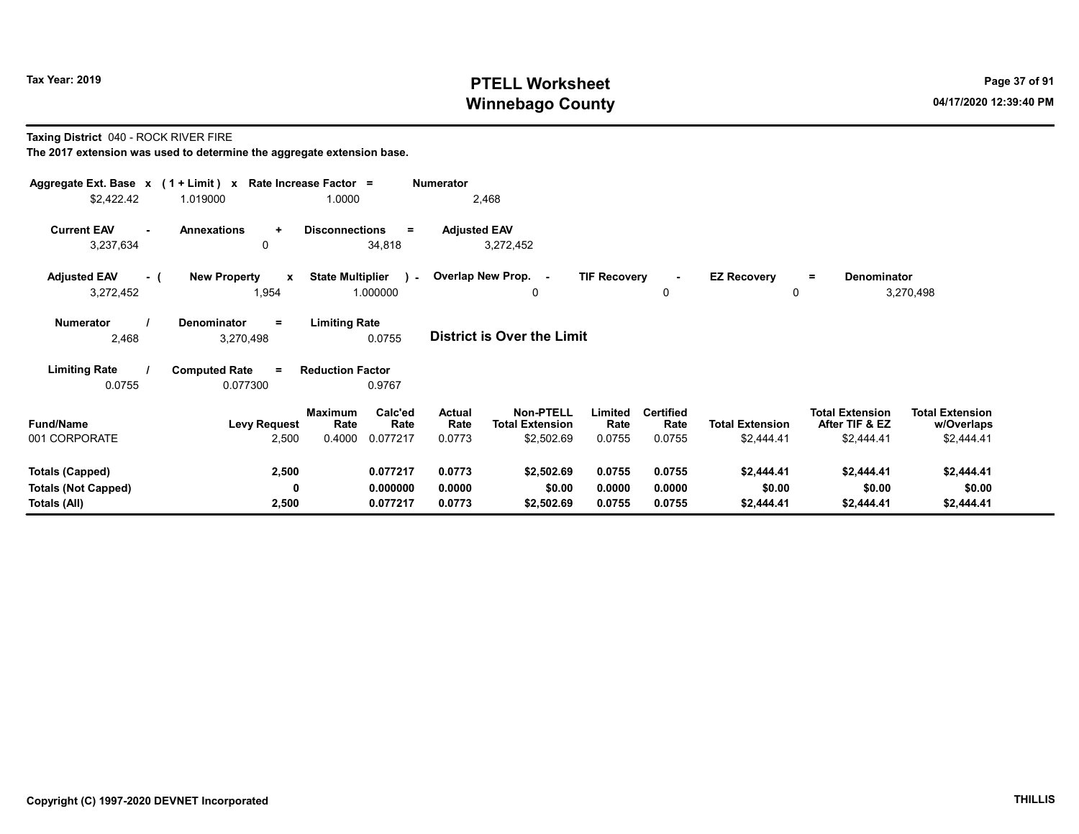# Tax Year: 2019 **PTELL Worksheet** Page 37 of 91 Winnebago County and the County of the County of the County of the County of the County of the County of the County of the County of the County of the County of the County of the County of the County of the County of the C

Taxing District 040 - ROCK RIVER FIRE

| Aggregate Ext. Base $x$ (1 + Limit) x Rate Increase Factor =<br>\$2,422.42 | 1.019000                                     | 1.0000                                                   | Numerator<br>2,468                |                                                                                       |                                    |                                      |                                                        |                                                    |
|----------------------------------------------------------------------------|----------------------------------------------|----------------------------------------------------------|-----------------------------------|---------------------------------------------------------------------------------------|------------------------------------|--------------------------------------|--------------------------------------------------------|----------------------------------------------------|
| <b>Current EAV</b><br>$\sim$<br>3,237,634                                  | <b>Annexations</b><br>$\ddot{}$<br>0         | <b>Disconnections</b><br>$=$<br>34,818                   | <b>Adjusted EAV</b><br>3,272,452  |                                                                                       |                                    |                                      |                                                        |                                                    |
| <b>Adjusted EAV</b><br>- (<br>3,272,452                                    | <b>New Property</b><br>$\mathbf{x}$<br>1,954 | <b>State Multiplier</b><br>$\mathcal{L}$<br>1.000000     | Overlap New Prop. -               | <b>TIF Recovery</b><br>0                                                              | 0                                  | <b>EZ Recovery</b><br>0              | Denominator<br>$\equiv$                                | 3,270,498                                          |
| <b>Numerator</b><br>2,468                                                  | <b>Denominator</b><br>$=$<br>3,270,498       | <b>Limiting Rate</b><br>0.0755                           | <b>District is Over the Limit</b> |                                                                                       |                                    |                                      |                                                        |                                                    |
| <b>Limiting Rate</b><br>0.0755                                             | <b>Computed Rate</b><br>$\equiv$<br>0.077300 | <b>Reduction Factor</b><br>0.9767                        |                                   |                                                                                       |                                    |                                      |                                                        |                                                    |
| <b>Fund/Name</b><br>001 CORPORATE                                          | <b>Levy Request</b><br>2,500                 | Calc'ed<br>Maximum<br>Rate<br>Rate<br>0.4000<br>0.077217 | <b>Actual</b><br>Rate<br>0.0773   | <b>Non-PTELL</b><br>Limited<br><b>Total Extension</b><br>Rate<br>\$2,502.69<br>0.0755 | <b>Certified</b><br>Rate<br>0.0755 | <b>Total Extension</b><br>\$2,444.41 | <b>Total Extension</b><br>After TIF & EZ<br>\$2,444.41 | <b>Total Extension</b><br>w/Overlaps<br>\$2,444.41 |
| <b>Totals (Capped)</b><br><b>Totals (Not Capped)</b><br>Totals (All)       | 2,500<br>0<br>2,500                          | 0.077217<br>0.000000<br>0.077217                         | 0.0773<br>0.0000<br>0.0773        | \$2,502.69<br>0.0755<br>\$0.00<br>0.0000<br>0.0755<br>\$2,502.69                      | 0.0755<br>0.0000<br>0.0755         | \$2,444.41<br>\$0.00<br>\$2,444.41   | \$2,444.41<br>\$0.00<br>\$2,444.41                     | \$2,444.41<br>\$0.00<br>\$2,444.41                 |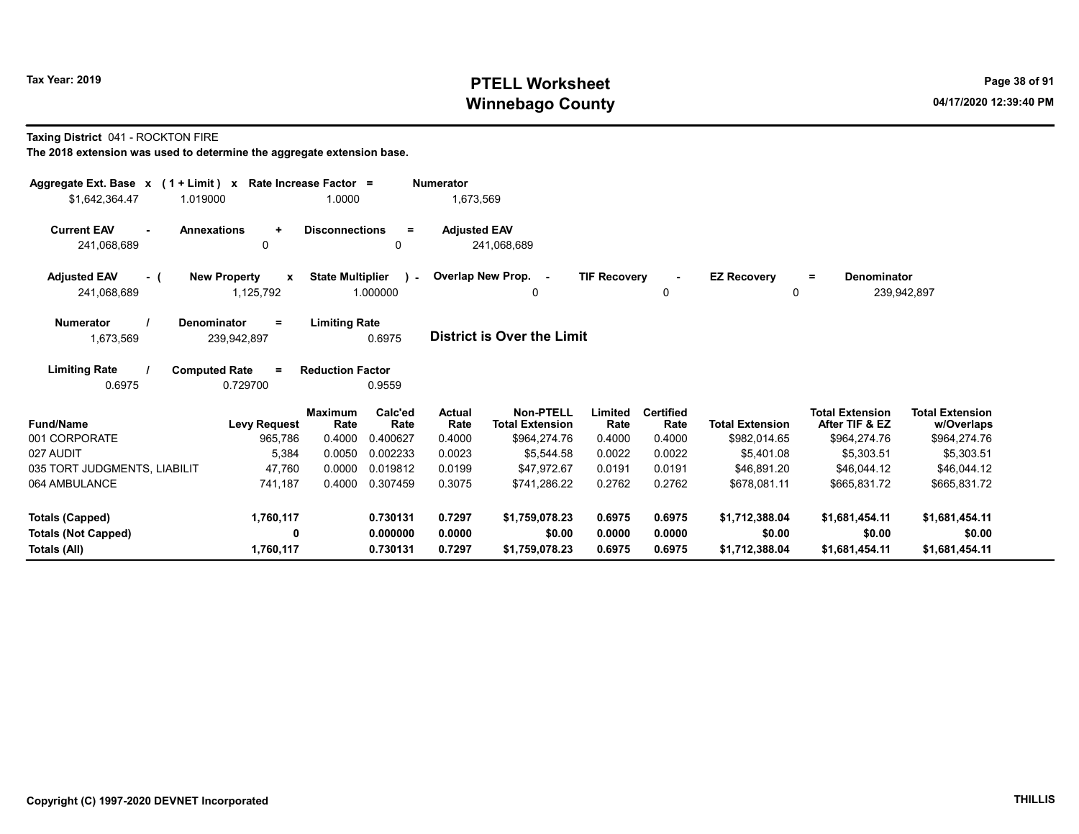# Tax Year: 2019 **PTELL Worksheet** Page 38 of 91 Winnebago County and the County of the County of the County of the County of the County of the County of the County of the County of the County of the County of the County of the County of the County of the County of the C

Taxing District 041 - ROCKTON FIRE

| Aggregate Ext. Base $x$ (1 + Limit) x Rate Increase Factor =<br>\$1,642,364.47 | 1.019000                                         | 1.0000                  |                           | <b>Numerator</b><br>1,673,569 |                                            |                     |                          |                         |                                          |                                      |
|--------------------------------------------------------------------------------|--------------------------------------------------|-------------------------|---------------------------|-------------------------------|--------------------------------------------|---------------------|--------------------------|-------------------------|------------------------------------------|--------------------------------------|
| <b>Current EAV</b><br>۰.<br>241,068,689                                        | <b>Annexations</b><br>$\ddot{}$<br>0             | <b>Disconnections</b>   | $\equiv$<br>$\Omega$      | <b>Adjusted EAV</b>           | 241,068,689                                |                     |                          |                         |                                          |                                      |
| <b>Adjusted EAV</b><br>- (<br>241,068,689                                      | <b>New Property</b><br>$\mathbf{x}$<br>1,125,792 | <b>State Multiplier</b> | $\mathcal{L}$<br>1.000000 |                               | Overlap New Prop. -<br>0                   | <b>TIF Recovery</b> | 0                        | <b>EZ Recovery</b><br>0 | <b>Denominator</b><br>$=$                | 239,942,897                          |
| <b>Numerator</b><br>1,673,569                                                  | Denominator<br>$\equiv$<br>239,942,897           | <b>Limiting Rate</b>    | 0.6975                    |                               | <b>District is Over the Limit</b>          |                     |                          |                         |                                          |                                      |
| <b>Limiting Rate</b><br>0.6975                                                 | <b>Computed Rate</b><br>$\equiv$<br>0.729700     | <b>Reduction Factor</b> | 0.9559                    |                               |                                            |                     |                          |                         |                                          |                                      |
| <b>Fund/Name</b>                                                               | <b>Levy Request</b>                              | <b>Maximum</b><br>Rate  | Calc'ed<br>Rate           | <b>Actual</b><br>Rate         | <b>Non-PTELL</b><br><b>Total Extension</b> | Limited<br>Rate     | <b>Certified</b><br>Rate | <b>Total Extension</b>  | <b>Total Extension</b><br>After TIF & EZ | <b>Total Extension</b><br>w/Overlaps |
| 001 CORPORATE                                                                  | 965,786                                          | 0.4000                  | 0.400627                  | 0.4000                        | \$964,274.76                               | 0.4000              | 0.4000                   | \$982,014.65            | \$964,274.76                             | \$964,274.76                         |
| 027 AUDIT                                                                      | 5,384                                            | 0.0050                  | 0.002233                  | 0.0023                        | \$5.544.58                                 | 0.0022              | 0.0022                   | \$5.401.08              | \$5,303.51                               | \$5,303.51                           |
| 035 TORT JUDGMENTS, LIABILIT                                                   | 47,760                                           | 0.0000                  | 0.019812                  | 0.0199                        | \$47,972.67                                | 0.0191              | 0.0191                   | \$46,891.20             | \$46,044.12                              | \$46,044.12                          |
| 064 AMBULANCE                                                                  | 741,187                                          | 0.4000                  | 0.307459                  | 0.3075                        | \$741,286.22                               | 0.2762              | 0.2762                   | \$678.081.11            | \$665,831.72                             | \$665,831.72                         |
| <b>Totals (Capped)</b>                                                         | 1,760,117                                        |                         | 0.730131                  | 0.7297                        | \$1,759,078.23                             | 0.6975              | 0.6975                   | \$1,712,388.04          | \$1,681,454.11                           | \$1,681,454.11                       |
| <b>Totals (Not Capped)</b>                                                     | 0                                                |                         | 0.000000                  | 0.0000                        | \$0.00                                     | 0.0000              | 0.0000                   | \$0.00                  | \$0.00                                   | \$0.00                               |
| Totals (All)                                                                   | 1,760,117                                        |                         | 0.730131                  | 0.7297                        | \$1,759,078.23                             | 0.6975              | 0.6975                   | \$1,712,388.04          | \$1,681,454.11                           | \$1,681,454.11                       |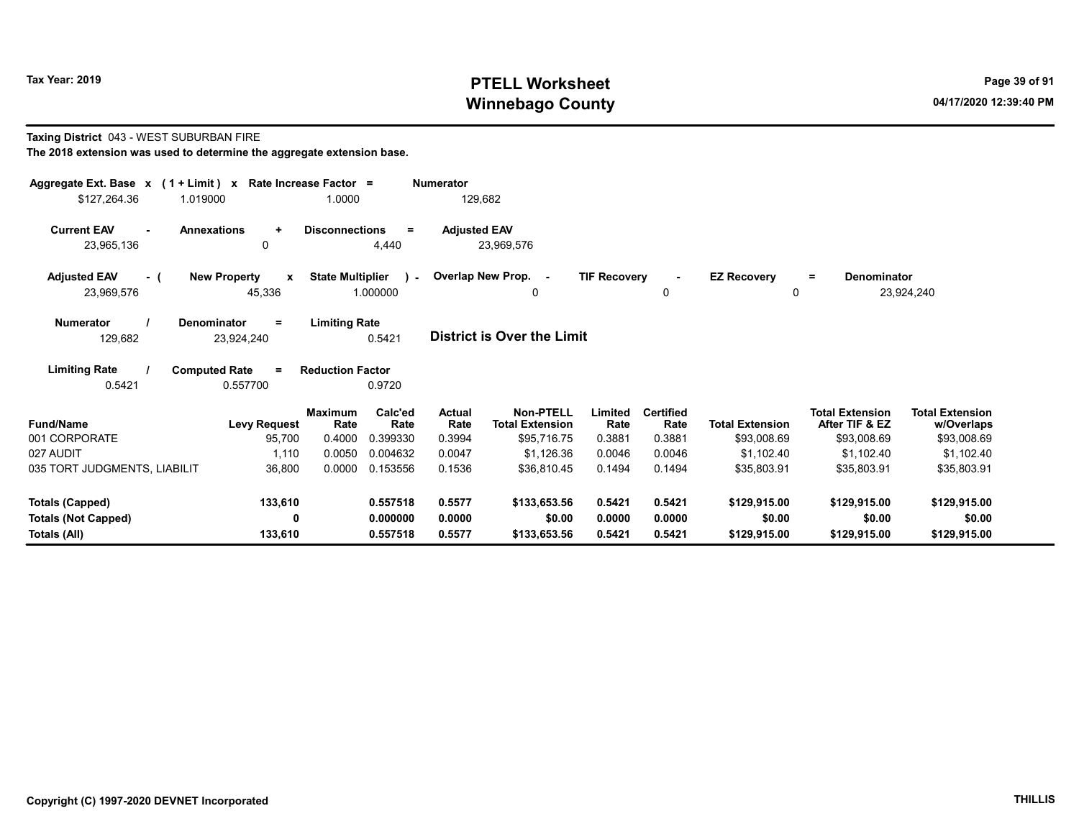# Tax Year: 2019 **PTELL Worksheet** Page 39 of 91 Winnebago County and the County of the County of the County of the County of the County of the County of the County of the County of the County of the County of the County of the County of the County of the County of the C

## Taxing District 043 - WEST SUBURBAN FIRE

| Aggregate Ext. Base $x$ (1 + Limit) $x$ Rate Increase Factor =<br>\$127,264.36<br>1.019000 |                                         | 1.0000                                                          | <b>Numerator</b><br>129,682       |                                                           |                           |                                    |                                       |                                                         |                                                     |
|--------------------------------------------------------------------------------------------|-----------------------------------------|-----------------------------------------------------------------|-----------------------------------|-----------------------------------------------------------|---------------------------|------------------------------------|---------------------------------------|---------------------------------------------------------|-----------------------------------------------------|
| <b>Current EAV</b><br>$\sim$<br>23,965,136                                                 | <b>Annexations</b><br>$\ddot{}$<br>0    | <b>Disconnections</b><br>$=$<br>4,440                           | <b>Adjusted EAV</b><br>23.969.576 |                                                           |                           |                                    |                                       |                                                         |                                                     |
| <b>Adjusted EAV</b><br>- (<br>23,969,576                                                   | <b>New Property</b><br>X<br>45,336      | <b>State Multiplier</b><br>$\mathbf{r}$<br>1.000000             | Overlap New Prop. -               | 0                                                         | <b>TIF Recovery</b>       | 0                                  | <b>EZ Recovery</b><br>$\mathbf 0$     | <b>Denominator</b><br>$\equiv$                          | 23,924,240                                          |
| <b>Numerator</b><br>129,682                                                                | Denominator<br>$=$<br>23,924,240        | <b>Limiting Rate</b><br>0.5421                                  | <b>District is Over the Limit</b> |                                                           |                           |                                    |                                       |                                                         |                                                     |
| <b>Limiting Rate</b><br>0.5421                                                             | <b>Computed Rate</b><br>$=$<br>0.557700 | <b>Reduction Factor</b><br>0.9720                               |                                   |                                                           |                           |                                    |                                       |                                                         |                                                     |
| <b>Fund/Name</b><br>001 CORPORATE                                                          | <b>Levy Request</b><br>95,700           | Calc'ed<br><b>Maximum</b><br>Rate<br>Rate<br>0.4000<br>0.399330 | <b>Actual</b><br>Rate<br>0.3994   | <b>Non-PTELL</b><br><b>Total Extension</b><br>\$95,716.75 | Limited<br>Rate<br>0.3881 | <b>Certified</b><br>Rate<br>0.3881 | <b>Total Extension</b><br>\$93,008.69 | <b>Total Extension</b><br>After TIF & EZ<br>\$93,008.69 | <b>Total Extension</b><br>w/Overlaps<br>\$93,008.69 |
| 027 AUDIT<br>035 TORT JUDGMENTS, LIABILIT                                                  | 1,110<br>36,800                         | 0.0050<br>0.004632<br>0.0000<br>0.153556                        | 0.0047<br>0.1536                  | \$1,126.36<br>\$36.810.45                                 | 0.0046<br>0.1494          | 0.0046<br>0.1494                   | \$1,102.40<br>\$35,803.91             | \$1,102.40<br>\$35,803.91                               | \$1,102.40<br>\$35,803.91                           |
| <b>Totals (Capped)</b>                                                                     | 133,610                                 | 0.557518                                                        | 0.5577                            | \$133,653.56                                              | 0.5421                    | 0.5421                             | \$129,915.00                          | \$129,915.00                                            | \$129,915.00                                        |
| <b>Totals (Not Capped)</b><br>Totals (All)                                                 | 0<br>133,610                            | 0.000000<br>0.557518                                            | 0.0000<br>0.5577                  | \$0.00<br>\$133,653.56                                    | 0.0000<br>0.5421          | 0.0000<br>0.5421                   | \$0.00<br>\$129,915.00                | \$0.00<br>\$129,915.00                                  | \$0.00<br>\$129,915.00                              |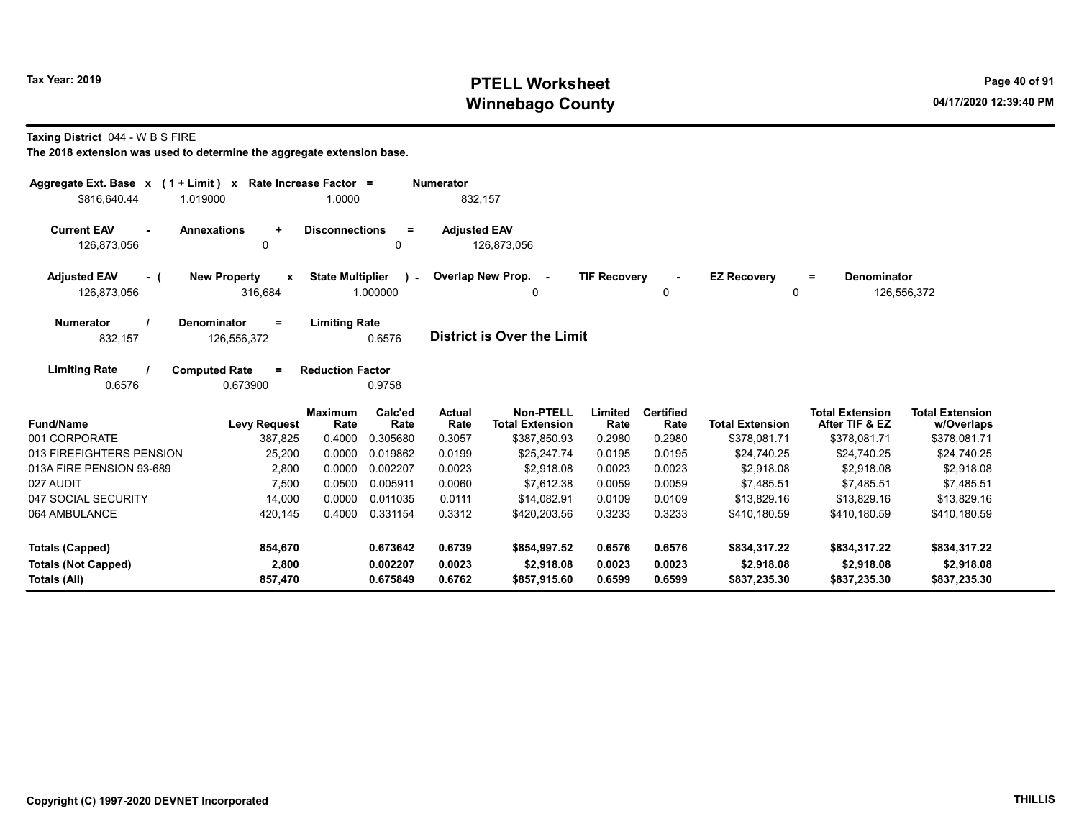# Tax Year: 2019 **PTELL Worksheet** Page 40 of 91 Winnebago County and the County of the County of the County of the County of the County of the County of the County of the County of the County of the County of the County of the County of the County of the County of the C

Taxing District 044 - W B S FIRE

| Aggregate Ext. Base $x$ (1 + Limit) x Rate Increase Factor = |                                                            |                         |                          | <b>Numerator</b>    |                                            |                     |                          |                         |                                          |                                      |
|--------------------------------------------------------------|------------------------------------------------------------|-------------------------|--------------------------|---------------------|--------------------------------------------|---------------------|--------------------------|-------------------------|------------------------------------------|--------------------------------------|
| \$816,640.44                                                 | 1.019000                                                   | 1.0000                  |                          | 832,157             |                                            |                     |                          |                         |                                          |                                      |
| <b>Current EAV</b><br>126,873,056                            | <b>Annexations</b><br>$\ddot{\phantom{1}}$<br>$\mathbf{0}$ | <b>Disconnections</b>   | $=$<br>0                 | <b>Adjusted EAV</b> | 126,873,056                                |                     |                          |                         |                                          |                                      |
| <b>Adjusted EAV</b><br>- (<br>126,873,056                    | <b>New Property</b><br>X<br>316,684                        | <b>State Multiplier</b> | $\mathbf{r}$<br>1.000000 |                     | Overlap New Prop. -<br>0                   | <b>TIF Recovery</b> | 0                        | <b>EZ Recovery</b><br>0 | <b>Denominator</b><br>$=$                | 126,556,372                          |
| <b>Numerator</b><br>832,157                                  | <b>Denominator</b><br>$\equiv$<br>126,556,372              | <b>Limiting Rate</b>    | 0.6576                   |                     | <b>District is Over the Limit</b>          |                     |                          |                         |                                          |                                      |
| <b>Limiting Rate</b><br>0.6576                               | <b>Computed Rate</b><br>$\equiv$<br>0.673900               | <b>Reduction Factor</b> | 0.9758                   |                     |                                            |                     |                          |                         |                                          |                                      |
| <b>Fund/Name</b>                                             | <b>Levy Request</b>                                        | <b>Maximum</b><br>Rate  | Calc'ed<br>Rate          | Actual<br>Rate      | <b>Non-PTELL</b><br><b>Total Extension</b> | Limited<br>Rate     | <b>Certified</b><br>Rate | <b>Total Extension</b>  | <b>Total Extension</b><br>After TIF & EZ | <b>Total Extension</b><br>w/Overlaps |
| 001 CORPORATE                                                | 387,825                                                    | 0.4000                  | 0.305680                 | 0.3057              | \$387,850.93                               | 0.2980              | 0.2980                   | \$378,081.71            | \$378,081.71                             | \$378,081.71                         |
| 013 FIREFIGHTERS PENSION                                     | 25,200                                                     | 0.0000                  | 0.019862                 | 0.0199              | \$25,247.74                                | 0.0195              | 0.0195                   | \$24,740.25             | \$24,740.25                              | \$24,740.25                          |
| 013A FIRE PENSION 93-689                                     | 2,800                                                      | 0.0000                  | 0.002207                 | 0.0023              | \$2.918.08                                 | 0.0023              | 0.0023                   | \$2,918.08              | \$2,918.08                               | \$2.918.08                           |
| 027 AUDIT                                                    | 7,500                                                      | 0.0500                  | 0.005911                 | 0.0060              | \$7.612.38                                 | 0.0059              | 0.0059                   | \$7.485.51              | \$7,485.51                               | \$7,485.51                           |
| 047 SOCIAL SECURITY                                          | 14,000                                                     | 0.0000                  | 0.011035                 | 0.0111              | \$14,082.91                                | 0.0109              | 0.0109                   | \$13,829.16             | \$13,829.16                              | \$13,829.16                          |
| 064 AMBULANCE                                                | 420,145                                                    | 0.4000                  | 0.331154                 | 0.3312              | \$420,203.56                               | 0.3233              | 0.3233                   | \$410,180.59            | \$410,180.59                             | \$410,180.59                         |
| <b>Totals (Capped)</b>                                       | 854,670                                                    |                         | 0.673642                 | 0.6739              | \$854,997.52                               | 0.6576              | 0.6576                   | \$834,317.22            | \$834,317.22                             | \$834,317.22                         |
| <b>Totals (Not Capped)</b>                                   | 2,800                                                      |                         | 0.002207                 | 0.0023              | \$2,918.08                                 | 0.0023              | 0.0023                   | \$2,918.08              | \$2,918.08                               | \$2,918.08                           |
| Totals (All)                                                 | 857,470                                                    |                         | 0.675849                 | 0.6762              | \$857,915.60                               | 0.6599              | 0.6599                   | \$837,235.30            | \$837,235.30                             | \$837,235.30                         |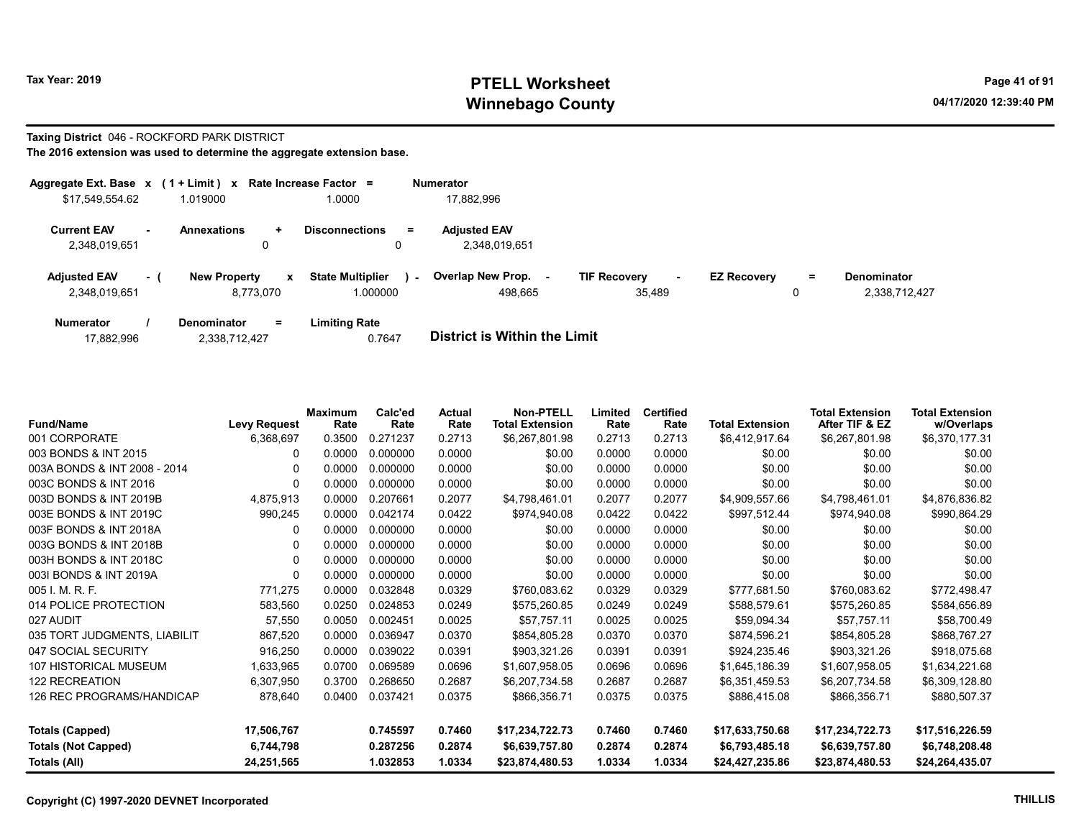# Tax Year: 2019 **PTELL Worksheet** Page 41 of 91 Winnebago County and the County of the County of the County of the County of the County of the County of the County of the County of the County of the County of the County of the County of the County of the County of the C

# Taxing District 046 - ROCKFORD PARK DISTRICT

| Aggregate Ext. Base $x$ (1 + Limit) $x$ |        |                                      | Rate Increase Factor =                 | <b>Numerator</b>                     |                               |                    |    |               |
|-----------------------------------------|--------|--------------------------------------|----------------------------------------|--------------------------------------|-------------------------------|--------------------|----|---------------|
| \$17,549,554.62                         |        | 1.019000                             | 1.0000                                 | 17.882.996                           |                               |                    |    |               |
| <b>Current EAV</b><br>2,348,019,651     | $\sim$ | <b>Annexations</b><br>$\ddot{}$<br>0 | <b>Disconnections</b><br>$\equiv$<br>0 | <b>Adjusted EAV</b><br>2.348.019.651 |                               |                    |    |               |
|                                         |        |                                      |                                        |                                      |                               |                    |    |               |
| <b>Adjusted EAV</b>                     | - 1    | <b>New Property</b><br>x             | <b>State Multiplier</b><br>$\sim$      | Overlap New Prop.                    | <b>TIF Recovery</b><br>$\sim$ | <b>EZ Recovery</b> | Ξ. | Denominator   |
| 2.348.019.651                           |        | 8.773.070                            | 1.000000                               | 498.665                              | 35.489                        |                    | 0  | 2,338,712,427 |
| <b>Numerator</b>                        |        | Denominator<br>$=$                   | <b>Limiting Rate</b>                   |                                      |                               |                    |    |               |

| 17,882,996 | 2,338,712,427 | 0.7647 | <b>District is Within the Limit</b> |
|------------|---------------|--------|-------------------------------------|

| <b>Fund/Name</b>             | <b>Levy Request</b> | <b>Maximum</b><br>Rate | Calc'ed<br>Rate | <b>Actual</b><br>Rate | <b>Non-PTELL</b><br><b>Total Extension</b> | Limited<br>Rate | <b>Certified</b><br>Rate | <b>Total Extension</b> | <b>Total Extension</b><br>After TIF & EZ | <b>Total Extension</b><br>w/Overlaps |
|------------------------------|---------------------|------------------------|-----------------|-----------------------|--------------------------------------------|-----------------|--------------------------|------------------------|------------------------------------------|--------------------------------------|
| 001 CORPORATE                | 6,368,697           | 0.3500                 | 0.271237        | 0.2713                | \$6,267,801.98                             | 0.2713          | 0.2713                   | \$6,412,917.64         | \$6,267,801.98                           | \$6,370,177.31                       |
| 003 BONDS & INT 2015         | 0                   | 0.0000                 | 0.000000        | 0.0000                | \$0.00                                     | 0.0000          | 0.0000                   | \$0.00                 | \$0.00                                   | \$0.00                               |
| 003A BONDS & INT 2008 - 2014 |                     | 0.0000                 | 0.000000        | 0.0000                | \$0.00                                     | 0.0000          | 0.0000                   | \$0.00                 | \$0.00                                   | \$0.00                               |
| 003C BONDS & INT 2016        | 0                   | 0.0000                 | 0.000000        | 0.0000                | \$0.00                                     | 0.0000          | 0.0000                   | \$0.00                 | \$0.00                                   | \$0.00                               |
| 003D BONDS & INT 2019B       | 4,875,913           | 0.0000                 | 0.207661        | 0.2077                | \$4,798,461.01                             | 0.2077          | 0.2077                   | \$4,909,557.66         | \$4,798,461.01                           | \$4,876,836.82                       |
| 003E BONDS & INT 2019C       | 990,245             | 0.0000                 | 0.042174        | 0.0422                | \$974,940.08                               | 0.0422          | 0.0422                   | \$997,512.44           | \$974,940.08                             | \$990,864.29                         |
| 003F BONDS & INT 2018A       |                     | 0.0000                 | 0.000000        | 0.0000                | \$0.00                                     | 0.0000          | 0.0000                   | \$0.00                 | \$0.00                                   | \$0.00                               |
| 003G BONDS & INT 2018B       |                     | 0.0000                 | 0.000000        | 0.0000                | \$0.00                                     | 0.0000          | 0.0000                   | \$0.00                 | \$0.00                                   | \$0.00                               |
| 003H BONDS & INT 2018C       | O                   | 0.0000                 | 0.000000        | 0.0000                | \$0.00                                     | 0.0000          | 0.0000                   | \$0.00                 | \$0.00                                   | \$0.00                               |
| 003I BONDS & INT 2019A       |                     | 0.0000                 | 0.000000        | 0.0000                | \$0.00                                     | 0.0000          | 0.0000                   | \$0.00                 | \$0.00                                   | \$0.00                               |
| 005 I. M. R. F.              | 771,275             | 0.0000                 | 0.032848        | 0.0329                | \$760,083.62                               | 0.0329          | 0.0329                   | \$777,681.50           | \$760,083.62                             | \$772,498.47                         |
| 014 POLICE PROTECTION        | 583,560             | 0.0250                 | 0.024853        | 0.0249                | \$575,260.85                               | 0.0249          | 0.0249                   | \$588,579.61           | \$575,260.85                             | \$584,656.89                         |
| 027 AUDIT                    | 57,550              | 0.0050                 | 0.002451        | 0.0025                | \$57,757.11                                | 0.0025          | 0.0025                   | \$59,094.34            | \$57.757.11                              | \$58,700.49                          |
| 035 TORT JUDGMENTS, LIABILIT | 867,520             | 0.0000                 | 0.036947        | 0.0370                | \$854,805.28                               | 0.0370          | 0.0370                   | \$874,596.21           | \$854,805.28                             | \$868,767.27                         |
| 047 SOCIAL SECURITY          | 916,250             | 0.0000                 | 0.039022        | 0.0391                | \$903,321.26                               | 0.0391          | 0.0391                   | \$924,235.46           | \$903,321.26                             | \$918,075.68                         |
| 107 HISTORICAL MUSEUM        | 1,633,965           | 0.0700                 | 0.069589        | 0.0696                | \$1,607,958.05                             | 0.0696          | 0.0696                   | \$1,645,186.39         | \$1,607,958.05                           | \$1,634,221.68                       |
| <b>122 RECREATION</b>        | 6,307,950           | 0.3700                 | 0.268650        | 0.2687                | \$6,207,734.58                             | 0.2687          | 0.2687                   | \$6,351,459.53         | \$6,207,734.58                           | \$6,309,128.80                       |
| 126 REC PROGRAMS/HANDICAP    | 878,640             | 0.0400                 | 0.037421        | 0.0375                | \$866,356.71                               | 0.0375          | 0.0375                   | \$886,415.08           | \$866,356.71                             | \$880,507.37                         |
|                              |                     |                        |                 |                       |                                            |                 |                          |                        |                                          |                                      |
| <b>Totals (Capped)</b>       | 17,506,767          |                        | 0.745597        | 0.7460                | \$17,234,722.73                            | 0.7460          | 0.7460                   | \$17,633,750.68        | \$17,234,722.73                          | \$17,516,226.59                      |
| <b>Totals (Not Capped)</b>   | 6,744,798           |                        | 0.287256        | 0.2874                | \$6,639,757.80                             | 0.2874          | 0.2874                   | \$6,793,485.18         | \$6,639,757.80                           | \$6,748,208.48                       |
| Totals (All)                 | 24,251,565          |                        | 1.032853        | 1.0334                | \$23,874,480.53                            | 1.0334          | 1.0334                   | \$24,427,235.86        | \$23,874,480.53                          | \$24,264,435.07                      |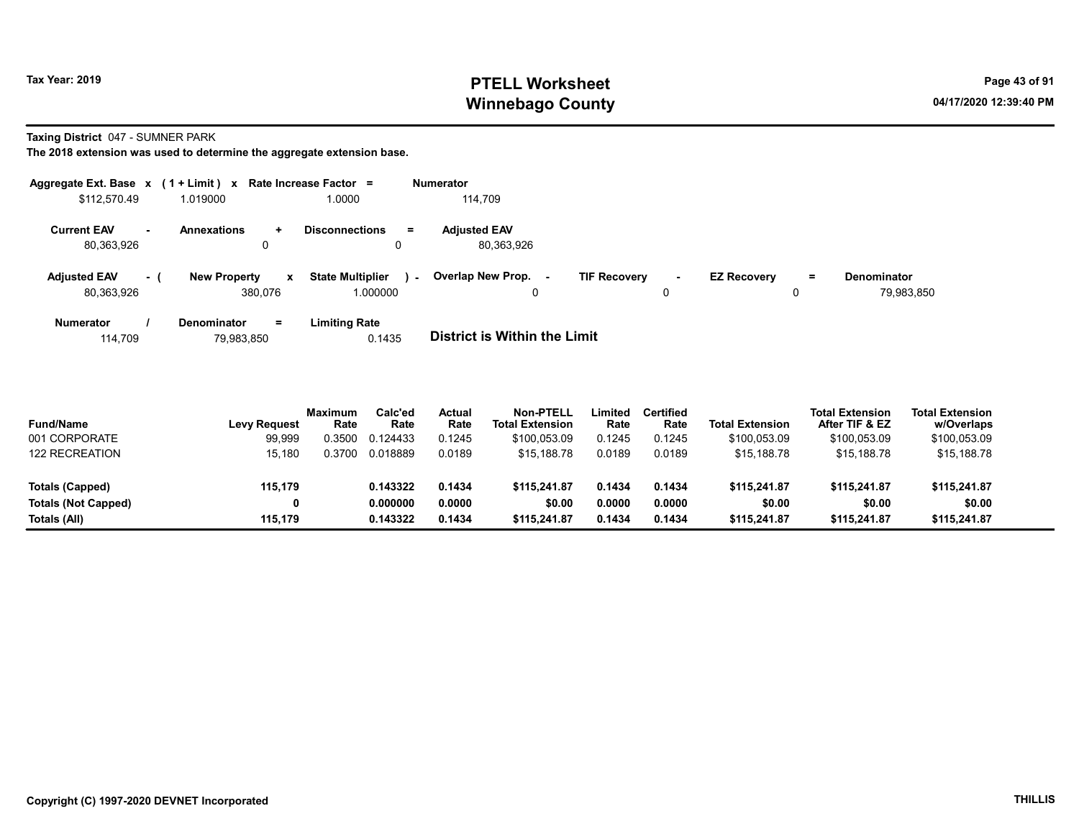# Tax Year: 2019 **PTELL Worksheet** Page 43 of 91 Winnebago County and the County of the County of the County of the County of the County of the County of the County of the County of the County of the County of the County of the County of the County of the County of the C

Taxing District 047 - SUMNER PARK

The 2018 extension was used to determine the aggregate extension base.

| Aggregate Ext. Base $x$ (1 + Limit) $x$ |      |                                                | Rate Increase Factor $=$                      | <b>Numerator</b>                  |                               |                         |                                         |
|-----------------------------------------|------|------------------------------------------------|-----------------------------------------------|-----------------------------------|-------------------------------|-------------------------|-----------------------------------------|
| \$112,570.49                            |      | 1.019000                                       | 1.0000                                        | 114.709                           |                               |                         |                                         |
| <b>Current EAV</b><br>80,363,926        |      | <b>Annexations</b><br>$\ddot{}$                | <b>Disconnections</b><br>$=$<br>0             | <b>Adjusted EAV</b><br>80,363,926 |                               |                         |                                         |
| <b>Adjusted EAV</b><br>80,363,926       | $-1$ | <b>New Property</b><br>$\mathbf{x}$<br>380,076 | <b>State Multiplier</b><br>$\sim$<br>1.000000 | Overlap New Prop. -<br>0          | <b>TIF Recovery</b><br>$\sim$ | <b>EZ Recovery</b><br>0 | <b>Denominator</b><br>$=$<br>79,983,850 |
| <b>Numerator</b>                        |      | <b>Denominator</b><br>$=$                      | <b>Limiting Rate</b>                          |                                   |                               |                         |                                         |

114,709 79,983,850 0.1435 District is Within the Limit

| <b>Fund/Name</b>           | <b>Levy Request</b> | <b>Maximum</b><br>Rate | Calc'ed<br>Rate | Actual<br>Rate | Non-PTELL<br><b>Total Extension</b> | Limited<br>Rate | Certified<br>Rate | <b>Total Extension</b> | <b>Total Extension</b><br>After TIF & EZ | <b>Total Extension</b><br>w/Overlaps |  |
|----------------------------|---------------------|------------------------|-----------------|----------------|-------------------------------------|-----------------|-------------------|------------------------|------------------------------------------|--------------------------------------|--|
| 001 CORPORATE              | 99,999              | .3500                  | 0.124433        | 0.1245         | \$100.053.09                        | 0.1245          | 0.1245            | \$100.053.09           | \$100,053.09                             | \$100,053.09                         |  |
| <b>122 RECREATION</b>      | 15.180              | .3700                  | 0.018889        | 0.0189         | \$15,188.78                         | 0.0189          | 0.0189            | \$15,188.78            | \$15,188.78                              | \$15,188.78                          |  |
| <b>Totals (Capped)</b>     | 115.179             |                        | 0.143322        | 0.1434         | \$115,241.87                        | 0.1434          | 0.1434            | \$115,241.87           | \$115,241.87                             | \$115,241.87                         |  |
| <b>Totals (Not Capped)</b> |                     |                        | 0.000000        | 0.0000         | \$0.00                              | 0.0000          | 0.0000            | \$0.00                 | \$0.00                                   | \$0.00                               |  |
| Totals (All)               | 115.179             |                        | 0.143322        | 0.1434         | \$115,241.87                        | 0.1434          | 0.1434            | \$115,241.87           | \$115,241.87                             | \$115,241.87                         |  |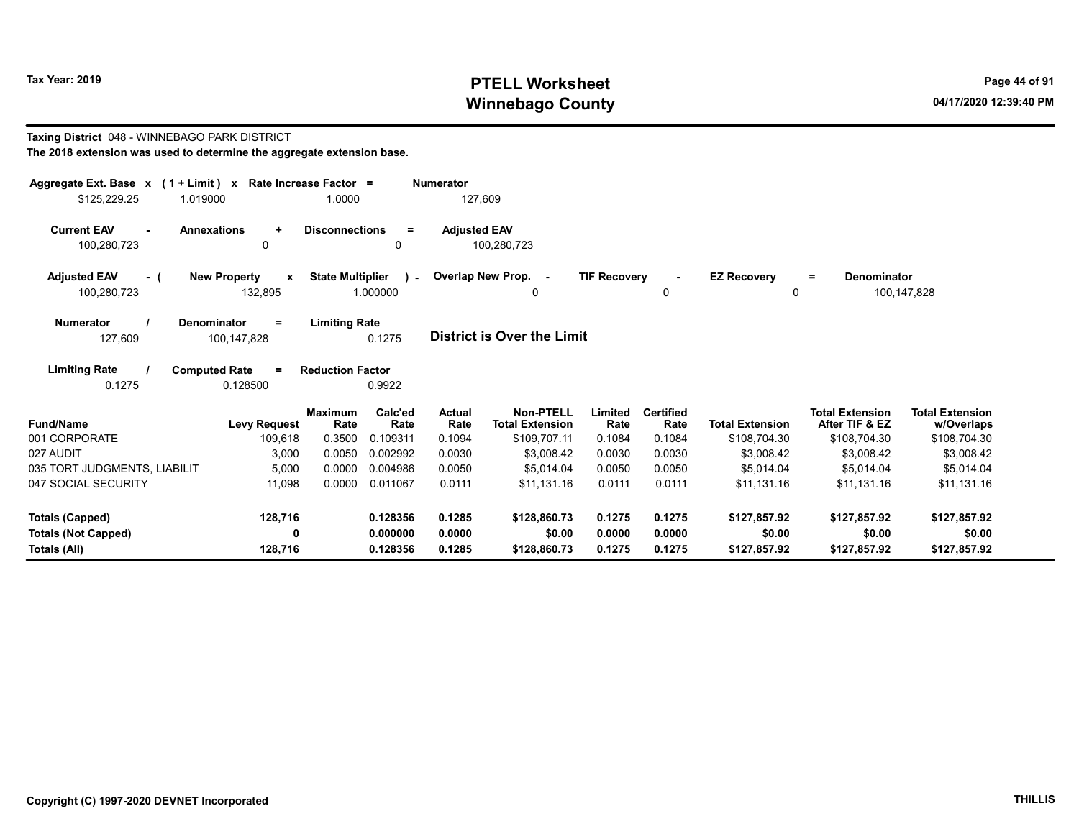# Tax Year: 2019 **PTELL Worksheet** Page 44 of 91 Winnebago County and the County of the County of the County of the County of the County of the County of the County of the County of the County of the County of the County of the County of the County of the County of the C

## Taxing District 048 - WINNEBAGO PARK DISTRICT The 2018 extension was used to determine the aggregate extension base. Aggregate Ext. Base x (1 + Limit) x Rate Increase Factor = Numerator

| \$125,229.25                                | 1.019000             |                                                | 1.0000                  |                           |                     | 127,609                             |                     |                          |                         |                                          |                                      |
|---------------------------------------------|----------------------|------------------------------------------------|-------------------------|---------------------------|---------------------|-------------------------------------|---------------------|--------------------------|-------------------------|------------------------------------------|--------------------------------------|
| <b>Current EAV</b><br>$\sim$<br>100,280,723 | <b>Annexations</b>   | $\ddot{}$<br>0                                 | <b>Disconnections</b>   | $=$<br>0                  | <b>Adjusted EAV</b> | 100,280,723                         |                     |                          |                         |                                          |                                      |
| <b>Adjusted EAV</b><br>$-$ (<br>100,280,723 |                      | <b>New Property</b><br>$\mathbf{x}$<br>132,895 | <b>State Multiplier</b> | $\mathcal{L}$<br>1.000000 |                     | Overlap New Prop. -<br>0            | <b>TIF Recovery</b> | 0                        | <b>EZ Recovery</b><br>0 | <b>Denominator</b><br>$=$                | 100,147,828                          |
| <b>Numerator</b><br>127,609                 | <b>Denominator</b>   | $\equiv$<br>100,147,828                        | <b>Limiting Rate</b>    | 0.1275                    |                     | <b>District is Over the Limit</b>   |                     |                          |                         |                                          |                                      |
| <b>Limiting Rate</b><br>0.1275              | <b>Computed Rate</b> | $=$<br>0.128500                                | <b>Reduction Factor</b> | 0.9922                    |                     |                                     |                     |                          |                         |                                          |                                      |
| Fund/Name                                   |                      | <b>Levy Request</b>                            | <b>Maximum</b><br>Rate  | Calc'ed<br>Rate           | Actual<br>Rate      | Non-PTELL<br><b>Total Extension</b> | Limited<br>Rate     | <b>Certified</b><br>Rate | <b>Total Extension</b>  | <b>Total Extension</b><br>After TIF & EZ | <b>Total Extension</b><br>w/Overlaps |
| 001 CORPORATE                               |                      | 109,618                                        | 0.3500                  | 0.109311                  | 0.1094              | \$109,707.11                        | 0.1084              | 0.1084                   | \$108,704.30            | \$108,704.30                             | \$108,704.30                         |
| 027 AUDIT                                   |                      | 3,000                                          | 0.0050                  | 0.002992                  | 0.0030              | \$3,008.42                          | 0.0030              | 0.0030                   | \$3,008.42              | \$3,008.42                               | \$3,008.42                           |
| 035 TORT JUDGMENTS, LIABILIT                |                      | 5,000                                          | 0.0000                  | 0.004986                  | 0.0050              | \$5,014.04                          | 0.0050              | 0.0050                   | \$5,014.04              | \$5,014.04                               | \$5,014.04                           |
| 047 SOCIAL SECURITY                         |                      | 11,098                                         | 0.0000                  | 0.011067                  | 0.0111              | \$11,131.16                         | 0.0111              | 0.0111                   | \$11,131.16             | \$11,131.16                              | \$11,131.16                          |
| Totals (Capped)                             |                      | 128,716                                        |                         | 0.128356                  | 0.1285              | \$128,860.73                        | 0.1275              | 0.1275                   | \$127,857.92            | \$127,857.92                             | \$127,857.92                         |
| Totals (Not Capped)                         |                      | 0                                              |                         | 0.000000                  | 0.0000              | \$0.00                              | 0.0000              | 0.0000                   | \$0.00                  | \$0.00                                   | \$0.00                               |
| Totals (All)                                |                      | 128,716                                        |                         | 0.128356                  | 0.1285              | \$128,860.73                        | 0.1275              | 0.1275                   | \$127,857.92            | \$127,857.92                             | \$127,857.92                         |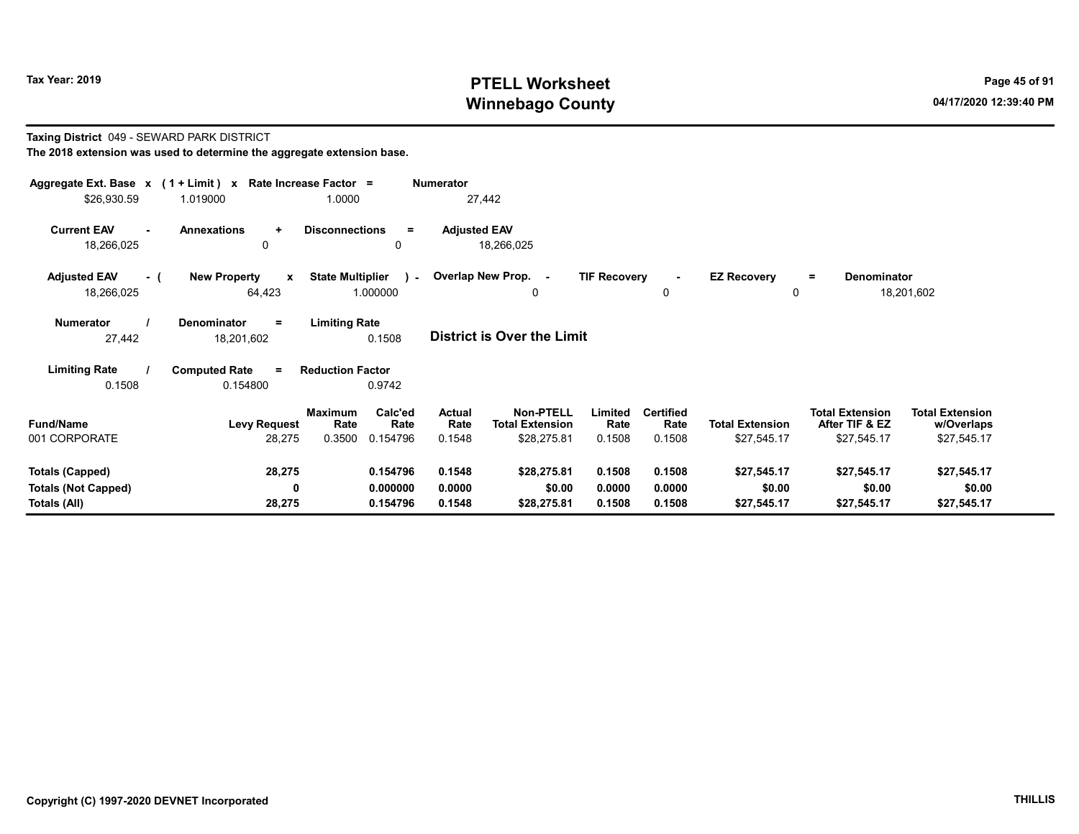# Tax Year: 2019 **PTELL Worksheet** Page 45 of 91 Winnebago County and the County of the County of the County of the County of the County of the County of the County of the County of the County of the County of the County of the County of the County of the County of the C

### Taxing District 049 - SEWARD PARK DISTRICT The 2018 extension was used to determine the aggregate extension base.

| Aggregate Ext. Base $x$ (1 + Limit) x Rate Increase Factor =<br>\$26,930.59 | 1.019000                                      | 1.0000                                                          | <b>Numerator</b><br>27,442        |                                                                                 |                                    |                                       |                                                         |                                                     |
|-----------------------------------------------------------------------------|-----------------------------------------------|-----------------------------------------------------------------|-----------------------------------|---------------------------------------------------------------------------------|------------------------------------|---------------------------------------|---------------------------------------------------------|-----------------------------------------------------|
| <b>Current EAV</b><br>$\blacksquare$<br>18,266,025                          | <b>Annexations</b><br>$\ddot{}$<br>0          | <b>Disconnections</b><br>$=$<br>$\mathbf{0}$                    | <b>Adjusted EAV</b><br>18,266,025 |                                                                                 |                                    |                                       |                                                         |                                                     |
| <b>Adjusted EAV</b><br>- (<br>18,266,025                                    | <b>New Property</b><br>$\mathbf{x}$<br>64,423 | <b>State Multiplier</b><br>1.000000                             | ) - Overlap New Prop. -           | <b>TIF Recovery</b><br>$\mathbf{0}$                                             | $\sim$<br>0                        | <b>EZ Recovery</b><br>0               | Denominator<br>$\equiv$                                 | 18,201,602                                          |
| <b>Numerator</b><br>27,442                                                  | Denominator<br>Ξ.<br>18,201,602               | <b>Limiting Rate</b><br>0.1508                                  | <b>District is Over the Limit</b> |                                                                                 |                                    |                                       |                                                         |                                                     |
| <b>Limiting Rate</b><br>0.1508                                              | <b>Computed Rate</b><br>$=$<br>0.154800       | <b>Reduction Factor</b><br>0.9742                               |                                   |                                                                                 |                                    |                                       |                                                         |                                                     |
| <b>Fund/Name</b><br>001 CORPORATE                                           | <b>Levy Request</b><br>28,275                 | Calc'ed<br><b>Maximum</b><br>Rate<br>Rate<br>0.3500<br>0.154796 | Actual<br>Rate<br>0.1548          | Non-PTELL<br>Limited<br><b>Total Extension</b><br>Rate<br>\$28,275.81<br>0.1508 | <b>Certified</b><br>Rate<br>0.1508 | <b>Total Extension</b><br>\$27,545.17 | <b>Total Extension</b><br>After TIF & EZ<br>\$27,545.17 | <b>Total Extension</b><br>w/Overlaps<br>\$27,545.17 |
| <b>Totals (Capped)</b><br><b>Totals (Not Capped)</b><br>Totals (All)        | 28,275<br>0<br>28,275                         | 0.154796<br>0.000000<br>0.154796                                | 0.1548<br>0.0000<br>0.1548        | \$28,275.81<br>0.1508<br>\$0.00<br>0.0000<br>\$28,275.81<br>0.1508              | 0.1508<br>0.0000<br>0.1508         | \$27,545.17<br>\$0.00<br>\$27,545.17  | \$27,545.17<br>\$0.00<br>\$27,545.17                    | \$27,545.17<br>\$0.00<br>\$27,545.17                |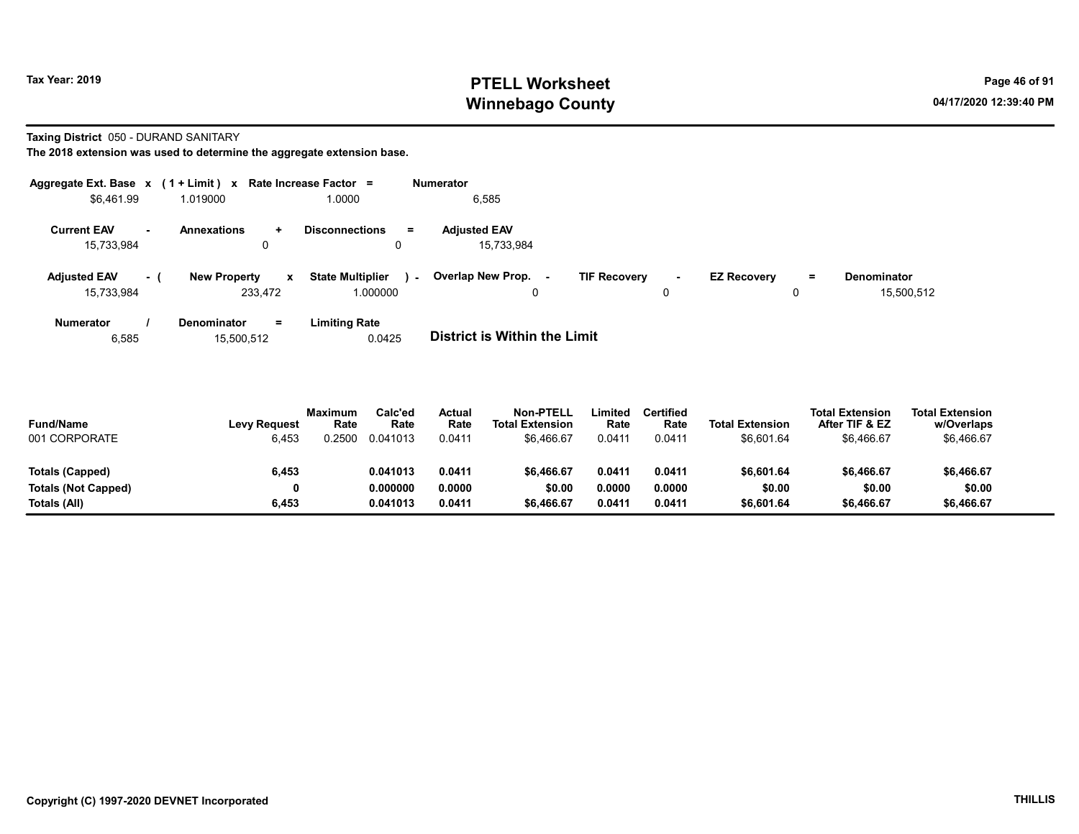# Tax Year: 2019 **PTELL Worksheet** Page 46 of 91 Winnebago County and the County of the County of the County of the County of the County of the County of the County of the County of the County of the County of the County of the County of the County of the County of the C

### Taxing District 050 - DURAND SANITARY

The 2018 extension was used to determine the aggregate extension base.

|                                   |        | Aggregate Ext. Base $x$ (1 + Limit) $x$ Rate Increase Factor = |                                              | Numerator                         |                                |                                |                                  |
|-----------------------------------|--------|----------------------------------------------------------------|----------------------------------------------|-----------------------------------|--------------------------------|--------------------------------|----------------------------------|
| \$6,461.99                        |        | 1.019000                                                       | 1.0000                                       | 6,585                             |                                |                                |                                  |
| <b>Current EAV</b><br>15,733,984  | $\sim$ | <b>Annexations</b><br>$\pm$<br>0                               | <b>Disconnections</b><br>$=$<br>0            | <b>Adjusted EAV</b><br>15,733,984 |                                |                                |                                  |
| <b>Adjusted EAV</b><br>15,733,984 | - 1    | <b>New Property</b><br>$\mathbf{x}$<br>233,472                 | <b>State Multiplier</b><br>$\sim$<br>000000. | Overlap New Prop. -<br>0          | <b>TIF Recovery</b><br>н.<br>0 | <b>EZ Recovery</b><br>$=$<br>0 | <b>Denominator</b><br>15,500,512 |
| <b>Numerator</b>                  |        | <b>Denominator</b><br>Ξ.                                       | <b>Limiting Rate</b>                         |                                   |                                |                                |                                  |

6,585 15,500,512 0.0425 District is Within the Limit

| <b>Fund/Name</b><br>001 CORPORATE | <b>Levy Request</b><br>6,453 | <b>Maximum</b><br>Rate<br>.2500 | Calc'ed<br>Rate<br>0.041013 | Actual<br>Rate<br>0.0411 | <b>Non-PTELL</b><br><b>Total Extension</b><br>\$6.466.67 | Limited<br>Rate<br>0.0411 | <b>Certified</b><br>Rate<br>0.0411 | <b>Total Extension</b><br>\$6,601.64 | <b>Total Extension</b><br>After TIF & EZ<br>\$6,466.67 | <b>Total Extension</b><br>w/Overlaps<br>\$6,466.67 |
|-----------------------------------|------------------------------|---------------------------------|-----------------------------|--------------------------|----------------------------------------------------------|---------------------------|------------------------------------|--------------------------------------|--------------------------------------------------------|----------------------------------------------------|
| Totals (Capped)                   | 6,453                        |                                 | 0.041013                    | 0.0411                   | \$6,466.67                                               | 0.0411                    | 0.0411                             | \$6,601.64                           | \$6,466.67                                             | \$6,466.67                                         |
| <b>Totals (Not Capped)</b>        | 0                            |                                 | 0.000000                    | 0.0000                   | \$0.00                                                   | 0.0000                    | 0.0000                             | \$0.00                               | \$0.00                                                 | \$0.00                                             |
| Totals (All)                      | 6,453                        |                                 | 0.041013                    | 0.0411                   | \$6,466.67                                               | 0.0411                    | 0.0411                             | \$6,601.64                           | \$6,466.67                                             | \$6,466.67                                         |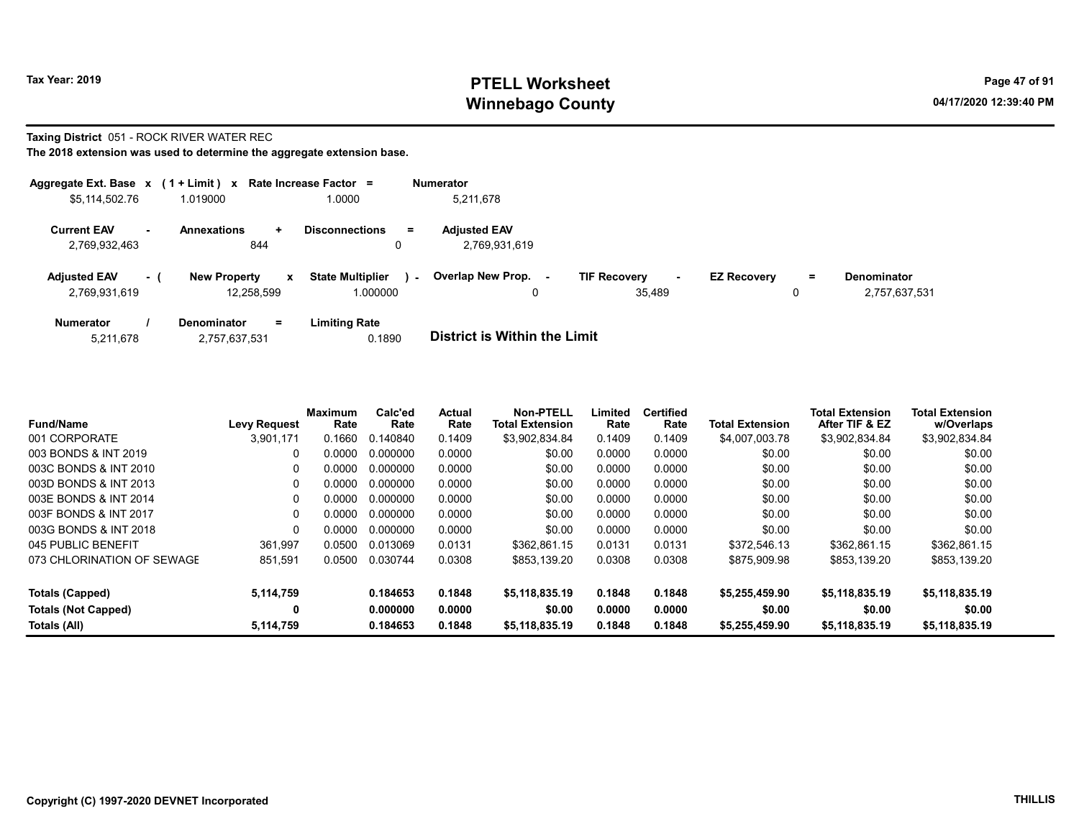# Tax Year: 2019 **PTELL Worksheet** Page 47 of 91 Winnebago County and the County of the County of the County of the County of the County of the County of the County of the County of the County of the County of the County of the County of the County of the County of the C

## Taxing District 051 - ROCK RIVER WATER REC

|                                      |     | Aggregate Ext. Base $x$ (1 + Limit) x Rate Increase Factor = |                                               | <b>Numerator</b>                     |                                         |                    |         |                              |
|--------------------------------------|-----|--------------------------------------------------------------|-----------------------------------------------|--------------------------------------|-----------------------------------------|--------------------|---------|------------------------------|
| \$5,114,502.76                       |     | 1.019000                                                     | .0000                                         | 5,211,678                            |                                         |                    |         |                              |
| <b>Current EAV</b><br>2,769,932,463  |     | <b>Annexations</b><br>÷.<br>844                              | <b>Disconnections</b><br>$=$<br>0             | <b>Adjusted EAV</b><br>2,769,931,619 |                                         |                    |         |                              |
| <b>Adjusted EAV</b><br>2,769,931,619 | - 1 | <b>New Property</b><br>$\mathbf{x}$<br>12,258,599            | <b>State Multiplier</b><br>$\sim$<br>1.000000 | Overlap New Prop.<br>۰.              | <b>TIF Recovery</b><br>$\sim$<br>35,489 | <b>EZ Recovery</b> | Ξ.<br>0 | Denominator<br>2,757,637,531 |
| <b>Numerator</b><br>5.011.070        |     | <b>Denominator</b><br>$=$<br>0.757025504                     | <b>Limiting Rate</b><br>0.1000                | Dintrint in Within the Limit         |                                         |                    |         |                              |

| 5.211.678 | 2,757,637,531 | 0.1890 | <b>DISTRICT IS WILLIAM LIFE LIMITE</b> |
|-----------|---------------|--------|----------------------------------------|
|           |               |        |                                        |

| <b>Fund/Name</b>                           | <b>Levy Request</b> | <b>Maximum</b><br>Rate | Calc'ed<br>Rate      | Actual<br>Rate   | <b>Non-PTELL</b><br><b>Total Extension</b> | Limited<br>Rate  | <b>Certified</b><br>Rate | <b>Total Extension</b>   | <b>Total Extension</b><br>After TIF & EZ | <b>Total Extension</b><br>w/Overlaps |
|--------------------------------------------|---------------------|------------------------|----------------------|------------------|--------------------------------------------|------------------|--------------------------|--------------------------|------------------------------------------|--------------------------------------|
| 001 CORPORATE                              | 3.901.171           | 0.1660                 | 0.140840             | 0.1409           | \$3,902,834.84                             | 0.1409           | 0.1409                   | \$4,007,003.78           | \$3,902,834.84                           | \$3,902,834.84                       |
| 003 BONDS & INT 2019                       | 0                   | 0.0000                 | 0.000000             | 0.0000           | \$0.00                                     | 0.0000           | 0.0000                   | \$0.00                   | \$0.00                                   | \$0.00                               |
| 003C BONDS & INT 2010                      | 0                   | 0.0000                 | 0.000000             | 0.0000           | \$0.00                                     | 0.0000           | 0.0000                   | \$0.00                   | \$0.00                                   | \$0.00                               |
| 003D BONDS & INT 2013                      | 0                   | 0.0000                 | 0.000000             | 0.0000           | \$0.00                                     | 0.0000           | 0.0000                   | \$0.00                   | \$0.00                                   | \$0.00                               |
| 003E BONDS & INT 2014                      | 0                   | 0.0000                 | 0.000000             | 0.0000           | \$0.00                                     | 0.0000           | 0.0000                   | \$0.00                   | \$0.00                                   | \$0.00                               |
| 003F BONDS & INT 2017                      | 0                   | 0.0000                 | 0.000000             | 0.0000           | \$0.00                                     | 0.0000           | 0.0000                   | \$0.00                   | \$0.00                                   | \$0.00                               |
| 003G BONDS & INT 2018                      | $\Omega$            | 0.0000                 | 0.000000             | 0.0000           | \$0.00                                     | 0.0000           | 0.0000                   | \$0.00                   | \$0.00                                   | \$0.00                               |
| 045 PUBLIC BENEFIT                         | 361.997             | 0.0500                 | 0.013069             | 0.0131           | \$362.861.15                               | 0.0131           | 0.0131                   | \$372.546.13             | \$362.861.15                             | \$362.861.15                         |
| 073 CHLORINATION OF SEWAGE                 | 851,591             | 0.0500                 | 0.030744             | 0.0308           | \$853.139.20                               | 0.0308           | 0.0308                   | \$875,909.98             | \$853.139.20                             | \$853,139.20                         |
| <b>Totals (Capped)</b>                     | 5,114,759           |                        | 0.184653             | 0.1848           | \$5,118,835.19                             | 0.1848           | 0.1848                   | \$5,255,459.90           | \$5,118,835.19                           | \$5,118,835.19                       |
| <b>Totals (Not Capped)</b><br>Totals (All) | 0<br>5,114,759      |                        | 0.000000<br>0.184653 | 0.0000<br>0.1848 | \$0.00<br>\$5.118.835.19                   | 0.0000<br>0.1848 | 0.0000<br>0.1848         | \$0.00<br>\$5,255,459.90 | \$0.00<br>\$5,118,835.19                 | \$0.00<br>\$5,118,835.19             |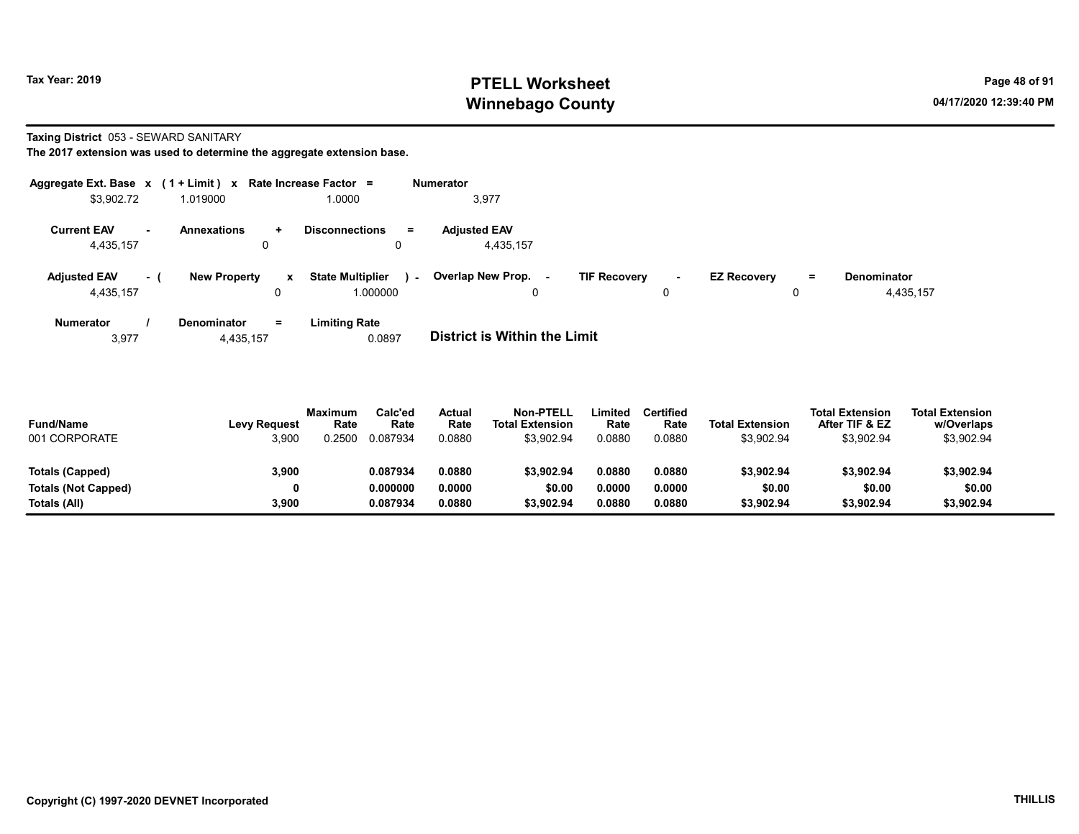# Tax Year: 2019 **PTELL Worksheet** Page 48 of 91 Winnebago County and the County of the County of the County of the County of the County of the County of the County of the County of the County of the County of the County of the County of the County of the County of the C

Taxing District 053 - SEWARD SANITARY

The 2017 extension was used to determine the aggregate extension base.

| Aggregate Ext. Base $x$ (1 + Limit) $x$ |     |                         |              | Rate Increase Factor =                           | <b>Numerator</b>                 |                     |    |                    |     |                                 |
|-----------------------------------------|-----|-------------------------|--------------|--------------------------------------------------|----------------------------------|---------------------|----|--------------------|-----|---------------------------------|
| \$3,902.72                              |     | 1.019000                |              | 1.0000                                           | 3,977                            |                     |    |                    |     |                                 |
| <b>Current EAV</b><br>4,435,157         |     | <b>Annexations</b><br>u | $\ddotmark$  | <b>Disconnections</b><br>$\equiv$<br>$\mathbf 0$ | <b>Adiusted EAV</b><br>4,435,157 |                     |    |                    |     |                                 |
| <b>Adjusted EAV</b><br>4,435,157        | - 1 | <b>New Property</b>     | $\mathbf{x}$ | <b>State Multiplier</b><br>$\sim$<br>1.000000    | <b>Overlap New Prop. -</b><br>0  | <b>TIF Recovery</b> | ۰. | <b>EZ Recovery</b> | $=$ | <b>Denominator</b><br>4,435,157 |
| <b>Numerator</b>                        |     | <b>Denominator</b>      | $=$          | <b>Limiting Rate</b>                             |                                  |                     |    |                    |     |                                 |

3,977 4,435,157 0.0897 District is Within the Limit

| <b>Fund/Name</b><br>001 CORPORATE | <b>Levy Request</b><br>3,900 | <b>Maximum</b><br>Rate<br>0.2500 | Calc'ed<br>Rate<br>0.087934 | Actual<br>Rate<br>0.0880 | <b>Non-PTELL</b><br><b>Total Extension</b><br>\$3,902.94 | Limited<br>Rate<br>0.0880 | Certified<br>Rate<br>0.0880 | <b>Total Extension</b><br>\$3,902.94 | <b>Total Extension</b><br>After TIF & EZ<br>\$3,902.94 | <b>Total Extension</b><br>w/Overlaps<br>\$3,902.94 |  |
|-----------------------------------|------------------------------|----------------------------------|-----------------------------|--------------------------|----------------------------------------------------------|---------------------------|-----------------------------|--------------------------------------|--------------------------------------------------------|----------------------------------------------------|--|
| Totals (Capped)                   | 3,900                        |                                  | 0.087934                    | 0.0880                   | \$3.902.94                                               | 0.0880                    | 0.0880                      | \$3,902.94                           | \$3,902.94                                             | \$3,902.94                                         |  |
| Totals (Not Capped)               | 0                            |                                  | 0.000000                    | 0.0000                   | \$0.00                                                   | 0.0000                    | 0.0000                      | \$0.00                               | \$0.00                                                 | \$0.00                                             |  |
| Totals (All)                      | 3,900                        |                                  | 0.087934                    | 0.0880                   | \$3.902.94                                               | 0.0880                    | 0.0880                      | \$3,902.94                           | \$3,902.94                                             | \$3,902.94                                         |  |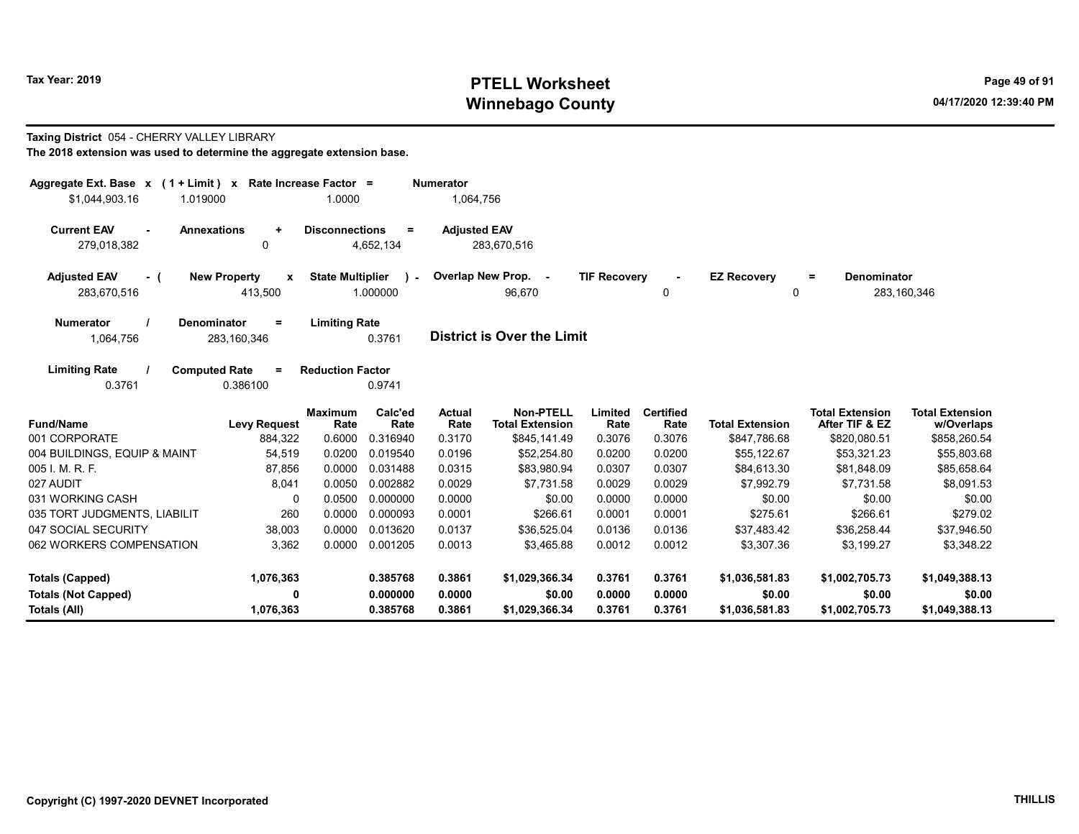# Tax Year: 2019 **PTELL Worksheet** Page 49 of 91 Winnebago County and the County of the County of the County of the County of the County of the County of the County of the County of the County of the County of the County of the County of the County of the County of the C

## Taxing District 054 - CHERRY VALLEY LIBRARY

| Aggregate Ext. Base $x$ (1 + Limit) x Rate Increase Factor =      |                          |                         |                  | <b>Numerator</b>      |                                            |                     |                          |                        |                                          |                                      |
|-------------------------------------------------------------------|--------------------------|-------------------------|------------------|-----------------------|--------------------------------------------|---------------------|--------------------------|------------------------|------------------------------------------|--------------------------------------|
| \$1,044,903.16<br>1.019000                                        |                          | 1.0000                  |                  | 1,064,756             |                                            |                     |                          |                        |                                          |                                      |
| <b>Current EAV</b><br><b>Annexations</b><br>$\sim$<br>279,018,382 | $\ddot{}$<br>0           | <b>Disconnections</b>   | $=$<br>4,652,134 | <b>Adjusted EAV</b>   | 283,670,516                                |                     |                          |                        |                                          |                                      |
| <b>Adjusted EAV</b><br>- (                                        | <b>New Property</b><br>X | <b>State Multiplier</b> | $\mathbf{r}$     |                       | Overlap New Prop. -                        | <b>TIF Recovery</b> |                          | <b>EZ Recovery</b>     | <b>Denominator</b><br>$\equiv$           |                                      |
| 283,670,516                                                       | 413,500                  |                         | 1.000000         |                       | 96,670                                     |                     | 0                        | 0                      |                                          | 283, 160, 346                        |
| <b>Numerator</b><br>Denominator                                   | $\equiv$                 | <b>Limiting Rate</b>    |                  |                       |                                            |                     |                          |                        |                                          |                                      |
| 1,064,756                                                         | 283, 160, 346            |                         | 0.3761           |                       | <b>District is Over the Limit</b>          |                     |                          |                        |                                          |                                      |
| <b>Limiting Rate</b><br><b>Computed Rate</b><br>0.3761            | $=$<br>0.386100          | <b>Reduction Factor</b> | 0.9741           |                       |                                            |                     |                          |                        |                                          |                                      |
| <b>Fund/Name</b>                                                  | <b>Levy Request</b>      | <b>Maximum</b><br>Rate  | Calc'ed<br>Rate  | <b>Actual</b><br>Rate | <b>Non-PTELL</b><br><b>Total Extension</b> | Limited<br>Rate     | <b>Certified</b><br>Rate | <b>Total Extension</b> | <b>Total Extension</b><br>After TIF & EZ | <b>Total Extension</b><br>w/Overlaps |
| 001 CORPORATE                                                     | 884,322                  | 0.6000                  | 0.316940         | 0.3170                | \$845,141.49                               | 0.3076              | 0.3076                   | \$847,786.68           | \$820,080.51                             | \$858,260.54                         |
| 004 BUILDINGS, EQUIP & MAINT                                      | 54,519                   | 0.0200                  | 0.019540         | 0.0196                | \$52,254.80                                | 0.0200              | 0.0200                   | \$55,122.67            | \$53,321.23                              | \$55,803.68                          |
| 005 I. M. R. F.                                                   | 87,856                   | 0.0000                  | 0.031488         | 0.0315                | \$83,980.94                                | 0.0307              | 0.0307                   | \$84,613.30            | \$81,848.09                              | \$85,658.64                          |
| 027 AUDIT                                                         | 8,041                    | 0.0050                  | 0.002882         | 0.0029                | \$7,731.58                                 | 0.0029              | 0.0029                   | \$7,992.79             | \$7,731.58                               | \$8,091.53                           |
| 031 WORKING CASH                                                  | 0                        | 0.0500                  | 0.000000         | 0.0000                | \$0.00                                     | 0.0000              | 0.0000                   | \$0.00                 | \$0.00                                   | \$0.00                               |
| 035 TORT JUDGMENTS, LIABILIT                                      | 260                      | 0.0000                  | 0.000093         | 0.0001                | \$266.61                                   | 0.0001              | 0.0001                   | \$275.61               | \$266.61                                 | \$279.02                             |
| 047 SOCIAL SECURITY                                               | 38,003                   | 0.0000                  | 0.013620         | 0.0137                | \$36.525.04                                | 0.0136              | 0.0136                   | \$37,483.42            | \$36,258.44                              | \$37,946.50                          |
| 062 WORKERS COMPENSATION                                          | 3,362                    | 0.0000                  | 0.001205         | 0.0013                | \$3,465.88                                 | 0.0012              | 0.0012                   | \$3,307.36             | \$3,199.27                               | \$3,348.22                           |
| <b>Totals (Capped)</b>                                            | 1,076,363                |                         | 0.385768         | 0.3861                | \$1,029,366.34                             | 0.3761              | 0.3761                   | \$1,036,581.83         | \$1,002,705.73                           | \$1,049,388.13                       |
| <b>Totals (Not Capped)</b>                                        | 0                        |                         | 0.000000         | 0.0000                | \$0.00                                     | 0.0000              | 0.0000                   | \$0.00                 | \$0.00                                   | \$0.00                               |
| Totals (All)                                                      | 1,076,363                |                         | 0.385768         | 0.3861                | \$1,029,366.34                             | 0.3761              | 0.3761                   | \$1,036,581.83         | \$1,002,705.73                           | \$1,049,388.13                       |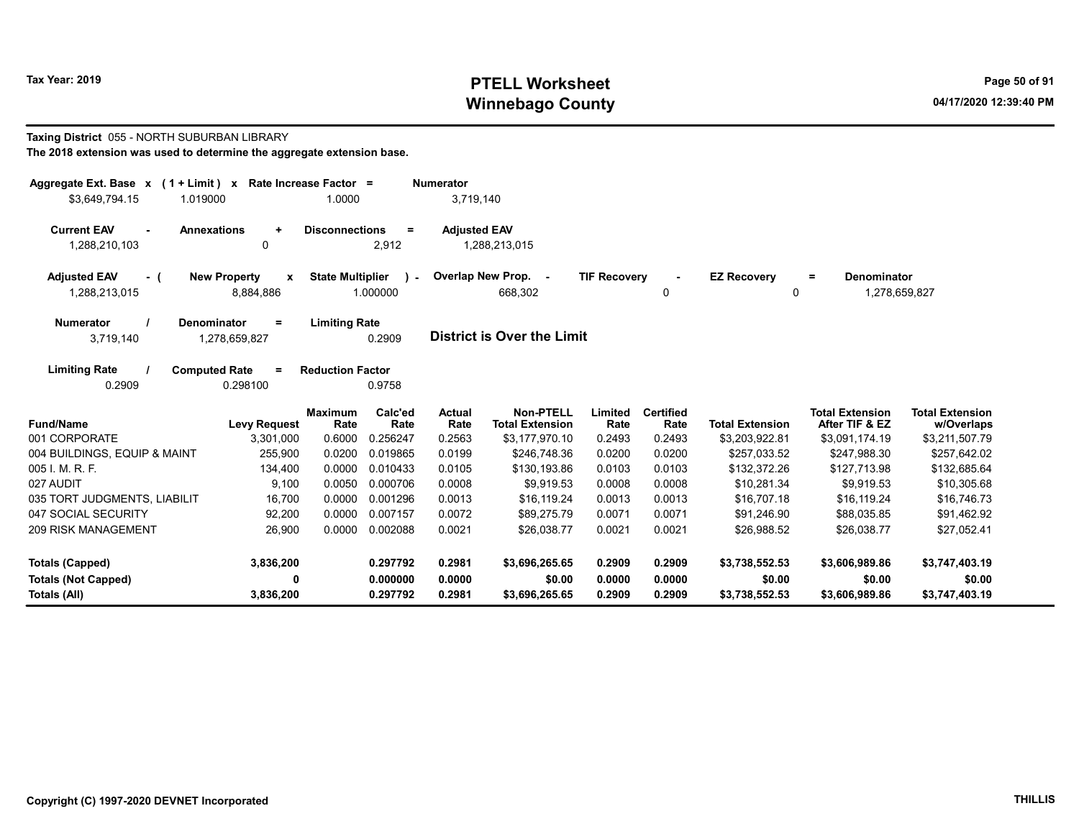# Tax Year: 2019 **PTELL Worksheet** Page 50 of 91 Winnebago County and the County of the County of the County of the County of the County of the County of the County of the County of the County of the County of the County of the County of the County of the County of the C

Taxing District 055 - NORTH SUBURBAN LIBRARY The 2018 extension was used to determine the aggregate extension base.

| Aggregate Ext. Base $x$ (1 + Limit) $x$<br>\$3,649,794.15<br>1.019000 | Rate Increase Factor =                | 1.0000                  |                          | <b>Numerator</b><br>3,719,140 |                                            |                     |                          |                         |                                          |                                      |
|-----------------------------------------------------------------------|---------------------------------------|-------------------------|--------------------------|-------------------------------|--------------------------------------------|---------------------|--------------------------|-------------------------|------------------------------------------|--------------------------------------|
| <b>Current EAV</b><br><b>Annexations</b><br>$\sim$<br>1,288,210,103   | $\ddot{}$<br>$\mathbf{0}$             | <b>Disconnections</b>   | $\equiv$<br>2,912        | <b>Adjusted EAV</b>           | 1,288,213,015                              |                     |                          |                         |                                          |                                      |
| <b>Adjusted EAV</b><br>- (<br>1,288,213,015                           | <b>New Property</b><br>X<br>8,884,886 | <b>State Multiplier</b> | $\mathbf{r}$<br>1.000000 |                               | Overlap New Prop. -<br>668,302             | <b>TIF Recovery</b> | 0                        | <b>EZ Recovery</b><br>0 | Denominator<br>$\equiv$<br>1,278,659,827 |                                      |
| <b>Numerator</b><br>Denominator<br>3,719,140                          | $\equiv$<br>1,278,659,827             | <b>Limiting Rate</b>    | 0.2909                   |                               | <b>District is Over the Limit</b>          |                     |                          |                         |                                          |                                      |
| <b>Limiting Rate</b><br><b>Computed Rate</b><br>0.2909                | $\equiv$<br>0.298100                  | <b>Reduction Factor</b> | 0.9758                   |                               |                                            |                     |                          |                         |                                          |                                      |
| <b>Fund/Name</b>                                                      | <b>Levy Request</b>                   | <b>Maximum</b><br>Rate  | Calc'ed<br>Rate          | Actual<br>Rate                | <b>Non-PTELL</b><br><b>Total Extension</b> | Limited<br>Rate     | <b>Certified</b><br>Rate | <b>Total Extension</b>  | <b>Total Extension</b><br>After TIF & EZ | <b>Total Extension</b><br>w/Overlaps |
| 001 CORPORATE                                                         | 3,301,000                             | 0.6000                  | 0.256247                 | 0.2563                        | \$3,177,970.10                             | 0.2493              | 0.2493                   | \$3,203,922.81          | \$3,091,174.19                           | \$3,211,507.79                       |
| 004 BUILDINGS, EQUIP & MAINT                                          | 255,900                               | 0.0200                  | 0.019865                 | 0.0199                        | \$246.748.36                               | 0.0200              | 0.0200                   | \$257,033.52            | \$247,988.30                             | \$257,642.02                         |
| 005 I. M. R. F.                                                       | 134,400                               | 0.0000                  | 0.010433                 | 0.0105                        | \$130,193.86                               | 0.0103              | 0.0103                   | \$132,372.26            | \$127,713.98                             | \$132,685.64                         |
| 027 AUDIT                                                             | 9,100                                 | 0.0050                  | 0.000706                 | 0.0008                        | \$9.919.53                                 | 0.0008              | 0.0008                   | \$10,281.34             | \$9,919.53                               | \$10,305.68                          |
| 035 TORT JUDGMENTS, LIABILIT                                          | 16,700                                | 0.0000                  | 0.001296                 | 0.0013                        | \$16,119.24                                | 0.0013              | 0.0013                   | \$16,707.18             | \$16,119.24                              | \$16,746.73                          |
| 047 SOCIAL SECURITY                                                   | 92,200                                | 0.0000                  | 0.007157                 | 0.0072                        | \$89,275.79                                | 0.0071              | 0.0071                   | \$91,246.90             | \$88,035.85                              | \$91,462.92                          |
| <b>209 RISK MANAGEMENT</b>                                            | 26,900                                | 0.0000                  | 0.002088                 | 0.0021                        | \$26.038.77                                | 0.0021              | 0.0021                   | \$26,988.52             | \$26,038.77                              | \$27,052.41                          |
| <b>Totals (Capped)</b>                                                | 3,836,200                             |                         | 0.297792                 | 0.2981                        | \$3,696,265.65                             | 0.2909              | 0.2909                   | \$3,738,552.53          | \$3,606,989.86                           | \$3,747,403.19                       |
| <b>Totals (Not Capped)</b>                                            | 0                                     |                         | 0.000000                 | 0.0000                        | \$0.00                                     | 0.0000              | 0.0000                   | \$0.00                  | \$0.00                                   | \$0.00                               |
| Totals (All)                                                          | 3,836,200                             |                         | 0.297792                 | 0.2981                        | \$3,696,265.65                             | 0.2909              | 0.2909                   | \$3,738,552.53          | \$3,606,989.86                           | \$3,747,403.19                       |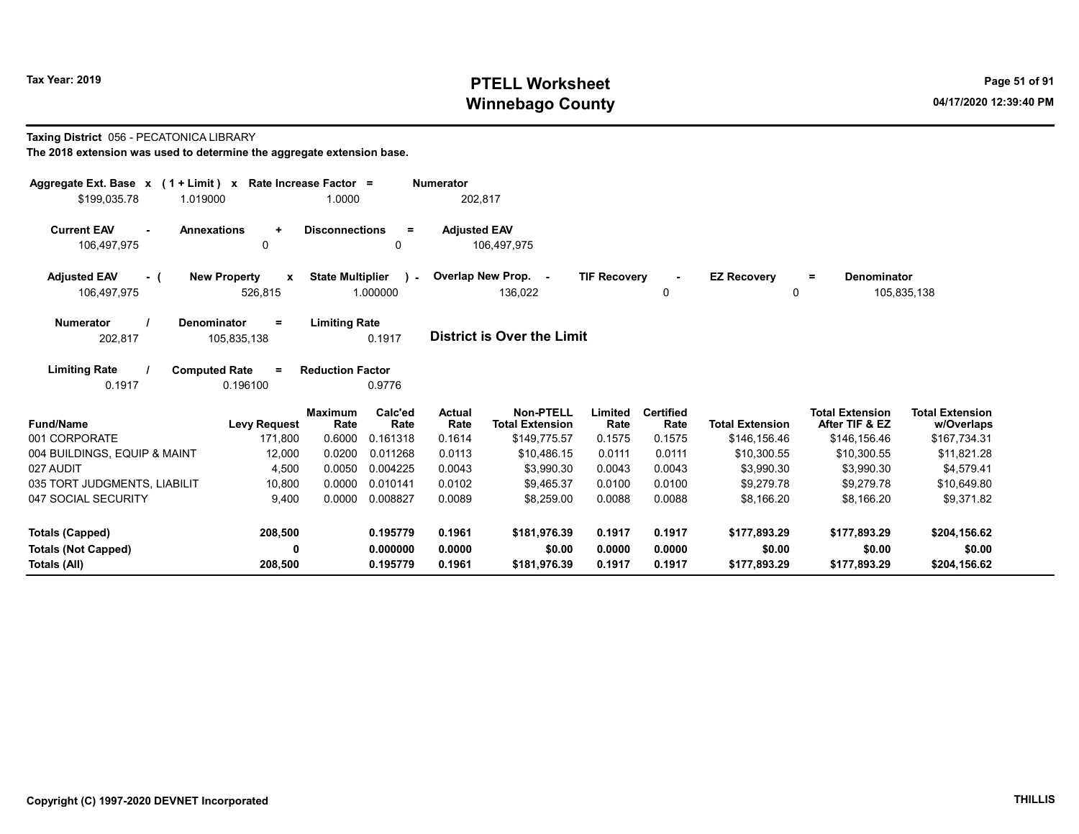# Tax Year: 2019 **PTELL Worksheet** Page 51 of 91 Winnebago County and the County of the County of the County of the County of the County of the County of the County of the County of the County of the County of the County of the County of the County of the County of the C

## Taxing District 056 - PECATONICA LIBRARY

| Aggregate Ext. Base $x$ (1 + Limit) x Rate Increase Factor =<br>\$199,035.78<br>1.019000 |                                                | 1.0000                                              | <b>Numerator</b><br>202,817 |                                            |                     |                          |                                |                                          |                                      |
|------------------------------------------------------------------------------------------|------------------------------------------------|-----------------------------------------------------|-----------------------------|--------------------------------------------|---------------------|--------------------------|--------------------------------|------------------------------------------|--------------------------------------|
| <b>Current EAV</b><br><b>Annexations</b><br>106,497,975                                  | $\ddot{}$<br>0                                 | <b>Disconnections</b><br>$=$<br>0                   | <b>Adjusted EAV</b>         | 106,497,975                                |                     |                          |                                |                                          |                                      |
| <b>Adjusted EAV</b><br>- (<br>106,497,975                                                | <b>New Property</b><br>$\mathbf{x}$<br>526,815 | <b>State Multiplier</b><br>$\mathbf{r}$<br>1.000000 |                             | Overlap New Prop. -<br>136,022             | <b>TIF Recovery</b> | 0                        | <b>EZ Recovery</b><br>$\Omega$ | <b>Denominator</b><br>$=$                | 105,835,138                          |
| <b>Numerator</b><br>Denominator<br>202,817                                               | $=$<br>105,835,138                             | <b>Limiting Rate</b><br>0.1917                      |                             | <b>District is Over the Limit</b>          |                     |                          |                                |                                          |                                      |
| <b>Limiting Rate</b><br><b>Computed Rate</b><br>0.1917                                   | $=$<br>0.196100                                | <b>Reduction Factor</b><br>0.9776                   |                             |                                            |                     |                          |                                |                                          |                                      |
| <b>Fund/Name</b>                                                                         | <b>Levy Request</b>                            | Calc'ed<br><b>Maximum</b><br>Rate<br>Rate           | <b>Actual</b><br>Rate       | <b>Non-PTELL</b><br><b>Total Extension</b> | Limited<br>Rate     | <b>Certified</b><br>Rate | <b>Total Extension</b>         | <b>Total Extension</b><br>After TIF & EZ | <b>Total Extension</b><br>w/Overlaps |
| 001 CORPORATE<br>004 BUILDINGS, EQUIP & MAINT                                            | 171,800<br>12,000                              | 0.6000<br>0.161318<br>0.0200<br>0.011268            | 0.1614<br>0.0113            | \$149,775.57<br>\$10,486.15                | 0.1575<br>0.0111    | 0.1575<br>0.0111         | \$146,156.46<br>\$10,300.55    | \$146,156.46<br>\$10,300.55              | \$167,734.31<br>\$11,821.28          |
| 027 AUDIT                                                                                | 4,500                                          | 0.0050<br>0.004225                                  | 0.0043                      | \$3,990.30                                 | 0.0043              | 0.0043                   | \$3,990.30                     | \$3,990.30                               | \$4,579.41                           |
| 035 TORT JUDGMENTS, LIABILIT                                                             | 10,800                                         | 0.0000<br>0.010141                                  | 0.0102                      | \$9.465.37                                 | 0.0100              | 0.0100                   | \$9,279.78                     | \$9.279.78                               | \$10,649.80                          |
| 047 SOCIAL SECURITY                                                                      | 9,400                                          | 0.0000<br>0.008827                                  | 0.0089                      | \$8,259.00                                 | 0.0088              | 0.0088                   | \$8,166.20                     | \$8,166.20                               | \$9,371.82                           |
| <b>Totals (Capped)</b>                                                                   | 208,500                                        | 0.195779                                            | 0.1961                      | \$181,976.39                               | 0.1917              | 0.1917                   | \$177.893.29                   | \$177,893.29                             | \$204,156.62                         |
| <b>Totals (Not Capped)</b><br>Totals (All)                                               | 0<br>208,500                                   | 0.000000<br>0.195779                                | 0.0000<br>0.1961            | \$0.00<br>\$181,976.39                     | 0.0000<br>0.1917    | 0.0000<br>0.1917         | \$0.00<br>\$177,893.29         | \$0.00<br>\$177,893.29                   | \$0.00<br>\$204,156.62               |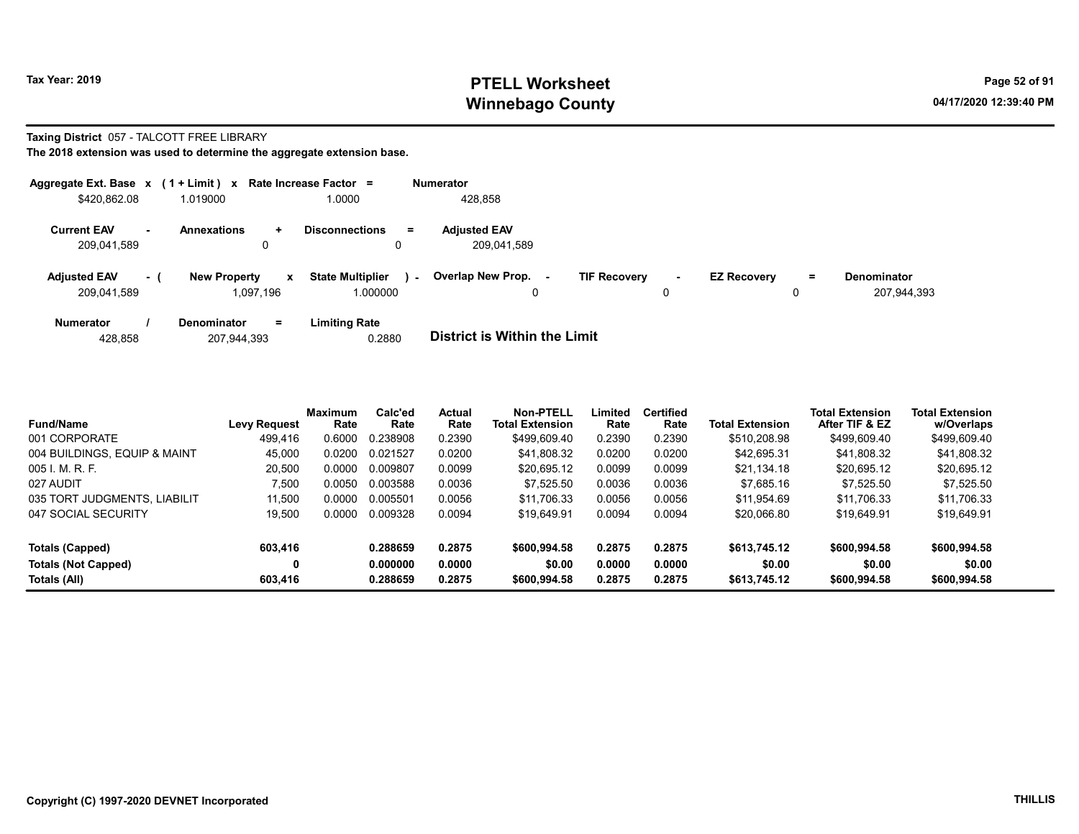## Tax Year: 2019 **PTELL Worksheet** Page 52 of 91 Winnebago County and the County of the County of the County of the County of the County of the County of the County of the County of the County of the County of the County of the County of the County of the County of the C

## Taxing District 057 - TALCOTT FREE LIBRARY

|                                    |      | Aggregate Ext. Base $x$ (1 + Limit) $x$ Rate Increase Factor = |                                     |        | <b>Numerator</b>                   |                     |             |                    |         |                                   |
|------------------------------------|------|----------------------------------------------------------------|-------------------------------------|--------|------------------------------------|---------------------|-------------|--------------------|---------|-----------------------------------|
| \$420,862.08                       |      | 1.019000                                                       | 1.0000                              |        | 428,858                            |                     |             |                    |         |                                   |
| <b>Current EAV</b><br>209,041,589  | ж.   | <b>Annexations</b><br>÷.<br>0                                  | <b>Disconnections</b>               | Ξ.     | <b>Adjusted EAV</b><br>209,041,589 |                     |             |                    |         |                                   |
| <b>Adjusted EAV</b><br>209,041,589 | $-1$ | <b>New Property</b><br>$\mathbf{x}$<br>1.097.196               | <b>State Multiplier</b><br>1.000000 | $\sim$ | Overlap New Prop.<br>۰.<br>0       | <b>TIF Recovery</b> | $\sim$<br>0 | <b>EZ Recovery</b> | Ξ.<br>0 | <b>Denominator</b><br>207,944,393 |
| <b>Numerator</b>                   |      | <b>Denominator</b><br>$=$                                      | <b>Limiting Rate</b>                |        | _ _ _ _ _ _ _ _ _ _ _ _ _ _ _ _    |                     |             |                    |         |                                   |

| 428.858 | 207,944,393 | 0.2880 | <b>District is Within the Limit</b> |
|---------|-------------|--------|-------------------------------------|
|         |             |        |                                     |

| <b>Fund/Name</b>             | <b>Levy Request</b> | Maximum<br>Rate | Calc'ed<br>Rate | <b>Actual</b><br>Rate | Non-PTELL<br><b>Total Extension</b> | Limited<br>Rate | <b>Certified</b><br>Rate | <b>Total Extension</b> | <b>Total Extension</b><br>After TIF & EZ | <b>Total Extension</b><br>w/Overlaps |  |
|------------------------------|---------------------|-----------------|-----------------|-----------------------|-------------------------------------|-----------------|--------------------------|------------------------|------------------------------------------|--------------------------------------|--|
| 001 CORPORATE                | 499.416             | 0.6000          | 0.238908        | 0.2390                | \$499,609.40                        | 0.2390          | 0.2390                   | \$510,208.98           | \$499,609.40                             | \$499,609.40                         |  |
| 004 BUILDINGS, EQUIP & MAINT | 45,000              | 0.0200          | 0.021527        | 0.0200                | \$41,808.32                         | 0.0200          | 0.0200                   | \$42,695.31            | \$41,808.32                              | \$41,808.32                          |  |
| 005 L.M. R. F.               | 20,500              | 0.0000          | 0.009807        | 0.0099                | \$20,695.12                         | 0.0099          | 0.0099                   | \$21,134.18            | \$20,695.12                              | \$20,695.12                          |  |
| 027 AUDIT                    | 7.500               | 0.0050          | 0.003588        | 0.0036                | \$7.525.50                          | 0.0036          | 0.0036                   | \$7.685.16             | \$7.525.50                               | \$7.525.50                           |  |
| 035 TORT JUDGMENTS, LIABILIT | 11.500              | 0.0000          | 0.005501        | 0.0056                | \$11,706.33                         | 0.0056          | 0.0056                   | \$11.954.69            | \$11.706.33                              | \$11.706.33                          |  |
| 047 SOCIAL SECURITY          | 19,500              | 0.0000          | 0.009328        | 0.0094                | \$19,649.91                         | 0.0094          | 0.0094                   | \$20,066.80            | \$19,649.91                              | \$19,649.91                          |  |
| Totals (Capped)              | 603,416             |                 | 0.288659        | 0.2875                | \$600,994.58                        | 0.2875          | 0.2875                   | \$613,745.12           | \$600,994.58                             | \$600,994.58                         |  |
| <b>Totals (Not Capped)</b>   | 0                   |                 | 0.000000        | 0.0000                | \$0.00                              | 0.0000          | 0.0000                   | \$0.00                 | \$0.00                                   | \$0.00                               |  |
| Totals (All)                 | 603,416             |                 | 0.288659        | 0.2875                | \$600,994.58                        | 0.2875          | 0.2875                   | \$613,745.12           | \$600,994.58                             | \$600,994.58                         |  |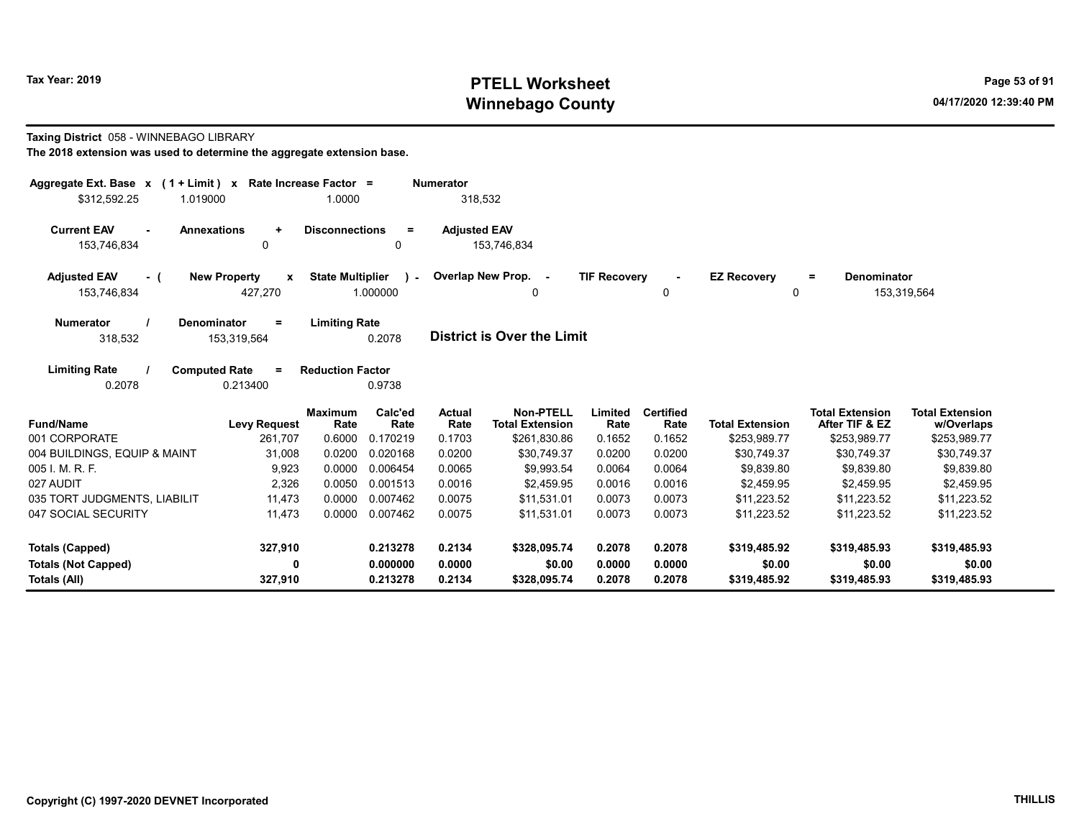# Tax Year: 2019 **PTELL Worksheet** Page 53 of 91 Winnebago County and the County of the County of the County of the County of the County of the County of the County of the County of the County of the County of the County of the County of the County of the County of the C

### Taxing District 058 - WINNEBAGO LIBRARY

| Aggregate Ext. Base $x$ (1 + Limit) $x$                           | Rate Increase Factor =                         |                                                      | <b>Numerator</b>      |                                            |                     |                          |                         |                                          |                                      |
|-------------------------------------------------------------------|------------------------------------------------|------------------------------------------------------|-----------------------|--------------------------------------------|---------------------|--------------------------|-------------------------|------------------------------------------|--------------------------------------|
| \$312,592.25<br>1.019000                                          |                                                | 1.0000                                               | 318,532               |                                            |                     |                          |                         |                                          |                                      |
| <b>Current EAV</b><br><b>Annexations</b><br>$\sim$<br>153,746,834 | $\ddot{}$<br>0                                 | <b>Disconnections</b><br>$\equiv$<br>0               | <b>Adjusted EAV</b>   | 153,746,834                                |                     |                          |                         |                                          |                                      |
| <b>Adjusted EAV</b><br>- (<br>153,746,834                         | <b>New Property</b><br>$\mathbf{x}$<br>427,270 | <b>State Multiplier</b><br>$\mathcal{L}$<br>1.000000 |                       | Overlap New Prop. -<br>0                   | <b>TIF Recovery</b> | 0                        | <b>EZ Recovery</b><br>0 | <b>Denominator</b><br>Ξ.                 | 153,319,564                          |
| <b>Numerator</b><br>Denominator<br>318,532                        | $=$<br>153,319,564                             | <b>Limiting Rate</b><br>0.2078                       |                       | <b>District is Over the Limit</b>          |                     |                          |                         |                                          |                                      |
| <b>Limiting Rate</b><br><b>Computed Rate</b><br>0.2078            | $=$<br>0.213400                                | <b>Reduction Factor</b><br>0.9738                    |                       |                                            |                     |                          |                         |                                          |                                      |
| <b>Fund/Name</b>                                                  | <b>Levy Request</b>                            | Calc'ed<br><b>Maximum</b><br>Rate<br>Rate            | <b>Actual</b><br>Rate | <b>Non-PTELL</b><br><b>Total Extension</b> | Limited<br>Rate     | <b>Certified</b><br>Rate | <b>Total Extension</b>  | <b>Total Extension</b><br>After TIF & EZ | <b>Total Extension</b><br>w/Overlaps |
| 001 CORPORATE                                                     | 261,707                                        | 0.6000<br>0.170219                                   | 0.1703                | \$261,830.86                               | 0.1652              | 0.1652                   | \$253,989.77            | \$253,989.77                             | \$253,989.77                         |
| 004 BUILDINGS, EQUIP & MAINT                                      | 31,008                                         | 0.0200<br>0.020168                                   | 0.0200                | \$30.749.37                                | 0.0200              | 0.0200                   | \$30.749.37             | \$30.749.37                              | \$30,749.37                          |
| 005 I. M. R. F.                                                   | 9,923                                          | 0.0000<br>0.006454                                   | 0.0065                | \$9,993.54                                 | 0.0064              | 0.0064                   | \$9.839.80              | \$9.839.80                               | \$9,839.80                           |
| 027 AUDIT                                                         | 2,326                                          | 0.0050<br>0.001513                                   | 0.0016                | \$2.459.95                                 | 0.0016              | 0.0016                   | \$2.459.95              | \$2.459.95                               | \$2,459.95                           |
| 035 TORT JUDGMENTS, LIABILIT                                      | 11,473                                         | 0.0000<br>0.007462                                   | 0.0075                | \$11,531.01                                | 0.0073              | 0.0073                   | \$11,223.52             | \$11,223.52                              | \$11,223.52                          |
| 047 SOCIAL SECURITY                                               | 11,473                                         | 0.0000<br>0.007462                                   | 0.0075                | \$11,531.01                                | 0.0073              | 0.0073                   | \$11,223.52             | \$11,223.52                              | \$11,223.52                          |
| <b>Totals (Capped)</b>                                            | 327,910                                        | 0.213278                                             | 0.2134                | \$328,095.74                               | 0.2078              | 0.2078                   | \$319,485.92            | \$319,485.93                             | \$319,485.93                         |
| <b>Totals (Not Capped)</b>                                        | 0                                              | 0.000000                                             | 0.0000                | \$0.00                                     | 0.0000              | 0.0000                   | \$0.00                  | \$0.00                                   | \$0.00                               |
| Totals (All)                                                      | 327,910                                        | 0.213278                                             | 0.2134                | \$328,095.74                               | 0.2078              | 0.2078                   | \$319,485.92            | \$319,485.93                             | \$319,485.93                         |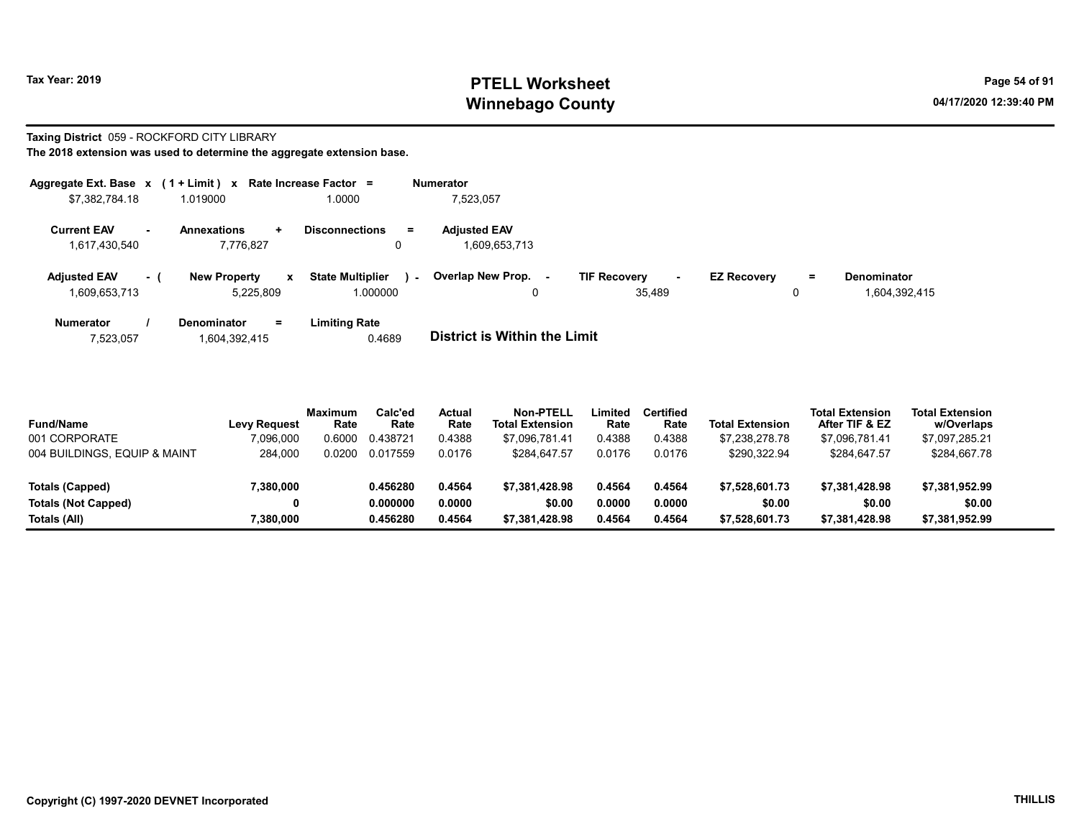# Tax Year: 2019 **PTELL Worksheet** Page 54 of 91 Winnebago County and the County of the County of the County of the County of the County of the County of the County of the County of the County of the County of the County of the County of the County of the County of the C

# Taxing District 059 - ROCKFORD CITY LIBRARY

| Aggregate Ext. Base x        | $(1 + Limit)$ x Rate Increase Factor = |                                             | <b>Numerator</b>             |                               |                           |               |
|------------------------------|----------------------------------------|---------------------------------------------|------------------------------|-------------------------------|---------------------------|---------------|
| \$7,382,784.18               | 1.019000                               | 1.0000                                      | 7,523,057                    |                               |                           |               |
| <b>Current EAV</b><br>$\sim$ | <b>Annexations</b><br>÷.               | $=$<br><b>Disconnections</b>                | <b>Adjusted EAV</b>          |                               |                           |               |
| 1,617,430,540                | 7,776,827                              | 0                                           | 1.609.653.713                |                               |                           |               |
| <b>Adjusted EAV</b><br>- 1   | <b>New Property</b><br>$\mathbf{x}$    | <b>State Multiplier</b><br>$\sim$ 10 $\sim$ | Overlap New Prop.<br>$\sim$  | <b>TIF Recovery</b><br>$\sim$ | <b>EZ Recovery</b><br>$=$ | Denominator   |
| 1,609,653,713                | 5.225.809                              | 1.000000                                    | 0                            | 35.489                        | 0                         | 1.604.392.415 |
| <b>Numerator</b>             | <b>Denominator</b><br>Ξ.               | <b>Limiting Rate</b>                        |                              |                               |                           |               |
| 7,523,057                    | 1,604,392,415                          | 0.4689                                      | District is Within the Limit |                               |                           |               |

| <b>Fund/Name</b>             | <b>Levy Request</b> | <b>Maximum</b><br>Rate | Calc'ed<br>Rate | <b>Actual</b><br>Rate | <b>Non-PTELL</b><br><b>Total Extension</b> | Limited<br>Rate | Certified<br>Rate | <b>Total Extension</b> | <b>Total Extension</b><br>After TIF & EZ | <b>Total Extension</b><br>w/Overlaps |
|------------------------------|---------------------|------------------------|-----------------|-----------------------|--------------------------------------------|-----------------|-------------------|------------------------|------------------------------------------|--------------------------------------|
| 001 CORPORATE                | 7.096.000           | 0.6000                 | 0.438721        | 0.4388                | \$7.096.781.41                             | 0.4388          | 0.4388            | \$7.238.278.78         | \$7.096.781.41                           | \$7,097,285.21                       |
| 004 BUILDINGS, EQUIP & MAINT | 284.000             | 0.0200                 | 0.017559        | 0.0176                | \$284.647.57                               | 0.0176          | 0.0176            | \$290.322.94           | \$284.647.57                             | \$284.667.78                         |
|                              |                     |                        |                 |                       |                                            |                 |                   |                        |                                          |                                      |
| Totals (Capped)              | 7,380,000           |                        | 0.456280        | 0.4564                | \$7.381.428.98                             | 0.4564          | 0.4564            | \$7.528.601.73         | \$7.381.428.98                           | \$7,381,952.99                       |
| <b>Totals (Not Capped)</b>   | 0                   |                        | 0.000000        | 0.0000                | \$0.00                                     | 0.0000          | 0.0000            | \$0.00                 | \$0.00                                   | \$0.00                               |
| Totals (All)                 | 7,380,000           |                        | 0.456280        | 0.4564                | \$7,381,428.98                             | 0.4564          | 0.4564            | \$7,528,601.73         | \$7.381.428.98                           | \$7,381,952.99                       |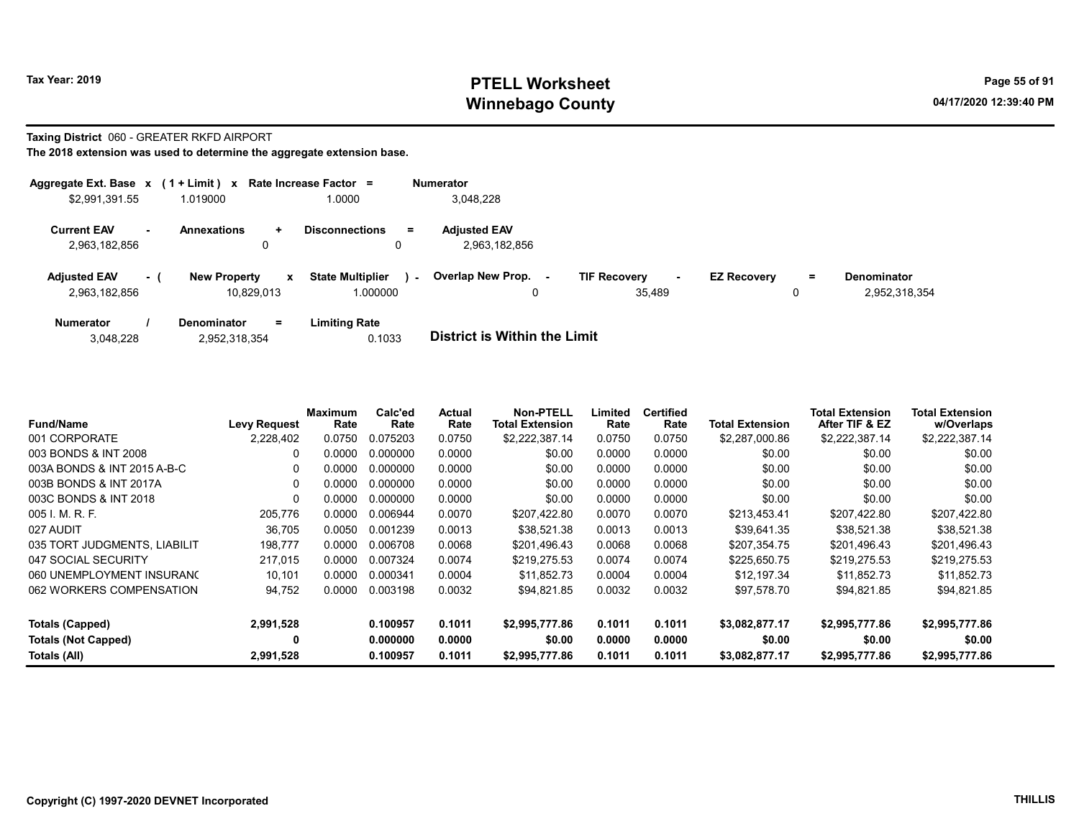# Tax Year: 2019 **PTELL Worksheet** Page 55 of 91 Winnebago County and the County of the County of the County of the County of the County of the County of the County of the County of the County of the County of the County of the County of the County of the County of the C

## Taxing District 060 - GREATER RKFD AIRPORT

|                                      |        | Aggregate Ext. Base $x$ (1 + Limit) x Rate Increase Factor = |                                     |        | <b>Numerator</b>                     |                                                 |                    |        |                                     |
|--------------------------------------|--------|--------------------------------------------------------------|-------------------------------------|--------|--------------------------------------|-------------------------------------------------|--------------------|--------|-------------------------------------|
| \$2,991,391.55                       |        | 1.019000                                                     | 1.0000                              |        | 3,048,228                            |                                                 |                    |        |                                     |
| <b>Current EAV</b><br>2,963,182,856  | $\sim$ | <b>Annexations</b><br>$\ddotmark$<br>0                       | <b>Disconnections</b><br>0          | $=$    | <b>Adjusted EAV</b><br>2,963,182,856 |                                                 |                    |        |                                     |
| <b>Adjusted EAV</b><br>2,963,182,856 | $-1$   | <b>New Property</b><br>$\mathbf{x}$<br>10.829.013            | <b>State Multiplier</b><br>1.000000 | $\sim$ | <b>Overlap New Prop.</b><br>0        | <b>TIF Recovery</b><br>$\blacksquare$<br>35.489 | <b>EZ Recovery</b> | =<br>0 | <b>Denominator</b><br>2,952,318,354 |
| <b>Numerator</b>                     |        | $=$<br>Denominator                                           | <b>Limiting Rate</b>                |        |                                      |                                                 |                    |        |                                     |

| 3,048,228 | 2,952,318,354 | 0.1033 | <b>District is Within the Limit</b> |
|-----------|---------------|--------|-------------------------------------|

| <b>Fund/Name</b>             | Levy Request | <b>Maximum</b><br>Rate | Calc'ed<br>Rate | <b>Actual</b><br>Rate | Non-PTELL<br><b>Total Extension</b> | Limited<br>Rate | <b>Certified</b><br>Rate | <b>Total Extension</b> | <b>Total Extension</b><br>After TIF & EZ | <b>Total Extension</b><br>w/Overlaps |
|------------------------------|--------------|------------------------|-----------------|-----------------------|-------------------------------------|-----------------|--------------------------|------------------------|------------------------------------------|--------------------------------------|
| 001 CORPORATE                | 2,228,402    | 0.0750                 | 0.075203        | 0.0750                | \$2,222,387.14                      | 0.0750          | 0.0750                   | \$2,287,000.86         | \$2,222,387.14                           | \$2,222,387.14                       |
| 003 BONDS & INT 2008         | 0            | 0.0000                 | 0.000000        | 0.0000                | \$0.00                              | 0.0000          | 0.0000                   | \$0.00                 | \$0.00                                   | \$0.00                               |
| 003A BONDS & INT 2015 A-B-C  | $\Omega$     | 0.0000                 | 0.000000        | 0.0000                | \$0.00                              | 0.0000          | 0.0000                   | \$0.00                 | \$0.00                                   | \$0.00                               |
| 003B BONDS & INT 2017A       | 0            | 0.0000                 | 0.000000        | 0.0000                | \$0.00                              | 0.0000          | 0.0000                   | \$0.00                 | \$0.00                                   | \$0.00                               |
| 003C BONDS & INT 2018        | 0            | 0.0000                 | 0.000000        | 0.0000                | \$0.00                              | 0.0000          | 0.0000                   | \$0.00                 | \$0.00                                   | \$0.00                               |
| 005 I. M. R. F.              | 205,776      | 0.0000                 | 0.006944        | 0.0070                | \$207.422.80                        | 0.0070          | 0.0070                   | \$213,453.41           | \$207,422.80                             | \$207,422.80                         |
| 027 AUDIT                    | 36,705       | 0.0050                 | 0.001239        | 0.0013                | \$38,521.38                         | 0.0013          | 0.0013                   | \$39,641.35            | \$38,521.38                              | \$38,521.38                          |
| 035 TORT JUDGMENTS, LIABILIT | 198,777      | 0.0000                 | 0.006708        | 0.0068                | \$201.496.43                        | 0.0068          | 0.0068                   | \$207,354.75           | \$201.496.43                             | \$201,496.43                         |
| 047 SOCIAL SECURITY          | 217,015      | 0.0000                 | 0.007324        | 0.0074                | \$219,275.53                        | 0.0074          | 0.0074                   | \$225,650.75           | \$219,275.53                             | \$219,275.53                         |
| 060 UNEMPLOYMENT INSURANC    | 10.101       | 0.0000                 | 0.000341        | 0.0004                | \$11.852.73                         | 0.0004          | 0.0004                   | \$12.197.34            | \$11.852.73                              | \$11,852.73                          |
| 062 WORKERS COMPENSATION     | 94,752       | 0.0000                 | 0.003198        | 0.0032                | \$94,821.85                         | 0.0032          | 0.0032                   | \$97,578.70            | \$94,821.85                              | \$94,821.85                          |
| Totals (Capped)              | 2,991,528    |                        | 0.100957        | 0.1011                | \$2,995,777.86                      | 0.1011          | 0.1011                   | \$3,082,877.17         | \$2,995,777.86                           | \$2,995,777.86                       |
| <b>Totals (Not Capped)</b>   | 0            |                        | 0.000000        | 0.0000                | \$0.00                              | 0.0000          | 0.0000                   | \$0.00                 | \$0.00                                   | \$0.00                               |
| Totals (All)                 | 2,991,528    |                        | 0.100957        | 0.1011                | \$2,995,777.86                      | 0.1011          | 0.1011                   | \$3,082,877.17         | \$2,995,777.86                           | \$2,995,777.86                       |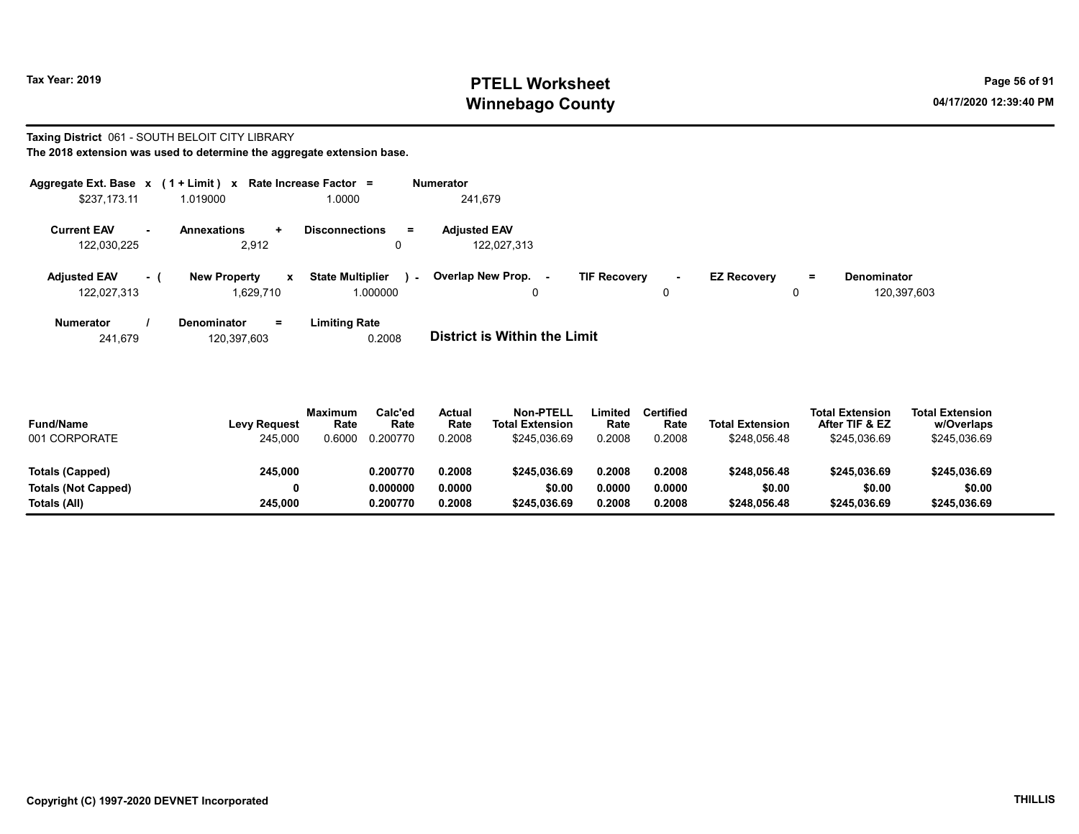# Tax Year: 2019 **PTELL Worksheet** Page 56 of 91 Winnebago County and the County of the County of the County of the County of the County of the County of the County of the County of the County of the County of the County of the County of the County of the County of the C

# Taxing District 061 - SOUTH BELOIT CITY LIBRARY

| The 2018 extension was used to determine the aggregate extension base. |  |
|------------------------------------------------------------------------|--|
|------------------------------------------------------------------------|--|

|                     |          | Aggregate Ext. Base $x$ (1 + Limit) x Rate Increase Factor = |                                            | <b>Numerator</b>            |                     |                |                    |    |                    |
|---------------------|----------|--------------------------------------------------------------|--------------------------------------------|-----------------------------|---------------------|----------------|--------------------|----|--------------------|
| \$237,173.11        |          | 1.019000                                                     | 1.0000                                     | 241.679                     |                     |                |                    |    |                    |
| <b>Current EAV</b>  |          | <b>Annexations</b><br>$\pm$                                  | $=$<br><b>Disconnections</b>               | <b>Adjusted EAV</b>         |                     |                |                    |    |                    |
| 122,030,225         |          | 2,912                                                        | 0                                          | 122,027,313                 |                     |                |                    |    |                    |
| <b>Adjusted EAV</b> | $\sim$ 1 | <b>New Property</b><br>x                                     | <b>State Multiplier</b><br>$\sim$ 10 $\pm$ | Overlap New Prop.<br>$\sim$ | <b>TIF Recovery</b> | $\blacksquare$ | <b>EZ Recovery</b> | Ξ. | <b>Denominator</b> |
| 122,027,313         |          | 1,629,710                                                    | 1.000000                                   | 0                           |                     | 0              |                    |    | 120,397,603        |
| Numerator           |          | Denominator<br>Ξ.                                            | <b>Limiting Rate</b>                       |                             |                     |                |                    |    |                    |

241,679 120,397,603 0.2008 District is Within the Limit

| <b>Fund/Name</b><br>001 CORPORATE | <b>Levy Request</b><br>245.000 | <b>Maximum</b><br>Rate<br>0.6000 | Calc'ed<br>Rate<br>0.200770 | Actual<br>Rate<br>0.2008 | <b>Non-PTELL</b><br><b>Total Extension</b><br>\$245.036.69 | .imited<br>Rate<br>0.2008 | Certified<br>Rate<br>0.2008 | <b>Total Extension</b><br>\$248.056.48 | <b>Total Extension</b><br>After TIF & EZ<br>\$245.036.69 | <b>Total Extension</b><br>w/Overlaps<br>\$245,036.69 |  |
|-----------------------------------|--------------------------------|----------------------------------|-----------------------------|--------------------------|------------------------------------------------------------|---------------------------|-----------------------------|----------------------------------------|----------------------------------------------------------|------------------------------------------------------|--|
| Totals (Capped)                   | 245,000                        |                                  | 0.200770                    | 0.2008                   | \$245.036.69                                               | 0.2008                    | 0.2008                      | \$248.056.48                           | \$245.036.69                                             | \$245.036.69                                         |  |
| <b>Totals (Not Capped)</b>        | 0                              |                                  | 0.000000                    | 0.0000                   | \$0.00                                                     | 0.0000                    | 0.0000                      | \$0.00                                 | \$0.00                                                   | \$0.00                                               |  |
| Totals (All)                      | 245.000                        |                                  | 0.200770                    | 0.2008                   | \$245.036.69                                               | 0.2008                    | 0.2008                      | \$248.056.48                           | \$245.036.69                                             | \$245.036.69                                         |  |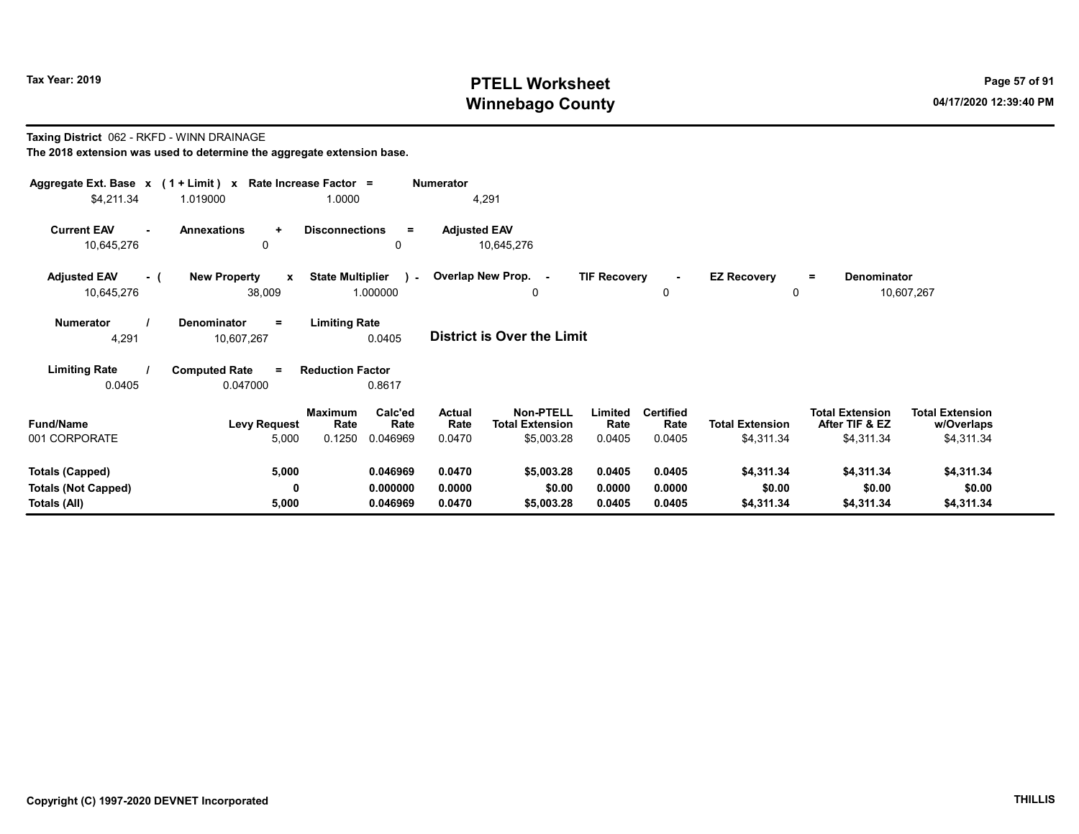# Tax Year: 2019 **PTELL Worksheet** Page 57 of 91 Winnebago County and the County of the County of the County of the County of the County of the County of the County of the County of the County of the County of the County of the County of the County of the County of the C

### Taxing District 062 - RKFD - WINN DRAINAGE The 2018 extension was used to determine the aggregate extension base.

| Aggregate Ext. Base x (1 + Limit) x<br>\$4,211.34             | 1.019000                                      | Rate Increase Factor =<br>1.0000                                 | <b>Numerator</b><br>4,291         |                                                          |                            |                                    |                                      |                                                        |                                                    |
|---------------------------------------------------------------|-----------------------------------------------|------------------------------------------------------------------|-----------------------------------|----------------------------------------------------------|----------------------------|------------------------------------|--------------------------------------|--------------------------------------------------------|----------------------------------------------------|
| <b>Current EAV</b><br>10,645,276                              | <b>Annexations</b><br>÷<br>$\mathbf{0}$       | <b>Disconnections</b><br>Ξ<br>0                                  | <b>Adjusted EAV</b><br>10,645,276 |                                                          |                            |                                    |                                      |                                                        |                                                    |
| <b>Adjusted EAV</b><br>- (<br>10,645,276                      | <b>New Property</b><br>$\mathbf{x}$<br>38,009 | <b>State Multiplier</b><br>$\mathbf{A}=\mathbf{0}$ .<br>1.000000 | Overlap New Prop. -               | 0                                                        | <b>TIF Recovery</b>        | $\sim$<br>0                        | <b>EZ Recovery</b><br>0              | Denominator<br>$=$                                     | 10,607,267                                         |
| <b>Numerator</b><br>4,291                                     | Denominator<br>$\equiv$<br>10,607,267         | <b>Limiting Rate</b><br>0.0405                                   | District is Over the Limit        |                                                          |                            |                                    |                                      |                                                        |                                                    |
| <b>Limiting Rate</b><br>0.0405                                | <b>Computed Rate</b><br>$\equiv$<br>0.047000  | <b>Reduction Factor</b><br>0.8617                                |                                   |                                                          |                            |                                    |                                      |                                                        |                                                    |
| <b>Fund/Name</b><br>001 CORPORATE                             | <b>Levy Request</b><br>5,000                  | Calc'ed<br><b>Maximum</b><br>Rate<br>Rate<br>0.1250<br>0.046969  | Actual<br>Rate<br>0.0470          | <b>Non-PTELL</b><br><b>Total Extension</b><br>\$5,003.28 | Limited<br>Rate<br>0.0405  | <b>Certified</b><br>Rate<br>0.0405 | <b>Total Extension</b><br>\$4,311.34 | <b>Total Extension</b><br>After TIF & EZ<br>\$4,311.34 | <b>Total Extension</b><br>w/Overlaps<br>\$4,311.34 |
| Totals (Capped)<br><b>Totals (Not Capped)</b><br>Totals (All) | 5,000<br>0<br>5,000                           | 0.046969<br>0.000000<br>0.046969                                 | 0.0470<br>0.0000<br>0.0470        | \$5,003.28<br>\$0.00<br>\$5,003.28                       | 0.0405<br>0.0000<br>0.0405 | 0.0405<br>0.0000<br>0.0405         | \$4,311.34<br>\$0.00<br>\$4,311.34   | \$4,311.34<br>\$0.00<br>\$4,311.34                     | \$4,311.34<br>\$0.00<br>\$4,311.34                 |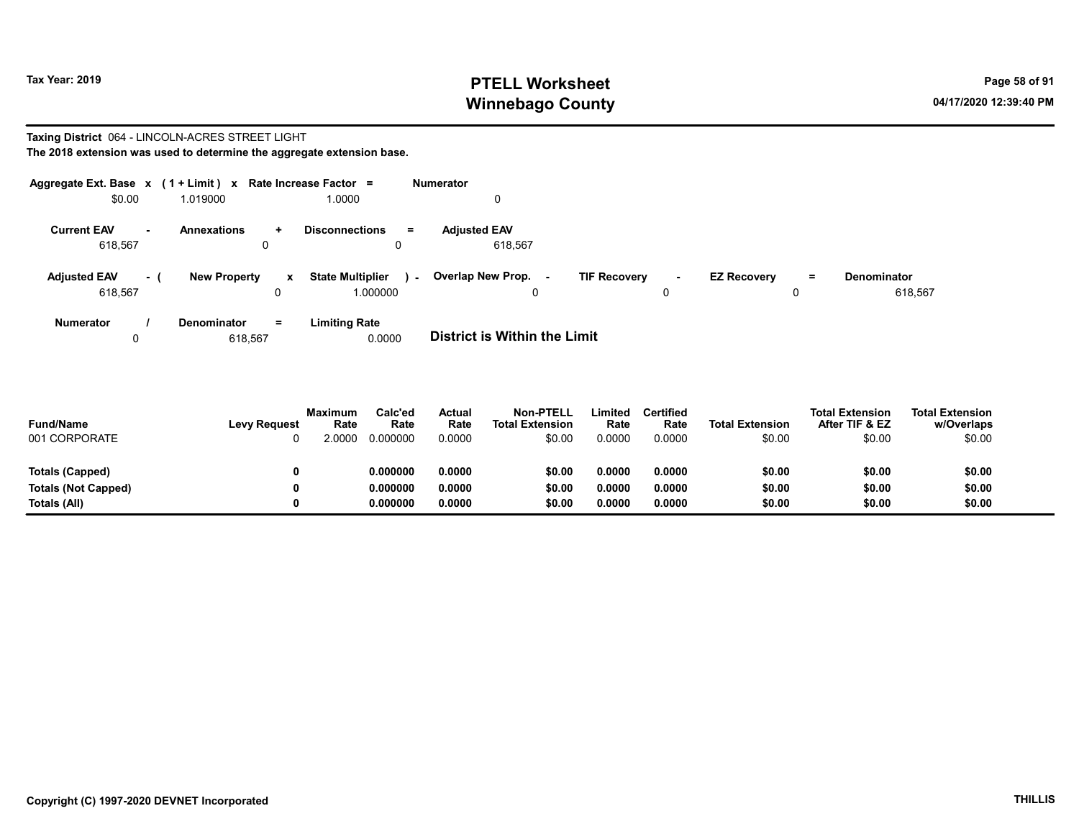# Tax Year: 2019 **PTELL Worksheet** Page 58 of 91 Winnebago County and the County of the County of the County of the County of the County of the County of the County of the County of the County of the County of the County of the County of the County of the County of the C

### Taxing District 064 - LINCOLN-ACRES STREET LIGHT The 2018 extension was used to determine the aggregate extension base.

| Aggregate Ext. Base $x$ (1 + Limit) x Rate Increase Factor = |      |                         |                   |                                               | Numerator                          |                     |        |                    |               |                               |
|--------------------------------------------------------------|------|-------------------------|-------------------|-----------------------------------------------|------------------------------------|---------------------|--------|--------------------|---------------|-------------------------------|
| \$0.00                                                       |      | 1.019000                |                   | 1.0000                                        | 0                                  |                     |        |                    |               |                               |
| <b>Current EAV</b><br>618,567                                | ж.   | <b>Annexations</b><br>0 | $\ddot{}$         | <b>Disconnections</b><br>$=$                  | <b>Adiusted EAV</b><br>618.567     |                     |        |                    |               |                               |
| <b>Adjusted EAV</b><br>618,567                               | $-1$ | <b>New Property</b>     | $\mathbf{x}$<br>0 | <b>State Multiplier</b><br>$\sim$<br>1.000000 | Overlap New Prop. -<br>$\mathbf 0$ | <b>TIF Recovery</b> | $\sim$ | <b>EZ Recovery</b> | $\equiv$<br>0 | <b>Denominator</b><br>618,567 |
| <b>Numerator</b>                                             |      | Denominator             | $=$               | <b>Limiting Rate</b>                          |                                    |                     |        |                    |               |                               |

0 618,567 0.0000 **District is Within the Limit** 

| <b>Fund/Name</b><br>001 CORPORATE | <b>Levy Request</b> | <b>Maximum</b><br>Rate<br>2 0000 | Calc'ed<br>Rate<br>0.000000 | Actual<br>Rate<br>0.0000 | <b>Non-PTELL</b><br><b>Total Extension</b><br>\$0.00 | Limited<br>Rate<br>0.0000 | <b>Certified</b><br>Rate<br>0.0000 | <b>Total Extension</b><br>\$0.00 | <b>Total Extension</b><br>After TIF & EZ<br>\$0.00 | <b>Total Extension</b><br>w/Overlaps<br>\$0.00 |
|-----------------------------------|---------------------|----------------------------------|-----------------------------|--------------------------|------------------------------------------------------|---------------------------|------------------------------------|----------------------------------|----------------------------------------------------|------------------------------------------------|
| Totals (Capped)                   |                     |                                  | 0.000000                    | 0.0000                   | \$0.00                                               | 0.0000                    | 0.0000                             | \$0.00                           | \$0.00                                             | \$0.00                                         |
| <b>Totals (Not Capped)</b>        | 0                   |                                  | 0.000000                    | 0.0000                   | \$0.00                                               | 0.0000                    | 0.0000                             | \$0.00                           | \$0.00                                             | \$0.00                                         |
| Totals (All)                      |                     |                                  | 0.000000                    | 0.0000                   | \$0.00                                               | 0.0000                    | 0.0000                             | \$0.00                           | \$0.00                                             | \$0.00                                         |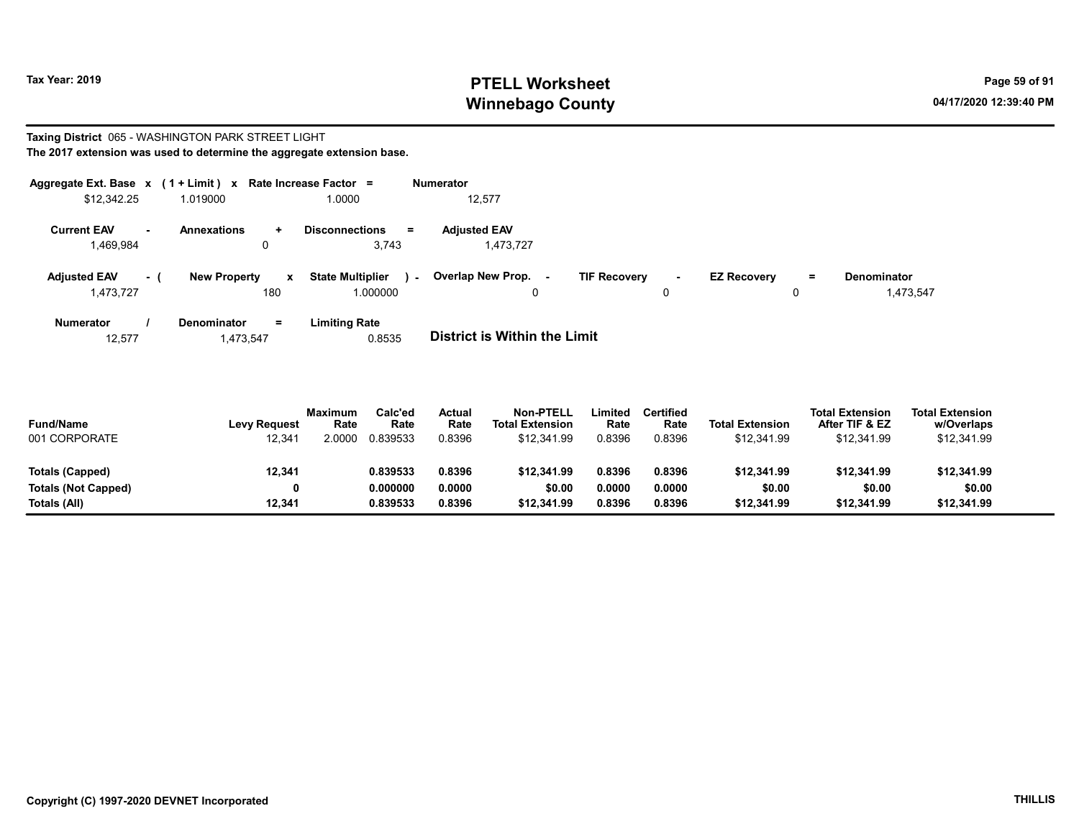# Tax Year: 2019 **PTELL Worksheet** Page 59 of 91 Winnebago County and the County of the County of the County of the County of the County of the County of the County of the County of the County of the County of the County of the County of the County of the County of the C

### Taxing District 065 - WASHINGTON PARK STREET LIGHT The 2017 extension was used to determine the aggregate extension base.

| Aggregate Ext. Base $x$ (1 + Limit) $x$ |     |                                            | Rate Increase Factor =                           | <b>Numerator</b>                 |                               |                                |                                 |
|-----------------------------------------|-----|--------------------------------------------|--------------------------------------------------|----------------------------------|-------------------------------|--------------------------------|---------------------------------|
| \$12,342.25                             |     | 1.019000                                   | 1.0000                                           | 12,577                           |                               |                                |                                 |
| <b>Current EAV</b><br>1,469,984         | ж.  | <b>Annexations</b><br>$\ddot{}$<br>0       | <b>Disconnections</b><br>$=$<br>3,743            | <b>Adjusted EAV</b><br>1,473,727 |                               |                                |                                 |
| <b>Adjusted EAV</b><br>1,473,727        | - ( | <b>New Property</b><br>$\mathbf{x}$<br>180 | <b>State Multiplier</b><br>$\sim$ $-$<br>.000000 | Overlap New Prop. -<br>0         | <b>TIF Recovery</b><br>$\sim$ | <b>EZ Recovery</b><br>$=$<br>0 | <b>Denominator</b><br>1,473,547 |
| Numerator                               |     | Denominator<br>$=$                         | <b>Limiting Rate</b>                             |                                  |                               |                                |                                 |

12,577 1,473,547 0.8535 District is Within the Limit

| <b>Fund/Name</b><br>001 CORPORATE | <b>Levy Request</b><br>12,341 | Maximum<br>Rate<br>2.0000 | Calc'ed<br>Rate<br>0.839533 | Actual<br>Rate<br>0.8396 | <b>Non-PTELL</b><br><b>Total Extension</b><br>\$12,341.99 | Limited<br>Rate<br>0.8396 | Certified<br>Rate<br>0.8396 | <b>Total Extension</b><br>\$12,341.99 | <b>Total Extension</b><br>After TIF & EZ<br>\$12.341.99 | <b>Total Extension</b><br>w/Overlaps<br>\$12,341.99 |  |
|-----------------------------------|-------------------------------|---------------------------|-----------------------------|--------------------------|-----------------------------------------------------------|---------------------------|-----------------------------|---------------------------------------|---------------------------------------------------------|-----------------------------------------------------|--|
| Totals (Capped)                   | 12,341                        |                           | 0.839533                    | 0.8396                   | \$12,341.99                                               | 0.8396                    | 0.8396                      | \$12,341.99                           | \$12,341.99                                             | \$12,341.99                                         |  |
| <b>Totals (Not Capped)</b>        |                               |                           | 0.000000                    | 0.0000                   | \$0.00                                                    | 0.0000                    | 0.0000                      | \$0.00                                | \$0.00                                                  | \$0.00                                              |  |
| Totals (All)                      | 12.341                        |                           | 0.839533                    | 0.8396                   | \$12,341.99                                               | 0.8396                    | 0.8396                      | \$12.341.99                           | \$12,341.99                                             | \$12,341.99                                         |  |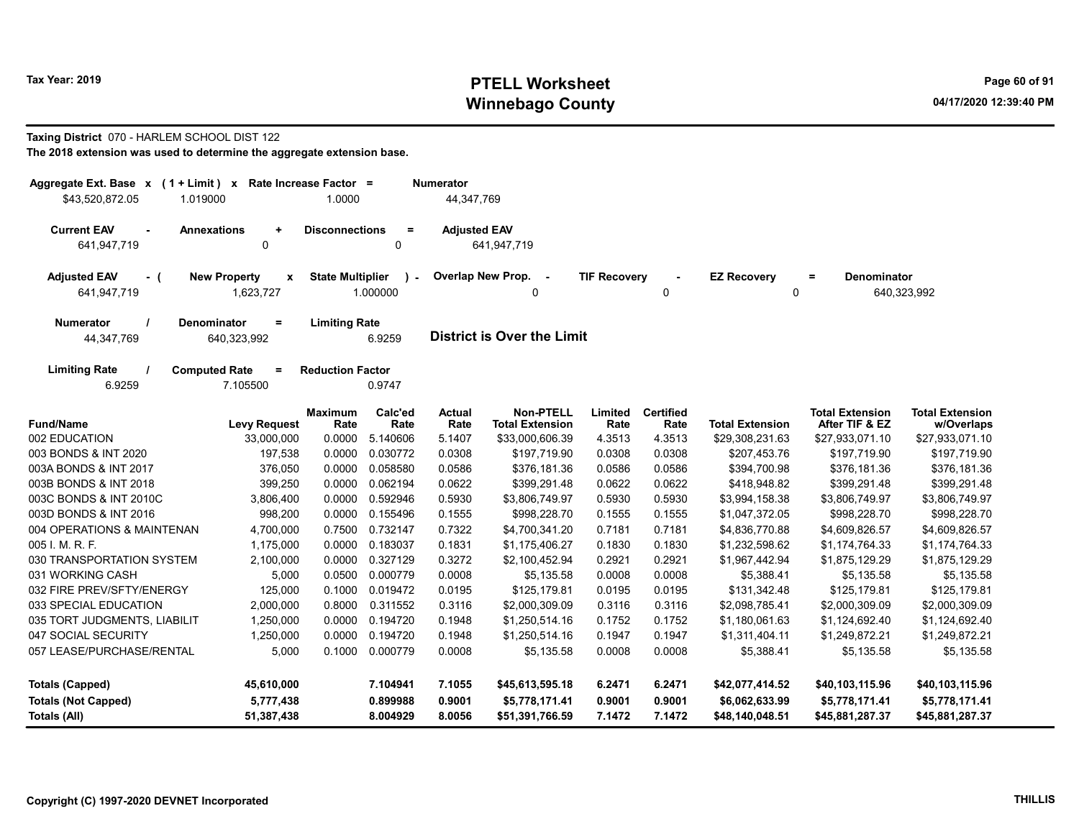# Tax Year: 2019 **PTELL Worksheet** Page 60 of 91 Winnebago County and the County of the County of the County of the County of the County of the County of the County of the County of the County of the County of the County of the County of the County of the County of the C

## Taxing District 070 - HARLEM SCHOOL DIST 122

| The 2018 extension was used to determine the aggregate extension base. |  |
|------------------------------------------------------------------------|--|
|------------------------------------------------------------------------|--|

| Aggregate Ext. Base x (1 + Limit) x Rate Increase Factor =<br>\$43,520,872.05<br>1.019000 |                                              | 1.0000                  |                       | Numerator<br>44,347,769           |                                     |                     |                          |                         |                                          |                                      |
|-------------------------------------------------------------------------------------------|----------------------------------------------|-------------------------|-----------------------|-----------------------------------|-------------------------------------|---------------------|--------------------------|-------------------------|------------------------------------------|--------------------------------------|
|                                                                                           |                                              |                         |                       |                                   |                                     |                     |                          |                         |                                          |                                      |
| <b>Current EAV</b><br>$\overline{a}$                                                      | <b>Annexations</b><br>$\ddot{}$              | <b>Disconnections</b>   | $\equiv$              | <b>Adjusted EAV</b>               |                                     |                     |                          |                         |                                          |                                      |
| 641,947,719                                                                               | 0                                            |                         | $\Omega$              |                                   | 641,947,719                         |                     |                          |                         |                                          |                                      |
| <b>Adjusted EAV</b><br>- (<br>641,947,719                                                 | <b>New Property</b><br>X<br>1,623,727        | <b>State Multiplier</b> | $\lambda$<br>1.000000 | Overlap New Prop.                 | 0                                   | <b>TIF Recovery</b> | 0                        | <b>EZ Recovery</b><br>0 | $\equiv$<br><b>Denominator</b>           | 640,323,992                          |
| Denominator<br><b>Numerator</b><br>44,347,769<br>640,323,992                              | <b>Limiting Rate</b>                         | 6.9259                  |                       | <b>District is Over the Limit</b> |                                     |                     |                          |                         |                                          |                                      |
| <b>Limiting Rate</b><br>6.9259                                                            | <b>Computed Rate</b><br>$\equiv$<br>7.105500 | <b>Reduction Factor</b> | 0.9747                |                                   |                                     |                     |                          |                         |                                          |                                      |
| <b>Fund/Name</b>                                                                          | <b>Levy Request</b>                          | <b>Maximum</b><br>Rate  | Calc'ed<br>Rate       | <b>Actual</b><br>Rate             | Non-PTELL<br><b>Total Extension</b> | Limited<br>Rate     | <b>Certified</b><br>Rate | <b>Total Extension</b>  | <b>Total Extension</b><br>After TIF & EZ | <b>Total Extension</b><br>w/Overlaps |
| 002 EDUCATION                                                                             | 33,000,000                                   | 0.0000                  | 5.140606              | 5.1407                            | \$33,000,606.39                     | 4.3513              | 4.3513                   | \$29,308,231.63         | \$27,933,071.10                          | \$27,933,071.10                      |
| 003 BONDS & INT 2020                                                                      | 197,538                                      | 0.0000                  | 0.030772              | 0.0308                            | \$197,719.90                        | 0.0308              | 0.0308                   | \$207,453.76            | \$197,719.90                             | \$197,719.90                         |
| 003A BONDS & INT 2017                                                                     | 376,050                                      | 0.0000                  | 0.058580              | 0.0586                            | \$376,181.36                        | 0.0586              | 0.0586                   | \$394,700.98            | \$376,181.36                             | \$376,181.36                         |
| 003B BONDS & INT 2018                                                                     | 399,250                                      | 0.0000                  | 0.062194              | 0.0622                            | \$399,291.48                        | 0.0622              | 0.0622                   | \$418,948.82            | \$399,291.48                             | \$399,291.48                         |
| 003C BONDS & INT 2010C                                                                    | 3,806,400                                    | 0.0000                  | 0.592946              | 0.5930                            | \$3,806,749.97                      | 0.5930              | 0.5930                   | \$3,994,158.38          | \$3,806,749.97                           | \$3,806,749.97                       |
| 003D BONDS & INT 2016                                                                     | 998,200                                      | 0.0000                  | 0.155496              | 0.1555                            | \$998,228.70                        | 0.1555              | 0.1555                   | \$1,047,372.05          | \$998,228.70                             | \$998,228.70                         |
| 004 OPERATIONS & MAINTENAN                                                                | 4,700,000                                    | 0.7500                  | 0.732147              | 0.7322                            | \$4,700,341.20                      | 0.7181              | 0.7181                   | \$4,836,770.88          | \$4,609,826.57                           | \$4,609,826.57                       |
| 005 I. M. R. F.                                                                           | 1,175,000                                    | 0.0000                  | 0.183037              | 0.1831                            | \$1,175,406.27                      | 0.1830              | 0.1830                   | \$1,232,598.62          | \$1,174,764.33                           | \$1,174,764.33                       |
| 030 TRANSPORTATION SYSTEM                                                                 | 2,100,000                                    | 0.0000                  | 0.327129              | 0.3272                            | \$2,100,452.94                      | 0.2921              | 0.2921                   | \$1,967,442.94          | \$1,875,129.29                           | \$1,875,129.29                       |
| 031 WORKING CASH                                                                          | 5,000                                        | 0.0500                  | 0.000779              | 0.0008                            | \$5,135.58                          | 0.0008              | 0.0008                   | \$5,388.41              | \$5,135.58                               | \$5,135.58                           |
| 032 FIRE PREV/SFTY/ENERGY                                                                 | 125,000                                      | 0.1000                  | 0.019472              | 0.0195                            | \$125,179.81                        | 0.0195              | 0.0195                   | \$131,342.48            | \$125,179.81                             | \$125,179.81                         |
| 033 SPECIAL EDUCATION                                                                     | 2,000,000                                    | 0.8000                  | 0.311552              | 0.3116                            | \$2,000,309.09                      | 0.3116              | 0.3116                   | \$2,098,785.41          | \$2,000,309.09                           | \$2,000,309.09                       |
| 035 TORT JUDGMENTS, LIABILIT                                                              | 1,250,000                                    | 0.0000                  | 0.194720              | 0.1948                            | \$1,250,514.16                      | 0.1752              | 0.1752                   | \$1,180,061.63          | \$1,124,692.40                           | \$1,124,692.40                       |
| 047 SOCIAL SECURITY                                                                       | 1,250,000                                    | 0.0000                  | 0.194720              | 0.1948                            | \$1,250,514.16                      | 0.1947              | 0.1947                   | \$1,311,404.11          | \$1,249,872.21                           | \$1,249,872.21                       |
| 057 LEASE/PURCHASE/RENTAL                                                                 | 5,000                                        | 0.1000                  | 0.000779              | 0.0008                            | \$5,135.58                          | 0.0008              | 0.0008                   | \$5,388.41              | \$5,135.58                               | \$5,135.58                           |
| <b>Totals (Capped)</b>                                                                    | 45,610,000                                   |                         | 7.104941              | 7.1055                            | \$45,613,595.18                     | 6.2471              | 6.2471                   | \$42,077,414.52         | \$40,103,115.96                          | \$40,103,115.96                      |
| <b>Totals (Not Capped)</b>                                                                | 5,777,438                                    |                         | 0.899988              | 0.9001                            | \$5,778,171.41                      | 0.9001              | 0.9001                   | \$6,062,633.99          | \$5,778,171.41                           | \$5,778,171.41                       |
| Totals (All)                                                                              | 51,387,438                                   |                         | 8.004929              | 8.0056                            | \$51,391,766.59                     | 7.1472              | 7.1472                   | \$48,140,048.51         | \$45,881,287.37                          | \$45,881,287.37                      |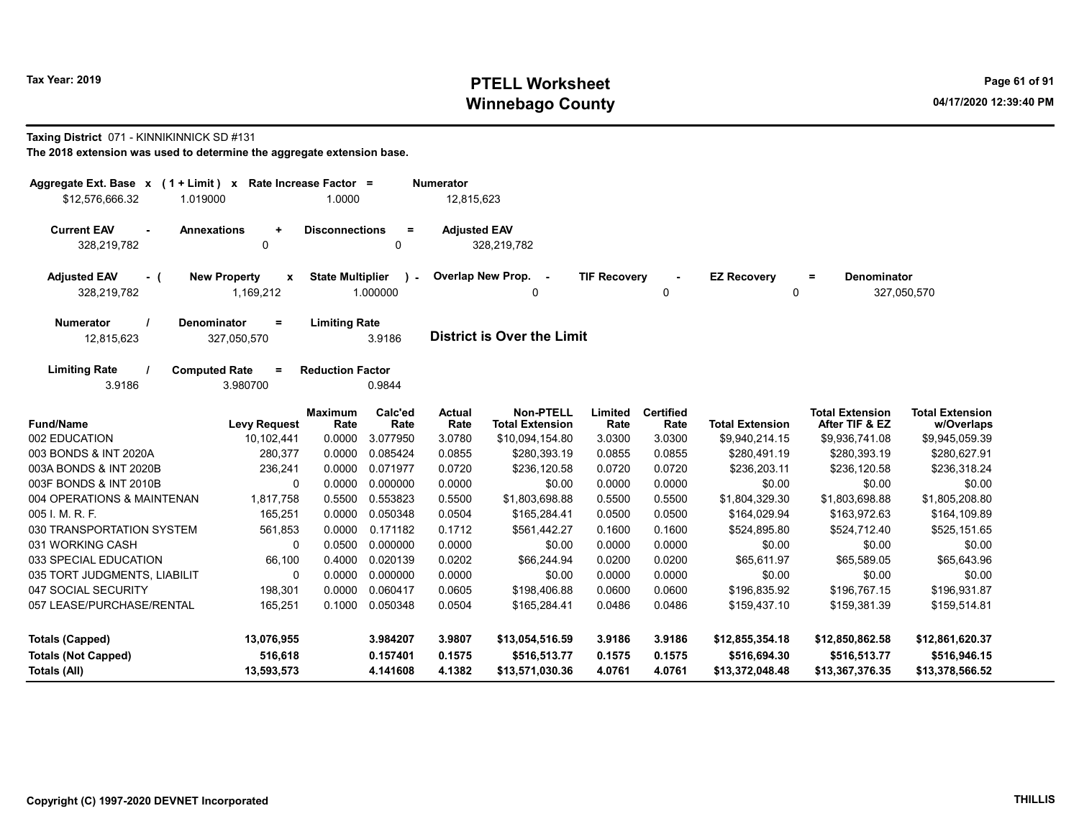# Tax Year: 2019 **PTELL Worksheet** Page 61 of 91 Winnebago County and the County of the County of the County of the County of the County of the County of the County of the County of the County of the County of the County of the County of the County of the County of the C

### Taxing District 071 - KINNIKINNICK SD #131

| Aggregate Ext. Base $x$ (1 + Limit) $x$<br>1.019000<br>\$12,576,666.32 | Rate Increase Factor =                           | 1.0000                  |                          | <b>Numerator</b><br>12,815,623 |                                            |                     |                          |                                   |                                          |                                      |
|------------------------------------------------------------------------|--------------------------------------------------|-------------------------|--------------------------|--------------------------------|--------------------------------------------|---------------------|--------------------------|-----------------------------------|------------------------------------------|--------------------------------------|
| <b>Current EAV</b><br><b>Annexations</b><br>$\sim$<br>328,219,782      | ÷<br>$\mathbf 0$                                 | <b>Disconnections</b>   | $\equiv$<br>$\Omega$     | <b>Adjusted EAV</b>            | 328,219,782                                |                     |                          |                                   |                                          |                                      |
| <b>Adjusted EAV</b><br>- (<br>328,219,782                              | <b>New Property</b><br>$\mathbf{x}$<br>1,169,212 | <b>State Multiplier</b> | $\mathbf{r}$<br>1.000000 |                                | Overlap New Prop. -<br>$\Omega$            | <b>TIF Recovery</b> | $\mathbf{0}$             | <b>EZ Recovery</b><br>$\mathbf 0$ | <b>Denominator</b><br>$=$                | 327,050,570                          |
| <b>Numerator</b><br>12,815,623                                         | <b>Denominator</b><br>$\equiv$<br>327,050,570    | <b>Limiting Rate</b>    | 3.9186                   |                                | <b>District is Over the Limit</b>          |                     |                          |                                   |                                          |                                      |
| <b>Limiting Rate</b><br><b>Computed Rate</b><br>3.9186                 | $\equiv$<br>3.980700                             | <b>Reduction Factor</b> | 0.9844                   |                                |                                            |                     |                          |                                   |                                          |                                      |
| <b>Fund/Name</b>                                                       | <b>Levy Request</b>                              | <b>Maximum</b><br>Rate  | Calc'ed<br>Rate          | Actual<br>Rate                 | <b>Non-PTELL</b><br><b>Total Extension</b> | Limited<br>Rate     | <b>Certified</b><br>Rate | <b>Total Extension</b>            | <b>Total Extension</b><br>After TIF & EZ | <b>Total Extension</b><br>w/Overlaps |
| 002 EDUCATION                                                          | 10,102,441                                       | 0.0000                  | 3.077950                 | 3.0780                         | \$10,094,154.80                            | 3.0300              | 3.0300                   | \$9,940,214.15                    | \$9,936,741.08                           | \$9,945,059.39                       |
| 003 BONDS & INT 2020A                                                  | 280,377                                          | 0.0000                  | 0.085424                 | 0.0855                         | \$280,393.19                               | 0.0855              | 0.0855                   | \$280,491.19                      | \$280,393.19                             | \$280,627.91                         |
| 003A BONDS & INT 2020B                                                 | 236,241                                          | 0.0000                  | 0.071977                 | 0.0720                         | \$236,120.58                               | 0.0720              | 0.0720                   | \$236,203.11                      | \$236,120.58                             | \$236,318.24                         |
| 003F BONDS & INT 2010B                                                 | 0                                                | 0.0000                  | 0.000000                 | 0.0000                         | \$0.00                                     | 0.0000              | 0.0000                   | \$0.00                            | \$0.00                                   | \$0.00                               |
| 004 OPERATIONS & MAINTENAN                                             | 1,817,758                                        | 0.5500                  | 0.553823                 | 0.5500                         | \$1,803,698.88                             | 0.5500              | 0.5500                   | \$1,804,329.30                    | \$1,803,698.88                           | \$1,805,208.80                       |
| 005 I. M. R. F.                                                        | 165,251                                          | 0.0000                  | 0.050348                 | 0.0504                         | \$165,284.41                               | 0.0500              | 0.0500                   | \$164,029.94                      | \$163,972.63                             | \$164,109.89                         |
| 030 TRANSPORTATION SYSTEM                                              | 561,853                                          | 0.0000                  | 0.171182                 | 0.1712                         | \$561,442.27                               | 0.1600              | 0.1600                   | \$524,895.80                      | \$524,712.40                             | \$525,151.65                         |
| 031 WORKING CASH                                                       | $\Omega$                                         | 0.0500                  | 0.000000                 | 0.0000                         | \$0.00                                     | 0.0000              | 0.0000                   | \$0.00                            | \$0.00                                   | \$0.00                               |
| 033 SPECIAL EDUCATION                                                  | 66,100                                           | 0.4000                  | 0.020139                 | 0.0202                         | \$66,244.94                                | 0.0200              | 0.0200                   | \$65,611.97                       | \$65,589.05                              | \$65,643.96                          |
| 035 TORT JUDGMENTS, LIABILIT                                           | 0                                                | 0.0000                  | 0.000000                 | 0.0000                         | \$0.00                                     | 0.0000              | 0.0000                   | \$0.00                            | \$0.00                                   | \$0.00                               |
| 047 SOCIAL SECURITY                                                    | 198,301                                          | 0.0000                  | 0.060417                 | 0.0605                         | \$198,406.88                               | 0.0600              | 0.0600                   | \$196,835.92                      | \$196,767.15                             | \$196,931.87                         |
| 057 LEASE/PURCHASE/RENTAL                                              | 165,251                                          | 0.1000                  | 0.050348                 | 0.0504                         | \$165,284.41                               | 0.0486              | 0.0486                   | \$159,437.10                      | \$159,381.39                             | \$159,514.81                         |
| <b>Totals (Capped)</b>                                                 | 13,076,955                                       |                         | 3.984207                 | 3.9807                         | \$13,054,516.59                            | 3.9186              | 3.9186                   | \$12,855,354.18                   | \$12,850,862.58                          | \$12,861,620.37                      |
| <b>Totals (Not Capped)</b>                                             | 516,618                                          |                         | 0.157401                 | 0.1575                         | \$516,513.77                               | 0.1575              | 0.1575                   | \$516,694.30                      | \$516,513.77                             | \$516,946.15                         |
| Totals (All)                                                           | 13,593,573                                       |                         | 4.141608                 | 4.1382                         | \$13,571,030.36                            | 4.0761              | 4.0761                   | \$13,372,048.48                   | \$13,367,376.35                          | \$13,378,566.52                      |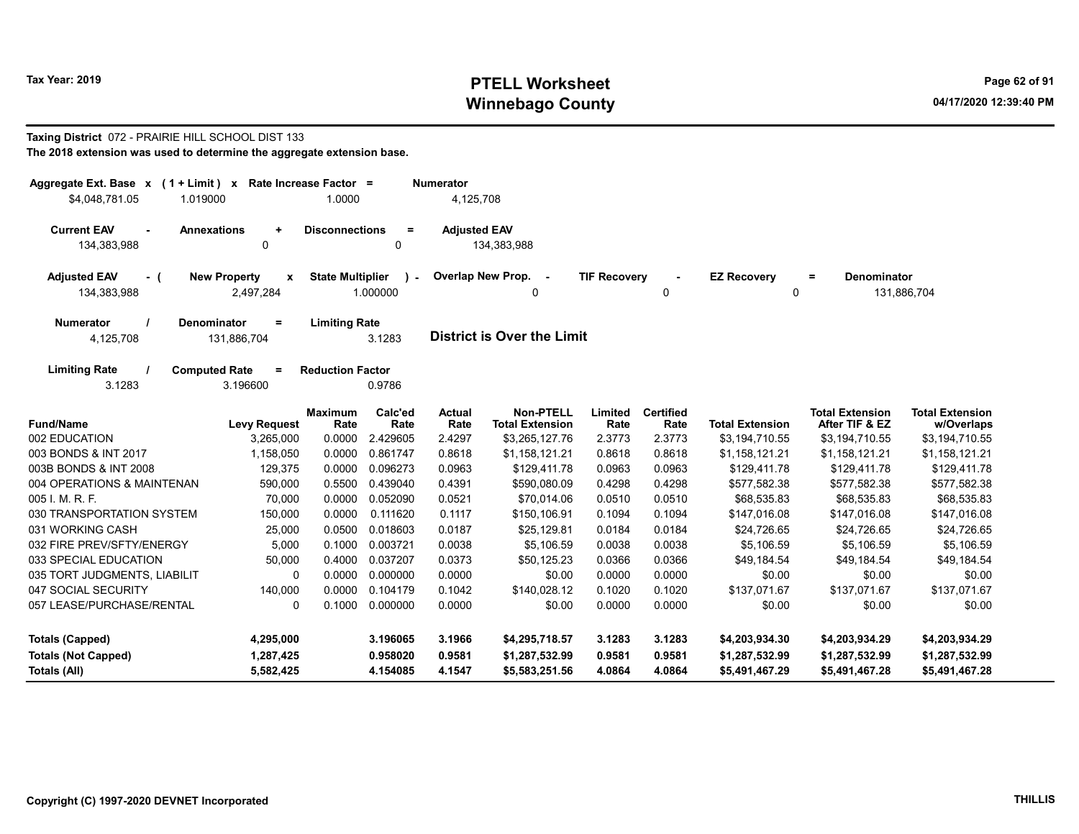# Tax Year: 2019 **PTELL Worksheet** Page 62 of 91 Winnebago County and the County of the County of the County of the County of the County of the County of the County of the County of the County of the County of the County of the County of the County of the County of the C

### Taxing District 072 - PRAIRIE HILL SCHOOL DIST 133 The 2018 extension was used to determine the aggregate extension base.

| Aggregate Ext. Base $x$ (1 + Limit) x Rate Increase Factor =<br>\$4,048,781.05<br>1.019000 |                                                  | 1.0000                  |                         | <b>Numerator</b><br>4,125,708 |                                            |                     |                          |                         |                                          |                                      |
|--------------------------------------------------------------------------------------------|--------------------------------------------------|-------------------------|-------------------------|-------------------------------|--------------------------------------------|---------------------|--------------------------|-------------------------|------------------------------------------|--------------------------------------|
| <b>Current EAV</b><br><b>Annexations</b><br>134,383,988                                    | $\ddot{}$<br>0                                   | <b>Disconnections</b>   | $=$<br>$\mathbf{0}$     | <b>Adjusted EAV</b>           | 134,383,988                                |                     |                          |                         |                                          |                                      |
| <b>Adjusted EAV</b><br>- (<br>134,383,988                                                  | <b>New Property</b><br>$\mathbf{x}$<br>2,497,284 | <b>State Multiplier</b> | $\lambda$ -<br>1.000000 |                               | Overlap New Prop. -<br>0                   | <b>TIF Recovery</b> | 0                        | <b>EZ Recovery</b><br>0 | <b>Denominator</b><br>Ξ.                 | 131,886,704                          |
| <b>Numerator</b><br>Denominator<br>4,125,708                                               | $=$<br>131,886,704                               | <b>Limiting Rate</b>    | 3.1283                  |                               | <b>District is Over the Limit</b>          |                     |                          |                         |                                          |                                      |
| <b>Limiting Rate</b><br>3.1283                                                             | <b>Computed Rate</b><br>$\equiv$<br>3.196600     | <b>Reduction Factor</b> | 0.9786                  |                               |                                            |                     |                          |                         |                                          |                                      |
| <b>Fund/Name</b>                                                                           | <b>Levy Request</b>                              | <b>Maximum</b><br>Rate  | Calc'ed<br>Rate         | <b>Actual</b><br>Rate         | <b>Non-PTELL</b><br><b>Total Extension</b> | Limited<br>Rate     | <b>Certified</b><br>Rate | <b>Total Extension</b>  | <b>Total Extension</b><br>After TIF & EZ | <b>Total Extension</b><br>w/Overlaps |
| 002 EDUCATION                                                                              | 3.265.000                                        | 0.0000                  | 2.429605                | 2.4297                        | \$3,265,127.76                             | 2.3773              | 2.3773                   | \$3,194,710.55          | \$3,194,710.55                           | \$3,194,710.55                       |
| 003 BONDS & INT 2017                                                                       | 1,158,050                                        | 0.0000                  | 0.861747                | 0.8618                        | \$1,158,121.21                             | 0.8618              | 0.8618                   | \$1,158,121.21          | \$1,158,121.21                           | \$1,158,121.21                       |
| 003B BONDS & INT 2008                                                                      | 129,375                                          | 0.0000                  | 0.096273                | 0.0963                        | \$129,411.78                               | 0.0963              | 0.0963                   | \$129,411.78            | \$129,411.78                             | \$129,411.78                         |
| 004 OPERATIONS & MAINTENAN                                                                 | 590,000                                          | 0.5500                  | 0.439040                | 0.4391                        | \$590,080.09                               | 0.4298              | 0.4298                   | \$577.582.38            | \$577.582.38                             | \$577,582.38                         |
| 005 I. M. R. F.                                                                            | 70,000                                           | 0.0000                  | 0.052090                | 0.0521                        | \$70,014.06                                | 0.0510              | 0.0510                   | \$68,535.83             | \$68,535.83                              | \$68,535.83                          |
| 030 TRANSPORTATION SYSTEM                                                                  | 150,000                                          | 0.0000                  | 0.111620                | 0.1117                        | \$150,106.91                               | 0.1094              | 0.1094                   | \$147,016.08            | \$147,016.08                             | \$147,016.08                         |
| 031 WORKING CASH                                                                           | 25,000                                           | 0.0500                  | 0.018603                | 0.0187                        | \$25,129.81                                | 0.0184              | 0.0184                   | \$24,726.65             | \$24,726.65                              | \$24,726.65                          |
| 032 FIRE PREV/SFTY/ENERGY                                                                  | 5,000                                            | 0.1000                  | 0.003721                | 0.0038                        | \$5,106.59                                 | 0.0038              | 0.0038                   | \$5,106.59              | \$5,106.59                               | \$5,106.59                           |
| 033 SPECIAL EDUCATION                                                                      | 50,000                                           | 0.4000                  | 0.037207                | 0.0373                        | \$50,125.23                                | 0.0366              | 0.0366                   | \$49,184.54             | \$49,184.54                              | \$49,184.54                          |
| 035 TORT JUDGMENTS, LIABILIT                                                               | 0                                                | 0.0000                  | 0.000000                | 0.0000                        | \$0.00                                     | 0.0000              | 0.0000                   | \$0.00                  | \$0.00                                   | \$0.00                               |
| 047 SOCIAL SECURITY                                                                        | 140,000                                          | 0.0000                  | 0.104179                | 0.1042                        | \$140,028.12                               | 0.1020              | 0.1020                   | \$137,071.67            | \$137,071.67                             | \$137,071.67                         |
| 057 LEASE/PURCHASE/RENTAL                                                                  | $\mathbf 0$                                      | 0.1000                  | 0.000000                | 0.0000                        | \$0.00                                     | 0.0000              | 0.0000                   | \$0.00                  | \$0.00                                   | \$0.00                               |
| <b>Totals (Capped)</b>                                                                     | 4,295,000                                        |                         | 3.196065                | 3.1966                        | \$4,295,718.57                             | 3.1283              | 3.1283                   | \$4,203,934.30          | \$4,203,934.29                           | \$4,203,934.29                       |
| <b>Totals (Not Capped)</b>                                                                 | 1,287,425                                        |                         | 0.958020                | 0.9581                        | \$1,287,532.99                             | 0.9581              | 0.9581                   | \$1,287,532.99          | \$1,287,532.99                           | \$1,287,532.99                       |
| Totals (All)                                                                               | 5,582,425                                        |                         | 4.154085                | 4.1547                        | \$5,583,251.56                             | 4.0864              | 4.0864                   | \$5,491,467.29          | \$5,491,467.28                           | \$5,491,467.28                       |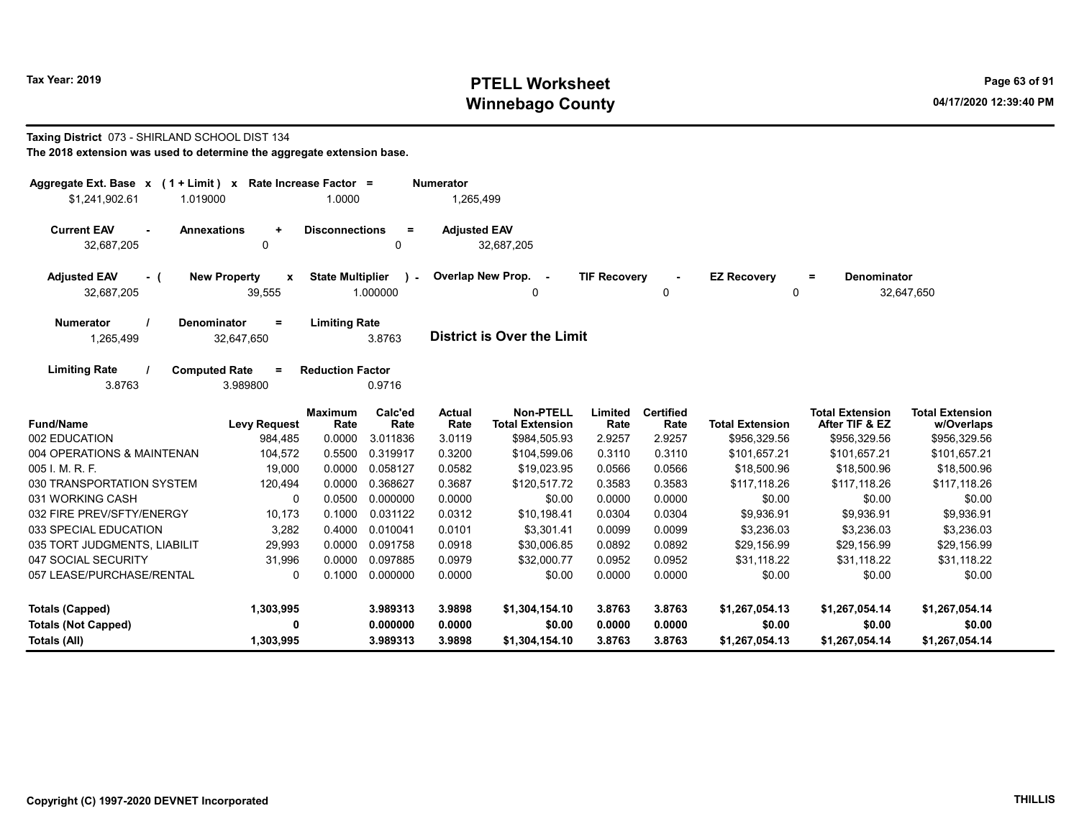# Tax Year: 2019 **PTELL Worksheet** Page 63 of 91 Winnebago County and the County of the County of the County of the County of the County of the County of the County of the County of the County of the County of the County of the County of the County of the County of the C

### Taxing District 073 - SHIRLAND SCHOOL DIST 134 The 2018 extension was used to determine the aggregate extension base.

| Aggregate Ext. Base $x$ (1 + Limit) $x$<br>\$1,241,902.61<br>1.019000 | Rate Increase Factor =                            | 1.0000                  |                         | <b>Numerator</b><br>1,265,499 |                                            |                     |                   |                         |                                          |                                      |
|-----------------------------------------------------------------------|---------------------------------------------------|-------------------------|-------------------------|-------------------------------|--------------------------------------------|---------------------|-------------------|-------------------------|------------------------------------------|--------------------------------------|
| <b>Current EAV</b><br><b>Annexations</b><br>32,687,205                | $\ddot{}$<br>0                                    | <b>Disconnections</b>   | $\equiv$<br>0           | <b>Adjusted EAV</b>           | 32,687,205                                 |                     |                   |                         |                                          |                                      |
| <b>Adjusted EAV</b><br>- (<br>32,687,205                              | <b>New Property</b><br>$\boldsymbol{x}$<br>39,555 | <b>State Multiplier</b> | $\lambda$ -<br>1.000000 |                               | Overlap New Prop. -<br>0                   | <b>TIF Recovery</b> | 0                 | <b>EZ Recovery</b><br>0 | <b>Denominator</b><br>$=$                | 32,647,650                           |
| <b>Denominator</b><br><b>Numerator</b><br>1,265,499                   | $\equiv$<br>32,647,650                            | <b>Limiting Rate</b>    | 3.8763                  |                               | <b>District is Over the Limit</b>          |                     |                   |                         |                                          |                                      |
| <b>Limiting Rate</b><br><b>Computed Rate</b><br>3.8763                | $\equiv$<br>3.989800                              | <b>Reduction Factor</b> | 0.9716                  |                               |                                            |                     |                   |                         |                                          |                                      |
| <b>Fund/Name</b>                                                      | <b>Levy Request</b>                               | <b>Maximum</b><br>Rate  | Calc'ed<br>Rate         | Actual<br>Rate                | <b>Non-PTELL</b><br><b>Total Extension</b> | Limited<br>Rate     | Certified<br>Rate | <b>Total Extension</b>  | <b>Total Extension</b><br>After TIF & EZ | <b>Total Extension</b><br>w/Overlaps |
| 002 EDUCATION                                                         | 984,485                                           | 0.0000                  | 3.011836                | 3.0119                        | \$984,505.93                               | 2.9257              | 2.9257            | \$956,329.56            | \$956,329.56                             | \$956,329.56                         |
| 004 OPERATIONS & MAINTENAN                                            | 104,572                                           | 0.5500                  | 0.319917                | 0.3200                        | \$104,599.06                               | 0.3110              | 0.3110            | \$101,657.21            | \$101,657.21                             | \$101,657.21                         |
| 005 I. M. R. F.                                                       | 19,000                                            | 0.0000                  | 0.058127                | 0.0582                        | \$19,023.95                                | 0.0566              | 0.0566            | \$18,500.96             | \$18,500.96                              | \$18,500.96                          |
| 030 TRANSPORTATION SYSTEM                                             | 120,494                                           | 0.0000                  | 0.368627                | 0.3687                        | \$120,517.72                               | 0.3583              | 0.3583            | \$117,118.26            | \$117,118.26                             | \$117,118.26                         |
| 031 WORKING CASH                                                      | $\Omega$                                          | 0.0500                  | 0.000000                | 0.0000                        | \$0.00                                     | 0.0000              | 0.0000            | \$0.00                  | \$0.00                                   | \$0.00                               |
| 032 FIRE PREV/SFTY/ENERGY                                             | 10,173                                            | 0.1000                  | 0.031122                | 0.0312                        | \$10,198.41                                | 0.0304              | 0.0304            | \$9,936.91              | \$9,936.91                               | \$9,936.91                           |
| 033 SPECIAL EDUCATION                                                 | 3,282                                             | 0.4000                  | 0.010041                | 0.0101                        | \$3,301.41                                 | 0.0099              | 0.0099            | \$3,236.03              | \$3,236.03                               | \$3,236.03                           |
| 035 TORT JUDGMENTS, LIABILIT                                          | 29,993                                            | 0.0000                  | 0.091758                | 0.0918                        | \$30,006.85                                | 0.0892              | 0.0892            | \$29,156.99             | \$29,156.99                              | \$29,156.99                          |
| 047 SOCIAL SECURITY                                                   | 31,996                                            | 0.0000                  | 0.097885                | 0.0979                        | \$32,000.77                                | 0.0952              | 0.0952            | \$31,118.22             | \$31,118.22                              | \$31,118.22                          |
| 057 LEASE/PURCHASE/RENTAL                                             | 0                                                 | 0.1000                  | 0.000000                | 0.0000                        | \$0.00                                     | 0.0000              | 0.0000            | \$0.00                  | \$0.00                                   | \$0.00                               |
| <b>Totals (Capped)</b>                                                | 1,303,995                                         |                         | 3.989313                | 3.9898                        | \$1,304,154.10                             | 3.8763              | 3.8763            | \$1,267,054.13          | \$1,267,054.14                           | \$1,267,054.14                       |
| <b>Totals (Not Capped)</b>                                            | 0                                                 |                         | 0.000000                | 0.0000                        | \$0.00                                     | 0.0000              | 0.0000            | \$0.00                  | \$0.00                                   | \$0.00                               |
| Totals (All)                                                          | 1,303,995                                         |                         | 3.989313                | 3.9898                        | \$1,304,154.10                             | 3.8763              | 3.8763            | \$1,267,054.13          | \$1,267,054.14                           | \$1,267,054.14                       |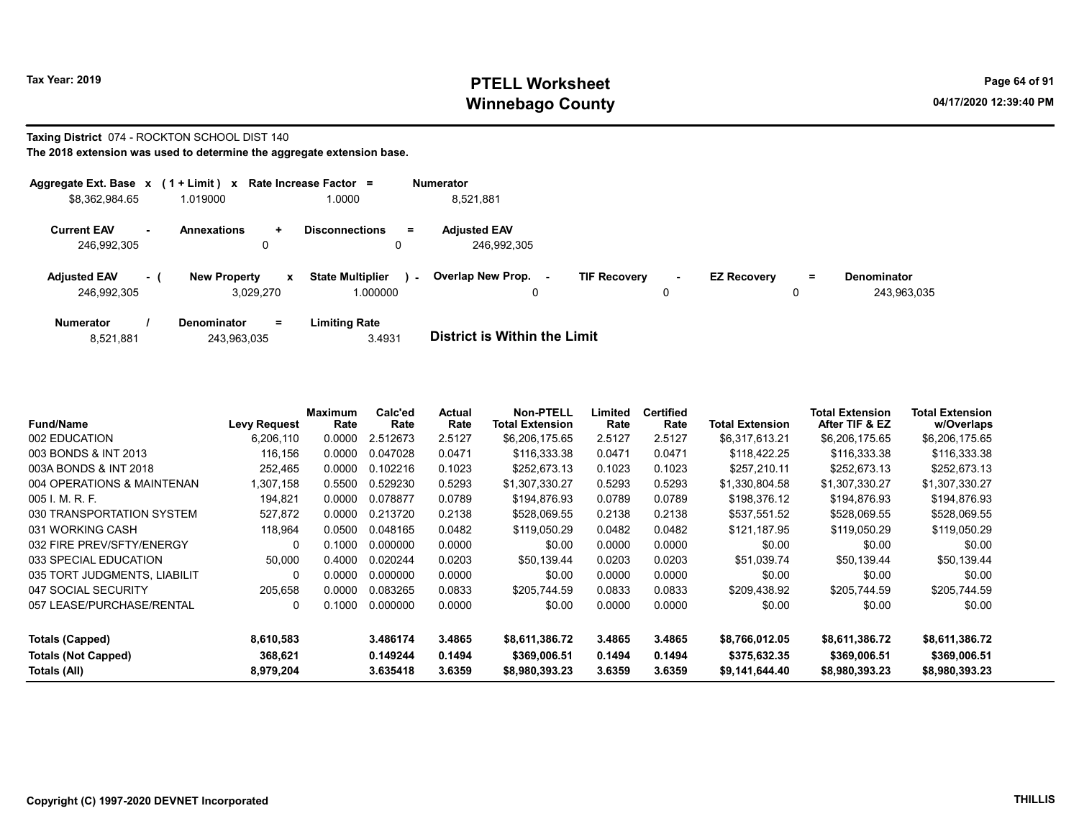# Tax Year: 2019 **PTELL Worksheet** Page 64 of 91 Winnebago County and the County of the County of the County of the County of the County of the County of the County of the County of the County of the County of the County of the County of the County of the County of the C

### Taxing District 074 - ROCKTON SCHOOL DIST 140 The 2018 extension was used to determine the aggregate extension base.

|                                    |     | Aggregate Ext. Base $x$ (1 + Limit) x Rate Increase Factor = |                                     |        | Numerator                          |                     |             |                    |         |                                   |
|------------------------------------|-----|--------------------------------------------------------------|-------------------------------------|--------|------------------------------------|---------------------|-------------|--------------------|---------|-----------------------------------|
| \$8,362,984.65                     |     | 1.019000                                                     | 1.0000                              |        | 8,521,881                          |                     |             |                    |         |                                   |
| <b>Current EAV</b><br>246.992.305  |     | <b>Annexations</b><br>÷.<br>0                                | <b>Disconnections</b><br>0          | Ξ.     | <b>Adjusted EAV</b><br>246,992,305 |                     |             |                    |         |                                   |
| <b>Adiusted EAV</b><br>246,992,305 | - ( | <b>New Property</b><br>$\mathbf{x}$<br>3,029,270             | <b>State Multiplier</b><br>1.000000 | $\sim$ | <b>Overlap New Prop.</b><br>۰.     | <b>TIF Recovery</b> | $\sim$<br>0 | <b>EZ Recovery</b> | Ξ.<br>0 | <b>Denominator</b><br>243,963,035 |
| <b>Numerator</b>                   |     | $=$<br><b>Denominator</b>                                    | <b>Limiting Rate</b>                |        |                                    |                     |             |                    |         |                                   |

| 8,521,881 | 243,963,035 | 3.4931 | <b>District is Within the Limit</b> |
|-----------|-------------|--------|-------------------------------------|

| <b>Fund/Name</b>             | <b>Levy Request</b> | Maximum<br>Rate | Calc'ed<br>Rate | Actual<br>Rate | Non-PTELL<br>Total Extension | Limited<br>Rate | <b>Certified</b><br>Rate | Total Extension | <b>Total Extension</b><br>After TIF & EZ | <b>Total Extension</b><br>w/Overlaps |
|------------------------------|---------------------|-----------------|-----------------|----------------|------------------------------|-----------------|--------------------------|-----------------|------------------------------------------|--------------------------------------|
| 002 EDUCATION                | 6,206,110           | 0.0000          | 2.512673        | 2.5127         | \$6,206,175.65               | 2.5127          | 2.5127                   | \$6,317,613.21  | \$6,206,175.65                           | \$6,206,175.65                       |
| 003 BONDS & INT 2013         | 116,156             | 0.0000          | 0.047028        | 0.0471         | \$116,333.38                 | 0.0471          | 0.0471                   | \$118,422.25    | \$116,333.38                             | \$116,333.38                         |
| 003A BONDS & INT 2018        | 252,465             | 0.0000          | 0.102216        | 0.1023         | \$252,673.13                 | 0.1023          | 0.1023                   | \$257,210.11    | \$252,673.13                             | \$252,673.13                         |
| 004 OPERATIONS & MAINTENAN   | 1,307,158           | 0.5500          | 0.529230        | 0.5293         | \$1,307,330.27               | 0.5293          | 0.5293                   | \$1,330,804.58  | \$1,307,330.27                           | \$1,307,330.27                       |
| 005 I. M. R. F.              | 194,821             | 0.0000          | 0.078877        | 0.0789         | \$194,876.93                 | 0.0789          | 0.0789                   | \$198,376.12    | \$194,876.93                             | \$194,876.93                         |
| 030 TRANSPORTATION SYSTEM    | 527,872             | 0.0000          | 0.213720        | 0.2138         | \$528,069.55                 | 0.2138          | 0.2138                   | \$537,551.52    | \$528,069.55                             | \$528,069.55                         |
| 031 WORKING CASH             | 118,964             | 0.0500          | 0.048165        | 0.0482         | \$119,050.29                 | 0.0482          | 0.0482                   | \$121,187.95    | \$119,050.29                             | \$119,050.29                         |
| 032 FIRE PREV/SFTY/ENERGY    | 0                   | 0.1000          | 0.000000        | 0.0000         | \$0.00                       | 0.0000          | 0.0000                   | \$0.00          | \$0.00                                   | \$0.00                               |
| 033 SPECIAL EDUCATION        | 50.000              | 0.4000          | 0.020244        | 0.0203         | \$50.139.44                  | 0.0203          | 0.0203                   | \$51,039.74     | \$50.139.44                              | \$50.139.44                          |
| 035 TORT JUDGMENTS, LIABILIT | 0                   | 0.0000          | 0.000000        | 0.0000         | \$0.00                       | 0.0000          | 0.0000                   | \$0.00          | \$0.00                                   | \$0.00                               |
| 047 SOCIAL SECURITY          | 205,658             | 0.0000          | 0.083265        | 0.0833         | \$205.744.59                 | 0.0833          | 0.0833                   | \$209,438.92    | \$205,744.59                             | \$205.744.59                         |
| 057 LEASE/PURCHASE/RENTAL    | 0                   | 0.1000          | 0.000000        | 0.0000         | \$0.00                       | 0.0000          | 0.0000                   | \$0.00          | \$0.00                                   | \$0.00                               |
| <b>Totals (Capped)</b>       | 8,610,583           |                 | 3.486174        | 3.4865         | \$8,611,386.72               | 3.4865          | 3.4865                   | \$8,766,012.05  | \$8,611,386.72                           | \$8,611,386.72                       |
| <b>Totals (Not Capped)</b>   | 368,621             |                 | 0.149244        | 0.1494         | \$369,006.51                 | 0.1494          | 0.1494                   | \$375,632.35    | \$369,006.51                             | \$369,006.51                         |
| Totals (All)                 | 8,979,204           |                 | 3.635418        | 3.6359         | \$8,980,393.23               | 3.6359          | 3.6359                   | \$9,141,644.40  | \$8,980,393.23                           | \$8,980,393.23                       |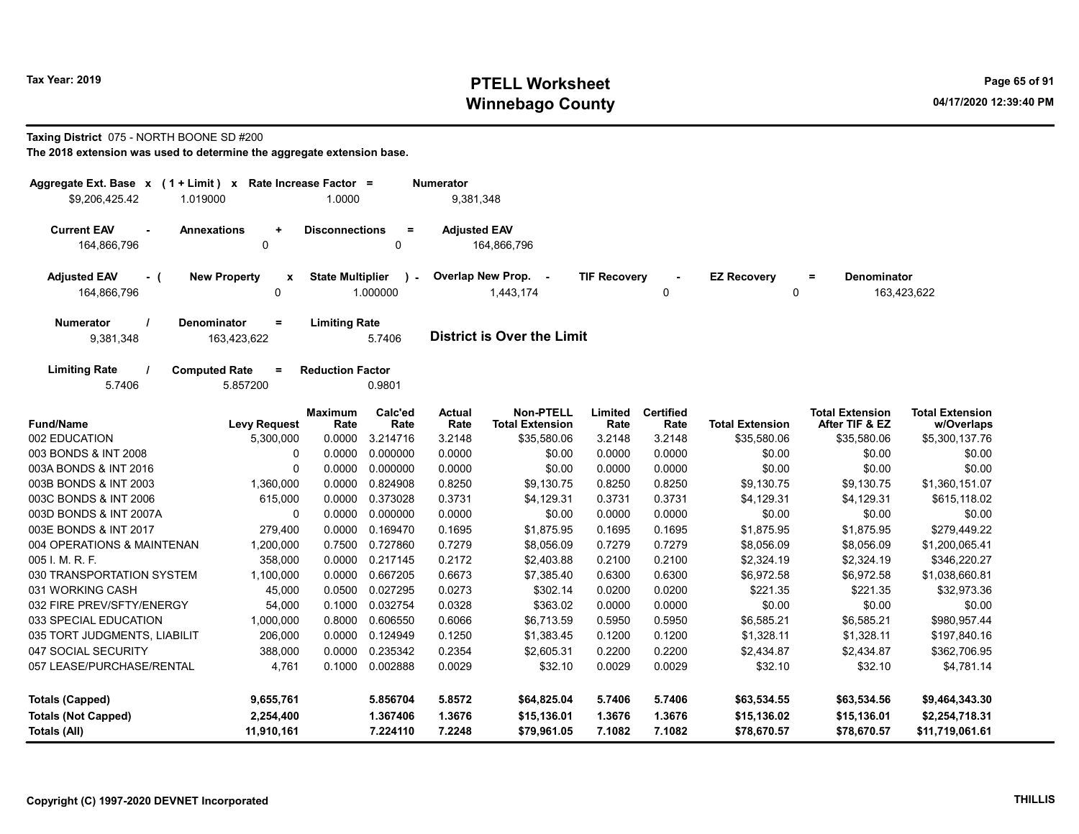# Tax Year: 2019 **PTELL Worksheet** Page 65 of 91 Winnebago County and the County of the County of the County of the County of the County of the County of the County of the County of the County of the County of the County of the County of the County of the County of the C

## Taxing District 075 - NORTH BOONE SD #200

| Aggregate Ext. Base x (1 + Limit) x Rate Increase Factor =                                      |                         |                           | <b>Numerator</b>    |                                            |                     |                          |                         |                                          |                                      |
|-------------------------------------------------------------------------------------------------|-------------------------|---------------------------|---------------------|--------------------------------------------|---------------------|--------------------------|-------------------------|------------------------------------------|--------------------------------------|
| \$9.206.425.42<br>1.019000                                                                      | 1.0000                  |                           | 9,381,348           |                                            |                     |                          |                         |                                          |                                      |
| <b>Current EAV</b><br><b>Annexations</b><br>$\ddot{}$<br>164,866,796<br>$\Omega$                | <b>Disconnections</b>   | $\equiv$<br>$\Omega$      | <b>Adjusted EAV</b> | 164,866,796                                |                     |                          |                         |                                          |                                      |
| <b>Adjusted EAV</b><br><b>New Property</b><br>$\mathbf{x}$<br>- (<br>164,866,796<br>$\mathbf 0$ | <b>State Multiplier</b> | $\mathcal{L}$<br>1.000000 |                     | Overlap New Prop. -<br>1,443,174           | <b>TIF Recovery</b> | $\Omega$                 | <b>EZ Recovery</b><br>0 | <b>Denominator</b><br>$\equiv$           | 163,423,622                          |
| <b>Denominator</b><br><b>Numerator</b><br>$\equiv$<br>9,381,348<br>163,423,622                  | <b>Limiting Rate</b>    | 5.7406                    |                     | <b>District is Over the Limit</b>          |                     |                          |                         |                                          |                                      |
| <b>Limiting Rate</b><br><b>Computed Rate</b><br>$\equiv$<br>5.7406<br>5.857200                  | <b>Reduction Factor</b> | 0.9801                    |                     |                                            |                     |                          |                         |                                          |                                      |
| <b>Fund/Name</b><br><b>Levy Request</b>                                                         | <b>Maximum</b><br>Rate  | Calc'ed<br>Rate           | Actual<br>Rate      | <b>Non-PTELL</b><br><b>Total Extension</b> | Limited<br>Rate     | <b>Certified</b><br>Rate | <b>Total Extension</b>  | <b>Total Extension</b><br>After TIF & EZ | <b>Total Extension</b><br>w/Overlaps |
| 002 EDUCATION<br>5,300,000                                                                      | 0.0000                  | 3.214716                  | 3.2148              | \$35,580.06                                | 3.2148              | 3.2148                   | \$35,580.06             | \$35,580.06                              | \$5,300,137.76                       |
| 003 BONDS & INT 2008<br>0                                                                       | 0.0000                  | 0.000000                  | 0.0000              | \$0.00                                     | 0.0000              | 0.0000                   | \$0.00                  | \$0.00                                   | \$0.00                               |
| 003A BONDS & INT 2016<br>$\Omega$                                                               | 0.0000                  | 0.000000                  | 0.0000              | \$0.00                                     | 0.0000              | 0.0000                   | \$0.00                  | \$0.00                                   | \$0.00                               |
| 003B BONDS & INT 2003<br>1,360,000                                                              | 0.0000                  | 0.824908                  | 0.8250              | \$9,130.75                                 | 0.8250              | 0.8250                   | \$9,130.75              | \$9,130.75                               | \$1,360,151.07                       |
| 003C BONDS & INT 2006<br>615,000                                                                | 0.0000                  | 0.373028                  | 0.3731              | \$4,129.31                                 | 0.3731              | 0.3731                   | \$4,129.31              | \$4,129.31                               | \$615,118.02                         |
| 003D BONDS & INT 2007A<br>$\Omega$                                                              | 0.0000                  | 0.000000                  | 0.0000              | \$0.00                                     | 0.0000              | 0.0000                   | \$0.00                  | \$0.00                                   | \$0.00                               |
| 003E BONDS & INT 2017<br>279,400                                                                | 0.0000                  | 0.169470                  | 0.1695              | \$1,875.95                                 | 0.1695              | 0.1695                   | \$1,875.95              | \$1,875.95                               | \$279,449.22                         |
| 004 OPERATIONS & MAINTENAN<br>1,200,000                                                         | 0.7500                  | 0.727860                  | 0.7279              | \$8,056.09                                 | 0.7279              | 0.7279                   | \$8,056.09              | \$8,056.09                               | \$1,200,065.41                       |
| 005 I. M. R. F.<br>358,000                                                                      | 0.0000                  | 0.217145                  | 0.2172              | \$2,403.88                                 | 0.2100              | 0.2100                   | \$2,324.19              | \$2,324.19                               | \$346,220.27                         |
| 030 TRANSPORTATION SYSTEM<br>1,100,000                                                          | 0.0000                  | 0.667205                  | 0.6673              | \$7,385.40                                 | 0.6300              | 0.6300                   | \$6,972.58              | \$6,972.58                               | \$1,038,660.81                       |
| 031 WORKING CASH<br>45,000                                                                      | 0.0500                  | 0.027295                  | 0.0273              | \$302.14                                   | 0.0200              | 0.0200                   | \$221.35                | \$221.35                                 | \$32,973.36                          |
| 032 FIRE PREV/SFTY/ENERGY<br>54,000                                                             | 0.1000                  | 0.032754                  | 0.0328              | \$363.02                                   | 0.0000              | 0.0000                   | \$0.00                  | \$0.00                                   | \$0.00                               |
| 033 SPECIAL EDUCATION<br>1,000,000                                                              | 0.8000                  | 0.606550                  | 0.6066              | \$6,713.59                                 | 0.5950              | 0.5950                   | \$6,585.21              | \$6,585.21                               | \$980,957.44                         |
| 035 TORT JUDGMENTS, LIABILIT<br>206,000                                                         | 0.0000                  | 0.124949                  | 0.1250              | \$1,383.45                                 | 0.1200              | 0.1200                   | \$1,328.11              | \$1,328.11                               | \$197,840.16                         |
| 047 SOCIAL SECURITY<br>388,000                                                                  | 0.0000                  | 0.235342                  | 0.2354              | \$2,605.31                                 | 0.2200              | 0.2200                   | \$2,434.87              | \$2,434.87                               | \$362,706.95                         |
| 057 LEASE/PURCHASE/RENTAL<br>4,761                                                              | 0.1000                  | 0.002888                  | 0.0029              | \$32.10                                    | 0.0029              | 0.0029                   | \$32.10                 | \$32.10                                  | \$4,781.14                           |
| 9,655,761<br><b>Totals (Capped)</b>                                                             |                         | 5.856704                  | 5.8572              | \$64,825.04                                | 5.7406              | 5.7406                   | \$63,534.55             | \$63,534.56                              | \$9,464,343.30                       |
| <b>Totals (Not Capped)</b><br>2,254,400                                                         |                         | 1.367406                  | 1.3676              | \$15,136.01                                | 1.3676              | 1.3676                   | \$15,136.02             | \$15,136.01                              | \$2,254,718.31                       |
| Totals (All)<br>11,910,161                                                                      |                         | 7.224110                  | 7.2248              | \$79,961.05                                | 7.1082              | 7.1082                   | \$78,670.57             | \$78,670.57                              | \$11,719,061.61                      |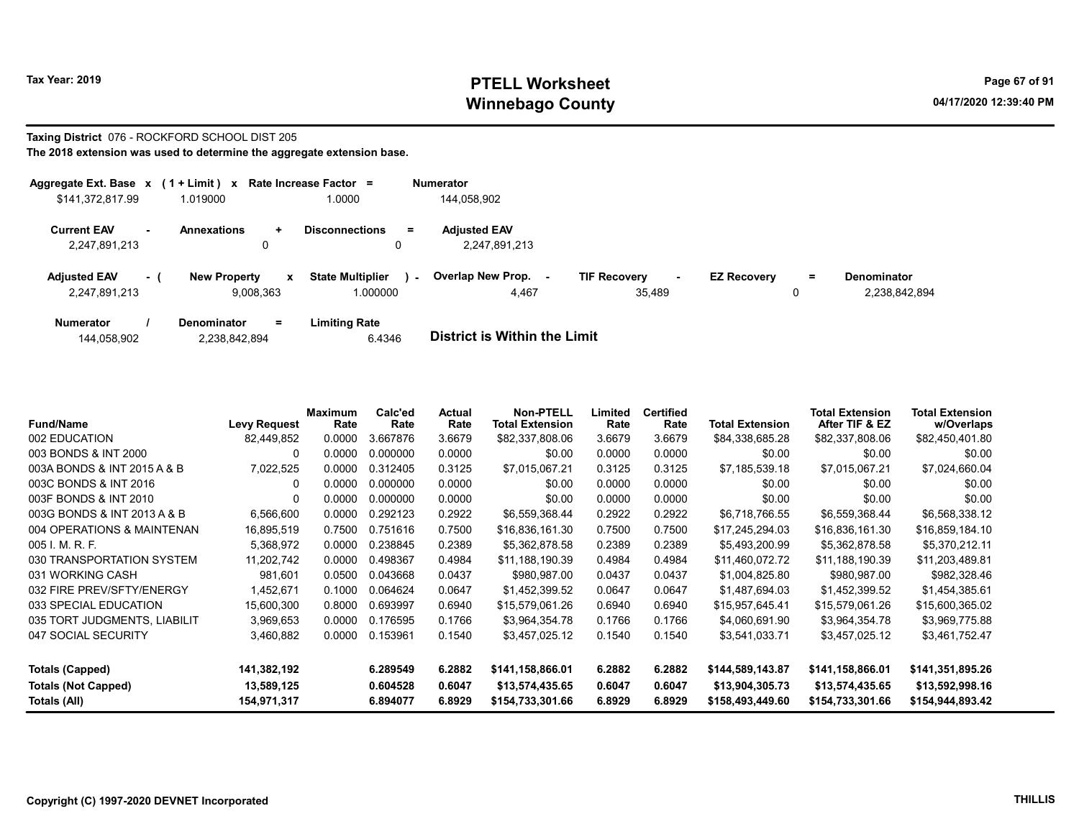# Tax Year: 2019 **PTELL Worksheet** Page 67 of 91 Winnebago County and the County of the County of the County of the County of the County of the County of the County of the County of the County of the County of the County of the County of the County of the County of the C

### Taxing District 076 - ROCKFORD SCHOOL DIST 205 The 2018 extension was used to determine the aggregate extension base.

| Aggregate Ext. Base x                                           | $(1 + Limit)$ x            |                | Rate Increase Factor =                       | <b>Numerator</b>                     |                                         |                    |         |                                     |
|-----------------------------------------------------------------|----------------------------|----------------|----------------------------------------------|--------------------------------------|-----------------------------------------|--------------------|---------|-------------------------------------|
| \$141,372,817.99                                                | 1.019000                   |                | 1.0000                                       | 144.058.902                          |                                         |                    |         |                                     |
| <b>Current EAV</b><br>$\overline{\phantom{a}}$<br>2,247,891,213 | <b>Annexations</b>         | ÷<br>υ         | <b>Disconnections</b><br>$=$<br>0            | <b>Adjusted EAV</b><br>2,247,891,213 |                                         |                    |         |                                     |
| <b>Adjusted EAV</b><br>2,247,891,213                            | <b>New Property</b><br>- 1 | x<br>9,008,363 | <b>State Multiplier</b><br>$\sim$<br>.000000 | Overlap New Prop.<br>4,467           | <b>TIF Recovery</b><br>$\sim$<br>35.489 | <b>EZ Recovery</b> | Ξ.<br>0 | <b>Denominator</b><br>2,238,842,894 |
| <b>Numerator</b>                                                | <b>Denominator</b>         | $=$            | Limiting Rate                                |                                      |                                         |                    |         |                                     |

| 144,058,902 | 2,238,842,894 | 6.4346 | <b>District is Within the Limit</b> |
|-------------|---------------|--------|-------------------------------------|

| <b>Fund/Name</b>             | <b>Levy Request</b> | <b>Maximum</b><br>Rate | Calc'ed<br>Rate | Actual<br>Rate | <b>Non-PTELL</b><br><b>Total Extension</b> | Limited<br>Rate | <b>Certified</b><br>Rate | <b>Total Extension</b> | <b>Total Extension</b><br>After TIF & EZ | <b>Total Extension</b><br>w/Overlaps |
|------------------------------|---------------------|------------------------|-----------------|----------------|--------------------------------------------|-----------------|--------------------------|------------------------|------------------------------------------|--------------------------------------|
| 002 EDUCATION                | 82.449.852          | 0.0000                 | 3.667876        | 3.6679         | \$82,337,808.06                            | 3.6679          | 3.6679                   | \$84,338,685.28        | \$82,337,808.06                          | \$82,450,401.80                      |
| 003 BONDS & INT 2000         | 0                   | 0.0000                 | 0.000000        | 0.0000         | \$0.00                                     | 0.0000          | 0.0000                   | \$0.00                 | \$0.00                                   | \$0.00                               |
| 003A BONDS & INT 2015 A & B  | 7,022,525           | 0.0000                 | 0.312405        | 0.3125         | \$7,015,067.21                             | 0.3125          | 0.3125                   | \$7,185,539.18         | \$7,015,067.21                           | \$7,024,660.04                       |
| 003C BONDS & INT 2016        | O                   | 0.0000                 | 0.000000        | 0.0000         | \$0.00                                     | 0.0000          | 0.0000                   | \$0.00                 | \$0.00                                   | \$0.00                               |
| 003F BONDS & INT 2010        | 0                   | 0.0000                 | 0.000000        | 0.0000         | \$0.00                                     | 0.0000          | 0.0000                   | \$0.00                 | \$0.00                                   | \$0.00                               |
| 003G BONDS & INT 2013 A & B  | 6,566,600           | 0.0000                 | 0.292123        | 0.2922         | \$6,559,368.44                             | 0.2922          | 0.2922                   | \$6,718,766.55         | \$6,559,368.44                           | \$6,568,338.12                       |
| 004 OPERATIONS & MAINTENAN   | 16,895,519          | 0.7500                 | 0.751616        | 0.7500         | \$16,836,161.30                            | 0.7500          | 0.7500                   | \$17,245,294.03        | \$16,836,161.30                          | \$16,859,184.10                      |
| 005 I. M. R. F.              | 5,368,972           | 0.0000                 | 0.238845        | 0.2389         | \$5,362,878.58                             | 0.2389          | 0.2389                   | \$5,493,200.99         | \$5,362,878.58                           | \$5,370,212.11                       |
| 030 TRANSPORTATION SYSTEM    | 11,202,742          | 0.0000                 | 0.498367        | 0.4984         | \$11,188,190.39                            | 0.4984          | 0.4984                   | \$11,460,072.72        | \$11,188,190.39                          | \$11,203,489.81                      |
| 031 WORKING CASH             | 981,601             | 0.0500                 | 0.043668        | 0.0437         | \$980,987.00                               | 0.0437          | 0.0437                   | \$1,004,825.80         | \$980,987.00                             | \$982,328.46                         |
| 032 FIRE PREV/SFTY/ENERGY    | 1,452,671           | 0.1000                 | 0.064624        | 0.0647         | \$1,452,399.52                             | 0.0647          | 0.0647                   | \$1,487,694.03         | \$1,452,399.52                           | \$1,454,385.61                       |
| 033 SPECIAL EDUCATION        | 15,600,300          | 0.8000                 | 0.693997        | 0.6940         | \$15,579,061.26                            | 0.6940          | 0.6940                   | \$15,957,645.41        | \$15,579,061.26                          | \$15,600,365.02                      |
| 035 TORT JUDGMENTS, LIABILIT | 3,969,653           | 0.0000                 | 0.176595        | 0.1766         | \$3,964,354.78                             | 0.1766          | 0.1766                   | \$4,060,691.90         | \$3,964,354.78                           | \$3,969,775.88                       |
| 047 SOCIAL SECURITY          | 3,460,882           | 0.0000                 | 0.153961        | 0.1540         | \$3,457,025.12                             | 0.1540          | 0.1540                   | \$3,541,033.71         | \$3,457,025.12                           | \$3,461,752.47                       |
| <b>Totals (Capped)</b>       | 141,382,192         |                        | 6.289549        | 6.2882         | \$141,158,866.01                           | 6.2882          | 6.2882                   | \$144,589,143.87       | \$141,158,866.01                         | \$141,351,895.26                     |
| <b>Totals (Not Capped)</b>   | 13,589,125          |                        | 0.604528        | 0.6047         | \$13,574,435.65                            | 0.6047          | 0.6047                   | \$13,904,305.73        | \$13,574,435.65                          | \$13,592,998.16                      |
| Totals (All)                 | 154,971,317         |                        | 6.894077        | 6.8929         | \$154,733,301.66                           | 6.8929          | 6.8929                   | \$158,493,449.60       | \$154,733,301.66                         | \$154,944,893.42                     |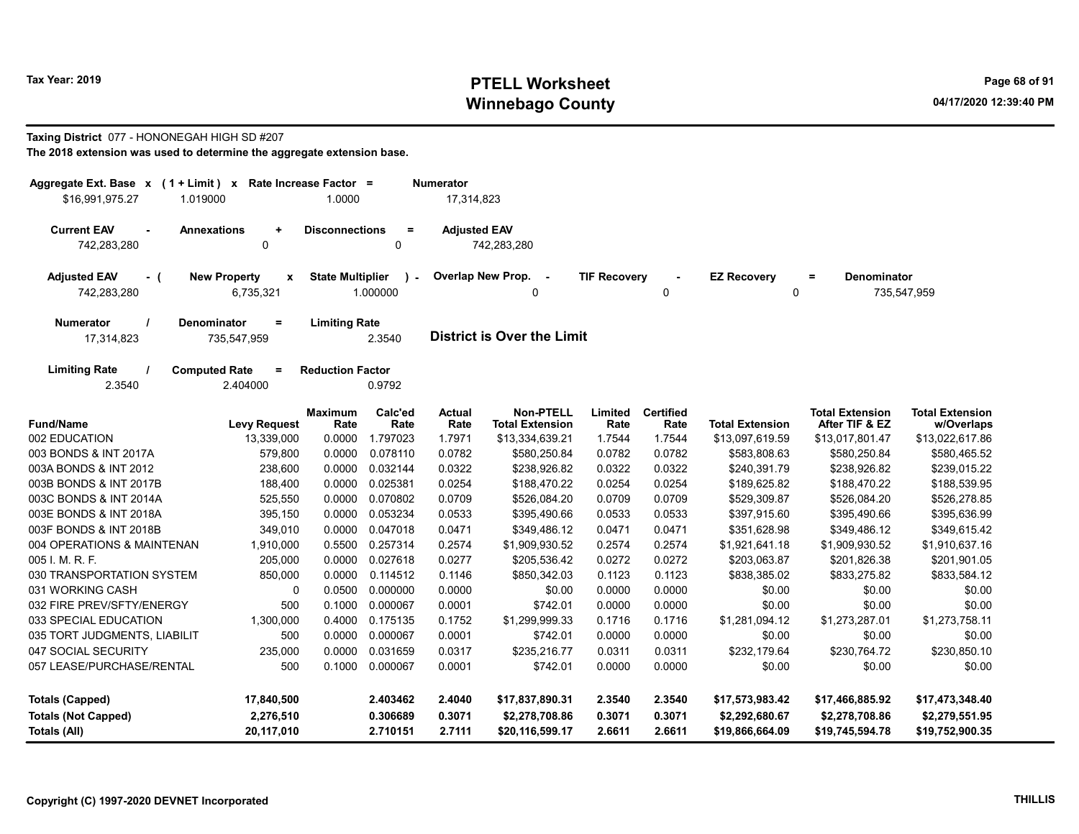# Tax Year: 2019 **PTELL Worksheet** Page 68 of 91 Winnebago County and the County of the County of the County of the County of the County of the County of the County of the County of the County of the County of the County of the County of the County of the County of the C

# Taxing District 077 - HONONEGAH HIGH SD #207

| Rate Increase Factor =<br>Aggregate Ext. Base $x$ (1 + Limit) $x$<br><b>Numerator</b><br>\$16,991,975.27<br>1.019000<br>1.0000<br>17,314,823 |                                                                            |                                                     |                 |                                      |                                            |                                 |                          |                                                                          |                                          |                                      |
|----------------------------------------------------------------------------------------------------------------------------------------------|----------------------------------------------------------------------------|-----------------------------------------------------|-----------------|--------------------------------------|--------------------------------------------|---------------------------------|--------------------------|--------------------------------------------------------------------------|------------------------------------------|--------------------------------------|
|                                                                                                                                              |                                                                            |                                                     |                 |                                      |                                            |                                 |                          |                                                                          |                                          |                                      |
| <b>Current EAV</b><br><b>Annexations</b><br><b>Disconnections</b><br>$\ddot{}$                                                               |                                                                            |                                                     | $\equiv$        | <b>Adjusted EAV</b>                  |                                            |                                 |                          |                                                                          |                                          |                                      |
| 742,283,280<br>0                                                                                                                             |                                                                            |                                                     | 0               | 742,283,280                          |                                            |                                 |                          |                                                                          |                                          |                                      |
| <b>Adjusted EAV</b><br><b>New Property</b><br>x<br>- (<br>742,283,280<br>6,735,321                                                           |                                                                            | <b>State Multiplier</b><br>$\mathbf{r}$<br>1.000000 |                 | Overlap New Prop.<br>$\sim$ $-$<br>0 |                                            | <b>TIF Recovery</b><br>$\Omega$ |                          | <b>EZ Recovery</b><br><b>Denominator</b><br>$\equiv$<br>0<br>735,547,959 |                                          |                                      |
| Numerator<br>17,314,823                                                                                                                      | <b>Limiting Rate</b><br><b>Denominator</b><br>$=$<br>735,547,959<br>2.3540 |                                                     |                 | <b>District is Over the Limit</b>    |                                            |                                 |                          |                                                                          |                                          |                                      |
| <b>Limiting Rate</b><br>2.3540                                                                                                               | <b>Computed Rate</b><br>$=$<br>2.404000                                    | <b>Reduction Factor</b>                             | 0.9792          |                                      |                                            |                                 |                          |                                                                          |                                          |                                      |
| <b>Fund/Name</b>                                                                                                                             | <b>Levy Request</b>                                                        | <b>Maximum</b><br>Rate                              | Calc'ed<br>Rate | Actual<br>Rate                       | <b>Non-PTELL</b><br><b>Total Extension</b> | Limited<br>Rate                 | <b>Certified</b><br>Rate | <b>Total Extension</b>                                                   | <b>Total Extension</b><br>After TIF & EZ | <b>Total Extension</b><br>w/Overlaps |
| 002 EDUCATION                                                                                                                                | 13,339,000                                                                 | 0.0000                                              | 1.797023        | 1.7971                               | \$13,334,639.21                            | 1.7544                          | 1.7544                   | \$13,097,619.59                                                          | \$13,017,801.47                          | \$13,022,617.86                      |
| 003 BONDS & INT 2017A                                                                                                                        | 579,800                                                                    | 0.0000                                              | 0.078110        | 0.0782                               | \$580,250.84                               | 0.0782                          | 0.0782                   | \$583,808.63                                                             | \$580,250.84                             | \$580,465.52                         |
| 003A BONDS & INT 2012                                                                                                                        | 238,600                                                                    | 0.0000                                              | 0.032144        | 0.0322                               | \$238,926.82                               | 0.0322                          | 0.0322                   | \$240,391.79                                                             | \$238,926.82                             | \$239,015.22                         |
| 003B BONDS & INT 2017B                                                                                                                       | 188,400                                                                    | 0.0000                                              | 0.025381        | 0.0254                               | \$188,470.22                               | 0.0254                          | 0.0254                   | \$189,625.82                                                             | \$188,470.22                             | \$188,539.95                         |
| 003C BONDS & INT 2014A                                                                                                                       | 525,550                                                                    | 0.0000                                              | 0.070802        | 0.0709                               | \$526,084.20                               | 0.0709                          | 0.0709                   | \$529,309.87                                                             | \$526,084.20                             | \$526,278.85                         |
| 003E BONDS & INT 2018A                                                                                                                       | 395,150                                                                    | 0.0000                                              | 0.053234        | 0.0533                               | \$395,490.66                               | 0.0533                          | 0.0533                   | \$397,915.60                                                             | \$395,490.66                             | \$395,636.99                         |
| 003F BONDS & INT 2018B                                                                                                                       | 349,010                                                                    | 0.0000                                              | 0.047018        | 0.0471                               | \$349,486.12                               | 0.0471                          | 0.0471                   | \$351,628.98                                                             | \$349,486.12                             | \$349,615.42                         |
| 004 OPERATIONS & MAINTENAN                                                                                                                   | 1,910,000                                                                  | 0.5500                                              | 0.257314        | 0.2574                               | \$1,909,930.52                             | 0.2574                          | 0.2574                   | \$1,921,641.18                                                           | \$1,909,930.52                           | \$1,910,637.16                       |
| 005 I. M. R. F.                                                                                                                              | 205,000                                                                    | 0.0000                                              | 0.027618        | 0.0277                               | \$205,536.42                               | 0.0272                          | 0.0272                   | \$203,063.87                                                             | \$201,826.38                             | \$201,901.05                         |
| 030 TRANSPORTATION SYSTEM                                                                                                                    | 850,000                                                                    | 0.0000                                              | 0.114512        | 0.1146                               | \$850,342.03                               | 0.1123                          | 0.1123                   | \$838,385.02                                                             | \$833,275.82                             | \$833,584.12                         |
| 031 WORKING CASH                                                                                                                             | $\mathbf{0}$                                                               | 0.0500                                              | 0.000000        | 0.0000                               | \$0.00                                     | 0.0000                          | 0.0000                   | \$0.00                                                                   | \$0.00                                   | \$0.00                               |
| 032 FIRE PREV/SFTY/ENERGY                                                                                                                    | 500                                                                        | 0.1000                                              | 0.000067        | 0.0001                               | \$742.01                                   | 0.0000                          | 0.0000                   | \$0.00                                                                   | \$0.00                                   | \$0.00                               |
| 033 SPECIAL EDUCATION                                                                                                                        | 1,300,000                                                                  | 0.4000                                              | 0.175135        | 0.1752                               | \$1,299,999.33                             | 0.1716                          | 0.1716                   | \$1,281,094.12                                                           | \$1,273,287.01                           | \$1,273,758.11                       |
| 035 TORT JUDGMENTS, LIABILIT                                                                                                                 | 500                                                                        | 0.0000                                              | 0.000067        | 0.0001                               | \$742.01                                   | 0.0000                          | 0.0000                   | \$0.00                                                                   | \$0.00                                   | \$0.00                               |
| 047 SOCIAL SECURITY<br>235,000<br>0.0000                                                                                                     |                                                                            | 0.031659                                            | 0.0317          | \$235,216.77                         | 0.0311                                     | 0.0311                          | \$232,179.64             | \$230,764.72                                                             | \$230,850.10                             |                                      |
| 057 LEASE/PURCHASE/RENTAL<br>500<br>0.1000<br>0.000067                                                                                       |                                                                            | 0.0001                                              | \$742.01        | 0.0000                               | 0.0000                                     | \$0.00                          | \$0.00                   | \$0.00                                                                   |                                          |                                      |
| <b>Totals (Capped)</b><br>2.403462<br>17,840,500                                                                                             |                                                                            |                                                     | 2.4040          | \$17,837,890.31                      | 2.3540                                     | 2.3540                          | \$17,573,983.42          | \$17,466,885.92                                                          | \$17,473,348.40                          |                                      |
| <b>Totals (Not Capped)</b>                                                                                                                   | 2,276,510                                                                  |                                                     | 0.306689        | 0.3071                               | \$2,278,708.86                             | 0.3071                          | 0.3071                   | \$2,292,680.67                                                           | \$2,278,708.86                           | \$2,279,551.95                       |
| 20,117,010<br>Totals (All)                                                                                                                   |                                                                            |                                                     | 2.710151        | 2.7111                               | \$20,116,599.17                            | 2.6611                          | 2.6611                   | \$19,866,664.09                                                          | \$19,745,594.78                          | \$19,752,900.35                      |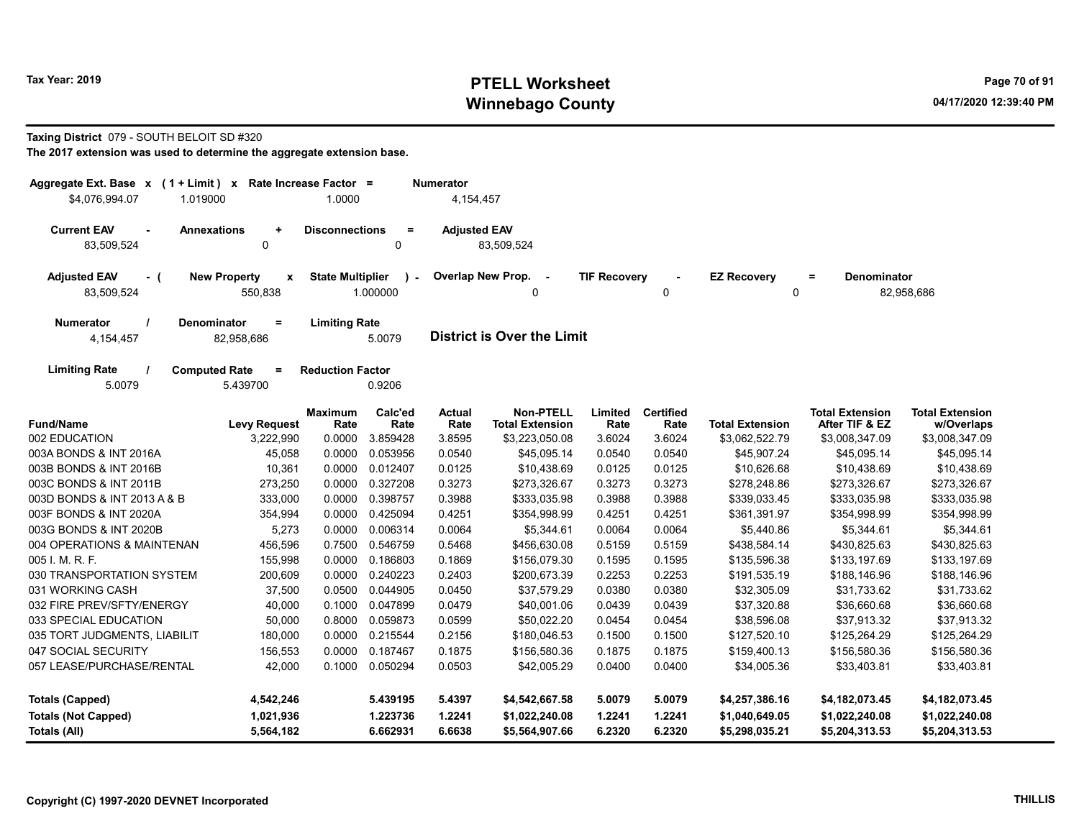# Tax Year: 2019 **PTELL Worksheet** Page 70 of 91 Winnebago County and the County of the County of the County of the County of the County of the County of the County of the County of the County of the County of the County of the County of the County of the County of the C

### Taxing District 079 - SOUTH BELOIT SD #320

| Aggregate Ext. Base $x$ (1 + Limit) x Rate Increase Factor =<br><b>Numerator</b><br>\$4,076,994.07<br>1.019000<br>1.0000<br>4,154,457 |                                                      |                                |                          |                                   |                                            |                     |                          |                                   |                                          |                                      |
|---------------------------------------------------------------------------------------------------------------------------------------|------------------------------------------------------|--------------------------------|--------------------------|-----------------------------------|--------------------------------------------|---------------------|--------------------------|-----------------------------------|------------------------------------------|--------------------------------------|
| <b>Current EAV</b><br><b>Annexations</b><br>83,509,524                                                                                | $\ddot{}$<br>$\mathbf 0$                             | <b>Disconnections</b>          | $\equiv$<br>0            | <b>Adjusted EAV</b>               | 83,509,524                                 |                     |                          |                                   |                                          |                                      |
| <b>Adjusted EAV</b><br>- (<br>83,509,524                                                                                              | <b>New Property</b><br>$\pmb{\mathsf{x}}$<br>550,838 | <b>State Multiplier</b>        | $\mathbf{r}$<br>1.000000 | Overlap New Prop.                 | $\sim$ $-$<br>0                            | <b>TIF Recovery</b> | $\mathbf{0}$             | <b>EZ Recovery</b><br>$\mathbf 0$ | <b>Denominator</b><br>$\equiv$           | 82,958,686                           |
| <b>Denominator</b><br><b>Numerator</b><br>Ξ<br>4,154,457<br>82,958,686                                                                |                                                      | <b>Limiting Rate</b><br>5.0079 |                          | <b>District is Over the Limit</b> |                                            |                     |                          |                                   |                                          |                                      |
| <b>Limiting Rate</b><br><b>Computed Rate</b><br>5.0079                                                                                | $=$<br>5.439700                                      | <b>Reduction Factor</b>        | 0.9206                   |                                   |                                            |                     |                          |                                   |                                          |                                      |
| <b>Fund/Name</b>                                                                                                                      | <b>Levy Request</b>                                  | <b>Maximum</b><br>Rate         | Calc'ed<br>Rate          | <b>Actual</b><br>Rate             | <b>Non-PTELL</b><br><b>Total Extension</b> | Limited<br>Rate     | <b>Certified</b><br>Rate | <b>Total Extension</b>            | <b>Total Extension</b><br>After TIF & EZ | <b>Total Extension</b><br>w/Overlaps |
| 002 EDUCATION                                                                                                                         | 3,222,990                                            | 0.0000                         | 3.859428                 | 3.8595                            | \$3,223,050.08                             | 3.6024              | 3.6024                   | \$3,062,522.79                    | \$3,008,347.09                           | \$3,008,347.09                       |
| 003A BONDS & INT 2016A                                                                                                                | 45,058                                               | 0.0000                         | 0.053956                 | 0.0540                            | \$45,095.14                                | 0.0540              | 0.0540                   | \$45,907.24                       | \$45,095.14                              | \$45,095.14                          |
| 003B BONDS & INT 2016B                                                                                                                | 10,361                                               | 0.0000                         | 0.012407                 | 0.0125                            | \$10,438.69                                | 0.0125              | 0.0125                   | \$10,626.68                       | \$10,438.69                              | \$10,438.69                          |
| 003C BONDS & INT 2011B                                                                                                                | 273,250                                              | 0.0000                         | 0.327208                 | 0.3273                            | \$273,326.67                               | 0.3273              | 0.3273                   | \$278,248.86                      | \$273,326.67                             | \$273,326.67                         |
| 003D BONDS & INT 2013 A & B                                                                                                           | 333,000                                              | 0.0000                         | 0.398757                 | 0.3988                            | \$333,035.98                               | 0.3988              | 0.3988                   | \$339,033.45                      | \$333,035.98                             | \$333,035.98                         |
| 003F BONDS & INT 2020A                                                                                                                | 354,994                                              | 0.0000                         | 0.425094                 | 0.4251                            | \$354,998.99                               | 0.4251              | 0.4251                   | \$361,391.97                      | \$354,998.99                             | \$354,998.99                         |
| 003G BONDS & INT 2020B                                                                                                                | 5,273                                                | 0.0000                         | 0.006314                 | 0.0064                            | \$5,344.61                                 | 0.0064              | 0.0064                   | \$5,440.86                        | \$5,344.61                               | \$5,344.61                           |
| 004 OPERATIONS & MAINTENAN                                                                                                            | 456,596                                              | 0.7500                         | 0.546759                 | 0.5468                            | \$456,630.08                               | 0.5159              | 0.5159                   | \$438,584.14                      | \$430,825.63                             | \$430,825.63                         |
| 005 I. M. R. F.                                                                                                                       | 155,998                                              | 0.0000                         | 0.186803                 | 0.1869                            | \$156,079.30                               | 0.1595              | 0.1595                   | \$135,596.38                      | \$133,197.69                             | \$133,197.69                         |
| 030 TRANSPORTATION SYSTEM                                                                                                             | 200,609                                              | 0.0000                         | 0.240223                 | 0.2403                            | \$200,673.39                               | 0.2253              | 0.2253                   | \$191,535.19                      | \$188,146.96                             | \$188,146.96                         |
| 031 WORKING CASH                                                                                                                      | 37,500                                               | 0.0500                         | 0.044905                 | 0.0450                            | \$37,579.29                                | 0.0380              | 0.0380                   | \$32,305.09                       | \$31,733.62                              | \$31,733.62                          |
| 032 FIRE PREV/SFTY/ENERGY                                                                                                             | 40,000                                               | 0.1000                         | 0.047899                 | 0.0479                            | \$40,001.06                                | 0.0439              | 0.0439                   | \$37,320.88                       | \$36,660.68                              | \$36,660.68                          |
| 033 SPECIAL EDUCATION                                                                                                                 | 50,000                                               | 0.8000                         | 0.059873                 | 0.0599                            | \$50,022.20                                | 0.0454              | 0.0454                   | \$38,596.08                       | \$37,913.32                              | \$37,913.32                          |
| 035 TORT JUDGMENTS, LIABILIT                                                                                                          | 180,000                                              | 0.0000                         | 0.215544                 | 0.2156                            | \$180,046.53                               | 0.1500              | 0.1500                   | \$127,520.10                      | \$125,264.29                             | \$125,264.29                         |
| 047 SOCIAL SECURITY                                                                                                                   | 156,553                                              | 0.0000                         | 0.187467                 | 0.1875                            | \$156,580.36                               | 0.1875              | 0.1875                   | \$159,400.13                      | \$156,580.36                             | \$156,580.36                         |
| 057 LEASE/PURCHASE/RENTAL                                                                                                             | 42,000                                               | 0.1000                         | 0.050294                 | 0.0503                            | \$42,005.29                                | 0.0400              | 0.0400                   | \$34,005.36                       | \$33,403.81                              | \$33,403.81                          |
| <b>Totals (Capped)</b><br>5.439195<br>4,542,246                                                                                       |                                                      | 5.4397                         | \$4,542,667.58           | 5.0079                            | 5.0079                                     | \$4,257,386.16      | \$4,182,073.45           | \$4,182,073.45                    |                                          |                                      |
| <b>Totals (Not Capped)</b>                                                                                                            | 1,021,936                                            |                                | 1.223736                 | 1.2241                            | \$1,022,240.08                             | 1.2241              | 1.2241                   | \$1,040,649.05                    | \$1,022,240.08                           | \$1,022,240.08                       |
| Totals (All)<br>5,564,182                                                                                                             |                                                      |                                | 6.662931                 | 6.6638                            | \$5,564,907.66                             | 6.2320              | 6.2320                   | \$5,298,035.21                    | \$5,204,313.53                           | \$5,204,313.53                       |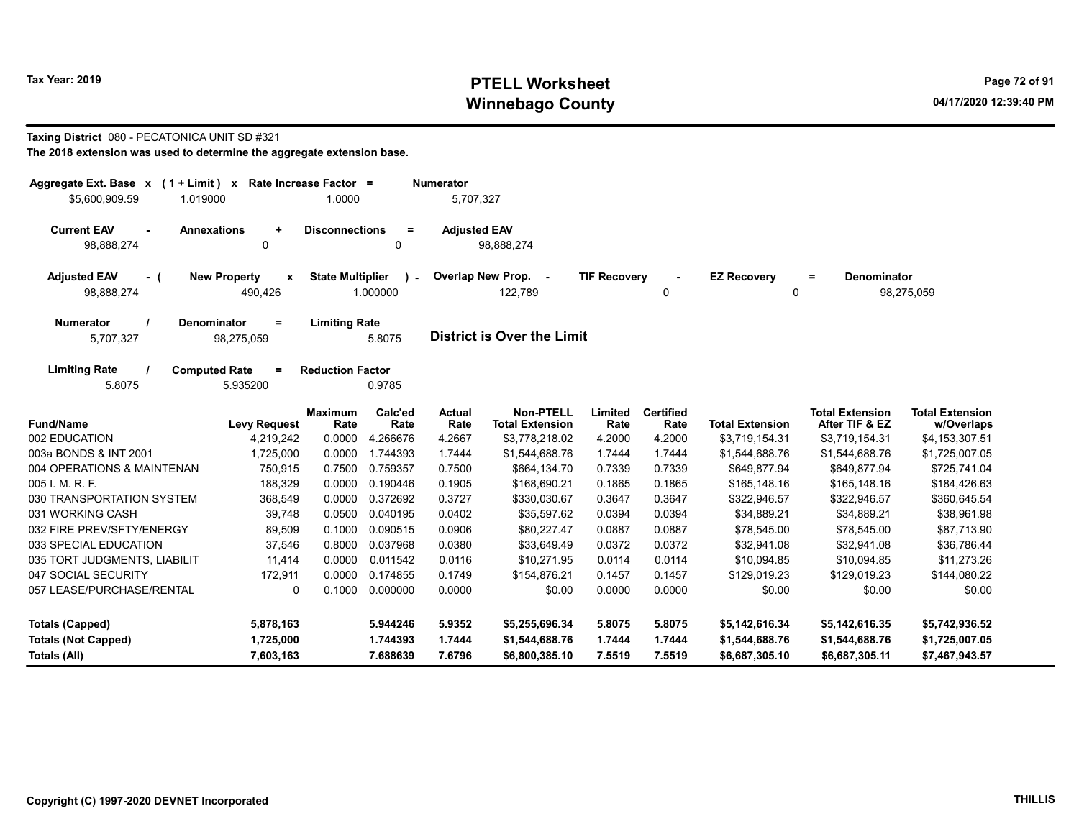# Tax Year: 2019 **PTELL Worksheet** Page 72 of 91 Winnebago County and the County of the County of the County of the County of the County of the County of the County of the County of the County of the County of the County of the County of the County of the County of the C

## Taxing District 080 - PECATONICA UNIT SD #321

| Aggregate Ext. Base $x$ (1 + Limit) $x$<br>\$5,600,909.59<br>1.019000  | Rate Increase Factor =              | 1.0000                         |                          | <b>Numerator</b><br>5,707,327     |                                            |                     |                          |                         |                                          |                                      |
|------------------------------------------------------------------------|-------------------------------------|--------------------------------|--------------------------|-----------------------------------|--------------------------------------------|---------------------|--------------------------|-------------------------|------------------------------------------|--------------------------------------|
| <b>Current EAV</b><br><b>Annexations</b><br>98,888,274                 | $\ddot{}$<br>0                      | <b>Disconnections</b>          | $\equiv$<br>0            | <b>Adjusted EAV</b>               | 98,888,274                                 |                     |                          |                         |                                          |                                      |
| <b>Adjusted EAV</b><br>- (<br>98,888,274                               | <b>New Property</b><br>X<br>490,426 | <b>State Multiplier</b>        | $\mathbf{r}$<br>1.000000 |                                   | Overlap New Prop. -<br>122,789             | <b>TIF Recovery</b> | 0                        | <b>EZ Recovery</b><br>0 | <b>Denominator</b><br>$\equiv$           | 98,275,059                           |
| Denominator<br><b>Numerator</b><br>$\equiv$<br>5,707,327<br>98,275,059 |                                     | <b>Limiting Rate</b><br>5.8075 |                          | <b>District is Over the Limit</b> |                                            |                     |                          |                         |                                          |                                      |
| <b>Limiting Rate</b><br><b>Computed Rate</b><br>5.8075                 | $=$<br>5.935200                     | <b>Reduction Factor</b>        | 0.9785                   |                                   |                                            |                     |                          |                         |                                          |                                      |
| <b>Fund/Name</b>                                                       | <b>Levy Request</b>                 | <b>Maximum</b><br>Rate         | Calc'ed<br>Rate          | <b>Actual</b><br>Rate             | <b>Non-PTELL</b><br><b>Total Extension</b> | Limited<br>Rate     | <b>Certified</b><br>Rate | <b>Total Extension</b>  | <b>Total Extension</b><br>After TIF & EZ | <b>Total Extension</b><br>w/Overlaps |
| 002 EDUCATION                                                          | 4,219,242                           | 0.0000                         | 4.266676                 | 4.2667                            | \$3,778,218.02                             | 4.2000              | 4.2000                   | \$3,719,154.31          | \$3,719,154.31                           | \$4,153,307.51                       |
| 003a BONDS & INT 2001                                                  | 1,725,000                           | 0.0000                         | 1.744393                 | 1.7444                            | \$1,544,688.76                             | 1.7444              | 1.7444                   | \$1,544,688.76          | \$1,544,688.76                           | \$1,725,007.05                       |
| 004 OPERATIONS & MAINTENAN                                             | 750,915                             | 0.7500                         | 0.759357                 | 0.7500                            | \$664,134.70                               | 0.7339              | 0.7339                   | \$649,877.94            | \$649,877.94                             | \$725,741.04                         |
| 005 I. M. R. F.                                                        | 188,329                             | 0.0000                         | 0.190446                 | 0.1905                            | \$168,690.21                               | 0.1865              | 0.1865                   | \$165,148.16            | \$165,148.16                             | \$184,426.63                         |
| 030 TRANSPORTATION SYSTEM                                              | 368,549                             | 0.0000                         | 0.372692                 | 0.3727                            | \$330,030.67                               | 0.3647              | 0.3647                   | \$322,946.57            | \$322,946.57                             | \$360,645.54                         |
| 031 WORKING CASH                                                       | 39,748                              | 0.0500                         | 0.040195                 | 0.0402                            | \$35,597.62                                | 0.0394              | 0.0394                   | \$34,889.21             | \$34,889.21                              | \$38,961.98                          |
| 032 FIRE PREV/SFTY/ENERGY                                              | 89,509                              | 0.1000                         | 0.090515                 | 0.0906                            | \$80,227.47                                | 0.0887              | 0.0887                   | \$78,545.00             | \$78,545.00                              | \$87,713.90                          |
| 033 SPECIAL EDUCATION                                                  | 37,546                              | 0.8000                         | 0.037968                 | 0.0380                            | \$33.649.49                                | 0.0372              | 0.0372                   | \$32,941.08             | \$32,941.08                              | \$36,786.44                          |
| 035 TORT JUDGMENTS, LIABILIT                                           | 11,414                              | 0.0000                         | 0.011542                 | 0.0116                            | \$10.271.95                                | 0.0114              | 0.0114                   | \$10,094.85             | \$10,094.85                              | \$11,273.26                          |
| 047 SOCIAL SECURITY<br>172,911                                         |                                     | 0.0000                         | 0.174855                 | 0.1749                            | \$154,876.21                               | 0.1457              | 0.1457                   | \$129,019.23            | \$129,019.23                             | \$144,080.22                         |
| 057 LEASE/PURCHASE/RENTAL<br>0.1000<br>0                               |                                     |                                | 0.000000                 | 0.0000                            | \$0.00                                     | 0.0000              | 0.0000                   | \$0.00                  | \$0.00                                   | \$0.00                               |
| <b>Totals (Capped)</b><br>5,878,163                                    |                                     |                                | 5.944246                 | 5.9352                            | \$5,255,696.34                             | 5.8075              | 5.8075                   | \$5,142,616.34          | \$5,142,616.35                           | \$5,742,936.52                       |
| <b>Totals (Not Capped)</b>                                             | 1,725,000                           |                                | 1.744393                 | 1.7444                            | \$1,544,688.76                             | 1.7444              | 1.7444                   | \$1,544,688.76          | \$1,544,688.76                           | \$1,725,007.05                       |
| <b>Totals (All)</b>                                                    | 7,603,163                           |                                | 7.688639                 | 7.6796                            | \$6,800,385.10                             | 7.5519              | 7.5519                   | \$6,687,305.10          | \$6,687,305.11                           | \$7,467,943.57                       |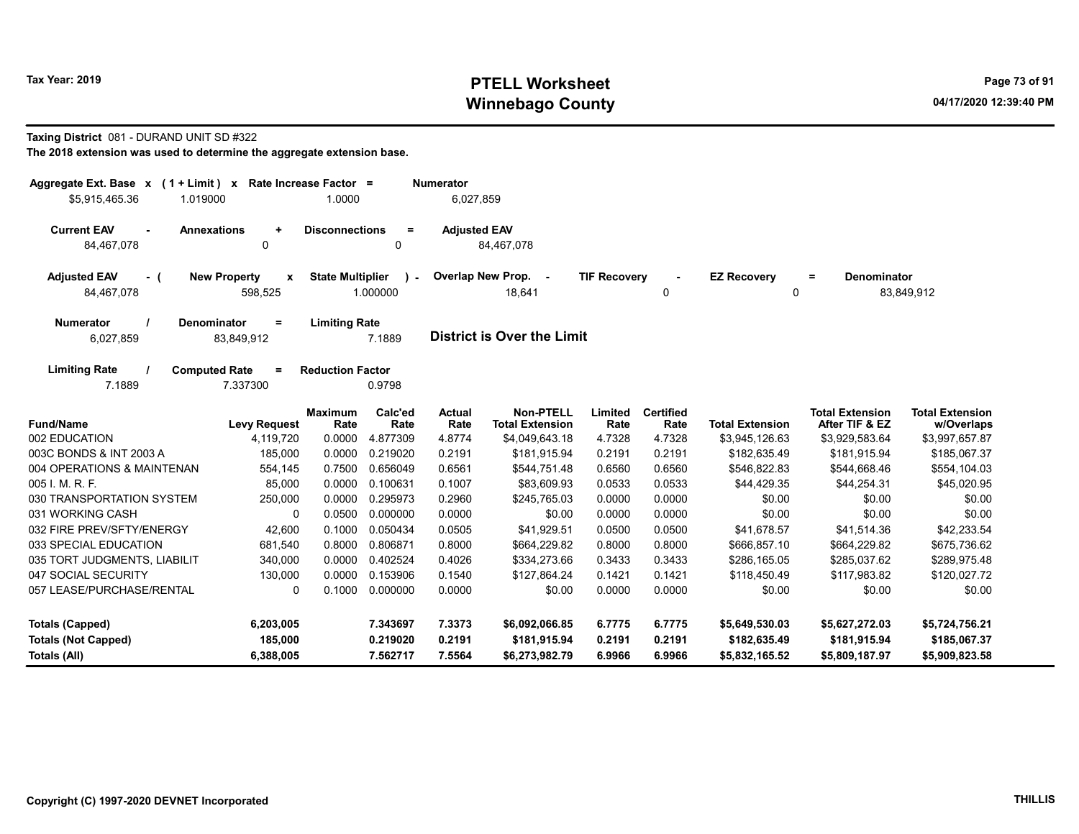# Tax Year: 2019 **PTELL Worksheet** Page 73 of 91 Winnebago County and the County of the County of the County of the County of the County of the County of the County of the County of the County of the County of the County of the County of the County of the County of the C

#### Taxing District 081 - DURAND UNIT SD #322

| Aggregate Ext. Base x (1 + Limit) x Rate Increase Factor =<br>\$5,915,465.36<br>1.019000 |                                                      | 1.0000                  |                         | <b>Numerator</b><br>6,027,859 |                                            |                     |                          |                        |                                          |                                      |
|------------------------------------------------------------------------------------------|------------------------------------------------------|-------------------------|-------------------------|-------------------------------|--------------------------------------------|---------------------|--------------------------|------------------------|------------------------------------------|--------------------------------------|
| <b>Current EAV</b><br><b>Annexations</b><br>$\blacksquare$<br>84,467,078                 | $\ddot{}$<br>0                                       | <b>Disconnections</b>   | $\equiv$<br>0           | <b>Adjusted EAV</b>           | 84,467,078                                 |                     |                          |                        |                                          |                                      |
| <b>Adjusted EAV</b><br>- (<br>84,467,078                                                 | <b>New Property</b><br>$\pmb{\mathsf{x}}$<br>598,525 | <b>State Multiplier</b> | $\lambda$ -<br>1.000000 |                               | Overlap New Prop. -<br>18,641              | <b>TIF Recovery</b> | 0                        | <b>EZ Recovery</b>     | <b>Denominator</b><br>$=$<br>0           | 83,849,912                           |
| <b>Numerator</b><br><b>Denominator</b><br>6,027,859                                      | $=$<br>83,849,912                                    | <b>Limiting Rate</b>    | 7.1889                  |                               | <b>District is Over the Limit</b>          |                     |                          |                        |                                          |                                      |
| <b>Limiting Rate</b><br><b>Computed Rate</b><br>7.1889                                   | $\equiv$<br>7.337300                                 | <b>Reduction Factor</b> | 0.9798                  |                               |                                            |                     |                          |                        |                                          |                                      |
| <b>Fund/Name</b>                                                                         | <b>Levy Request</b>                                  | <b>Maximum</b><br>Rate  | Calc'ed<br>Rate         | <b>Actual</b><br>Rate         | <b>Non-PTELL</b><br><b>Total Extension</b> | Limited<br>Rate     | <b>Certified</b><br>Rate | <b>Total Extension</b> | <b>Total Extension</b><br>After TIF & EZ | <b>Total Extension</b><br>w/Overlaps |
| 002 EDUCATION                                                                            | 4,119,720                                            | 0.0000                  | 4.877309                | 4.8774                        | \$4,049,643.18                             | 4.7328              | 4.7328                   | \$3,945,126.63         | \$3,929,583.64                           | \$3,997,657.87                       |
| 003C BONDS & INT 2003 A                                                                  | 185,000                                              | 0.0000                  | 0.219020                | 0.2191                        | \$181,915.94                               | 0.2191              | 0.2191                   | \$182,635.49           | \$181,915.94                             | \$185,067.37                         |
| 004 OPERATIONS & MAINTENAN                                                               | 554,145                                              | 0.7500                  | 0.656049                | 0.6561                        | \$544,751.48                               | 0.6560              | 0.6560                   | \$546,822.83           | \$544,668.46                             | \$554,104.03                         |
| 005 I. M. R. F.                                                                          | 85,000                                               | 0.0000                  | 0.100631                | 0.1007                        | \$83,609.93                                | 0.0533              | 0.0533                   | \$44,429.35            | \$44,254.31                              | \$45,020.95                          |
| 030 TRANSPORTATION SYSTEM                                                                | 250,000                                              | 0.0000                  | 0.295973                | 0.2960                        | \$245,765.03                               | 0.0000              | 0.0000                   | \$0.00                 | \$0.00                                   | \$0.00                               |
| 031 WORKING CASH                                                                         | 0                                                    | 0.0500                  | 0.000000                | 0.0000                        | \$0.00                                     | 0.0000              | 0.0000                   | \$0.00                 | \$0.00                                   | \$0.00                               |
| 032 FIRE PREV/SFTY/ENERGY                                                                | 42,600                                               | 0.1000                  | 0.050434                | 0.0505                        | \$41,929.51                                | 0.0500              | 0.0500                   | \$41,678.57            | \$41,514.36                              | \$42,233.54                          |
| 033 SPECIAL EDUCATION                                                                    | 681,540                                              | 0.8000                  | 0.806871                | 0.8000                        | \$664,229.82                               | 0.8000              | 0.8000                   | \$666,857.10           | \$664,229.82                             | \$675,736.62                         |
| 035 TORT JUDGMENTS, LIABILIT                                                             | 340,000                                              | 0.0000                  | 0.402524                | 0.4026                        | \$334,273.66                               | 0.3433              | 0.3433                   | \$286,165.05           | \$285,037.62                             | \$289,975.48                         |
| 047 SOCIAL SECURITY                                                                      | 130,000                                              | 0.0000                  | 0.153906                | 0.1540                        | \$127,864.24                               | 0.1421              | 0.1421                   | \$118,450.49           | \$117,983.82                             | \$120,027.72                         |
| 057 LEASE/PURCHASE/RENTAL                                                                | $\Omega$                                             | 0.1000                  | 0.000000                | 0.0000                        | \$0.00                                     | 0.0000              | 0.0000                   | \$0.00                 | \$0.00                                   | \$0.00                               |
| <b>Totals (Capped)</b>                                                                   | 6,203,005                                            |                         | 7.343697                | 7.3373                        | \$6,092,066.85                             | 6.7775              | 6.7775                   | \$5,649,530.03         | \$5,627,272.03                           | \$5,724,756.21                       |
| <b>Totals (Not Capped)</b>                                                               | 185,000                                              |                         | 0.219020                | 0.2191                        | \$181,915.94                               | 0.2191              | 0.2191                   | \$182,635.49           | \$181,915.94                             | \$185,067.37                         |
| Totals (All)                                                                             | 6,388,005                                            |                         | 7.562717                | 7.5564                        | \$6,273,982.79                             | 6.9966              | 6.9966                   | \$5,832,165.52         | \$5,809,187.97                           | \$5,909,823.58                       |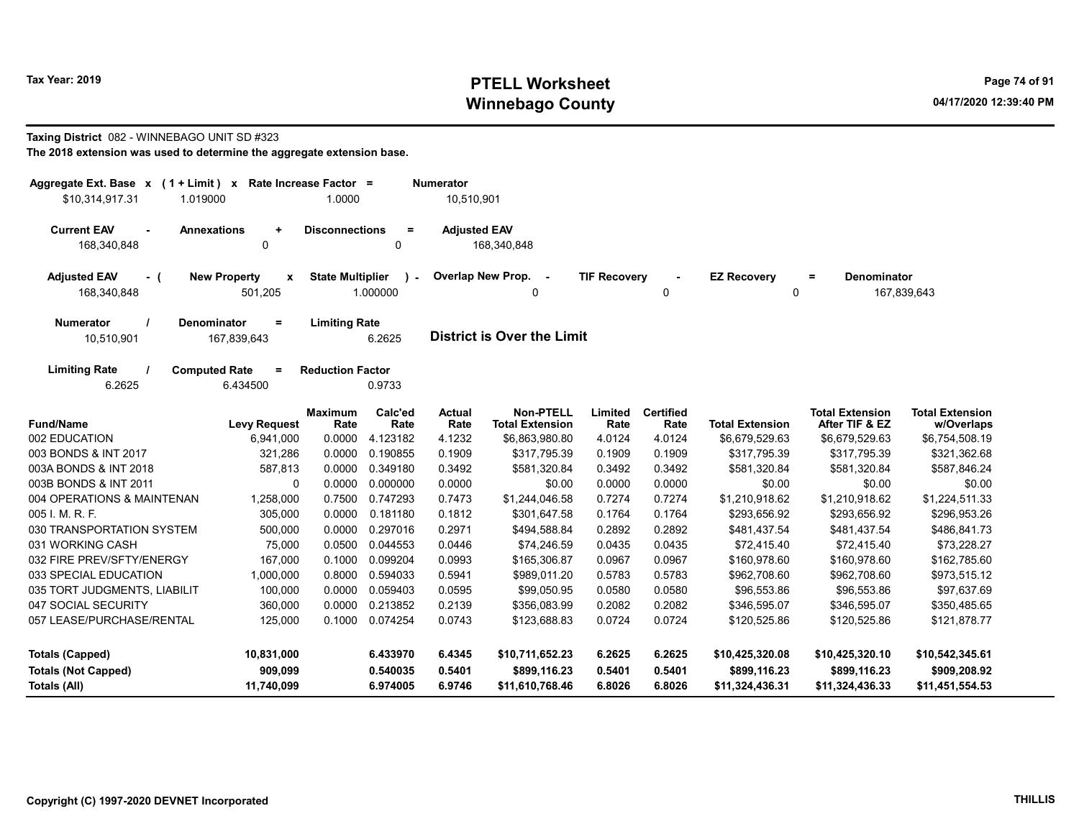# Tax Year: 2019 **PTELL Worksheet** Page 74 of 91 Winnebago County and the County of the County of the County of the County of the County of the County of the County of the County of the County of the County of the County of the County of the County of the County of the C

#### Taxing District 082 - WINNEBAGO UNIT SD #323

| The 2018 extension was used to determine the aggregate extension base. |
|------------------------------------------------------------------------|
|------------------------------------------------------------------------|

| Aggregate Ext. Base $x$ (1 + Limit) $x$             |                                               | Rate Increase Factor =  |                 | <b>Numerator</b>      |                                            |                     |                          |                        |                                          |                                      |
|-----------------------------------------------------|-----------------------------------------------|-------------------------|-----------------|-----------------------|--------------------------------------------|---------------------|--------------------------|------------------------|------------------------------------------|--------------------------------------|
| \$10,314,917.31<br>1.019000                         |                                               | 1.0000                  |                 | 10,510,901            |                                            |                     |                          |                        |                                          |                                      |
| <b>Current EAV</b><br>$\blacksquare$<br>168,340,848 | <b>Annexations</b><br>$\ddot{}$<br>0          | <b>Disconnections</b>   | $\equiv$<br>0   | <b>Adjusted EAV</b>   | 168,340,848                                |                     |                          |                        |                                          |                                      |
| <b>Adjusted EAV</b><br>- (                          | <b>New Property</b><br>x                      | <b>State Multiplier</b> |                 | Overlap New Prop.     | $\sim$                                     | <b>TIF Recovery</b> |                          | <b>EZ Recovery</b>     | Denominator<br>$=$                       |                                      |
| 168.340.848                                         | 501,205                                       |                         | 1.000000        |                       | 0                                          |                     | 0                        |                        | 0                                        | 167,839,643                          |
| Numerator<br>10,510,901                             | <b>Denominator</b><br>$\equiv$<br>167,839,643 | <b>Limiting Rate</b>    | 6.2625          |                       | <b>District is Over the Limit</b>          |                     |                          |                        |                                          |                                      |
| <b>Limiting Rate</b><br>6.2625                      | <b>Computed Rate</b><br>$=$<br>6.434500       | <b>Reduction Factor</b> | 0.9733          |                       |                                            |                     |                          |                        |                                          |                                      |
| <b>Fund/Name</b>                                    | <b>Levy Request</b>                           | <b>Maximum</b><br>Rate  | Calc'ed<br>Rate | <b>Actual</b><br>Rate | <b>Non-PTELL</b><br><b>Total Extension</b> | Limited<br>Rate     | <b>Certified</b><br>Rate | <b>Total Extension</b> | <b>Total Extension</b><br>After TIF & EZ | <b>Total Extension</b><br>w/Overlaps |
| 002 EDUCATION                                       | 6,941,000                                     | 0.0000                  | 4.123182        | 4.1232                | \$6,863,980.80                             | 4.0124              | 4.0124                   | \$6,679,529.63         | \$6,679,529.63                           | \$6,754,508.19                       |
| 003 BONDS & INT 2017                                | 321,286                                       | 0.0000                  | 0.190855        | 0.1909                | \$317,795.39                               | 0.1909              | 0.1909                   | \$317,795.39           | \$317,795.39                             | \$321,362.68                         |
| 003A BONDS & INT 2018                               | 587,813                                       | 0.0000                  | 0.349180        | 0.3492                | \$581,320.84                               | 0.3492              | 0.3492                   | \$581,320.84           | \$581,320.84                             | \$587,846.24                         |
| 003B BONDS & INT 2011                               | $\Omega$                                      | 0.0000                  | 0.000000        | 0.0000                | \$0.00                                     | 0.0000              | 0.0000                   | \$0.00                 | \$0.00                                   | \$0.00                               |
| 004 OPERATIONS & MAINTENAN                          | 1,258,000                                     | 0.7500                  | 0.747293        | 0.7473                | \$1,244,046.58                             | 0.7274              | 0.7274                   | \$1,210,918.62         | \$1,210,918.62                           | \$1,224,511.33                       |
| 005 I. M. R. F.                                     | 305,000                                       | 0.0000                  | 0.181180        | 0.1812                | \$301,647.58                               | 0.1764              | 0.1764                   | \$293,656.92           | \$293,656.92                             | \$296,953.26                         |
| 030 TRANSPORTATION SYSTEM                           | 500,000                                       | 0.0000                  | 0.297016        | 0.2971                | \$494,588.84                               | 0.2892              | 0.2892                   | \$481,437.54           | \$481,437.54                             | \$486,841.73                         |
| 031 WORKING CASH                                    | 75,000                                        | 0.0500                  | 0.044553        | 0.0446                | \$74,246.59                                | 0.0435              | 0.0435                   | \$72,415.40            | \$72,415.40                              | \$73,228.27                          |
| 032 FIRE PREV/SFTY/ENERGY                           | 167,000                                       | 0.1000                  | 0.099204        | 0.0993                | \$165,306.87                               | 0.0967              | 0.0967                   | \$160,978.60           | \$160,978.60                             | \$162,785.60                         |
| 033 SPECIAL EDUCATION                               | 1,000,000                                     | 0.8000                  | 0.594033        | 0.5941                | \$989,011.20                               | 0.5783              | 0.5783                   | \$962,708.60           | \$962,708.60                             | \$973,515.12                         |
| 035 TORT JUDGMENTS, LIABILIT                        | 100,000                                       | 0.0000                  | 0.059403        | 0.0595                | \$99,050.95                                | 0.0580              | 0.0580                   | \$96,553.86            | \$96,553.86                              | \$97,637.69                          |
| 047 SOCIAL SECURITY                                 | 360,000                                       | 0.0000                  | 0.213852        | 0.2139                | \$356,083.99                               | 0.2082              | 0.2082                   | \$346,595.07           | \$346,595.07                             | \$350,485.65                         |
| 057 LEASE/PURCHASE/RENTAL                           | 125,000                                       | 0.1000                  | 0.074254        | 0.0743                | \$123,688.83                               | 0.0724              | 0.0724                   | \$120,525.86           | \$120,525.86                             | \$121,878.77                         |
| <b>Totals (Capped)</b>                              | 10,831,000                                    |                         | 6.433970        | 6.4345                | \$10,711,652.23                            | 6.2625              | 6.2625                   | \$10,425,320.08        | \$10,425,320.10                          | \$10,542,345.61                      |
| <b>Totals (Not Capped)</b>                          | 909,099                                       |                         | 0.540035        | 0.5401                | \$899,116.23                               | 0.5401              | 0.5401                   | \$899,116.23           | \$899,116.23                             | \$909,208.92                         |
| Totals (All)                                        | 11,740,099                                    |                         | 6.974005        | 6.9746                | \$11,610,768.46                            | 6.8026              | 6.8026                   | \$11,324,436.31        | \$11,324,436.33                          | \$11,451,554.53                      |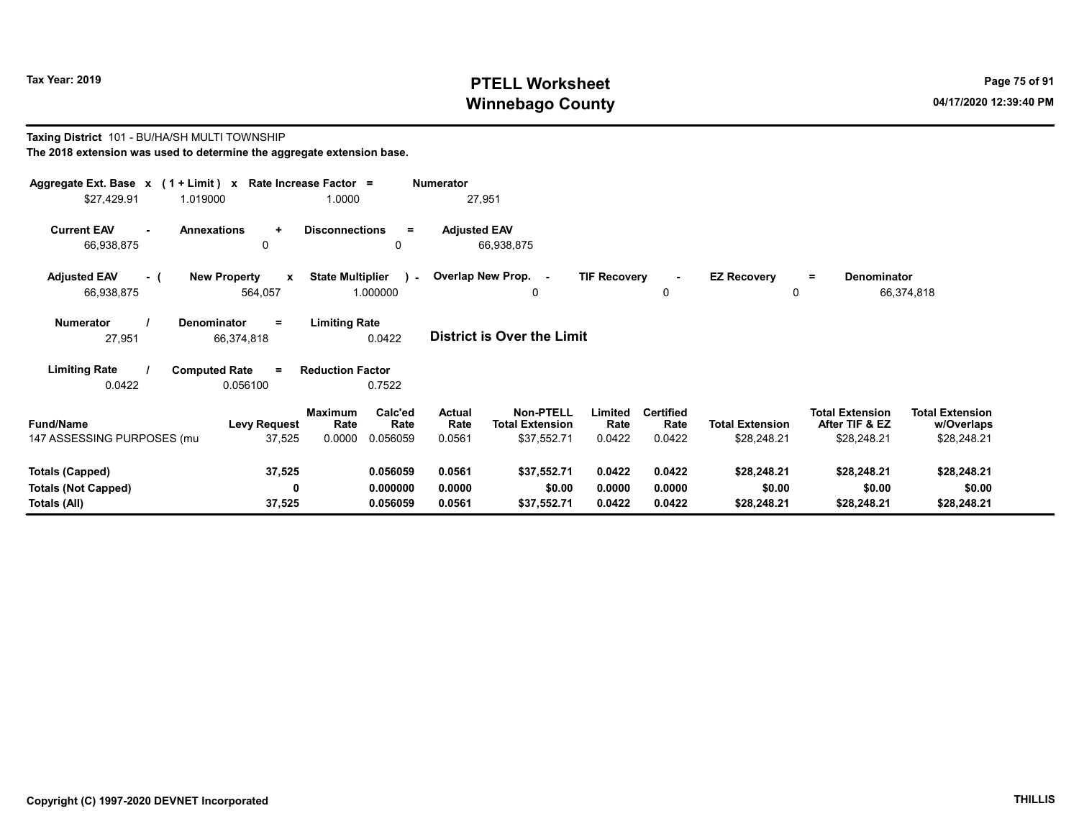Taxing District 101 - BU/HA/SH MULTI TOWNSHIP

# Tax Year: 2019 **PTELL Worksheet** Page 75 of 91 Winnebago County and the county of the County of the County of the County of the County of the County of the County of the County of the County of the County of the County of the County of the County of the County of the C

#### The 2018 extension was used to determine the aggregate extension base. Aggregate Ext. Base x ( 1 + Limit ) x Rate Increase Factor = Numerator \$27,429.91 1.019000 1.0000 27,951 Current EAV - Annexations + Disconnections = Adjusted EAV 66,938,875 0 0 66,938,875 Adjusted EAV - ( New Property x State Multiplier 66,938,875 564,057 1.000000 Numerator / Denominator = Limiting Rate District is Over the Limit Limiting Rate / Computed Rate = 27,951 66,374,818 0.0422 0.0422 0.056100 Reduction Factor 0.7522 Fund/Name Levy Request Rate Rate Total Extension Total Extension **Limited<br>Rate** w/Overlaps Total Extension After TIF & EZ Total Extension Maximum Calc'ed Actual<br>Rate Rate Rate **Rate** Calc'ed Rate Non-PTELL Limited Certified 147 ASSESSING PURPOSES (multi-twp) 37,525 0.0000 0.056059 0.0561 \$37,552.71 0.0422 0.0422 \$28,248.21 \$28,248.21 \$28,248.21 Totals (Capped) 37,525 0.056059 0.0561 \$37,552.71 0.0422 0.0422 \$28,248.21 \$28,248.21 \$28,248.21 Totals (Not Capped) 0 0.000000 0.0000 \$0.00 0.0000 0.0000 \$0.00 \$0.00 \$0.00 Totals (All) 37,525 0.056059 0.0561 \$37,552.71 0.0422 0.0422 \$28,248.21 \$28,248.21 \$28,248.21 0 Overlap New Prop. - TIF Recovery - EZ Recovery 0 0 = Denominator 66,374,818  $\cdot$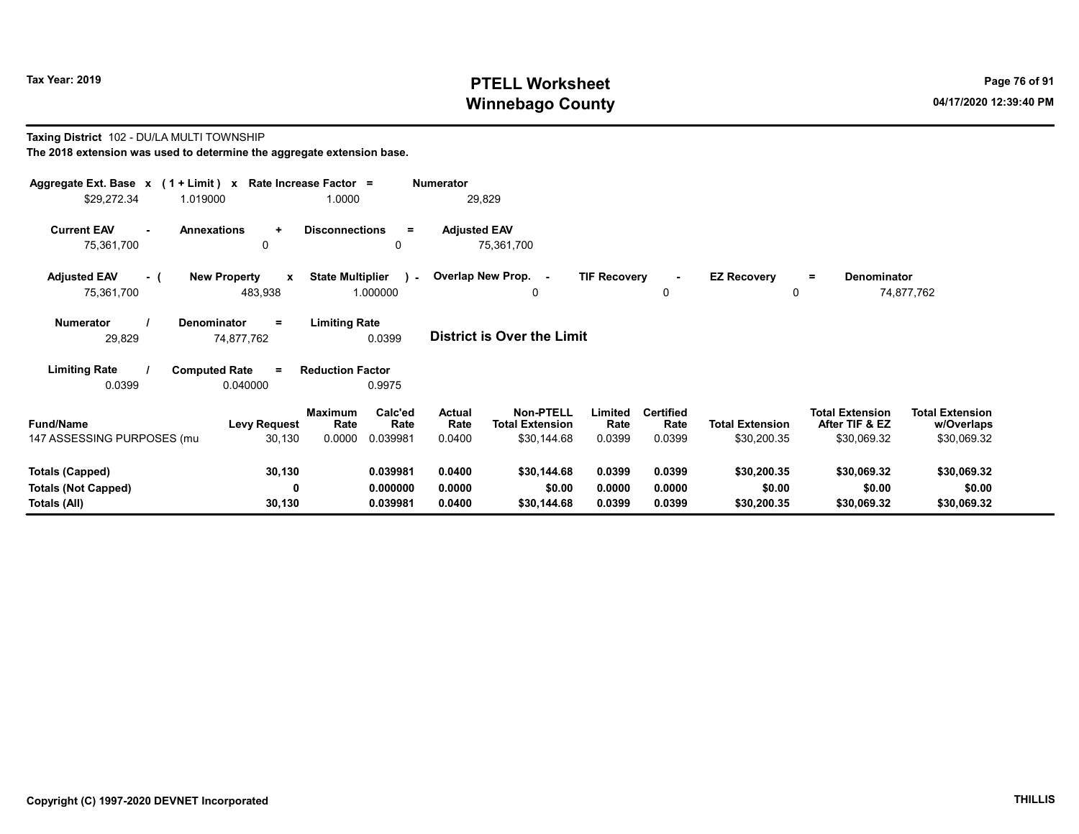# Tax Year: 2019 **PTELL Worksheet** Page 76 of 91 Winnebago County and the County of the County of the County of the County of the County of the County of the County of the County of the County of the County of the County of the County of the County of the County of the C

#### Taxing District 102 - DU/LA MULTI TOWNSHIP The 2018 extension was used to determine the aggregate extension base.

| Aggregate Ext. Base $x$ (1 + Limit) x Rate Increase Factor =<br>\$29,272.34 | 1.019000                                       | 1.0000                                                   | <b>Numerator</b><br>29,829        |                                                                                        |                                    |                                       |                                                         |                                                     |
|-----------------------------------------------------------------------------|------------------------------------------------|----------------------------------------------------------|-----------------------------------|----------------------------------------------------------------------------------------|------------------------------------|---------------------------------------|---------------------------------------------------------|-----------------------------------------------------|
| <b>Current EAV</b><br>75,361,700                                            | <b>Annexations</b><br>$\ddot{}$<br>0           | <b>Disconnections</b><br>$=$<br>0                        | <b>Adjusted EAV</b><br>75,361,700 |                                                                                        |                                    |                                       |                                                         |                                                     |
| <b>Adjusted EAV</b><br>- (<br>75,361,700                                    | <b>New Property</b><br>$\mathbf{x}$<br>483,938 | <b>State Multiplier</b><br>$\sim$<br>1.000000            | Overlap New Prop. -               | <b>TIF Recovery</b><br>0                                                               | ٠<br>0                             | <b>EZ Recovery</b><br>0               | Denominator<br>$=$                                      | 74,877,762                                          |
| Numerator<br>29,829                                                         | Denominator<br>$=$<br>74,877,762               | <b>Limiting Rate</b><br>0.0399                           | <b>District is Over the Limit</b> |                                                                                        |                                    |                                       |                                                         |                                                     |
| <b>Limiting Rate</b><br>0.0399                                              | <b>Computed Rate</b><br>$=$<br>0.040000        | <b>Reduction Factor</b><br>0.9975                        |                                   |                                                                                        |                                    |                                       |                                                         |                                                     |
| <b>Fund/Name</b><br>147 ASSESSING PURPOSES (mu                              | <b>Levy Request</b><br>30,130                  | Calc'ed<br>Maximum<br>Rate<br>Rate<br>0.0000<br>0.039981 | Actual<br>Rate<br>0.0400          | <b>Non-PTELL</b><br>Limited<br><b>Total Extension</b><br>Rate<br>0.0399<br>\$30,144.68 | <b>Certified</b><br>Rate<br>0.0399 | <b>Total Extension</b><br>\$30,200.35 | <b>Total Extension</b><br>After TIF & EZ<br>\$30,069.32 | <b>Total Extension</b><br>w/Overlaps<br>\$30,069.32 |
| <b>Totals (Capped)</b><br><b>Totals (Not Capped)</b><br>Totals (All)        | 30,130<br>0<br>30,130                          | 0.039981<br>0.000000<br>0.039981                         | 0.0400<br>0.0000<br>0.0400        | \$30,144.68<br>0.0399<br>\$0.00<br>0.0000<br>\$30,144.68<br>0.0399                     | 0.0399<br>0.0000<br>0.0399         | \$30,200.35<br>\$0.00<br>\$30,200.35  | \$30,069.32<br>\$0.00<br>\$30,069.32                    | \$30,069.32<br>\$0.00<br>\$30,069.32                |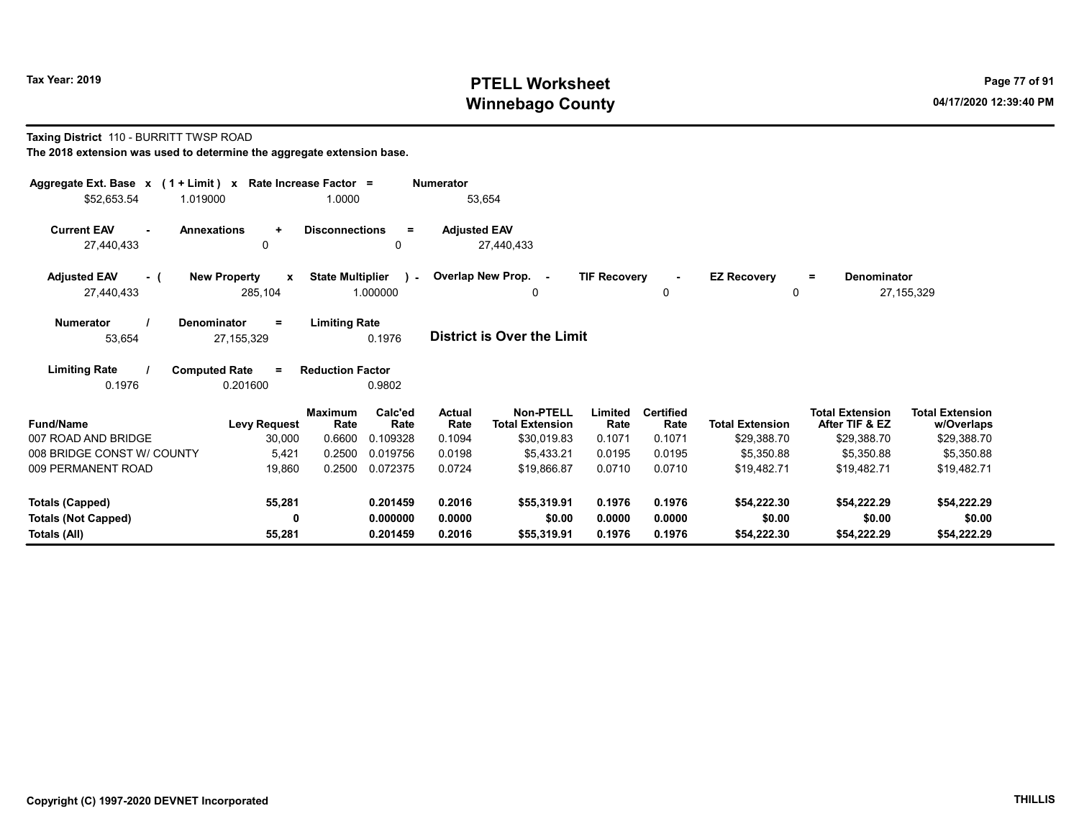# Tax Year: 2019 **PTELL Worksheet** Page 77 of 91 Winnebago County and the County of the County of the County of the County of the County of the County of the County of the County of the County of the County of the County of the County of the County of the County of the C

#### Taxing District 110 - BURRITT TWSP ROAD

| Aggregate Ext. Base $x$ (1 + Limit) $x$                    | Rate Increase Factor =                         |                                                     | <b>Numerator</b>           |                                            |                     |                          |                                   |                                          |                                      |
|------------------------------------------------------------|------------------------------------------------|-----------------------------------------------------|----------------------------|--------------------------------------------|---------------------|--------------------------|-----------------------------------|------------------------------------------|--------------------------------------|
| \$52,653.54<br>1.019000                                    |                                                | 1.0000                                              | 53,654                     |                                            |                     |                          |                                   |                                          |                                      |
| <b>Current EAV</b><br><b>Annexations</b><br>$\blacksquare$ | $\ddot{}$                                      | <b>Disconnections</b><br>$=$                        | <b>Adjusted EAV</b>        |                                            |                     |                          |                                   |                                          |                                      |
| 27,440,433                                                 | 0                                              | 0                                                   | 27,440,433                 |                                            |                     |                          |                                   |                                          |                                      |
| <b>Adjusted EAV</b><br>- (<br>27,440,433                   | <b>New Property</b><br>$\mathbf{x}$<br>285,104 | <b>State Multiplier</b><br>$\mathbf{r}$<br>1.000000 | Overlap New Prop. -        | 0                                          | <b>TIF Recovery</b> | $\mathbf{0}$             | <b>EZ Recovery</b><br>$\mathbf 0$ | Denominator<br>Ξ.                        | 27, 155, 329                         |
| <b>Numerator</b><br><b>Denominator</b><br>53,654           | $\equiv$<br>27, 155, 329                       | <b>Limiting Rate</b><br>0.1976                      | District is Over the Limit |                                            |                     |                          |                                   |                                          |                                      |
| <b>Limiting Rate</b><br>0.1976                             | <b>Computed Rate</b><br>$\equiv$<br>0.201600   | <b>Reduction Factor</b><br>0.9802                   |                            |                                            |                     |                          |                                   |                                          |                                      |
| <b>Fund/Name</b>                                           | <b>Maximum</b><br><b>Levy Request</b>          | Calc'ed<br>Rate<br>Rate                             | <b>Actual</b><br>Rate      | <b>Non-PTELL</b><br><b>Total Extension</b> | Limited<br>Rate     | <b>Certified</b><br>Rate | <b>Total Extension</b>            | <b>Total Extension</b><br>After TIF & EZ | <b>Total Extension</b><br>w/Overlaps |
| 007 ROAD AND BRIDGE                                        | 30,000                                         | 0.6600<br>0.109328                                  | 0.1094                     | \$30,019.83                                | 0.1071              | 0.1071                   | \$29,388.70                       | \$29,388.70                              | \$29,388.70                          |
| 008 BRIDGE CONST W/ COUNTY                                 | 5,421                                          | 0.2500<br>0.019756                                  | 0.0198                     | \$5.433.21                                 | 0.0195              | 0.0195                   | \$5,350.88                        | \$5,350.88                               | \$5,350.88                           |
| 009 PERMANENT ROAD                                         | 19,860                                         | 0.2500<br>0.072375                                  | 0.0724                     | \$19,866.87                                | 0.0710              | 0.0710                   | \$19,482.71                       | \$19,482.71                              | \$19,482.71                          |
| <b>Totals (Capped)</b>                                     | 55,281                                         | 0.201459                                            | 0.2016                     | \$55,319.91                                | 0.1976              | 0.1976                   | \$54,222.30                       | \$54,222.29                              | \$54,222.29                          |
| <b>Totals (Not Capped)</b>                                 | 0                                              | 0.000000                                            | 0.0000                     | \$0.00                                     | 0.0000              | 0.0000                   | \$0.00                            | \$0.00                                   | \$0.00                               |
| Totals (All)                                               | 55,281                                         | 0.201459                                            | 0.2016                     | \$55,319.91                                | 0.1976              | 0.1976                   | \$54,222.30                       | \$54,222.29                              | \$54,222.29                          |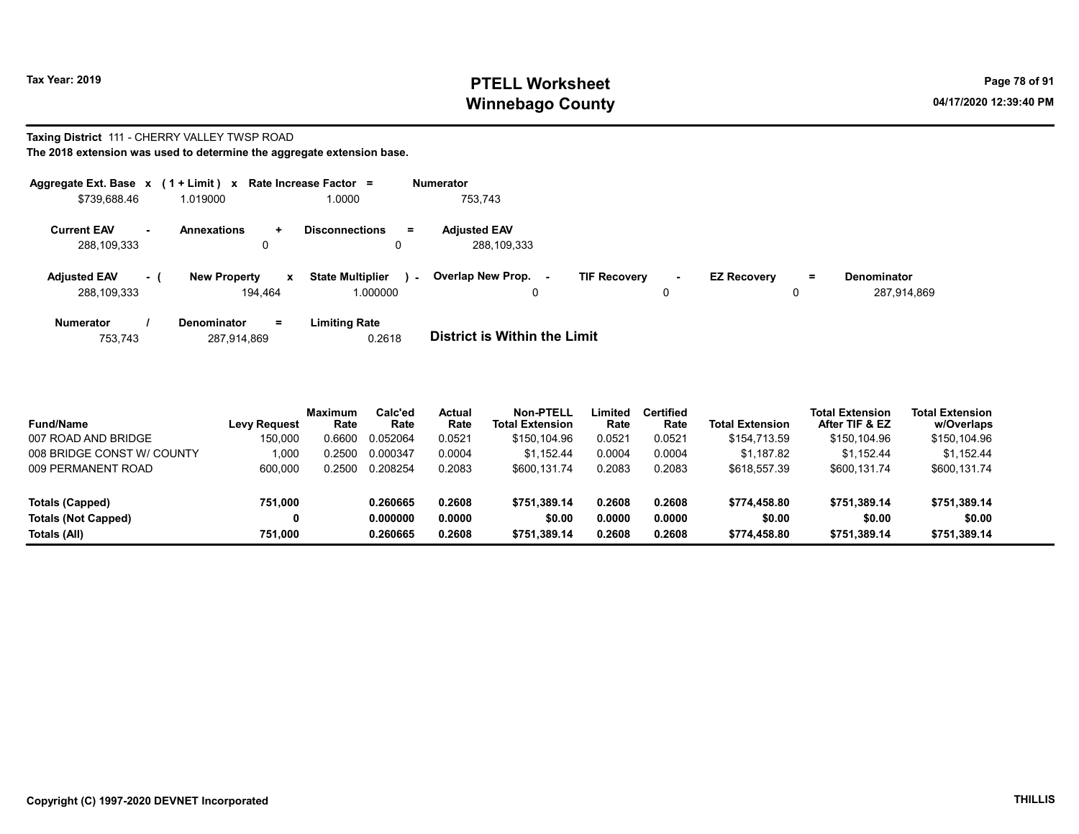# Tax Year: 2019 **PTELL Worksheet** Page 78 of 91 Winnebago County and the County of the County of the County of the County of the County of the County of the County of the County of the County of the County of the County of the County of the County of the County of the C

#### Taxing District 111 - CHERRY VALLEY TWSP ROAD The 2018 extension was used to determine the aggregate extension base.

| Aggregate Ext. Base x (1 + Limit) x |                |                                     | Rate Increase Factor =                        | <b>Numerator</b>                   |                                    |                    |          |                                   |
|-------------------------------------|----------------|-------------------------------------|-----------------------------------------------|------------------------------------|------------------------------------|--------------------|----------|-----------------------------------|
| \$739,688.46                        |                | 1.019000                            | 1.0000                                        | 753.743                            |                                    |                    |          |                                   |
| <b>Current EAV</b><br>288,109,333   | $\blacksquare$ | <b>Annexations</b><br>$\pm$<br>0    | <b>Disconnections</b><br>$\equiv$<br>0        | <b>Adjusted EAV</b><br>288,109,333 |                                    |                    |          |                                   |
| <b>Adjusted EAV</b><br>288.109.333  | - 1            | <b>New Property</b><br>x<br>194.464 | <b>State Multiplier</b><br>$\sim$<br>1.000000 | Overlap New Prop. -<br>$\Omega$    | <b>TIF Recovery</b><br>$\sim$<br>0 | <b>EZ Recovery</b> | $=$<br>0 | <b>Denominator</b><br>287,914,869 |
| <b>Numerator</b>                    |                | <b>Denominator</b><br>$=$           | <b>Limiting Rate</b>                          |                                    |                                    |                    |          |                                   |

| 753.743<br>287,914,869 | 0.2618 | <b>District is Within the Limit</b> |
|------------------------|--------|-------------------------------------|

| <b>Fund/Name</b>           | <b>Levy Request</b> | Maximum<br>Rate | Calc'ed<br>Rate | Actual<br>Rate | <b>Non-PTELL</b><br><b>Total Extension</b> | Limited<br>Rate | Certified<br>Rate | <b>Total Extension</b> | <b>Total Extension</b><br>After TIF & EZ | <b>Total Extension</b><br>w/Overlaps |
|----------------------------|---------------------|-----------------|-----------------|----------------|--------------------------------------------|-----------------|-------------------|------------------------|------------------------------------------|--------------------------------------|
| 007 ROAD AND BRIDGE        | 150.000             | 0.6600          | 0.052064        | 0.0521         | \$150,104.96                               | 0.0521          | 0.0521            | \$154,713.59           | \$150.104.96                             | \$150,104.96                         |
| 008 BRIDGE CONST W/ COUNTY | 1.000               | .2500           | 0.000347        | 0.0004         | \$1.152.44                                 | 0.0004          | 0.0004            | \$1,187.82             | \$1.152.44                               | \$1,152.44                           |
| 009 PERMANENT ROAD         | 600,000             | .2500           | 0.208254        | 0.2083         | \$600.131.74                               | 0.2083          | 0.2083            | \$618,557.39           | \$600,131.74                             | \$600,131.74                         |
| Totals (Capped)            | 751.000             |                 | 0.260665        | 0.2608         | \$751.389.14                               | 0.2608          | 0.2608            | \$774,458.80           | \$751.389.14                             | \$751,389.14                         |
| <b>Totals (Not Capped)</b> | 0                   |                 | 0.000000        | 0.0000         | \$0.00                                     | 0.0000          | 0.0000            | \$0.00                 | \$0.00                                   | \$0.00                               |
| Totals (All)               | 751.000             |                 | 0.260665        | 0.2608         | \$751.389.14                               | 0.2608          | 0.2608            | \$774,458.80           | \$751.389.14                             | \$751,389.14                         |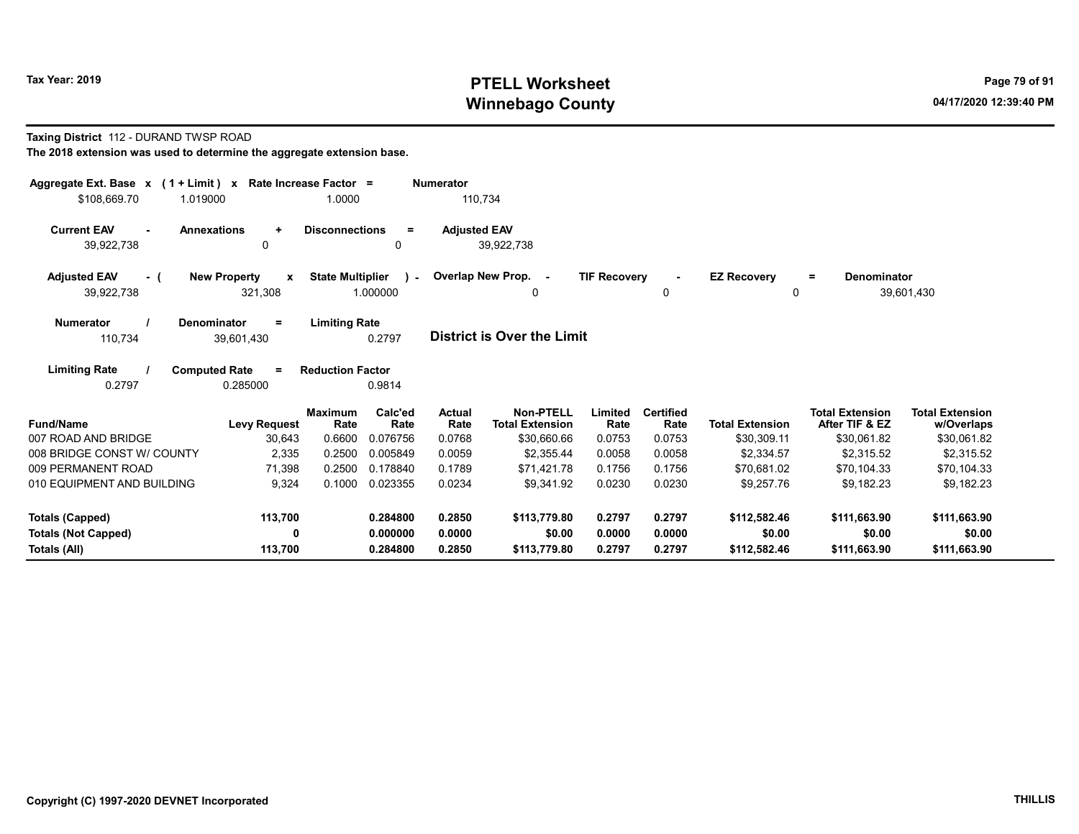# Tax Year: 2019 **PTELL Worksheet** Page 79 of 91 Winnebago County and the County of the County of the County of the County of the County of the County of the County of the County of the County of the County of the County of the County of the County of the County of the C

#### Taxing District 112 - DURAND TWSP ROAD

| Aggregate Ext. Base $x$ (1 + Limit) $x$<br>1.019000<br>\$108,669.70 | Rate Increase Factor =          | 1.0000                                    | <b>Numerator</b><br>110,734 |                                            |                     |                          |                        |                                          |                                      |
|---------------------------------------------------------------------|---------------------------------|-------------------------------------------|-----------------------------|--------------------------------------------|---------------------|--------------------------|------------------------|------------------------------------------|--------------------------------------|
|                                                                     |                                 |                                           |                             |                                            |                     |                          |                        |                                          |                                      |
| <b>Current EAV</b><br>$\sim$                                        | <b>Annexations</b><br>$\ddot{}$ | <b>Disconnections</b><br>$\equiv$         | <b>Adjusted EAV</b>         |                                            |                     |                          |                        |                                          |                                      |
| 39,922,738                                                          | 0                               | 0                                         |                             | 39,922,738                                 |                     |                          |                        |                                          |                                      |
| <b>Adjusted EAV</b><br>- (                                          | <b>New Property</b><br>x        | <b>State Multiplier</b><br>$\lambda$      |                             | Overlap New Prop. -                        | <b>TIF Recovery</b> | $\blacksquare$           | <b>EZ Recovery</b>     | <b>Denominator</b><br>$=$                |                                      |
| 39,922,738                                                          | 321,308                         | 1.000000                                  |                             | 0                                          |                     | 0                        | $\Omega$               |                                          | 39,601,430                           |
| <b>Numerator</b>                                                    | <b>Denominator</b><br>$\equiv$  | <b>Limiting Rate</b>                      |                             |                                            |                     |                          |                        |                                          |                                      |
| 110,734                                                             | 39,601,430                      | 0.2797                                    |                             | <b>District is Over the Limit</b>          |                     |                          |                        |                                          |                                      |
| <b>Limiting Rate</b>                                                | <b>Computed Rate</b><br>$=$     | <b>Reduction Factor</b>                   |                             |                                            |                     |                          |                        |                                          |                                      |
| 0.2797                                                              | 0.285000                        | 0.9814                                    |                             |                                            |                     |                          |                        |                                          |                                      |
| <b>Fund/Name</b>                                                    | <b>Levy Request</b>             | Calc'ed<br><b>Maximum</b><br>Rate<br>Rate | Actual<br>Rate              | <b>Non-PTELL</b><br><b>Total Extension</b> | Limited<br>Rate     | <b>Certified</b><br>Rate | <b>Total Extension</b> | <b>Total Extension</b><br>After TIF & EZ | <b>Total Extension</b><br>w/Overlaps |
| 007 ROAD AND BRIDGE                                                 | 30,643                          | 0.6600<br>0.076756                        | 0.0768                      | \$30,660.66                                | 0.0753              | 0.0753                   | \$30,309.11            | \$30,061.82                              | \$30,061.82                          |
| 008 BRIDGE CONST W/ COUNTY                                          | 2,335                           | 0.2500<br>0.005849                        | 0.0059                      | \$2,355.44                                 | 0.0058              | 0.0058                   | \$2,334.57             | \$2,315.52                               | \$2,315.52                           |
| 009 PERMANENT ROAD                                                  | 71,398                          | 0.2500<br>0.178840                        | 0.1789                      | \$71,421.78                                | 0.1756              | 0.1756                   | \$70,681.02            | \$70,104.33                              | \$70,104.33                          |
| 010 EQUIPMENT AND BUILDING                                          | 9,324                           | 0.1000<br>0.023355                        | 0.0234                      | \$9.341.92                                 | 0.0230              | 0.0230                   | \$9.257.76             | \$9.182.23                               | \$9,182.23                           |
| Totals (Capped)                                                     | 113,700                         | 0.284800                                  | 0.2850                      | \$113,779.80                               | 0.2797              | 0.2797                   | \$112,582.46           | \$111,663.90                             | \$111,663.90                         |
| <b>Totals (Not Capped)</b>                                          | 0                               | 0.000000                                  | 0.0000                      | \$0.00                                     | 0.0000              | 0.0000                   | \$0.00                 | \$0.00                                   | \$0.00                               |
| Totals (All)                                                        | 113,700                         | 0.284800                                  | 0.2850                      | \$113,779.80                               | 0.2797              | 0.2797                   | \$112,582.46           | \$111,663.90                             | \$111,663.90                         |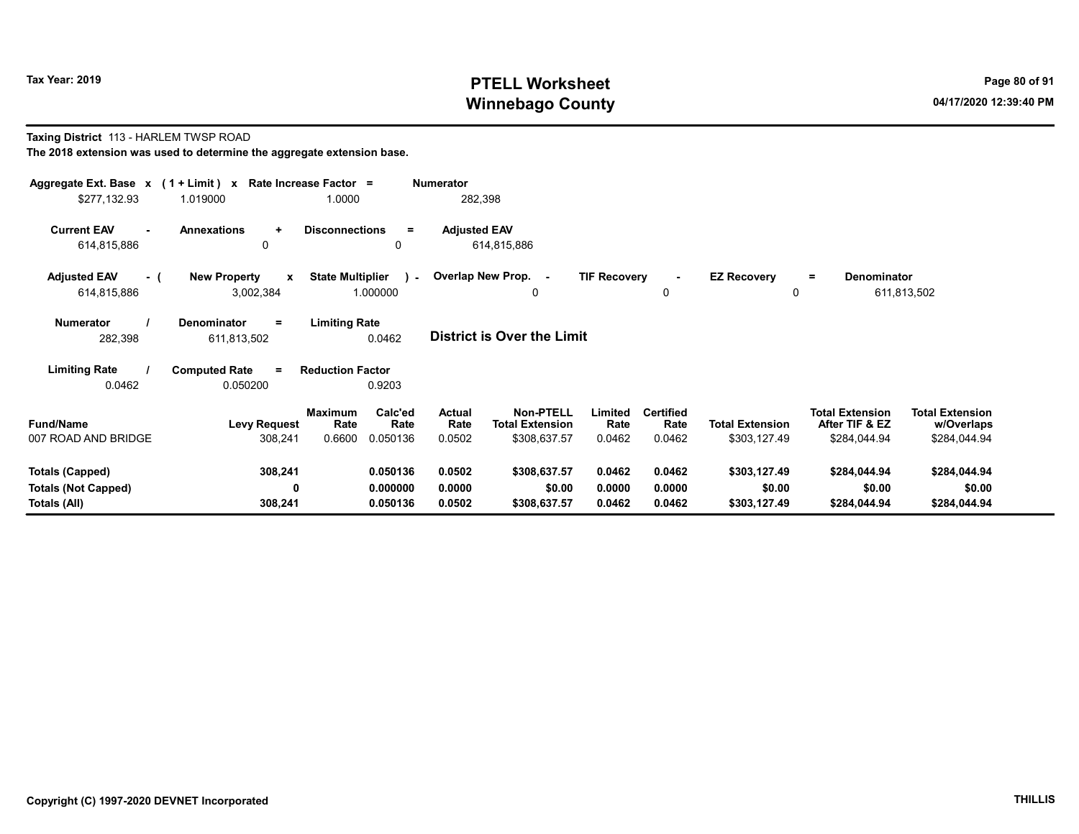# Tax Year: 2019 **PTELL Worksheet** Page 80 of 91 Winnebago County and the County of the County of the County of the County of the County of the County of the County of the County of the County of the County of the County of the County of the County of the County of the C

#### Taxing District 113 - HARLEM TWSP ROAD The 2018 extension was used to determine the aggregate extension base.

| Aggregate Ext. Base $x$ (1 + Limit) x Rate Increase Factor =<br>\$277,132.93 | 1.019000                                         | 1.0000                                                          | <b>Numerator</b><br>282,398        |                                                                                         |                                    |                                        |                                                          |                                                      |
|------------------------------------------------------------------------------|--------------------------------------------------|-----------------------------------------------------------------|------------------------------------|-----------------------------------------------------------------------------------------|------------------------------------|----------------------------------------|----------------------------------------------------------|------------------------------------------------------|
| <b>Current EAV</b><br>614,815,886                                            | <b>Annexations</b><br>$\ddot{}$<br>$\mathbf{0}$  | <b>Disconnections</b><br>$\equiv$<br>0                          | <b>Adjusted EAV</b><br>614,815,886 |                                                                                         |                                    |                                        |                                                          |                                                      |
| <b>Adjusted EAV</b><br>- (<br>614,815,886                                    | <b>New Property</b><br>$\mathbf{x}$<br>3,002,384 | <b>State Multiplier</b><br>$\sim$<br>1.000000                   | Overlap New Prop. -                | <b>TIF Recovery</b><br>0                                                                | $\sim$<br>0                        | <b>EZ Recovery</b><br>0                | <b>Denominator</b><br>$=$                                | 611,813,502                                          |
| <b>Numerator</b><br>282,398                                                  | Denominator<br>$\equiv$<br>611,813,502           | <b>Limiting Rate</b><br>0.0462                                  | <b>District is Over the Limit</b>  |                                                                                         |                                    |                                        |                                                          |                                                      |
| <b>Limiting Rate</b><br>0.0462                                               | <b>Computed Rate</b><br>$=$<br>0.050200          | <b>Reduction Factor</b><br>0.9203                               |                                    |                                                                                         |                                    |                                        |                                                          |                                                      |
| <b>Fund/Name</b><br>007 ROAD AND BRIDGE                                      | <b>Levy Request</b><br>308,241                   | Calc'ed<br><b>Maximum</b><br>Rate<br>Rate<br>0.050136<br>0.6600 | Actual<br>Rate<br>0.0502           | <b>Non-PTELL</b><br>Limited<br><b>Total Extension</b><br>Rate<br>\$308,637.57<br>0.0462 | <b>Certified</b><br>Rate<br>0.0462 | <b>Total Extension</b><br>\$303,127.49 | <b>Total Extension</b><br>After TIF & EZ<br>\$284,044.94 | <b>Total Extension</b><br>w/Overlaps<br>\$284,044.94 |
| <b>Totals (Capped)</b><br><b>Totals (Not Capped)</b><br>Totals (All)         | 308,241<br>0<br>308,241                          | 0.050136<br>0.000000<br>0.050136                                | 0.0502<br>0.0000<br>0.0502         | \$308,637.57<br>0.0462<br>\$0.00<br>0.0000<br>0.0462<br>\$308,637.57                    | 0.0462<br>0.0000<br>0.0462         | \$303,127.49<br>\$0.00<br>\$303,127.49 | \$284,044.94<br>\$0.00<br>\$284,044.94                   | \$284,044.94<br>\$0.00<br>\$284,044.94               |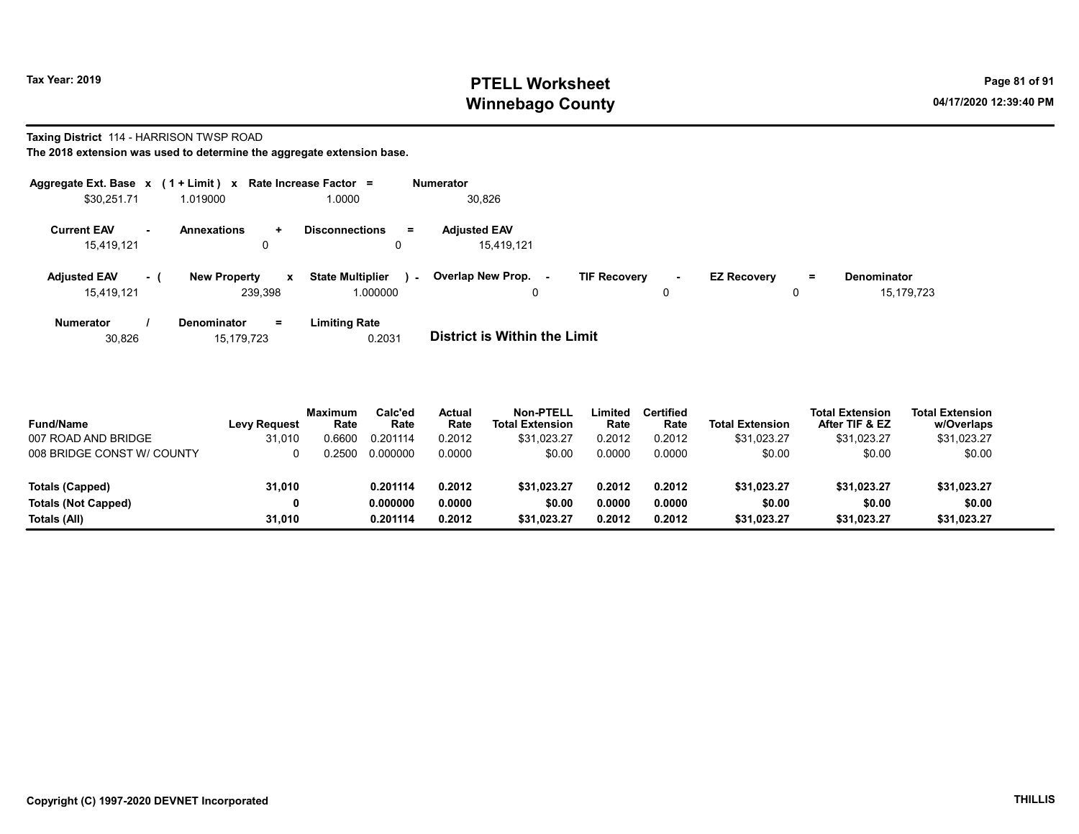# Tax Year: 2019 **PTELL Worksheet** Page 81 of 91 Winnebago County and the County of the County of the County of the County of the County of the County of the County of the County of the County of the County of the County of the County of the County of the County of the C

#### Taxing District 114 - HARRISON TWSP ROAD

| Aggregate Ext. Base $x$ (1 + Limit) x Rate Increase Factor = |      |                                |    |                                     |        | <b>Numerator</b>                  |                     |         |                    |     |                                  |
|--------------------------------------------------------------|------|--------------------------------|----|-------------------------------------|--------|-----------------------------------|---------------------|---------|--------------------|-----|----------------------------------|
| \$30,251.71                                                  |      | 1.019000                       |    | 1.0000                              |        | 30,826                            |                     |         |                    |     |                                  |
| <b>Current EAV</b><br>15,419,121                             | н.   | <b>Annexations</b><br>0        | ÷  | <b>Disconnections</b><br>0          | $=$    | <b>Adjusted EAV</b><br>15,419,121 |                     |         |                    |     |                                  |
| <b>Adjusted EAV</b><br>15.419.121                            | $-1$ | <b>New Property</b><br>239.398 | x  | <b>State Multiplier</b><br>1.000000 | $\sim$ | Overlap New Prop. -<br>0          | <b>TIF Recovery</b> | ۰.<br>0 | <b>EZ Recovery</b> | $=$ | <b>Denominator</b><br>15,179,723 |
| <b>Numerator</b>                                             |      | Denominator                    | Ξ. | <b>Limiting Rate</b>                |        | _ _ _ _ _ _ _ _ _ _ _ _ _ _ _ _   |                     |         |                    |     |                                  |

| 30.826 | 15.179.723 | 0.2031 | <b>District is Within the Limit</b> |
|--------|------------|--------|-------------------------------------|
|--------|------------|--------|-------------------------------------|

| <b>Fund/Name</b><br>007 ROAD AND BRIDGE | <b>Levy Request</b><br>31,010 | <b>Maximum</b><br>Rate<br>0.6600 | Calc'ed<br>Rate<br>0.201114 | Actual<br>Rate<br>0.2012 | <b>Non-PTELL</b><br><b>Total Extension</b><br>\$31.023.27 | Limited<br>Rate<br>0.2012 | Certified<br>Rate<br>0.2012 | <b>Total Extension</b><br>\$31,023.27 | <b>Total Extension</b><br>After TIF & EZ<br>\$31,023.27 | <b>Total Extension</b><br>w/Overlaps<br>\$31,023.27 |  |
|-----------------------------------------|-------------------------------|----------------------------------|-----------------------------|--------------------------|-----------------------------------------------------------|---------------------------|-----------------------------|---------------------------------------|---------------------------------------------------------|-----------------------------------------------------|--|
| 008 BRIDGE CONST W/ COUNTY              |                               | 0.2500                           | 0.000000                    | 0.0000                   | \$0.00                                                    | 0.0000                    | 0.0000                      | \$0.00                                | \$0.00                                                  | \$0.00                                              |  |
| Totals (Capped)                         | 31,010                        |                                  | 0.201114                    | 0.2012                   | \$31.023.27                                               | 0.2012                    | 0.2012                      | \$31.023.27                           | \$31,023.27                                             | \$31,023.27                                         |  |
| <b>Totals (Not Capped)</b>              | 0                             |                                  | 0.000000                    | 0.0000                   | \$0.00                                                    | 0.0000                    | 0.0000                      | \$0.00                                | \$0.00                                                  | \$0.00                                              |  |
| Totals (All)                            | 31.010                        |                                  | 0.201114                    | 0.2012                   | \$31.023.27                                               | 0.2012                    | 0.2012                      | \$31.023.27                           | \$31.023.27                                             | \$31.023.27                                         |  |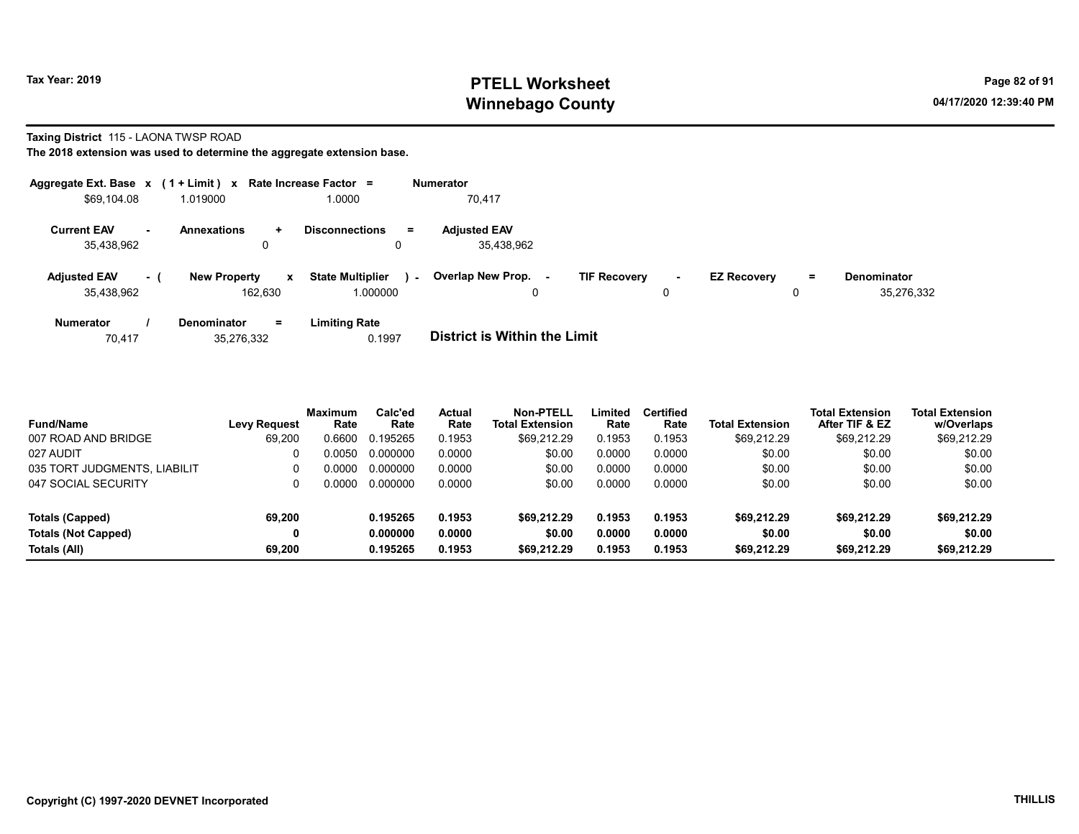# Tax Year: 2019 **PTELL Worksheet** Page 82 of 91 Winnebago County and the County of the County of the County of the County of the County of the County of the County of the County of the County of the County of the County of the County of the County of the County of the C

#### Taxing District 115 - LAONA TWSP ROAD

|                                   |     | Aggregate Ext. Base $x$ (1 + Limit) $x$ Rate Increase Factor = |                                               | <b>Numerator</b>                                                                                                             |
|-----------------------------------|-----|----------------------------------------------------------------|-----------------------------------------------|------------------------------------------------------------------------------------------------------------------------------|
| \$69,104.08                       |     | 1.019000                                                       | 1.0000                                        | 70.417                                                                                                                       |
| <b>Current EAV</b><br>35,438,962  | ж.  | <b>Annexations</b><br>÷<br>0                                   | <b>Disconnections</b><br>Ξ.<br>0              | <b>Adjusted EAV</b><br>35.438.962                                                                                            |
| <b>Adjusted EAV</b><br>35,438,962 | - 1 | <b>New Property</b><br>$\mathbf{x}$<br>162.630                 | <b>State Multiplier</b><br>$\sim$<br>1.000000 | Overlap New Prop.<br><b>TIF Recovery</b><br><b>EZ Recovery</b><br><b>Denominator</b><br>Ξ.<br>$\sim$<br>35,276,332<br>0<br>0 |
| <b>Numerator</b><br>70,417        |     | $=$<br><b>Denominator</b><br>35,276,332                        | <b>Limiting Rate</b><br>0.1997                | <b>District is Within the Limit</b>                                                                                          |

| <b>Fund/Name</b>             | <b>Levy Request</b> | <b>Maximum</b><br>Rate | Calc'ed<br>Rate | <b>Actual</b><br>Rate | <b>Non-PTELL</b><br><b>Total Extension</b> | Limited<br>Rate | <b>Certified</b><br>Rate | <b>Total Extension</b> | <b>Total Extension</b><br>After TIF & EZ | <b>Total Extension</b><br>w/Overlaps |
|------------------------------|---------------------|------------------------|-----------------|-----------------------|--------------------------------------------|-----------------|--------------------------|------------------------|------------------------------------------|--------------------------------------|
| 007 ROAD AND BRIDGE          | 69,200              | 0.6600                 | 0.195265        | 0.1953                | \$69.212.29                                | 0.1953          | 0.1953                   | \$69.212.29            | \$69.212.29                              | \$69,212.29                          |
| 027 AUDIT                    |                     | 0.0050                 | 0.000000        | 0.0000                | \$0.00                                     | 0.0000          | 0.0000                   | \$0.00                 | \$0.00                                   | \$0.00                               |
| 035 TORT JUDGMENTS. LIABILIT |                     |                        | 0.000000        | 0.0000                | \$0.00                                     | 0.0000          | 0.0000                   | \$0.00                 | \$0.00                                   | \$0.00                               |
| 047 SOCIAL SECURITY          |                     |                        | 0.000000        | 0.0000                | \$0.00                                     | 0.0000          | 0.0000                   | \$0.00                 | \$0.00                                   | \$0.00                               |
| Totals (Capped)              | 69,200              |                        | 0.195265        | 0.1953                | \$69,212.29                                | 0.1953          | 0.1953                   | \$69.212.29            | \$69,212.29                              | \$69,212.29                          |
| <b>Totals (Not Capped)</b>   |                     |                        | 0.000000        | 0.0000                | \$0.00                                     | 0.0000          | 0.0000                   | \$0.00                 | \$0.00                                   | \$0.00                               |
| Totals (All)                 | 69.200              |                        | 0.195265        | 0.1953                | \$69,212.29                                | 0.1953          | 0.1953                   | \$69.212.29            | \$69.212.29                              | \$69,212.29                          |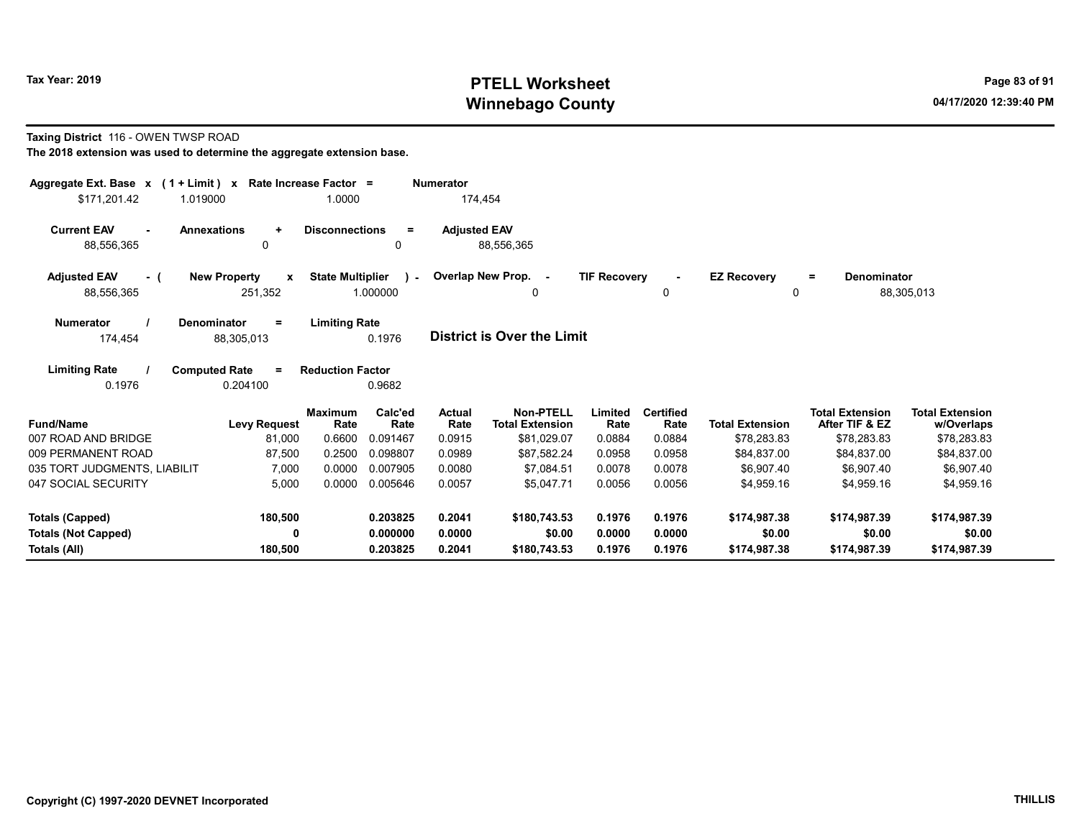# Tax Year: 2019 **PTELL Worksheet** Page 83 of 91 Winnebago County and the County of the County of the County of the County of the County of the County of the County of the County of the County of the County of the County of the County of the County of the County of the C

#### Taxing District 116 - OWEN TWSP ROAD

| Aggregate Ext. Base $x$ (1 + Limit) $x$                          | Rate Increase Factor =                                         |                          | <b>Numerator</b>    |                                            |                     |                          |                                |                                          |                                      |
|------------------------------------------------------------------|----------------------------------------------------------------|--------------------------|---------------------|--------------------------------------------|---------------------|--------------------------|--------------------------------|------------------------------------------|--------------------------------------|
| \$171,201.42<br>1.019000                                         | 1.0000                                                         |                          | 174,454             |                                            |                     |                          |                                |                                          |                                      |
| <b>Current EAV</b><br><b>Annexations</b><br>$\sim$<br>88,556,365 | <b>Disconnections</b><br>$\ddot{}$<br>0                        | $\equiv$<br>0            | <b>Adjusted EAV</b> | 88,556,365                                 |                     |                          |                                |                                          |                                      |
| <b>Adjusted EAV</b><br>- (<br>88,556,365                         | <b>State Multiplier</b><br><b>New Property</b><br>X<br>251,352 | $\mathbf{I}$<br>1.000000 |                     | Overlap New Prop. -<br>0                   | <b>TIF Recovery</b> | $\sim$<br>0              | <b>EZ Recovery</b><br>$\Omega$ | <b>Denominator</b><br>$=$                | 88,305,013                           |
| <b>Numerator</b><br>Denominator<br>174,454                       | <b>Limiting Rate</b><br>$=$<br>88,305,013                      | 0.1976                   |                     | <b>District is Over the Limit</b>          |                     |                          |                                |                                          |                                      |
| <b>Limiting Rate</b><br><b>Computed Rate</b><br>0.1976           | <b>Reduction Factor</b><br>$=$<br>0.204100                     | 0.9682                   |                     |                                            |                     |                          |                                |                                          |                                      |
| <b>Fund/Name</b>                                                 | <b>Maximum</b><br>Rate<br><b>Levy Request</b>                  | Calc'ed<br>Rate          | Actual<br>Rate      | <b>Non-PTELL</b><br><b>Total Extension</b> | Limited<br>Rate     | <b>Certified</b><br>Rate | <b>Total Extension</b>         | <b>Total Extension</b><br>After TIF & EZ | <b>Total Extension</b><br>w/Overlaps |
| 007 ROAD AND BRIDGE                                              | 0.6600<br>81,000                                               | 0.091467                 | 0.0915              | \$81,029.07                                | 0.0884              | 0.0884                   | \$78,283.83                    | \$78,283.83                              | \$78,283.83                          |
| 009 PERMANENT ROAD                                               | 0.2500<br>87,500                                               | 0.098807                 | 0.0989              | \$87.582.24                                | 0.0958              | 0.0958                   | \$84,837.00                    | \$84,837.00                              | \$84,837.00                          |
| 035 TORT JUDGMENTS, LIABILIT                                     | 0.0000<br>7,000                                                | 0.007905                 | 0.0080              | \$7,084.51                                 | 0.0078              | 0.0078                   | \$6,907.40                     | \$6,907.40                               | \$6,907.40                           |
| 047 SOCIAL SECURITY                                              | 5,000<br>0.0000                                                | 0.005646                 | 0.0057              | \$5,047.71                                 | 0.0056              | 0.0056                   | \$4,959.16                     | \$4,959.16                               | \$4,959.16                           |
| <b>Totals (Capped)</b>                                           | 180,500                                                        | 0.203825                 | 0.2041              | \$180,743.53                               | 0.1976              | 0.1976                   | \$174,987.38                   | \$174,987.39                             | \$174,987.39                         |
| <b>Totals (Not Capped)</b>                                       | O                                                              | 0.000000                 | 0.0000              | \$0.00                                     | 0.0000              | 0.0000                   | \$0.00                         | \$0.00                                   | \$0.00                               |
| Totals (All)                                                     | 180,500                                                        | 0.203825                 | 0.2041              | \$180,743.53                               | 0.1976              | 0.1976                   | \$174,987.38                   | \$174,987.39                             | \$174,987.39                         |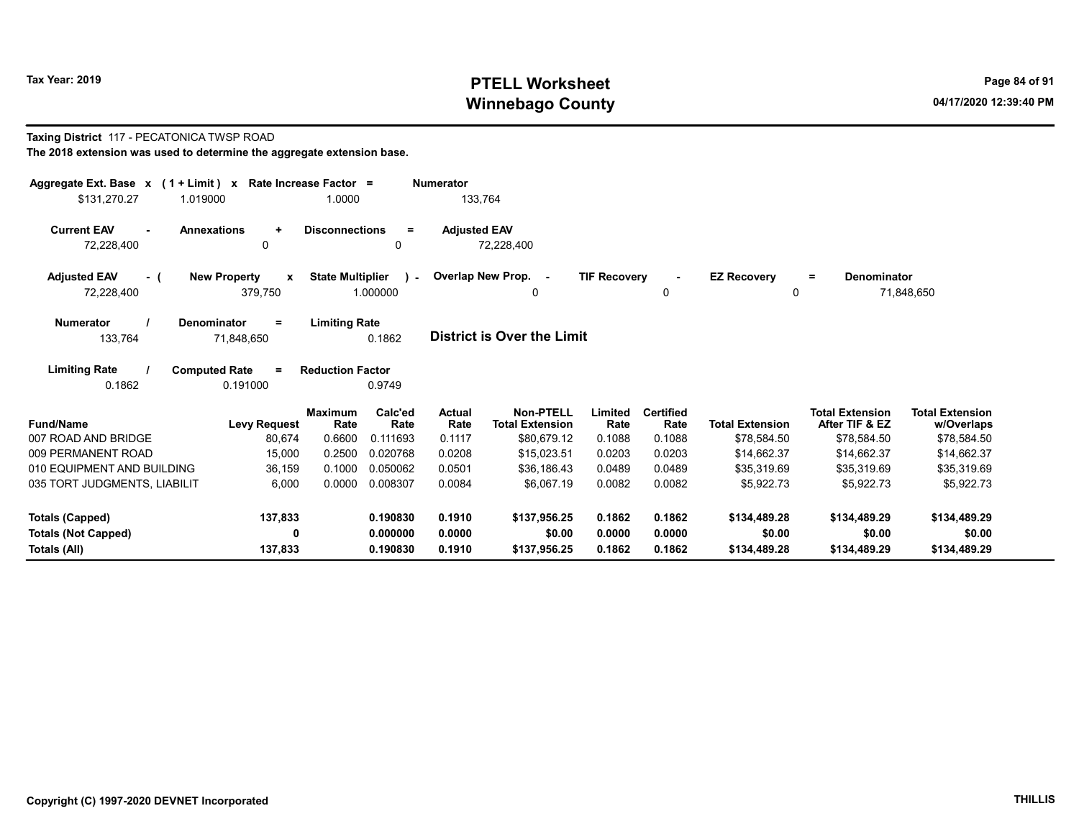# Tax Year: 2019 **PTELL Worksheet** Page 84 of 91 Winnebago County and the County of the County of the County of the County of the County of the County of the County of the County of the County of the County of the County of the County of the County of the County of the C

#### Taxing District 117 - PECATONICA TWSP ROAD

|  | The 2018 extension was used to determine the aggregate extension base. |
|--|------------------------------------------------------------------------|
|--|------------------------------------------------------------------------|

| Aggregate Ext. Base $x$ (1 + Limit) $x$                          | Rate Increase Factor =                         |                                                    | <b>Numerator</b>    |                                            |                     |                          |                                |                                          |                                      |
|------------------------------------------------------------------|------------------------------------------------|----------------------------------------------------|---------------------|--------------------------------------------|---------------------|--------------------------|--------------------------------|------------------------------------------|--------------------------------------|
| \$131,270.27<br>1.019000                                         |                                                | 1.0000                                             | 133,764             |                                            |                     |                          |                                |                                          |                                      |
| <b>Current EAV</b><br><b>Annexations</b><br>$\sim$<br>72,228,400 | $\ddot{}$<br>0                                 | <b>Disconnections</b><br>$\equiv$<br>$\mathbf{0}$  | <b>Adjusted EAV</b> | 72,228,400                                 |                     |                          |                                |                                          |                                      |
| <b>Adjusted EAV</b><br>- (<br>72,228,400                         | <b>New Property</b><br>$\mathbf{x}$<br>379,750 | <b>State Multiplier</b><br>$\lambda$ -<br>1.000000 |                     | Overlap New Prop. -<br>0                   | <b>TIF Recovery</b> | $\blacksquare$<br>0      | <b>EZ Recovery</b><br>$\Omega$ | Denominator<br>$=$                       | 71,848,650                           |
| <b>Numerator</b><br>Denominator<br>133,764                       | $=$<br>71,848,650                              | <b>Limiting Rate</b><br>0.1862                     |                     | <b>District is Over the Limit</b>          |                     |                          |                                |                                          |                                      |
| <b>Limiting Rate</b><br><b>Computed Rate</b><br>0.1862           | $\equiv$<br>0.191000                           | <b>Reduction Factor</b><br>0.9749                  |                     |                                            |                     |                          |                                |                                          |                                      |
| <b>Fund/Name</b>                                                 | <b>Maximum</b><br><b>Levy Request</b>          | Calc'ed<br>Rate<br>Rate                            | Actual<br>Rate      | <b>Non-PTELL</b><br><b>Total Extension</b> | Limited<br>Rate     | <b>Certified</b><br>Rate | <b>Total Extension</b>         | <b>Total Extension</b><br>After TIF & EZ | <b>Total Extension</b><br>w/Overlaps |
| 007 ROAD AND BRIDGE                                              | 80,674                                         | 0.6600<br>0.111693                                 | 0.1117              | \$80,679.12                                | 0.1088              | 0.1088                   | \$78,584.50                    | \$78,584.50                              | \$78,584.50                          |
| 009 PERMANENT ROAD                                               | 15,000                                         | 0.2500<br>0.020768                                 | 0.0208              | \$15.023.51                                | 0.0203              | 0.0203                   | \$14.662.37                    | \$14,662.37                              | \$14,662.37                          |
| 010 EQUIPMENT AND BUILDING                                       | 36,159                                         | 0.050062<br>0.1000                                 | 0.0501              | \$36,186.43                                | 0.0489              | 0.0489                   | \$35,319.69                    | \$35,319.69                              | \$35,319.69                          |
| 035 TORT JUDGMENTS, LIABILIT                                     | 6,000                                          | 0.0000<br>0.008307                                 | 0.0084              | \$6,067.19                                 | 0.0082              | 0.0082                   | \$5,922.73                     | \$5,922.73                               | \$5,922.73                           |
| <b>Totals (Capped)</b>                                           | 137,833                                        | 0.190830                                           | 0.1910              | \$137.956.25                               | 0.1862              | 0.1862                   | \$134,489.28                   | \$134,489.29                             | \$134,489.29                         |
| <b>Totals (Not Capped)</b>                                       | 0                                              | 0.000000                                           | 0.0000              | \$0.00                                     | 0.0000              | 0.0000                   | \$0.00                         | \$0.00                                   | \$0.00                               |
| Totals (All)                                                     | 137,833                                        | 0.190830                                           | 0.1910              | \$137,956.25                               | 0.1862              | 0.1862                   | \$134,489.28                   | \$134,489.29                             | \$134,489.29                         |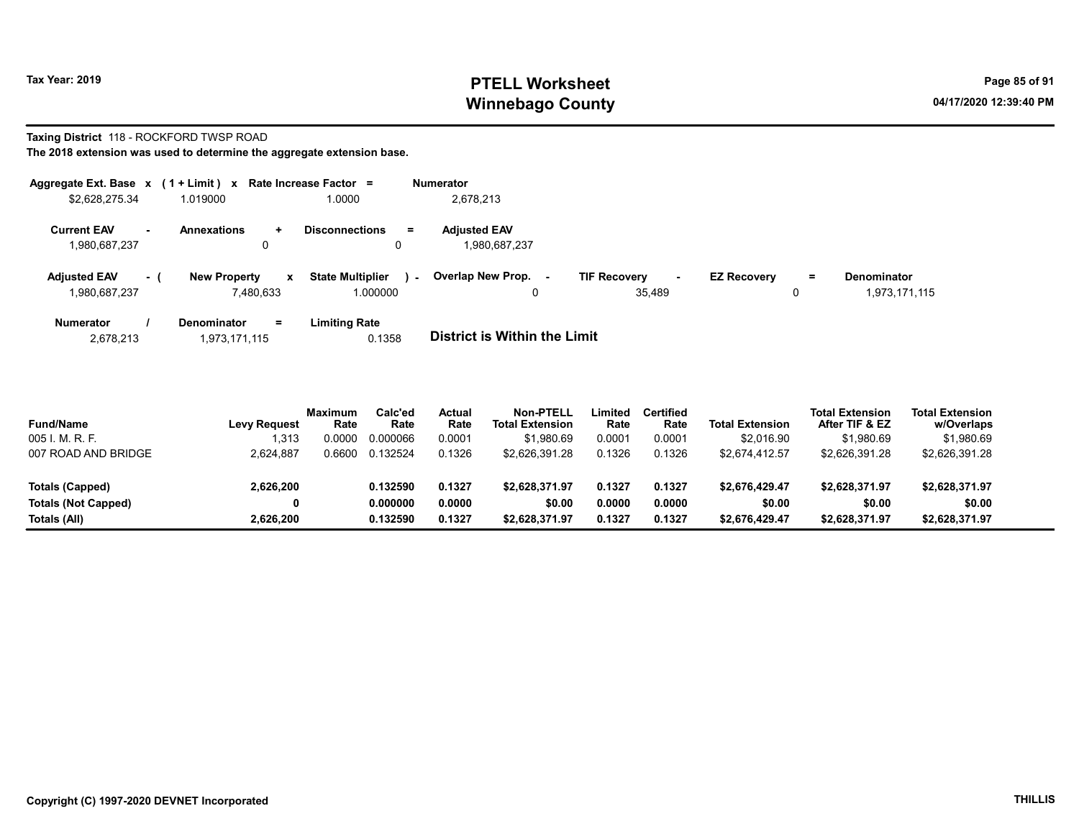# Tax Year: 2019 **PTELL Worksheet** Page 85 of 91 Winnebago County and the County of the County of the County of the County of the County of the County of the County of the County of the County of the County of the County of the County of the County of the County of the C

# Taxing District 118 - ROCKFORD TWSP ROAD

The 2018 extension was used to determine the aggregate extension base.

| Aggregate Ext. Base $x$ (1 + Limit) $x$ |           |                                       | Rate Increase Factor =                 | <b>Numerator</b>                                |                                                |                                |                                     |
|-----------------------------------------|-----------|---------------------------------------|----------------------------------------|-------------------------------------------------|------------------------------------------------|--------------------------------|-------------------------------------|
| \$2,628,275.34                          |           | 1.019000                              | 1.0000                                 | 2,678,213                                       |                                                |                                |                                     |
| <b>Current EAV</b><br>1,980,687,237     | <b>м.</b> | <b>Annexations</b><br>÷.<br>0         | <b>Disconnections</b><br>$\equiv$<br>0 | <b>Adjusted EAV</b><br>1,980,687,237            |                                                |                                |                                     |
| <b>Adjusted EAV</b><br>1,980,687,237    | $-1$      | <b>New Property</b><br>x<br>7.480.633 | <b>State Multiplier</b><br>1.000000    | <b>Overlap New Prop.</b><br>$\sim$ 10 $\,$<br>0 | <b>TIF Recovery</b><br>$\sim$<br>. .<br>35.489 | <b>EZ Recovery</b><br>$=$<br>0 | <b>Denominator</b><br>1,973,171,115 |
| <b>Numerator</b>                        |           | <b>Denominator</b><br>Ξ.              | Limiting Rate                          |                                                 |                                                |                                |                                     |

2,678,213 1,973,171,115 0.1358 District is Within the Limit

| <b>Fund/Name</b>           | <b>Levy Request</b> | <b>Maximum</b><br>Rate | Calc'ed<br>Rate | Actual<br>Rate | <b>Non-PTELL</b><br><b>Total Extension</b> | .imited<br>Rate | Certified<br>Rate | <b>Total Extension</b> | <b>Total Extension</b><br>After TIF & EZ | <b>Total Extension</b><br>w/Overlaps |  |
|----------------------------|---------------------|------------------------|-----------------|----------------|--------------------------------------------|-----------------|-------------------|------------------------|------------------------------------------|--------------------------------------|--|
| 005 I. M. R. F.            | 1,313               | 0.0000                 | 0.000066        | 0.0001         | \$1,980.69                                 | 0.0001          | 0.0001            | \$2,016.90             | \$1,980.69                               | \$1,980.69                           |  |
| 007 ROAD AND BRIDGE        | 2.624.887           | 0.6600                 | 0.132524        | 0.1326         | \$2.626.391.28                             | 0.1326          | 0.1326            | \$2.674.412.57         | \$2,626,391.28                           | \$2,626,391.28                       |  |
| Totals (Capped)            | 2,626,200           |                        | 0.132590        | 0.1327         | \$2.628.371.97                             | 0.1327          | 0.1327            | \$2.676.429.47         | \$2,628,371.97                           | \$2,628,371.97                       |  |
| <b>Totals (Not Capped)</b> | 0                   |                        | 0.000000        | 0.0000         | \$0.00                                     | 0.0000          | 0.0000            | \$0.00                 | \$0.00                                   | \$0.00                               |  |
| Totals (All)               | 2.626.200           |                        | 0.132590        | 0.1327         | \$2,628,371.97                             | 0.1327          | 0.1327            | \$2.676.429.47         | \$2,628,371.97                           | \$2,628,371.97                       |  |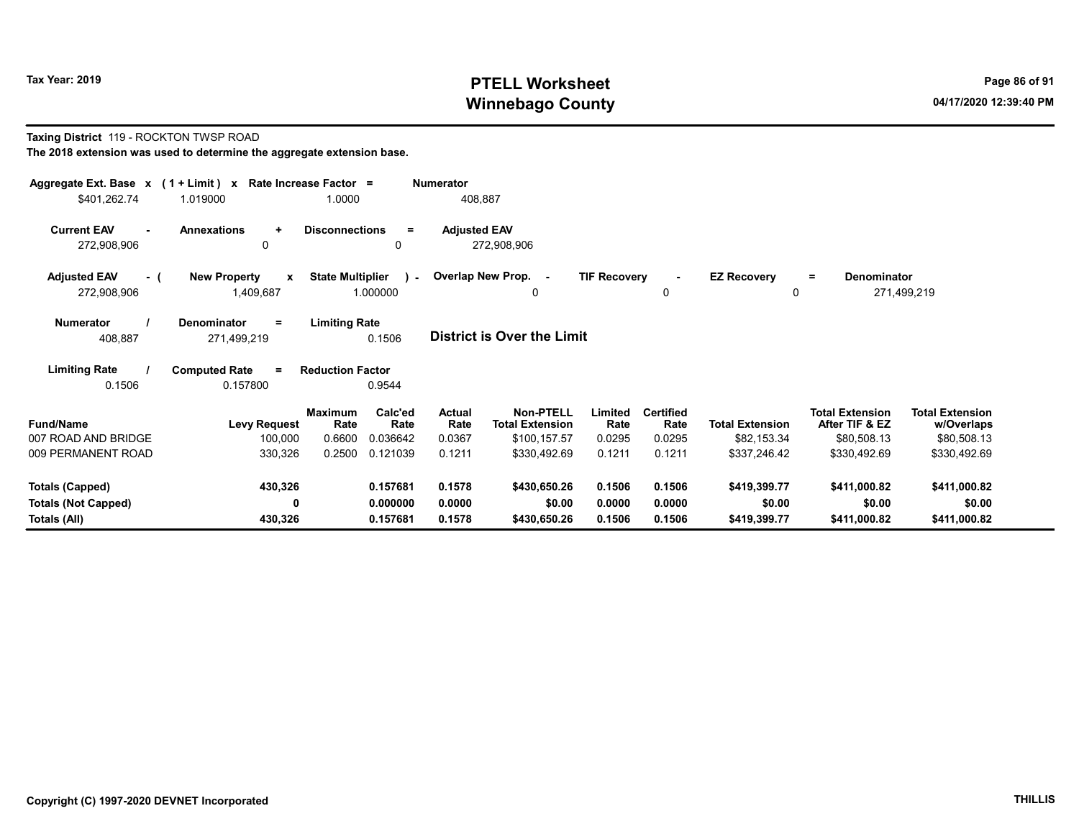# Tax Year: 2019 **PTELL Worksheet** Page 86 of 91 Winnebago County and the County of the County of the County of the County of the County of the County of the County of the County of the County of the County of the County of the County of the County of the County of the C

#### Taxing District 119 - ROCKTON TWSP ROAD The 2018 extension was used to determine the aggregate extension base.

| Aggregate Ext. Base $x$ (1 + Limit) x Rate Increase Factor =<br><b>Numerator</b><br>408,887<br>\$401,262.74<br>1.0000<br>1.019000       |                                                  |                           |                             |                          |                                                            |                           |                                    |                                       |                                                         |                                                     |  |
|-----------------------------------------------------------------------------------------------------------------------------------------|--------------------------------------------------|---------------------------|-----------------------------|--------------------------|------------------------------------------------------------|---------------------------|------------------------------------|---------------------------------------|---------------------------------------------------------|-----------------------------------------------------|--|
| <b>Current EAV</b><br>272,908,906                                                                                                       | <b>Annexations</b><br>÷<br>0                     | <b>Disconnections</b>     | $=$<br>0                    | <b>Adjusted EAV</b>      | 272,908,906                                                |                           |                                    |                                       |                                                         |                                                     |  |
| <b>Adjusted EAV</b><br>$-1$<br>272,908,906                                                                                              | <b>New Property</b><br>$\mathbf{x}$<br>1,409,687 | <b>State Multiplier</b>   | $\mathbf{L}$<br>1.000000    |                          | Overlap New Prop. -<br>0                                   | <b>TIF Recovery</b>       | $\blacksquare$<br>0                | <b>EZ Recovery</b><br>0               | <b>Denominator</b><br>$=$                               | 271,499,219                                         |  |
| <b>Limiting Rate</b><br><b>Numerator</b><br>Denominator<br>$=$<br><b>District is Over the Limit</b><br>0.1506<br>408,887<br>271,499,219 |                                                  |                           |                             |                          |                                                            |                           |                                    |                                       |                                                         |                                                     |  |
| <b>Limiting Rate</b><br>0.1506                                                                                                          | <b>Computed Rate</b><br>$=$<br>0.157800          | <b>Reduction Factor</b>   | 0.9544                      |                          |                                                            |                           |                                    |                                       |                                                         |                                                     |  |
| <b>Fund/Name</b><br>007 ROAD AND BRIDGE                                                                                                 | <b>Levy Request</b><br>100,000                   | Maximum<br>Rate<br>0.6600 | Calc'ed<br>Rate<br>0.036642 | Actual<br>Rate<br>0.0367 | <b>Non-PTELL</b><br><b>Total Extension</b><br>\$100,157.57 | Limited<br>Rate<br>0.0295 | <b>Certified</b><br>Rate<br>0.0295 | <b>Total Extension</b><br>\$82,153.34 | <b>Total Extension</b><br>After TIF & EZ<br>\$80,508.13 | <b>Total Extension</b><br>w/Overlaps<br>\$80,508.13 |  |
| 009 PERMANENT ROAD                                                                                                                      | 330,326                                          | 0.2500                    | 0.121039                    | 0.1211                   | \$330,492.69                                               | 0.1211                    | 0.1211                             | \$337,246.42                          | \$330,492.69                                            | \$330,492.69                                        |  |
| Totals (Capped)<br><b>Totals (Not Capped)</b>                                                                                           | 430,326<br>0                                     |                           | 0.157681<br>0.000000        | 0.1578<br>0.0000         | \$430,650.26<br>\$0.00                                     | 0.1506<br>0.0000          | 0.1506<br>0.0000                   | \$419,399.77<br>\$0.00                | \$411,000.82<br>\$0.00                                  | \$411,000.82<br>\$0.00                              |  |
| Totals (All)                                                                                                                            | 430,326                                          |                           | 0.157681                    | 0.1578                   | \$430,650.26                                               | 0.1506                    | 0.1506                             | \$419,399.77                          | \$411,000.82                                            | \$411,000.82                                        |  |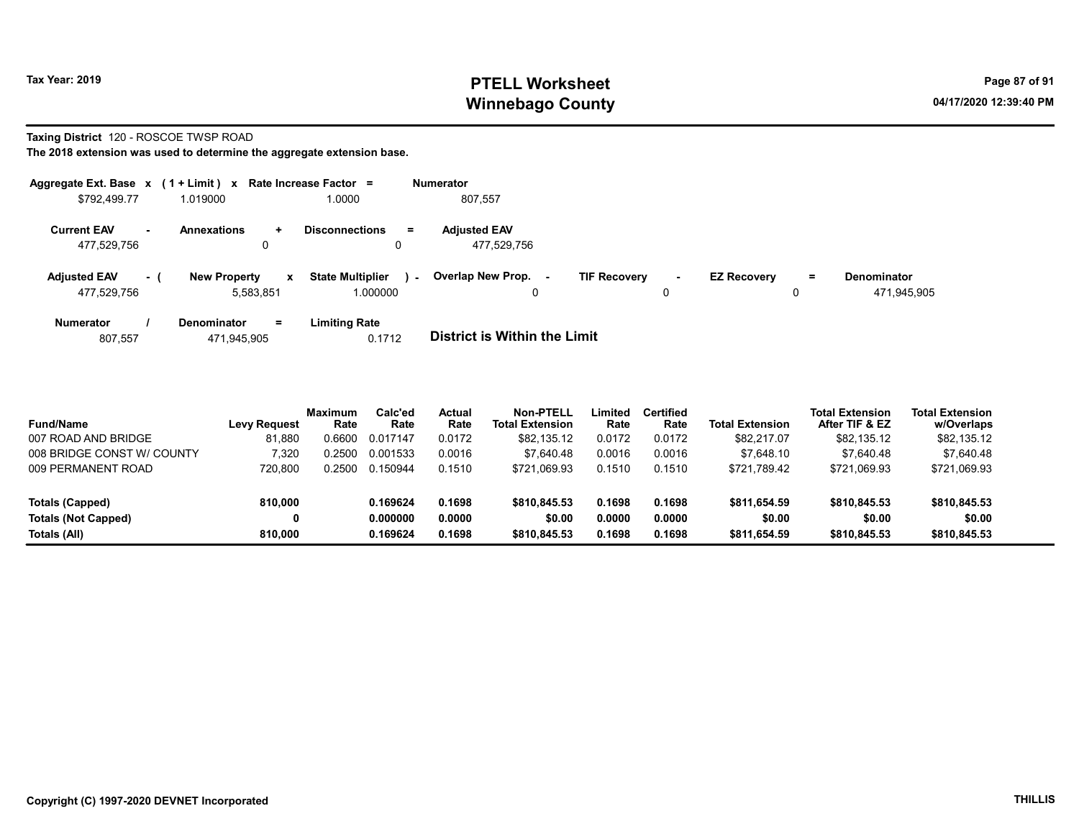# Tax Year: 2019 **PTELL Worksheet** Page 87 of 91 Winnebago County and the County of the County of the County of the County of the County of the County of the County of the County of the County of the County of the County of the County of the County of the County of the C

#### Taxing District 120 - ROSCOE TWSP ROAD

|                                    |        | Aggregate Ext. Base $x$ (1 + Limit) $x$ Rate Increase Factor = |                                               | <b>Numerator</b>                                                                                                                    |
|------------------------------------|--------|----------------------------------------------------------------|-----------------------------------------------|-------------------------------------------------------------------------------------------------------------------------------------|
| \$792,499.77                       |        | 1.019000                                                       | 1.0000                                        | 807.557                                                                                                                             |
| <b>Current EAV</b><br>477,529,756  | $\sim$ | <b>Annexations</b><br>$\ddot{}$<br>0                           | <b>Disconnections</b><br>$\equiv$             | <b>Adjusted EAV</b><br>477.529.756                                                                                                  |
| <b>Adjusted EAV</b><br>477,529,756 | - 1    | <b>New Property</b><br>$\mathbf{x}$<br>5.583.851               | <b>State Multiplier</b><br>$\sim$<br>1.000000 | Overlap New Prop.<br><b>TIF Recovery</b><br><b>EZ Recovery</b><br><b>Denominator</b><br>$=$<br>$\sim$<br>471,945,905<br>0<br>0<br>0 |
| <b>Numerator</b><br>807,557        |        | $=$<br><b>Denominator</b><br>471.945.905                       | <b>Limiting Rate</b><br>0.1712                | <b>District is Within the Limit</b>                                                                                                 |

| <b>Fund/Name</b>           | <b>Levy Request</b> | <b>Maximum</b><br>Rate | Calc'ed<br>Rate | Actual<br>Rate | <b>Non-PTELL</b><br><b>Total Extension</b> | ∟imited<br>Rate | <b>Certified</b><br>Rate | <b>Total Extension</b> | <b>Total Extension</b><br>After TIF & EZ | <b>Total Extension</b><br>w/Overlaps |
|----------------------------|---------------------|------------------------|-----------------|----------------|--------------------------------------------|-----------------|--------------------------|------------------------|------------------------------------------|--------------------------------------|
| 007 ROAD AND BRIDGE        | 81.880              | 0.6600                 | 0.017147        | 0.0172         | \$82.135.12                                | 0.0172          | 0.0172                   | \$82,217.07            | \$82,135.12                              | \$82,135.12                          |
| 008 BRIDGE CONST W/ COUNTY | 320.'               | 0.2500                 | 0.001533        | 0.0016         | \$7.640.48                                 | 0.0016          | 0.0016                   | \$7.648.10             | \$7.640.48                               | \$7,640.48                           |
| 009 PERMANENT ROAD         | 720.800             | 0.2500                 | 0.150944        | 0.1510         | \$721.069.93                               | 0.1510          | 0.1510                   | \$721,789.42           | \$721.069.93                             | \$721,069.93                         |
| Totals (Capped)            | 810.000             |                        | 0.169624        | 0.1698         | \$810,845.53                               | 0.1698          | 0.1698                   | \$811,654.59           | \$810,845.53                             | \$810,845.53                         |
| <b>Totals (Not Capped)</b> | 0                   |                        | 0.000000        | 0.0000         | \$0.00                                     | 0.0000          | 0.0000                   | \$0.00                 | \$0.00                                   | \$0.00                               |
| Totals (All)               | 810.000             |                        | 0.169624        | 0.1698         | \$810,845.53                               | 0.1698          | 0.1698                   | \$811,654.59           | \$810,845.53                             | \$810,845.53                         |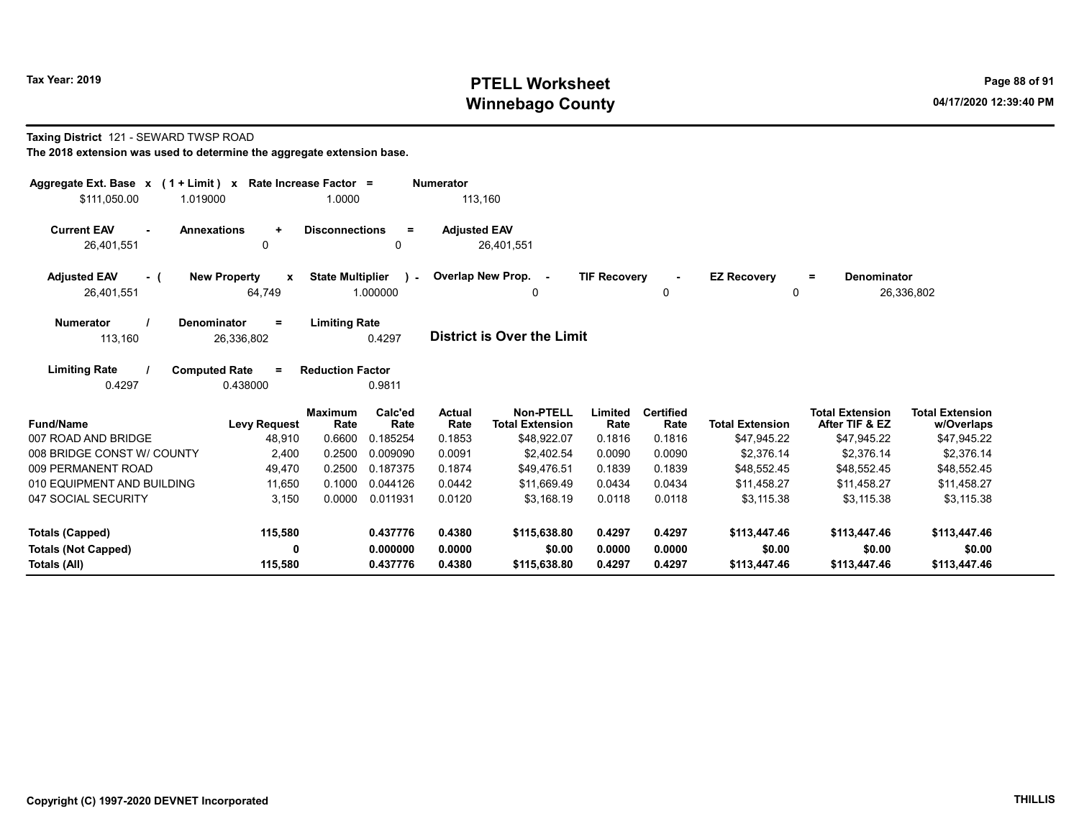# Tax Year: 2019 **PTELL Worksheet** Page 88 of 91 Winnebago County and the County of the County of the County of the County of the County of the County of the County of the County of the County of the County of the County of the County of the County of the County of the C

#### Taxing District 121 - SEWARD TWSP ROAD

| Aggregate Ext. Base $x$ (1 + Limit) x Rate Increase Factor =<br>\$111,050.00<br>1.019000 |                                               | 1.0000                  |                           | <b>Numerator</b><br>113.160 |                                            |                     |                          |                         |                                          |                                      |
|------------------------------------------------------------------------------------------|-----------------------------------------------|-------------------------|---------------------------|-----------------------------|--------------------------------------------|---------------------|--------------------------|-------------------------|------------------------------------------|--------------------------------------|
| <b>Current EAV</b><br><b>Annexations</b><br>$\sim$<br>26,401,551                         | $\ddot{}$<br>0                                | <b>Disconnections</b>   | $\equiv$<br>0             | <b>Adjusted EAV</b>         | 26,401,551                                 |                     |                          |                         |                                          |                                      |
| <b>Adjusted EAV</b><br>- (<br>26,401,551                                                 | <b>New Property</b><br>$\mathbf{x}$<br>64,749 | <b>State Multiplier</b> | $\mathcal{L}$<br>1.000000 |                             | Overlap New Prop. -<br>0                   | <b>TIF Recovery</b> | $\sim$<br>0              | <b>EZ Recovery</b><br>0 | Denominator<br>$=$                       | 26,336,802                           |
| <b>Numerator</b><br>Denominator<br>113,160                                               | $\equiv$<br>26,336,802                        | <b>Limiting Rate</b>    | 0.4297                    |                             | <b>District is Over the Limit</b>          |                     |                          |                         |                                          |                                      |
| <b>Limiting Rate</b><br><b>Computed Rate</b><br>0.4297                                   | $\equiv$<br>0.438000                          | <b>Reduction Factor</b> | 0.9811                    |                             |                                            |                     |                          |                         |                                          |                                      |
| <b>Fund/Name</b>                                                                         | <b>Levy Request</b>                           | <b>Maximum</b><br>Rate  | Calc'ed<br>Rate           | <b>Actual</b><br>Rate       | <b>Non-PTELL</b><br><b>Total Extension</b> | Limited<br>Rate     | <b>Certified</b><br>Rate | <b>Total Extension</b>  | <b>Total Extension</b><br>After TIF & EZ | <b>Total Extension</b><br>w/Overlaps |
| 007 ROAD AND BRIDGE                                                                      | 48,910                                        | 0.6600                  | 0.185254                  | 0.1853                      | \$48,922.07                                | 0.1816              | 0.1816                   | \$47,945.22             | \$47,945.22                              | \$47,945.22                          |
| 008 BRIDGE CONST W/ COUNTY                                                               | 2,400                                         | 0.2500                  | 0.009090                  | 0.0091                      | \$2,402.54                                 | 0.0090              | 0.0090                   | \$2,376.14              | \$2,376.14                               | \$2,376.14                           |
| 009 PERMANENT ROAD                                                                       | 49,470                                        | 0.2500                  | 0.187375                  | 0.1874                      | \$49,476.51                                | 0.1839              | 0.1839                   | \$48,552.45             | \$48,552.45                              | \$48,552.45                          |
| 010 EQUIPMENT AND BUILDING                                                               | 11,650                                        | 0.1000                  | 0.044126                  | 0.0442                      | \$11.669.49                                | 0.0434              | 0.0434                   | \$11.458.27             | \$11.458.27                              | \$11,458.27                          |
| 047 SOCIAL SECURITY                                                                      | 3,150                                         | 0.0000                  | 0.011931                  | 0.0120                      | \$3,168.19                                 | 0.0118              | 0.0118                   | \$3,115.38              | \$3,115.38                               | \$3,115.38                           |
| <b>Totals (Capped)</b>                                                                   | 115,580                                       |                         | 0.437776                  | 0.4380                      | \$115,638.80                               | 0.4297              | 0.4297                   | \$113,447,46            | \$113,447.46                             | \$113,447.46                         |
| <b>Totals (Not Capped)</b>                                                               | 0                                             |                         | 0.000000                  | 0.0000                      | \$0.00                                     | 0.0000              | 0.0000                   | \$0.00                  | \$0.00                                   | \$0.00                               |
| Totals (All)                                                                             | 115,580                                       |                         | 0.437776                  | 0.4380                      | \$115,638.80                               | 0.4297              | 0.4297                   | \$113,447.46            | \$113,447.46                             | \$113,447.46                         |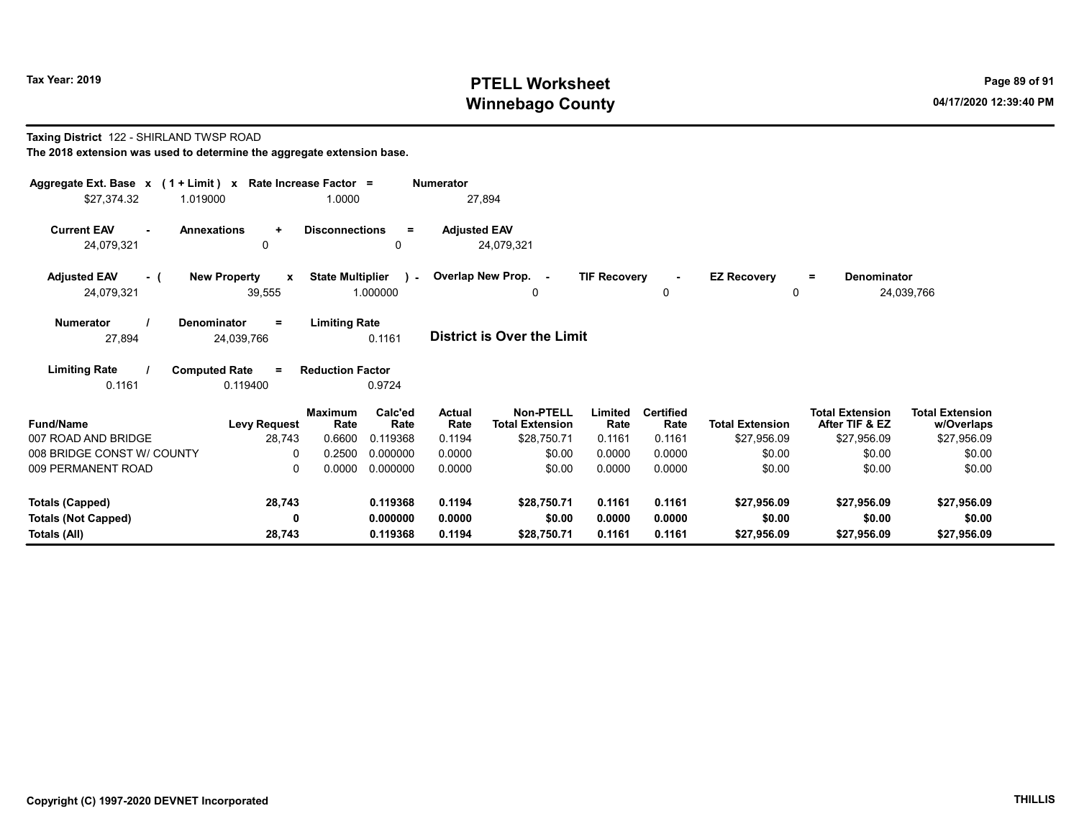# Tax Year: 2019 **PTELL Worksheet** Page 89 of 91 Winnebago County and the County of the County of the County of the County of the County of the County of the County of the County of the County of the County of the County of the County of the County of the County of the C

#### Taxing District 122 - SHIRLAND TWSP ROAD The 2018 extension was used to determine the aggregate extension base.

| Aggregate Ext. Base $x$ (1 + Limit) $x$<br>\$27,374.32               | 1.019000                                      | Rate Increase Factor =<br>1.0000 |                                  | <b>Numerator</b><br>27,894      |                                                           |                            |                                    |                                       |                                                         |                                                     |
|----------------------------------------------------------------------|-----------------------------------------------|----------------------------------|----------------------------------|---------------------------------|-----------------------------------------------------------|----------------------------|------------------------------------|---------------------------------------|---------------------------------------------------------|-----------------------------------------------------|
| <b>Current EAV</b><br>24,079,321                                     | <b>Annexations</b><br>$\ddot{}$<br>0          | <b>Disconnections</b>            | $\equiv$<br>0                    | <b>Adjusted EAV</b>             | 24,079,321                                                |                            |                                    |                                       |                                                         |                                                     |
| <b>Adjusted EAV</b><br>- (<br>24,079,321                             | <b>New Property</b><br>$\mathbf{x}$<br>39,555 | <b>State Multiplier</b>          | $\lambda$ -<br>1.000000          |                                 | Overlap New Prop. -<br>0                                  | <b>TIF Recovery</b>        | 0                                  | <b>EZ Recovery</b><br>0               | <b>Denominator</b><br>$=$                               | 24,039,766                                          |
| <b>Numerator</b><br>27,894                                           | Denominator<br>$\equiv$<br>24,039,766         | <b>Limiting Rate</b>             | 0.1161                           |                                 | <b>District is Over the Limit</b>                         |                            |                                    |                                       |                                                         |                                                     |
| <b>Limiting Rate</b><br>0.1161                                       | <b>Computed Rate</b><br>$=$<br>0.119400       | <b>Reduction Factor</b>          | 0.9724                           |                                 |                                                           |                            |                                    |                                       |                                                         |                                                     |
| <b>Fund/Name</b><br>007 ROAD AND BRIDGE                              | <b>Levy Request</b><br>28,743                 | <b>Maximum</b><br>Rate<br>0.6600 | Calc'ed<br>Rate<br>0.119368      | <b>Actual</b><br>Rate<br>0.1194 | <b>Non-PTELL</b><br><b>Total Extension</b><br>\$28,750.71 | Limited<br>Rate<br>0.1161  | <b>Certified</b><br>Rate<br>0.1161 | <b>Total Extension</b><br>\$27,956.09 | <b>Total Extension</b><br>After TIF & EZ<br>\$27,956.09 | <b>Total Extension</b><br>w/Overlaps<br>\$27,956.09 |
| 008 BRIDGE CONST W/ COUNTY<br>009 PERMANENT ROAD                     | 0<br>$\mathbf{0}$                             | 0.2500<br>0.0000                 | 0.000000<br>0.000000             | 0.0000<br>0.0000                | \$0.00<br>\$0.00                                          | 0.0000<br>0.0000           | 0.0000<br>0.0000                   | \$0.00<br>\$0.00                      | \$0.00<br>\$0.00                                        | \$0.00<br>\$0.00                                    |
|                                                                      |                                               |                                  |                                  | 0.1194                          | \$28,750.71                                               |                            | 0.1161                             |                                       |                                                         |                                                     |
| <b>Totals (Capped)</b><br><b>Totals (Not Capped)</b><br>Totals (All) | 28,743<br>0<br>28,743                         |                                  | 0.119368<br>0.000000<br>0.119368 | 0.0000<br>0.1194                | \$0.00<br>\$28,750.71                                     | 0.1161<br>0.0000<br>0.1161 | 0.0000<br>0.1161                   | \$27,956.09<br>\$0.00<br>\$27,956.09  | \$27,956.09<br>\$0.00<br>\$27,956.09                    | \$27,956.09<br>\$0.00<br>\$27,956.09                |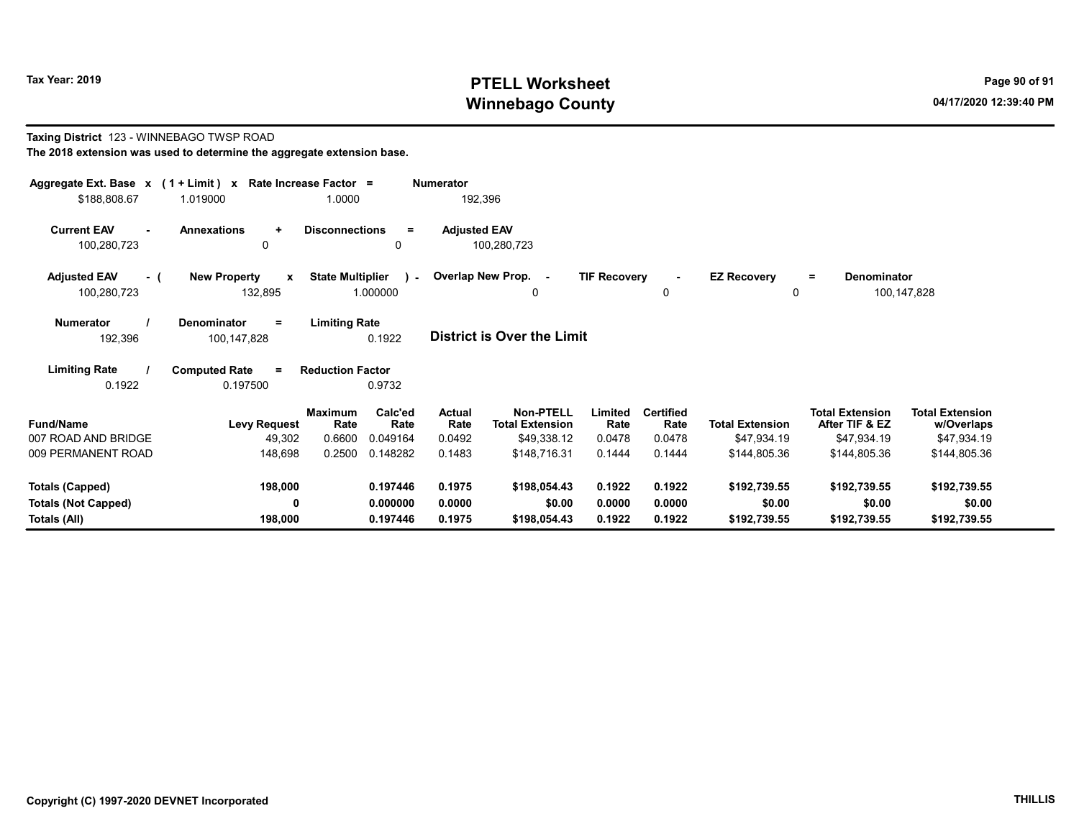Taxing District 123 - WINNEBAGO TWSP ROAD

# Tax Year: 2019 **PTELL Worksheet** Page 90 of 91 Winnebago County and the County of the County of the County of the County of the County of the County of the County of the County of the County of the County of the County of the County of the County of the County of the C

= Denominator

# The 2018 extension was used to determine the aggregate extension base. Aggregate Ext. Base  $x$  (1 + Limit)  $x$  Rate Increase Factor = Numerator  $$188,808.67$  1.019000 1.0000 192,396 Current EAV - Annexations + Disconnections = Adjusted EAV 100,280,723 0 0 100,280,723 Adjusted EAV - ( New Property x State Multiplier ) - Overlap New Prop. - TIF Recovery EZ Recovery

| 100,280,723      |  | 132,895     |          | .000000              |  | 100,147,828 |
|------------------|--|-------------|----------|----------------------|--|-------------|
| <b>Numerator</b> |  | Denominator | $\equiv$ | <b>Limiting Rate</b> |  |             |

|         |             | .      |                                   |
|---------|-------------|--------|-----------------------------------|
| 192.396 | 100,147,828 | 0.1922 | <b>District is Over the Limit</b> |

| <b>Limiting Rate</b> | <b>Computed Rate</b> | <b>Reduction Factor</b> |
|----------------------|----------------------|-------------------------|
| 0.1922               | 0.197500             | 0.9732                  |

| <b>Fund/Name</b><br>007 ROAD AND BRIDGE | <b>Levy Request</b><br>49,302 | <b>Maximum</b><br>Rate<br>0.6600 | Calc'ed<br>Rate<br>0.049164 | <b>Actual</b><br>Rate<br>0.0492 | <b>Non-PTELL</b><br><b>Total Extension</b><br>\$49,338.12 | Limited<br>Rate<br>0.0478 | <b>Certified</b><br>Rate<br>0.0478 | <b>Total Extension</b><br>\$47.934.19 | <b>Total Extension</b><br>After TIF & EZ<br>\$47,934.19 | <b>Total Extension</b><br>w/Overlaps<br>\$47,934.19 |
|-----------------------------------------|-------------------------------|----------------------------------|-----------------------------|---------------------------------|-----------------------------------------------------------|---------------------------|------------------------------------|---------------------------------------|---------------------------------------------------------|-----------------------------------------------------|
| 009 PERMANENT ROAD                      | 148.698                       | 0.2500                           | 0.148282                    | 0.1483                          | \$148.716.31                                              | 0.1444                    | 0.1444                             | \$144,805.36                          | \$144.805.36                                            | \$144,805.36                                        |
| Totals (Capped)                         | 198,000                       |                                  | 0.197446                    | 0.1975                          | \$198,054.43                                              | 0.1922                    | 0.1922                             | \$192,739.55                          | \$192,739.55                                            | \$192,739.55                                        |
| <b>Totals (Not Capped)</b>              | 0                             |                                  | 0.000000                    | 0.0000                          | \$0.00                                                    | 0.0000                    | 0.0000                             | \$0.00                                | \$0.00                                                  | \$0.00                                              |
| Totals (All)                            | 198.000                       |                                  | 0.197446                    | 0.1975                          | \$198,054.43                                              | 0.1922                    | 0.1922                             | \$192,739.55                          | \$192,739.55                                            | \$192,739.55                                        |